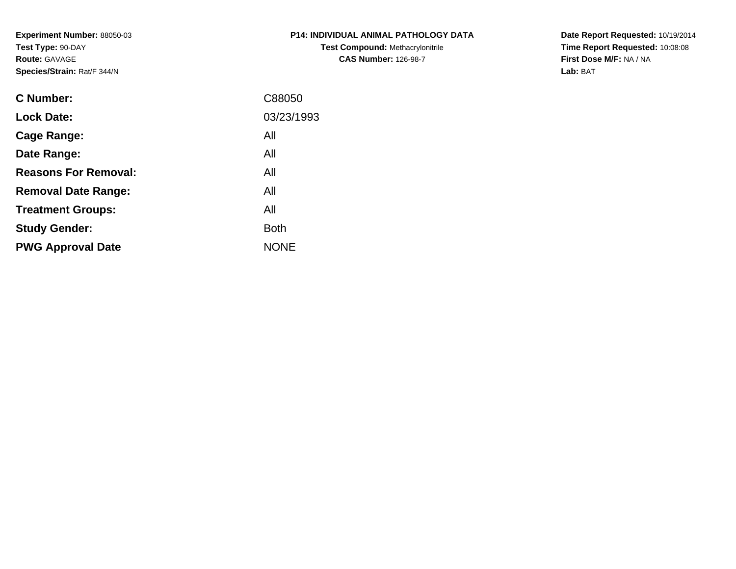**Experiment Number:** 88050-03**Test Type:** 90-DAY**Route:** GAVAGE**Species/Strain:** Rat/F 344/N

| <b>P14: INDIVIDUAL ANIMAL PATHOLOGY DATA</b> |
|----------------------------------------------|
| <b>Test Compound: Methacrylonitrile</b>      |
| <b>CAS Number: 126-98-7</b>                  |

**Date Report Requested:** 10/19/2014 **Time Report Requested:** 10:08:08**First Dose M/F:** NA / NA**Lab:** BAT

| <b>C</b> Number:            | C88050      |
|-----------------------------|-------------|
| <b>Lock Date:</b>           | 03/23/1993  |
| Cage Range:                 | All         |
| Date Range:                 | All         |
| <b>Reasons For Removal:</b> | All         |
| <b>Removal Date Range:</b>  | All         |
| <b>Treatment Groups:</b>    | All         |
| <b>Study Gender:</b>        | <b>Both</b> |
| <b>PWG Approval Date</b>    | <b>NONE</b> |
|                             |             |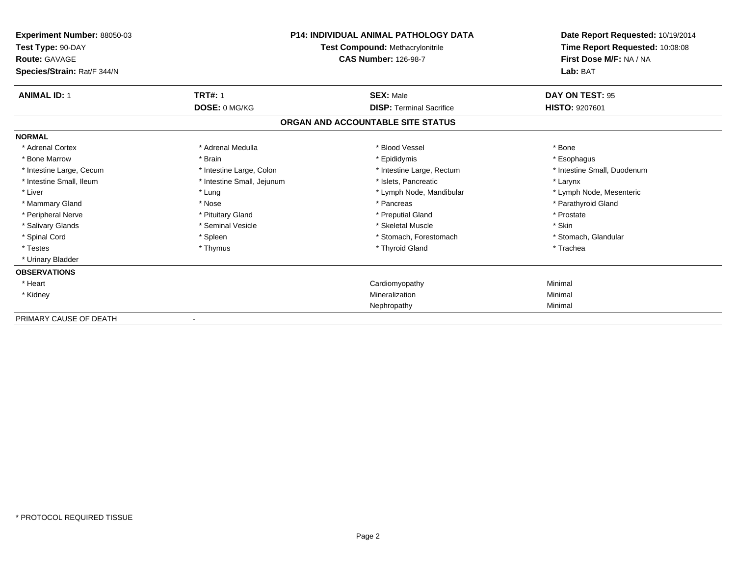| Experiment Number: 88050-03<br>Test Type: 90-DAY<br>Route: GAVAGE<br>Species/Strain: Rat/F 344/N | <b>P14: INDIVIDUAL ANIMAL PATHOLOGY DATA</b><br>Test Compound: Methacrylonitrile<br><b>CAS Number: 126-98-7</b> |                                   | Date Report Requested: 10/19/2014<br>Time Report Requested: 10:08:08<br>First Dose M/F: NA / NA<br>Lab: BAT |  |
|--------------------------------------------------------------------------------------------------|-----------------------------------------------------------------------------------------------------------------|-----------------------------------|-------------------------------------------------------------------------------------------------------------|--|
|                                                                                                  |                                                                                                                 |                                   |                                                                                                             |  |
| <b>ANIMAL ID: 1</b>                                                                              | <b>TRT#: 1</b>                                                                                                  | <b>SEX: Male</b>                  | <b>DAY ON TEST: 95</b>                                                                                      |  |
|                                                                                                  | DOSE: 0 MG/KG                                                                                                   | <b>DISP: Terminal Sacrifice</b>   | <b>HISTO: 9207601</b>                                                                                       |  |
|                                                                                                  |                                                                                                                 | ORGAN AND ACCOUNTABLE SITE STATUS |                                                                                                             |  |
| <b>NORMAL</b>                                                                                    |                                                                                                                 |                                   |                                                                                                             |  |
| * Adrenal Cortex                                                                                 | * Adrenal Medulla                                                                                               | * Blood Vessel                    | * Bone                                                                                                      |  |
| * Bone Marrow                                                                                    | * Brain                                                                                                         | * Epididymis                      | * Esophagus                                                                                                 |  |
| * Intestine Large, Cecum                                                                         | * Intestine Large, Colon                                                                                        | * Intestine Large, Rectum         | * Intestine Small, Duodenum                                                                                 |  |
| * Intestine Small, Ileum                                                                         | * Intestine Small, Jejunum                                                                                      | * Islets, Pancreatic              | * Larynx                                                                                                    |  |
| * Liver                                                                                          | * Lung                                                                                                          | * Lymph Node, Mandibular          | * Lymph Node, Mesenteric                                                                                    |  |
| * Mammary Gland                                                                                  | * Nose                                                                                                          | * Pancreas                        | * Parathyroid Gland                                                                                         |  |
| * Peripheral Nerve                                                                               | * Pituitary Gland                                                                                               | * Preputial Gland                 | * Prostate                                                                                                  |  |
| * Salivary Glands                                                                                | * Seminal Vesicle                                                                                               | * Skeletal Muscle                 | * Skin                                                                                                      |  |
| * Spinal Cord                                                                                    | * Spleen                                                                                                        | * Stomach, Forestomach            | * Stomach, Glandular                                                                                        |  |
| * Testes                                                                                         | * Thymus                                                                                                        | * Thyroid Gland                   | * Trachea                                                                                                   |  |
| * Urinary Bladder                                                                                |                                                                                                                 |                                   |                                                                                                             |  |
| <b>OBSERVATIONS</b>                                                                              |                                                                                                                 |                                   |                                                                                                             |  |
| * Heart                                                                                          |                                                                                                                 | Cardiomyopathy                    | Minimal                                                                                                     |  |
| * Kidney                                                                                         |                                                                                                                 | Mineralization                    | Minimal                                                                                                     |  |
|                                                                                                  |                                                                                                                 | Nephropathy                       | Minimal                                                                                                     |  |
| PRIMARY CAUSE OF DEATH                                                                           |                                                                                                                 |                                   |                                                                                                             |  |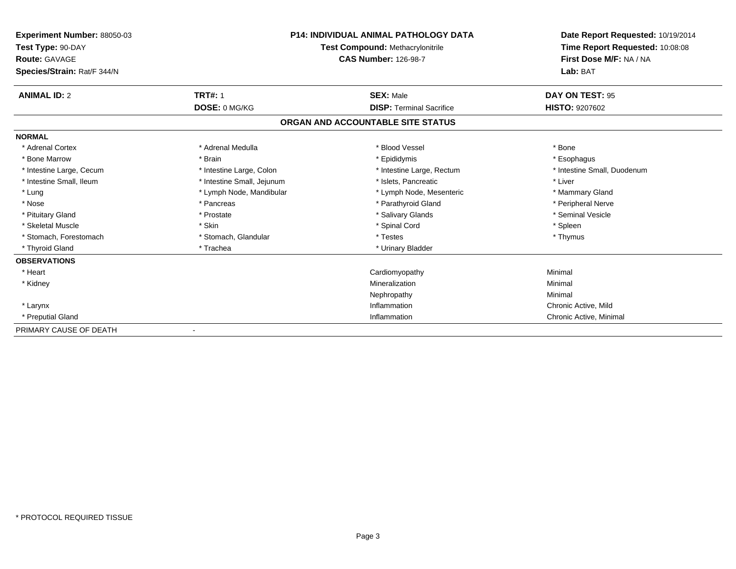| <b>Experiment Number: 88050-03</b><br>Test Type: 90-DAY<br><b>Route: GAVAGE</b><br>Species/Strain: Rat/F 344/N |                            | <b>P14: INDIVIDUAL ANIMAL PATHOLOGY DATA</b><br><b>Test Compound: Methacrylonitrile</b><br><b>CAS Number: 126-98-7</b> | Date Report Requested: 10/19/2014<br>Time Report Requested: 10:08:08<br>First Dose M/F: NA / NA<br>Lab: BAT |
|----------------------------------------------------------------------------------------------------------------|----------------------------|------------------------------------------------------------------------------------------------------------------------|-------------------------------------------------------------------------------------------------------------|
| <b>ANIMAL ID: 2</b>                                                                                            | <b>TRT#: 1</b>             | <b>SEX: Male</b>                                                                                                       | DAY ON TEST: 95                                                                                             |
|                                                                                                                | DOSE: 0 MG/KG              | <b>DISP: Terminal Sacrifice</b>                                                                                        | <b>HISTO: 9207602</b>                                                                                       |
|                                                                                                                |                            | ORGAN AND ACCOUNTABLE SITE STATUS                                                                                      |                                                                                                             |
| <b>NORMAL</b>                                                                                                  |                            |                                                                                                                        |                                                                                                             |
| * Adrenal Cortex                                                                                               | * Adrenal Medulla          | * Blood Vessel                                                                                                         | * Bone                                                                                                      |
| * Bone Marrow                                                                                                  | * Brain                    | * Epididymis                                                                                                           | * Esophagus                                                                                                 |
| * Intestine Large, Cecum                                                                                       | * Intestine Large, Colon   | * Intestine Large, Rectum                                                                                              | * Intestine Small, Duodenum                                                                                 |
| * Intestine Small, Ileum                                                                                       | * Intestine Small, Jejunum | * Islets, Pancreatic                                                                                                   | * Liver                                                                                                     |
| * Lung                                                                                                         | * Lymph Node, Mandibular   | * Lymph Node, Mesenteric                                                                                               | * Mammary Gland                                                                                             |
| * Nose                                                                                                         | * Pancreas                 | * Parathyroid Gland                                                                                                    | * Peripheral Nerve                                                                                          |
| * Pituitary Gland                                                                                              | * Prostate                 | * Salivary Glands                                                                                                      | * Seminal Vesicle                                                                                           |
| * Skeletal Muscle                                                                                              | * Skin                     | * Spinal Cord                                                                                                          | * Spleen                                                                                                    |
| * Stomach, Forestomach                                                                                         | * Stomach, Glandular       | * Testes                                                                                                               | * Thymus                                                                                                    |
| * Thyroid Gland                                                                                                | * Trachea                  | * Urinary Bladder                                                                                                      |                                                                                                             |
| <b>OBSERVATIONS</b>                                                                                            |                            |                                                                                                                        |                                                                                                             |
| * Heart                                                                                                        |                            | Cardiomyopathy                                                                                                         | Minimal                                                                                                     |
| * Kidney                                                                                                       |                            | Mineralization                                                                                                         | Minimal                                                                                                     |
|                                                                                                                |                            | Nephropathy                                                                                                            | Minimal                                                                                                     |
| * Larynx                                                                                                       |                            | Inflammation                                                                                                           | Chronic Active, Mild                                                                                        |
| * Preputial Gland                                                                                              |                            | Inflammation                                                                                                           | Chronic Active, Minimal                                                                                     |
| PRIMARY CAUSE OF DEATH                                                                                         |                            |                                                                                                                        |                                                                                                             |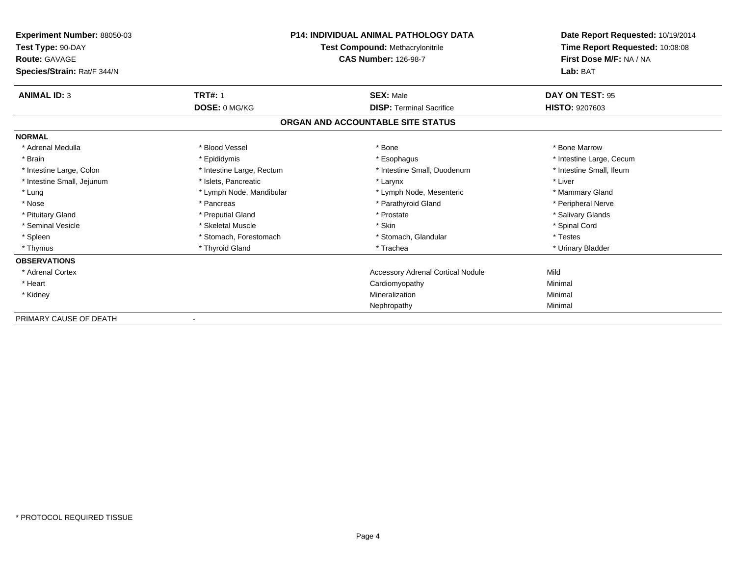| <b>Experiment Number: 88050-03</b><br>Test Type: 90-DAY<br><b>Route: GAVAGE</b><br>Species/Strain: Rat/F 344/N |                           | <b>P14: INDIVIDUAL ANIMAL PATHOLOGY DATA</b><br>Test Compound: Methacrylonitrile<br><b>CAS Number: 126-98-7</b> | Date Report Requested: 10/19/2014<br>Time Report Requested: 10:08:08<br>First Dose M/F: NA / NA<br>Lab: BAT |
|----------------------------------------------------------------------------------------------------------------|---------------------------|-----------------------------------------------------------------------------------------------------------------|-------------------------------------------------------------------------------------------------------------|
| <b>ANIMAL ID: 3</b>                                                                                            | <b>TRT#: 1</b>            | <b>SEX: Male</b>                                                                                                | DAY ON TEST: 95                                                                                             |
|                                                                                                                | DOSE: 0 MG/KG             | <b>DISP: Terminal Sacrifice</b>                                                                                 | <b>HISTO: 9207603</b>                                                                                       |
|                                                                                                                |                           | ORGAN AND ACCOUNTABLE SITE STATUS                                                                               |                                                                                                             |
| <b>NORMAL</b>                                                                                                  |                           |                                                                                                                 |                                                                                                             |
| * Adrenal Medulla                                                                                              | * Blood Vessel            | * Bone                                                                                                          | * Bone Marrow                                                                                               |
| * Brain                                                                                                        | * Epididymis              | * Esophagus                                                                                                     | * Intestine Large, Cecum                                                                                    |
| * Intestine Large, Colon                                                                                       | * Intestine Large, Rectum | * Intestine Small, Duodenum                                                                                     | * Intestine Small, Ileum                                                                                    |
| * Intestine Small, Jejunum                                                                                     | * Islets, Pancreatic      | * Larynx                                                                                                        | * Liver                                                                                                     |
| * Lung                                                                                                         | * Lymph Node, Mandibular  | * Lymph Node, Mesenteric                                                                                        | * Mammary Gland                                                                                             |
| * Nose                                                                                                         | * Pancreas                | * Parathyroid Gland                                                                                             | * Peripheral Nerve                                                                                          |
| * Pituitary Gland                                                                                              | * Preputial Gland         | * Prostate                                                                                                      | * Salivary Glands                                                                                           |
| * Seminal Vesicle                                                                                              | * Skeletal Muscle         | * Skin                                                                                                          | * Spinal Cord                                                                                               |
| * Spleen                                                                                                       | * Stomach, Forestomach    | * Stomach, Glandular                                                                                            | * Testes                                                                                                    |
| * Thymus                                                                                                       | * Thyroid Gland           | * Trachea                                                                                                       | * Urinary Bladder                                                                                           |
| <b>OBSERVATIONS</b>                                                                                            |                           |                                                                                                                 |                                                                                                             |
| * Adrenal Cortex                                                                                               |                           | <b>Accessory Adrenal Cortical Nodule</b>                                                                        | Mild                                                                                                        |
| * Heart                                                                                                        |                           | Cardiomyopathy                                                                                                  | Minimal                                                                                                     |
| * Kidney                                                                                                       |                           | Mineralization                                                                                                  | Minimal                                                                                                     |
|                                                                                                                |                           | Nephropathy                                                                                                     | Minimal                                                                                                     |
| PRIMARY CAUSE OF DEATH                                                                                         |                           |                                                                                                                 |                                                                                                             |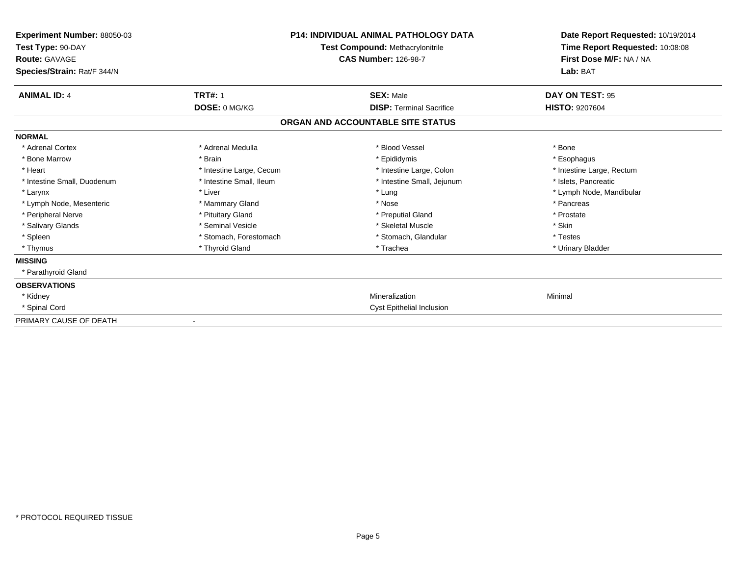| Experiment Number: 88050-03<br>Test Type: 90-DAY<br><b>Route: GAVAGE</b><br>Species/Strain: Rat/F 344/N |                          | <b>P14: INDIVIDUAL ANIMAL PATHOLOGY DATA</b><br><b>Test Compound: Methacrylonitrile</b><br><b>CAS Number: 126-98-7</b> | Date Report Requested: 10/19/2014<br>Time Report Requested: 10:08:08<br>First Dose M/F: NA / NA<br>Lab: BAT |
|---------------------------------------------------------------------------------------------------------|--------------------------|------------------------------------------------------------------------------------------------------------------------|-------------------------------------------------------------------------------------------------------------|
| <b>ANIMAL ID: 4</b>                                                                                     | <b>TRT#: 1</b>           | <b>SEX: Male</b>                                                                                                       | DAY ON TEST: 95                                                                                             |
|                                                                                                         | DOSE: 0 MG/KG            | <b>DISP: Terminal Sacrifice</b>                                                                                        | <b>HISTO: 9207604</b>                                                                                       |
|                                                                                                         |                          | ORGAN AND ACCOUNTABLE SITE STATUS                                                                                      |                                                                                                             |
| <b>NORMAL</b>                                                                                           |                          |                                                                                                                        |                                                                                                             |
| * Adrenal Cortex                                                                                        | * Adrenal Medulla        | * Blood Vessel                                                                                                         | * Bone                                                                                                      |
| * Bone Marrow                                                                                           | * Brain                  | * Epididymis                                                                                                           | * Esophagus                                                                                                 |
| * Heart                                                                                                 | * Intestine Large, Cecum | * Intestine Large, Colon                                                                                               | * Intestine Large, Rectum                                                                                   |
| * Intestine Small, Duodenum                                                                             | * Intestine Small, Ileum | * Intestine Small, Jejunum                                                                                             | * Islets. Pancreatic                                                                                        |
| * Larynx                                                                                                | * Liver                  | * Lung                                                                                                                 | * Lymph Node, Mandibular                                                                                    |
| * Lymph Node, Mesenteric                                                                                | * Mammary Gland          | * Nose                                                                                                                 | * Pancreas                                                                                                  |
| * Peripheral Nerve                                                                                      | * Pituitary Gland        | * Preputial Gland                                                                                                      | * Prostate                                                                                                  |
| * Salivary Glands                                                                                       | * Seminal Vesicle        | * Skeletal Muscle                                                                                                      | * Skin                                                                                                      |
| * Spleen                                                                                                | * Stomach, Forestomach   | * Stomach, Glandular                                                                                                   | * Testes                                                                                                    |
| * Thymus                                                                                                | * Thyroid Gland          | * Trachea                                                                                                              | * Urinary Bladder                                                                                           |
| <b>MISSING</b>                                                                                          |                          |                                                                                                                        |                                                                                                             |
| * Parathyroid Gland                                                                                     |                          |                                                                                                                        |                                                                                                             |
| <b>OBSERVATIONS</b>                                                                                     |                          |                                                                                                                        |                                                                                                             |
| * Kidney                                                                                                |                          | Mineralization                                                                                                         | Minimal                                                                                                     |
| * Spinal Cord                                                                                           |                          | <b>Cyst Epithelial Inclusion</b>                                                                                       |                                                                                                             |
| PRIMARY CAUSE OF DEATH                                                                                  |                          |                                                                                                                        |                                                                                                             |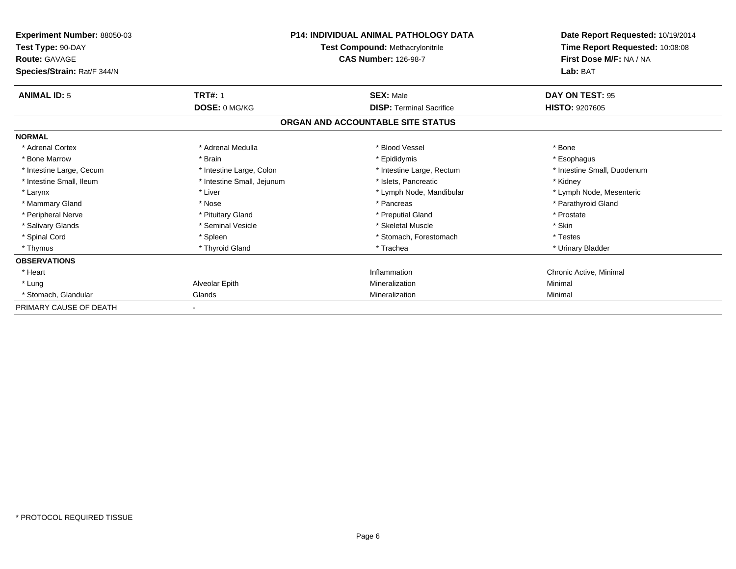| <b>Experiment Number: 88050-03</b><br>Test Type: 90-DAY |                            | <b>P14: INDIVIDUAL ANIMAL PATHOLOGY DATA</b><br><b>Test Compound: Methacrylonitrile</b> | Date Report Requested: 10/19/2014<br>Time Report Requested: 10:08:08 |
|---------------------------------------------------------|----------------------------|-----------------------------------------------------------------------------------------|----------------------------------------------------------------------|
| <b>Route: GAVAGE</b><br>Species/Strain: Rat/F 344/N     |                            | <b>CAS Number: 126-98-7</b>                                                             | First Dose M/F: NA / NA<br>Lab: BAT                                  |
| <b>ANIMAL ID: 5</b>                                     | <b>TRT#: 1</b>             | <b>SEX: Male</b>                                                                        | DAY ON TEST: 95                                                      |
|                                                         | DOSE: 0 MG/KG              | <b>DISP: Terminal Sacrifice</b>                                                         | <b>HISTO: 9207605</b>                                                |
|                                                         |                            | ORGAN AND ACCOUNTABLE SITE STATUS                                                       |                                                                      |
| <b>NORMAL</b>                                           |                            |                                                                                         |                                                                      |
| * Adrenal Cortex                                        | * Adrenal Medulla          | * Blood Vessel                                                                          | * Bone                                                               |
| * Bone Marrow                                           | * Brain                    | * Epididymis                                                                            | * Esophagus                                                          |
| * Intestine Large, Cecum                                | * Intestine Large, Colon   | * Intestine Large, Rectum                                                               | * Intestine Small, Duodenum                                          |
| * Intestine Small, Ileum                                | * Intestine Small, Jejunum | * Islets. Pancreatic                                                                    | * Kidney                                                             |
| * Larynx                                                | * Liver                    | * Lymph Node, Mandibular                                                                | * Lymph Node, Mesenteric                                             |
| * Mammary Gland                                         | * Nose                     | * Pancreas                                                                              | * Parathyroid Gland                                                  |
| * Peripheral Nerve                                      | * Pituitary Gland          | * Preputial Gland                                                                       | * Prostate                                                           |
| * Salivary Glands                                       | * Seminal Vesicle          | * Skeletal Muscle                                                                       | * Skin                                                               |
| * Spinal Cord                                           | * Spleen                   | * Stomach, Forestomach                                                                  | * Testes                                                             |
| * Thymus                                                | * Thyroid Gland            | * Trachea                                                                               | * Urinary Bladder                                                    |
| <b>OBSERVATIONS</b>                                     |                            |                                                                                         |                                                                      |
| * Heart                                                 |                            | Inflammation                                                                            | Chronic Active, Minimal                                              |
| * Lung                                                  | Alveolar Epith             | Mineralization                                                                          | Minimal                                                              |
| * Stomach, Glandular                                    | Glands                     | Mineralization                                                                          | Minimal                                                              |
| PRIMARY CAUSE OF DEATH                                  |                            |                                                                                         |                                                                      |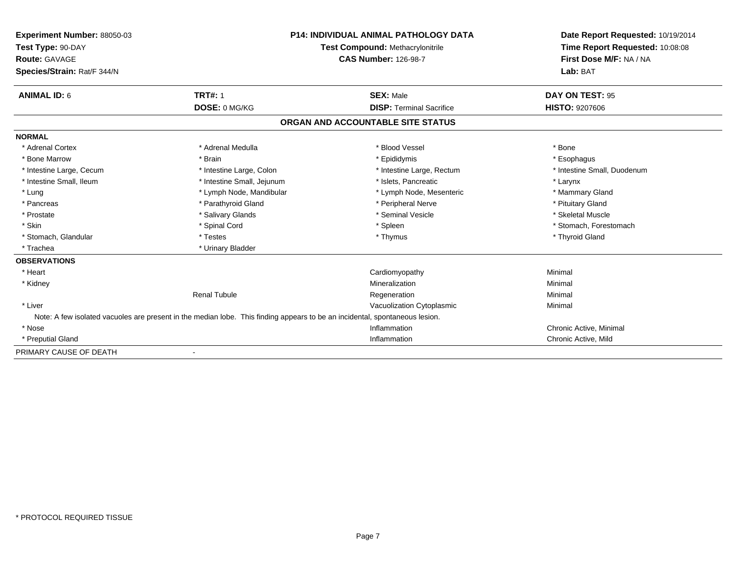| <b>Experiment Number: 88050-03</b> | <b>P14: INDIVIDUAL ANIMAL PATHOLOGY DATA</b><br>Test Compound: Methacrylonitrile<br><b>CAS Number: 126-98-7</b>             |                                   | Date Report Requested: 10/19/2014 |
|------------------------------------|-----------------------------------------------------------------------------------------------------------------------------|-----------------------------------|-----------------------------------|
| Test Type: 90-DAY                  |                                                                                                                             |                                   | Time Report Requested: 10:08:08   |
| <b>Route: GAVAGE</b>               |                                                                                                                             |                                   | First Dose M/F: NA / NA           |
| Species/Strain: Rat/F 344/N        |                                                                                                                             |                                   | Lab: BAT                          |
|                                    |                                                                                                                             |                                   |                                   |
| <b>ANIMAL ID: 6</b>                | <b>TRT#: 1</b>                                                                                                              | <b>SEX: Male</b>                  | DAY ON TEST: 95                   |
|                                    | DOSE: 0 MG/KG                                                                                                               | <b>DISP: Terminal Sacrifice</b>   | <b>HISTO: 9207606</b>             |
|                                    |                                                                                                                             | ORGAN AND ACCOUNTABLE SITE STATUS |                                   |
| <b>NORMAL</b>                      |                                                                                                                             |                                   |                                   |
| * Adrenal Cortex                   | * Adrenal Medulla                                                                                                           | * Blood Vessel                    | * Bone                            |
| * Bone Marrow                      | * Brain                                                                                                                     | * Epididymis                      | * Esophagus                       |
| * Intestine Large, Cecum           | * Intestine Large, Colon                                                                                                    | * Intestine Large, Rectum         | * Intestine Small, Duodenum       |
| * Intestine Small, Ileum           | * Intestine Small, Jejunum                                                                                                  | * Islets. Pancreatic              | * Larynx                          |
| * Lung                             | * Lymph Node, Mandibular                                                                                                    | * Lymph Node, Mesenteric          | * Mammary Gland                   |
| * Pancreas                         | * Parathyroid Gland                                                                                                         | * Peripheral Nerve                | * Pituitary Gland                 |
| * Prostate                         | * Salivary Glands                                                                                                           | * Seminal Vesicle                 | * Skeletal Muscle                 |
| * Skin                             | * Spinal Cord                                                                                                               | * Spleen                          | * Stomach. Forestomach            |
| * Stomach, Glandular               | * Testes                                                                                                                    | * Thymus                          | * Thyroid Gland                   |
| * Trachea                          | * Urinary Bladder                                                                                                           |                                   |                                   |
| <b>OBSERVATIONS</b>                |                                                                                                                             |                                   |                                   |
| * Heart                            |                                                                                                                             | Cardiomyopathy                    | Minimal                           |
| * Kidney                           |                                                                                                                             | Mineralization                    | Minimal                           |
|                                    | <b>Renal Tubule</b>                                                                                                         | Regeneration                      | Minimal                           |
| * Liver                            |                                                                                                                             | Vacuolization Cytoplasmic         | Minimal                           |
|                                    | Note: A few isolated vacuoles are present in the median lobe. This finding appears to be an incidental, spontaneous lesion. |                                   |                                   |
| * Nose                             |                                                                                                                             | Inflammation                      | Chronic Active, Minimal           |
| * Preputial Gland                  |                                                                                                                             | Inflammation                      | Chronic Active, Mild              |
| PRIMARY CAUSE OF DEATH             |                                                                                                                             |                                   |                                   |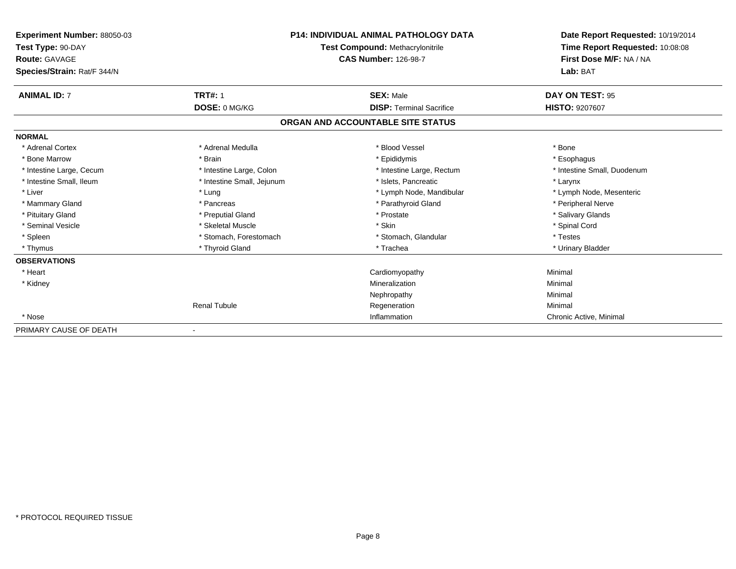| Experiment Number: 88050-03<br>Test Type: 90-DAY<br><b>Route: GAVAGE</b><br>Species/Strain: Rat/F 344/N |                            | <b>P14: INDIVIDUAL ANIMAL PATHOLOGY DATA</b><br><b>Test Compound: Methacrylonitrile</b><br><b>CAS Number: 126-98-7</b> | Date Report Requested: 10/19/2014<br>Time Report Requested: 10:08:08<br>First Dose M/F: NA / NA<br>Lab: BAT |
|---------------------------------------------------------------------------------------------------------|----------------------------|------------------------------------------------------------------------------------------------------------------------|-------------------------------------------------------------------------------------------------------------|
| <b>ANIMAL ID: 7</b>                                                                                     | <b>TRT#: 1</b>             | <b>SEX: Male</b>                                                                                                       | DAY ON TEST: 95                                                                                             |
|                                                                                                         | DOSE: 0 MG/KG              | <b>DISP: Terminal Sacrifice</b>                                                                                        | <b>HISTO: 9207607</b>                                                                                       |
|                                                                                                         |                            | ORGAN AND ACCOUNTABLE SITE STATUS                                                                                      |                                                                                                             |
| <b>NORMAL</b>                                                                                           |                            |                                                                                                                        |                                                                                                             |
| * Adrenal Cortex                                                                                        | * Adrenal Medulla          | * Blood Vessel                                                                                                         | * Bone                                                                                                      |
| * Bone Marrow                                                                                           | * Brain                    | * Epididymis                                                                                                           | * Esophagus                                                                                                 |
| * Intestine Large, Cecum                                                                                | * Intestine Large, Colon   | * Intestine Large, Rectum                                                                                              | * Intestine Small, Duodenum                                                                                 |
| * Intestine Small, Ileum                                                                                | * Intestine Small, Jejunum | * Islets, Pancreatic                                                                                                   | * Larynx                                                                                                    |
| * Liver                                                                                                 | * Lung                     | * Lymph Node, Mandibular                                                                                               | * Lymph Node, Mesenteric                                                                                    |
| * Mammary Gland                                                                                         | * Pancreas                 | * Parathyroid Gland                                                                                                    | * Peripheral Nerve                                                                                          |
| * Pituitary Gland                                                                                       | * Preputial Gland          | * Prostate                                                                                                             | * Salivary Glands                                                                                           |
| * Seminal Vesicle                                                                                       | * Skeletal Muscle          | * Skin                                                                                                                 | * Spinal Cord                                                                                               |
| * Spleen                                                                                                | * Stomach, Forestomach     | * Stomach, Glandular                                                                                                   | * Testes                                                                                                    |
| * Thymus                                                                                                | * Thyroid Gland            | * Trachea                                                                                                              | * Urinary Bladder                                                                                           |
| <b>OBSERVATIONS</b>                                                                                     |                            |                                                                                                                        |                                                                                                             |
| * Heart                                                                                                 |                            | Cardiomyopathy                                                                                                         | Minimal                                                                                                     |
| * Kidney                                                                                                |                            | Mineralization                                                                                                         | Minimal                                                                                                     |
|                                                                                                         |                            | Nephropathy                                                                                                            | Minimal                                                                                                     |
|                                                                                                         | <b>Renal Tubule</b>        | Regeneration                                                                                                           | Minimal                                                                                                     |
| * Nose                                                                                                  |                            | Inflammation                                                                                                           | Chronic Active, Minimal                                                                                     |
| PRIMARY CAUSE OF DEATH                                                                                  |                            |                                                                                                                        |                                                                                                             |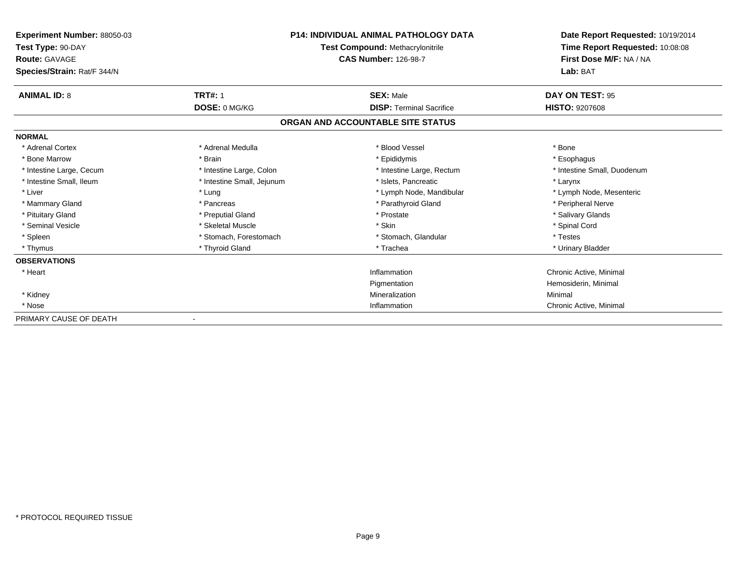| Experiment Number: 88050-03<br>Test Type: 90-DAY<br><b>Route: GAVAGE</b> |                            | <b>P14: INDIVIDUAL ANIMAL PATHOLOGY DATA</b><br>Test Compound: Methacrylonitrile<br><b>CAS Number: 126-98-7</b> | Date Report Requested: 10/19/2014<br>Time Report Requested: 10:08:08<br>First Dose M/F: NA / NA |
|--------------------------------------------------------------------------|----------------------------|-----------------------------------------------------------------------------------------------------------------|-------------------------------------------------------------------------------------------------|
| Species/Strain: Rat/F 344/N                                              |                            | Lab: BAT                                                                                                        |                                                                                                 |
| <b>ANIMAL ID: 8</b>                                                      | <b>TRT#: 1</b>             | <b>SEX: Male</b>                                                                                                | DAY ON TEST: 95                                                                                 |
|                                                                          | DOSE: 0 MG/KG              | <b>DISP: Terminal Sacrifice</b>                                                                                 | <b>HISTO: 9207608</b>                                                                           |
|                                                                          |                            | ORGAN AND ACCOUNTABLE SITE STATUS                                                                               |                                                                                                 |
| <b>NORMAL</b>                                                            |                            |                                                                                                                 |                                                                                                 |
| * Adrenal Cortex                                                         | * Adrenal Medulla          | * Blood Vessel                                                                                                  | * Bone                                                                                          |
| * Bone Marrow                                                            | * Brain                    | * Epididymis                                                                                                    | * Esophagus                                                                                     |
| * Intestine Large, Cecum                                                 | * Intestine Large, Colon   | * Intestine Large, Rectum                                                                                       | * Intestine Small, Duodenum                                                                     |
| * Intestine Small, Ileum                                                 | * Intestine Small, Jejunum | * Islets. Pancreatic                                                                                            | * Larynx                                                                                        |
| * Liver                                                                  | * Lung                     | * Lymph Node, Mandibular                                                                                        | * Lymph Node, Mesenteric                                                                        |
| * Mammary Gland                                                          | * Pancreas                 | * Parathyroid Gland                                                                                             | * Peripheral Nerve                                                                              |
| * Pituitary Gland                                                        | * Preputial Gland          | * Prostate                                                                                                      | * Salivary Glands                                                                               |
| * Seminal Vesicle                                                        | * Skeletal Muscle          | * Skin                                                                                                          | * Spinal Cord                                                                                   |
| * Spleen                                                                 | * Stomach, Forestomach     | * Stomach, Glandular                                                                                            | * Testes                                                                                        |
| * Thymus                                                                 | * Thyroid Gland            | * Trachea                                                                                                       | * Urinary Bladder                                                                               |
| <b>OBSERVATIONS</b>                                                      |                            |                                                                                                                 |                                                                                                 |
| * Heart                                                                  |                            | Inflammation                                                                                                    | Chronic Active, Minimal                                                                         |
|                                                                          |                            | Pigmentation                                                                                                    | Hemosiderin, Minimal                                                                            |
| * Kidney                                                                 |                            | Mineralization                                                                                                  | Minimal                                                                                         |
| * Nose                                                                   |                            | Inflammation                                                                                                    | Chronic Active, Minimal                                                                         |
| PRIMARY CAUSE OF DEATH                                                   |                            |                                                                                                                 |                                                                                                 |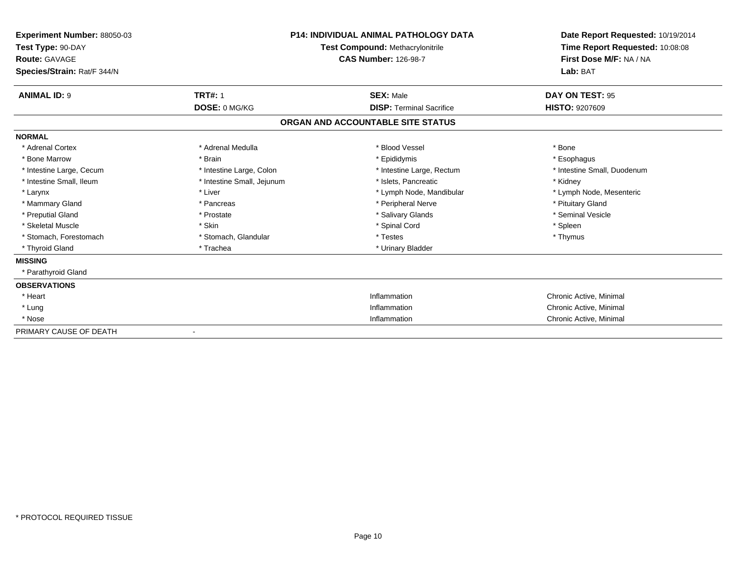| Experiment Number: 88050-03<br>Test Type: 90-DAY<br><b>Route: GAVAGE</b><br>Species/Strain: Rat/F 344/N |                            | <b>P14: INDIVIDUAL ANIMAL PATHOLOGY DATA</b><br><b>Test Compound: Methacrylonitrile</b><br><b>CAS Number: 126-98-7</b> | Date Report Requested: 10/19/2014<br>Time Report Requested: 10:08:08<br>First Dose M/F: NA / NA<br>Lab: BAT |
|---------------------------------------------------------------------------------------------------------|----------------------------|------------------------------------------------------------------------------------------------------------------------|-------------------------------------------------------------------------------------------------------------|
| <b>ANIMAL ID: 9</b>                                                                                     | <b>TRT#: 1</b>             | <b>SEX: Male</b>                                                                                                       | DAY ON TEST: 95                                                                                             |
|                                                                                                         | DOSE: 0 MG/KG              | <b>DISP: Terminal Sacrifice</b>                                                                                        | <b>HISTO: 9207609</b>                                                                                       |
|                                                                                                         |                            | ORGAN AND ACCOUNTABLE SITE STATUS                                                                                      |                                                                                                             |
| <b>NORMAL</b>                                                                                           |                            |                                                                                                                        |                                                                                                             |
| * Adrenal Cortex                                                                                        | * Adrenal Medulla          | * Blood Vessel                                                                                                         | * Bone                                                                                                      |
| * Bone Marrow                                                                                           | * Brain                    | * Epididymis                                                                                                           | * Esophagus                                                                                                 |
| * Intestine Large, Cecum                                                                                | * Intestine Large, Colon   | * Intestine Large, Rectum                                                                                              | * Intestine Small, Duodenum                                                                                 |
| * Intestine Small, Ileum                                                                                | * Intestine Small, Jejunum | * Islets, Pancreatic                                                                                                   | * Kidney                                                                                                    |
| * Larynx                                                                                                | * Liver                    | * Lymph Node, Mandibular                                                                                               | * Lymph Node, Mesenteric                                                                                    |
| * Mammary Gland                                                                                         | * Pancreas                 | * Peripheral Nerve                                                                                                     | * Pituitary Gland                                                                                           |
| * Preputial Gland                                                                                       | * Prostate                 | * Salivary Glands                                                                                                      | * Seminal Vesicle                                                                                           |
| * Skeletal Muscle                                                                                       | * Skin                     | * Spinal Cord                                                                                                          | * Spleen                                                                                                    |
| * Stomach, Forestomach                                                                                  | * Stomach, Glandular       | * Testes                                                                                                               | * Thymus                                                                                                    |
| * Thyroid Gland                                                                                         | * Trachea                  | * Urinary Bladder                                                                                                      |                                                                                                             |
| <b>MISSING</b>                                                                                          |                            |                                                                                                                        |                                                                                                             |
| * Parathyroid Gland                                                                                     |                            |                                                                                                                        |                                                                                                             |
| <b>OBSERVATIONS</b>                                                                                     |                            |                                                                                                                        |                                                                                                             |
| * Heart                                                                                                 |                            | Inflammation                                                                                                           | Chronic Active, Minimal                                                                                     |
| * Lung                                                                                                  |                            | Inflammation                                                                                                           | Chronic Active, Minimal                                                                                     |
| * Nose                                                                                                  |                            | Inflammation                                                                                                           | Chronic Active, Minimal                                                                                     |
| PRIMARY CAUSE OF DEATH                                                                                  |                            |                                                                                                                        |                                                                                                             |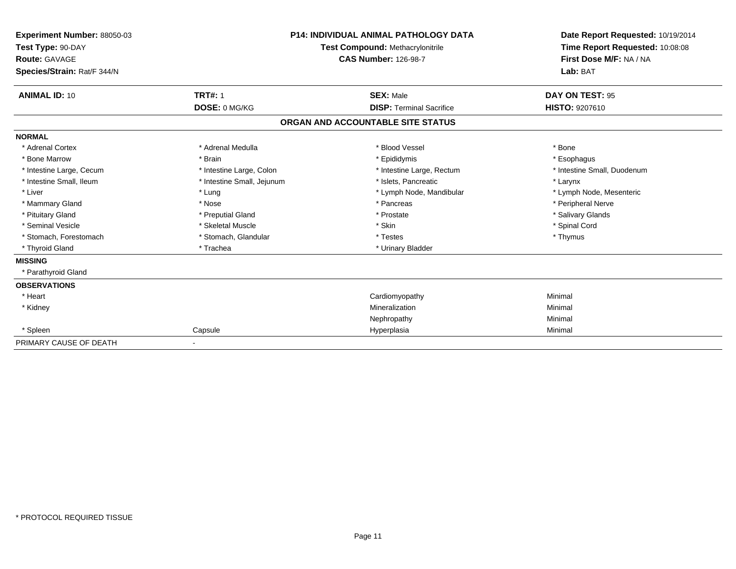| Experiment Number: 88050-03<br>Test Type: 90-DAY<br>Route: GAVAGE<br>Species/Strain: Rat/F 344/N |                            | <b>P14: INDIVIDUAL ANIMAL PATHOLOGY DATA</b><br>Test Compound: Methacrylonitrile<br><b>CAS Number: 126-98-7</b> | Date Report Requested: 10/19/2014<br>Time Report Requested: 10:08:08<br>First Dose M/F: NA / NA<br>Lab: BAT |
|--------------------------------------------------------------------------------------------------|----------------------------|-----------------------------------------------------------------------------------------------------------------|-------------------------------------------------------------------------------------------------------------|
| <b>ANIMAL ID: 10</b>                                                                             | <b>TRT#: 1</b>             | <b>SEX: Male</b>                                                                                                | DAY ON TEST: 95                                                                                             |
|                                                                                                  | DOSE: 0 MG/KG              | <b>DISP: Terminal Sacrifice</b>                                                                                 | <b>HISTO: 9207610</b>                                                                                       |
|                                                                                                  |                            | ORGAN AND ACCOUNTABLE SITE STATUS                                                                               |                                                                                                             |
| <b>NORMAL</b>                                                                                    |                            |                                                                                                                 |                                                                                                             |
| * Adrenal Cortex                                                                                 | * Adrenal Medulla          | * Blood Vessel                                                                                                  | * Bone                                                                                                      |
| * Bone Marrow                                                                                    | * Brain                    | * Epididymis                                                                                                    | * Esophagus                                                                                                 |
| * Intestine Large, Cecum                                                                         | * Intestine Large, Colon   | * Intestine Large, Rectum                                                                                       | * Intestine Small, Duodenum                                                                                 |
| * Intestine Small, Ileum                                                                         | * Intestine Small, Jejunum | * Islets, Pancreatic                                                                                            | * Larynx                                                                                                    |
| * Liver                                                                                          | * Lung                     | * Lymph Node, Mandibular                                                                                        | * Lymph Node, Mesenteric                                                                                    |
| * Mammary Gland                                                                                  | * Nose                     | * Pancreas                                                                                                      | * Peripheral Nerve                                                                                          |
| * Pituitary Gland                                                                                | * Preputial Gland          | * Prostate                                                                                                      | * Salivary Glands                                                                                           |
| * Seminal Vesicle                                                                                | * Skeletal Muscle          | * Skin                                                                                                          | * Spinal Cord                                                                                               |
| * Stomach, Forestomach                                                                           | * Stomach, Glandular       | * Testes                                                                                                        | * Thymus                                                                                                    |
| * Thyroid Gland                                                                                  | * Trachea                  | * Urinary Bladder                                                                                               |                                                                                                             |
| <b>MISSING</b>                                                                                   |                            |                                                                                                                 |                                                                                                             |
| * Parathyroid Gland                                                                              |                            |                                                                                                                 |                                                                                                             |
| <b>OBSERVATIONS</b>                                                                              |                            |                                                                                                                 |                                                                                                             |
| * Heart                                                                                          |                            | Cardiomyopathy                                                                                                  | Minimal                                                                                                     |
| * Kidney                                                                                         |                            | Mineralization                                                                                                  | Minimal                                                                                                     |
|                                                                                                  |                            | Nephropathy                                                                                                     | Minimal                                                                                                     |
| * Spleen                                                                                         | Capsule                    | Hyperplasia                                                                                                     | Minimal                                                                                                     |
| PRIMARY CAUSE OF DEATH                                                                           |                            |                                                                                                                 |                                                                                                             |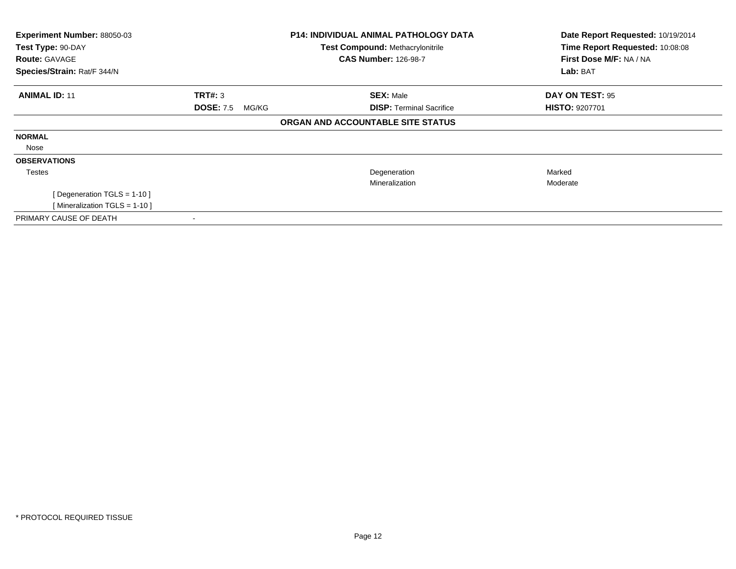| Experiment Number: 88050-03<br>Test Type: 90-DAY |                           | <b>P14: INDIVIDUAL ANIMAL PATHOLOGY DATA</b> | Date Report Requested: 10/19/2014<br>Time Report Requested: 10:08:08 |
|--------------------------------------------------|---------------------------|----------------------------------------------|----------------------------------------------------------------------|
|                                                  |                           | <b>Test Compound: Methacrylonitrile</b>      |                                                                      |
| <b>Route: GAVAGE</b>                             |                           | <b>CAS Number: 126-98-7</b>                  | First Dose M/F: NA / NA                                              |
| Species/Strain: Rat/F 344/N                      |                           |                                              | Lab: BAT                                                             |
| <b>ANIMAL ID: 11</b>                             | <b>TRT#: 3</b>            | <b>SEX: Male</b>                             | DAY ON TEST: 95                                                      |
|                                                  | <b>DOSE: 7.5</b><br>MG/KG | <b>DISP: Terminal Sacrifice</b>              | <b>HISTO: 9207701</b>                                                |
|                                                  |                           | ORGAN AND ACCOUNTABLE SITE STATUS            |                                                                      |
| <b>NORMAL</b>                                    |                           |                                              |                                                                      |
| Nose                                             |                           |                                              |                                                                      |
| <b>OBSERVATIONS</b>                              |                           |                                              |                                                                      |
| Testes                                           |                           | Degeneration                                 | Marked                                                               |
|                                                  |                           | Mineralization                               | Moderate                                                             |
| [Degeneration TGLS = 1-10]                       |                           |                                              |                                                                      |
| [Mineralization TGLS = 1-10]                     |                           |                                              |                                                                      |
| PRIMARY CAUSE OF DEATH                           |                           |                                              |                                                                      |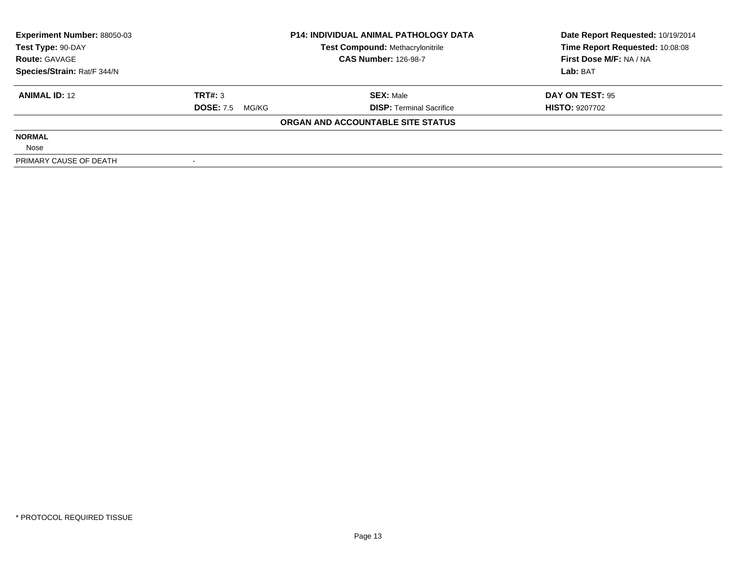| <b>Experiment Number: 88050-03</b> |                           | <b>P14: INDIVIDUAL ANIMAL PATHOLOGY DATA</b> | Date Report Requested: 10/19/2014 |  |
|------------------------------------|---------------------------|----------------------------------------------|-----------------------------------|--|
| Test Type: 90-DAY                  |                           | Test Compound: Methacrylonitrile             | Time Report Requested: 10:08:08   |  |
| <b>Route: GAVAGE</b>               |                           | <b>CAS Number: 126-98-7</b>                  | First Dose M/F: NA / NA           |  |
| Species/Strain: Rat/F 344/N        |                           |                                              | Lab: BAT                          |  |
| <b>ANIMAL ID: 12</b>               | TRT#: 3                   | <b>SEX: Male</b>                             | DAY ON TEST: 95                   |  |
|                                    | <b>DOSE: 7.5</b><br>MG/KG | <b>DISP:</b> Terminal Sacrifice              | <b>HISTO: 9207702</b>             |  |
|                                    |                           | ORGAN AND ACCOUNTABLE SITE STATUS            |                                   |  |
| <b>NORMAL</b>                      |                           |                                              |                                   |  |
| Nose                               |                           |                                              |                                   |  |
| PRIMARY CAUSE OF DEATH             |                           |                                              |                                   |  |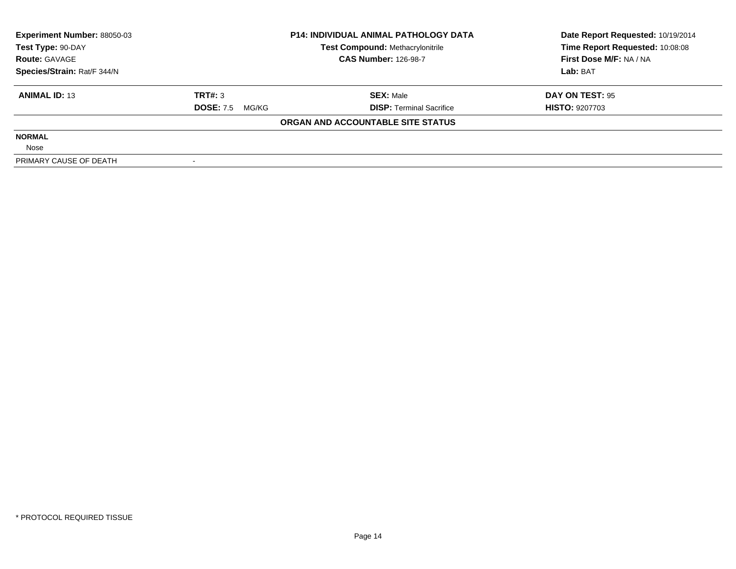| <b>Experiment Number: 88050-03</b> |                        | <b>P14: INDIVIDUAL ANIMAL PATHOLOGY DATA</b> | Date Report Requested: 10/19/2014 |  |
|------------------------------------|------------------------|----------------------------------------------|-----------------------------------|--|
| Test Type: 90-DAY                  |                        | <b>Test Compound: Methacrylonitrile</b>      | Time Report Requested: 10:08:08   |  |
| <b>Route: GAVAGE</b>               |                        | <b>CAS Number: 126-98-7</b>                  | First Dose M/F: NA / NA           |  |
| Species/Strain: Rat/F 344/N        |                        |                                              | Lab: BAT                          |  |
| <b>ANIMAL ID: 13</b>               | TRT#: 3                | <b>SEX: Male</b>                             | DAY ON TEST: 95                   |  |
|                                    | <b>DOSE: 7.5 MG/KG</b> | <b>DISP:</b> Terminal Sacrifice              | <b>HISTO: 9207703</b>             |  |
|                                    |                        | ORGAN AND ACCOUNTABLE SITE STATUS            |                                   |  |
| <b>NORMAL</b>                      |                        |                                              |                                   |  |
| Nose                               |                        |                                              |                                   |  |
| PRIMARY CAUSE OF DEATH             |                        |                                              |                                   |  |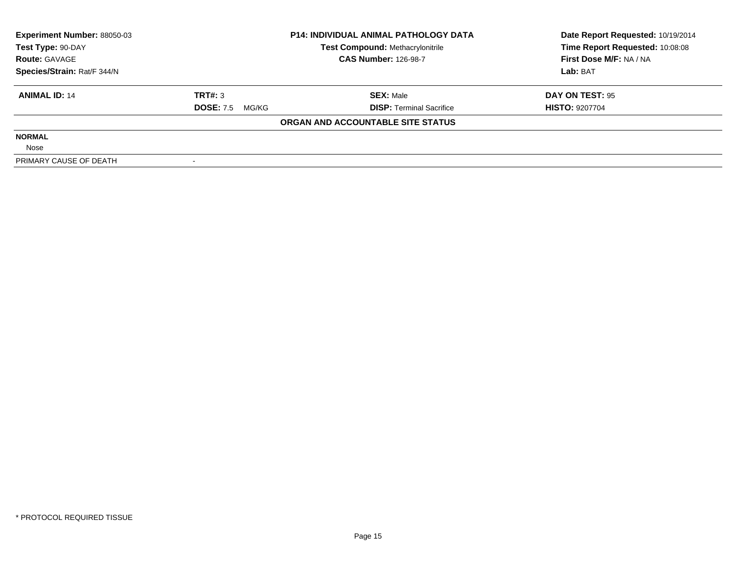| <b>Experiment Number: 88050-03</b> |                        | <b>P14: INDIVIDUAL ANIMAL PATHOLOGY DATA</b> | Date Report Requested: 10/19/2014 |  |
|------------------------------------|------------------------|----------------------------------------------|-----------------------------------|--|
| Test Type: 90-DAY                  |                        | <b>Test Compound: Methacrylonitrile</b>      | Time Report Requested: 10:08:08   |  |
| <b>Route: GAVAGE</b>               |                        | <b>CAS Number: 126-98-7</b>                  | First Dose M/F: NA / NA           |  |
| Species/Strain: Rat/F 344/N        |                        |                                              | Lab: BAT                          |  |
| <b>ANIMAL ID: 14</b>               | TRT#: 3                | <b>SEX: Male</b>                             | DAY ON TEST: 95                   |  |
|                                    | <b>DOSE:</b> 7.5 MG/KG | <b>DISP: Terminal Sacrifice</b>              | <b>HISTO: 9207704</b>             |  |
|                                    |                        | ORGAN AND ACCOUNTABLE SITE STATUS            |                                   |  |
| <b>NORMAL</b>                      |                        |                                              |                                   |  |
| Nose                               |                        |                                              |                                   |  |
| PRIMARY CAUSE OF DEATH             |                        |                                              |                                   |  |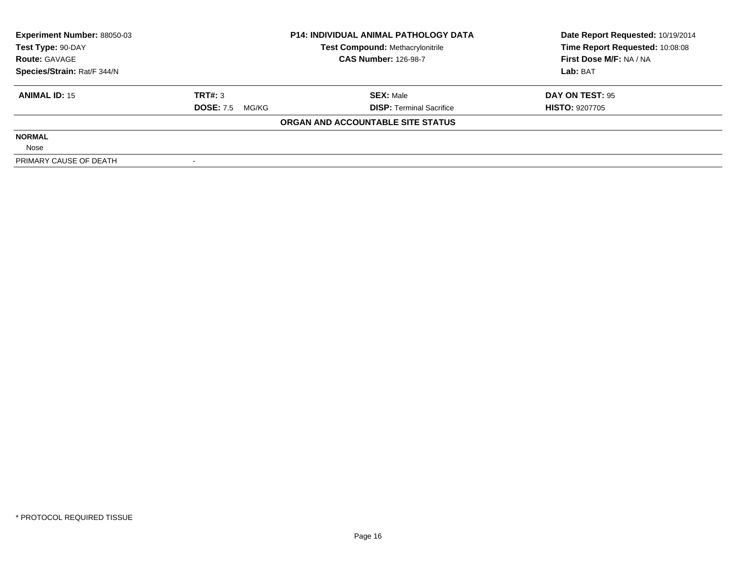| <b>Experiment Number: 88050-03</b> | <b>P14: INDIVIDUAL ANIMAL PATHOLOGY DATA</b> |                                         | Date Report Requested: 10/19/2014 |  |
|------------------------------------|----------------------------------------------|-----------------------------------------|-----------------------------------|--|
| Test Type: 90-DAY                  |                                              | <b>Test Compound: Methacrylonitrile</b> | Time Report Requested: 10:08:08   |  |
| <b>Route: GAVAGE</b>               |                                              | <b>CAS Number: 126-98-7</b>             | First Dose M/F: NA / NA           |  |
| Species/Strain: Rat/F 344/N        |                                              |                                         | Lab: BAT                          |  |
| <b>ANIMAL ID: 15</b>               | TRT#: 3                                      | <b>SEX:</b> Male                        | DAY ON TEST: 95                   |  |
|                                    | <b>DOSE: 7.5</b><br>MG/KG                    | <b>DISP:</b> Terminal Sacrifice         | <b>HISTO: 9207705</b>             |  |
|                                    |                                              | ORGAN AND ACCOUNTABLE SITE STATUS       |                                   |  |
| <b>NORMAL</b>                      |                                              |                                         |                                   |  |
| Nose                               |                                              |                                         |                                   |  |
| PRIMARY CAUSE OF DEATH             |                                              |                                         |                                   |  |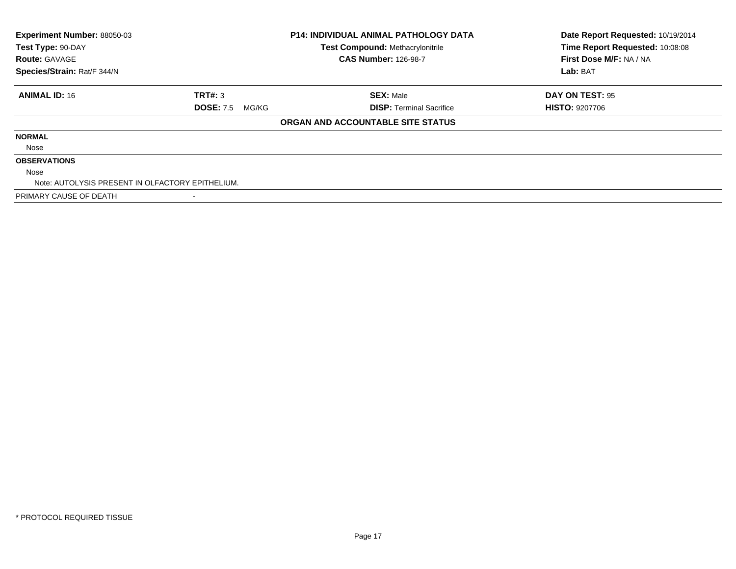| Experiment Number: 88050-03                      |                           | <b>P14: INDIVIDUAL ANIMAL PATHOLOGY DATA</b> | Date Report Requested: 10/19/2014 |
|--------------------------------------------------|---------------------------|----------------------------------------------|-----------------------------------|
| Test Type: 90-DAY                                |                           | <b>Test Compound: Methacrylonitrile</b>      | Time Report Requested: 10:08:08   |
| <b>Route: GAVAGE</b>                             |                           | <b>CAS Number: 126-98-7</b>                  | First Dose M/F: NA / NA           |
| Species/Strain: Rat/F 344/N                      |                           |                                              | Lab: BAT                          |
| <b>ANIMAL ID: 16</b>                             | TRT#: 3                   | <b>SEX: Male</b>                             | DAY ON TEST: 95                   |
|                                                  | <b>DOSE: 7.5</b><br>MG/KG | <b>DISP:</b> Terminal Sacrifice              | <b>HISTO: 9207706</b>             |
|                                                  |                           | ORGAN AND ACCOUNTABLE SITE STATUS            |                                   |
| <b>NORMAL</b>                                    |                           |                                              |                                   |
| Nose                                             |                           |                                              |                                   |
| <b>OBSERVATIONS</b>                              |                           |                                              |                                   |
| Nose                                             |                           |                                              |                                   |
| Note: AUTOLYSIS PRESENT IN OLFACTORY EPITHELIUM. |                           |                                              |                                   |
| PRIMARY CAUSE OF DEATH                           |                           |                                              |                                   |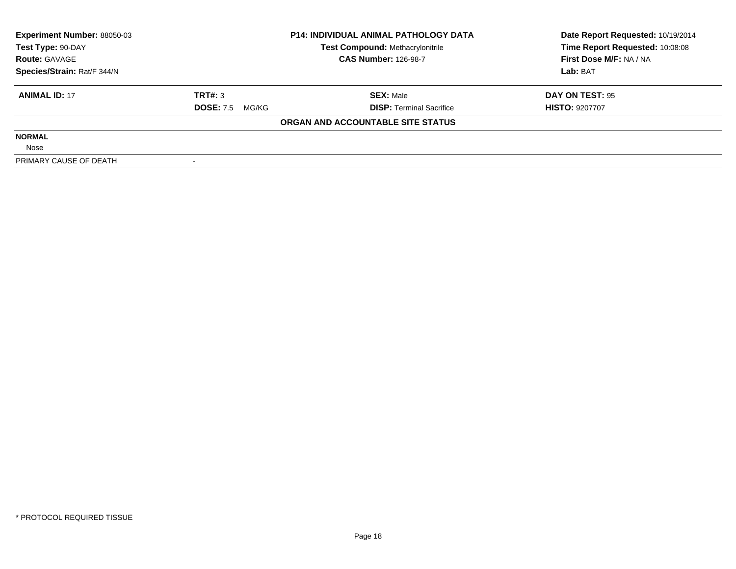| <b>Experiment Number: 88050-03</b> |                        | <b>P14: INDIVIDUAL ANIMAL PATHOLOGY DATA</b> | Date Report Requested: 10/19/2014 |  |
|------------------------------------|------------------------|----------------------------------------------|-----------------------------------|--|
| Test Type: 90-DAY                  |                        | <b>Test Compound: Methacrylonitrile</b>      | Time Report Requested: 10:08:08   |  |
| <b>Route: GAVAGE</b>               |                        | <b>CAS Number: 126-98-7</b>                  | First Dose M/F: NA / NA           |  |
| Species/Strain: Rat/F 344/N        |                        |                                              | Lab: BAT                          |  |
| <b>ANIMAL ID: 17</b>               | TRT#: 3                | <b>SEX: Male</b>                             | DAY ON TEST: 95                   |  |
|                                    | <b>DOSE: 7.5 MG/KG</b> | <b>DISP:</b> Terminal Sacrifice              | <b>HISTO: 9207707</b>             |  |
|                                    |                        | ORGAN AND ACCOUNTABLE SITE STATUS            |                                   |  |
| <b>NORMAL</b>                      |                        |                                              |                                   |  |
| Nose                               |                        |                                              |                                   |  |
| PRIMARY CAUSE OF DEATH             |                        |                                              |                                   |  |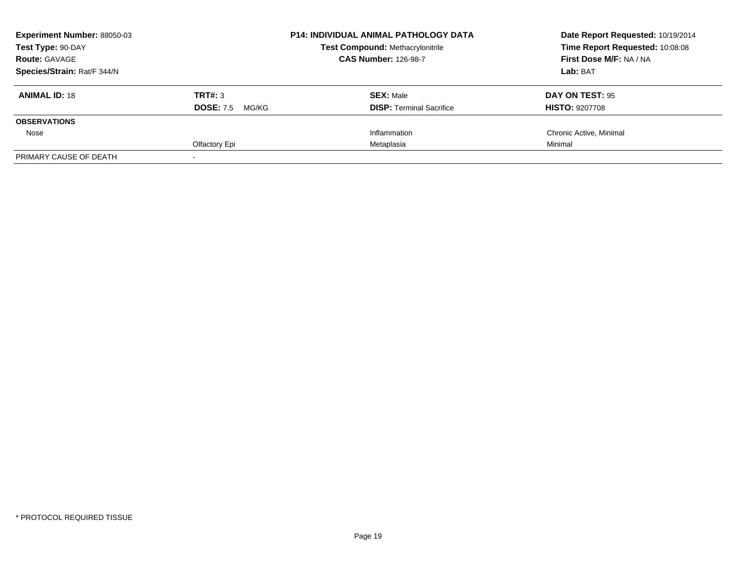| Experiment Number: 88050-03<br>Test Type: 90-DAY<br><b>Route: GAVAGE</b> |                           | <b>P14: INDIVIDUAL ANIMAL PATHOLOGY DATA</b> | Date Report Requested: 10/19/2014<br>Time Report Requested: 10:08:08 |
|--------------------------------------------------------------------------|---------------------------|----------------------------------------------|----------------------------------------------------------------------|
|                                                                          |                           | <b>Test Compound: Methacrylonitrile</b>      |                                                                      |
|                                                                          |                           | <b>CAS Number: 126-98-7</b>                  | First Dose M/F: NA / NA                                              |
| Species/Strain: Rat/F 344/N                                              |                           |                                              | Lab: BAT                                                             |
| <b>ANIMAL ID: 18</b>                                                     | <b>TRT#: 3</b>            | <b>SEX: Male</b>                             | DAY ON TEST: 95                                                      |
|                                                                          | <b>DOSE: 7.5</b><br>MG/KG | <b>DISP:</b> Terminal Sacrifice              | <b>HISTO: 9207708</b>                                                |
| <b>OBSERVATIONS</b>                                                      |                           |                                              |                                                                      |
| Nose                                                                     |                           | Inflammation                                 | Chronic Active, Minimal                                              |
|                                                                          | Olfactory Epi             | Metaplasia                                   | Minimal                                                              |
| PRIMARY CAUSE OF DEATH                                                   |                           |                                              |                                                                      |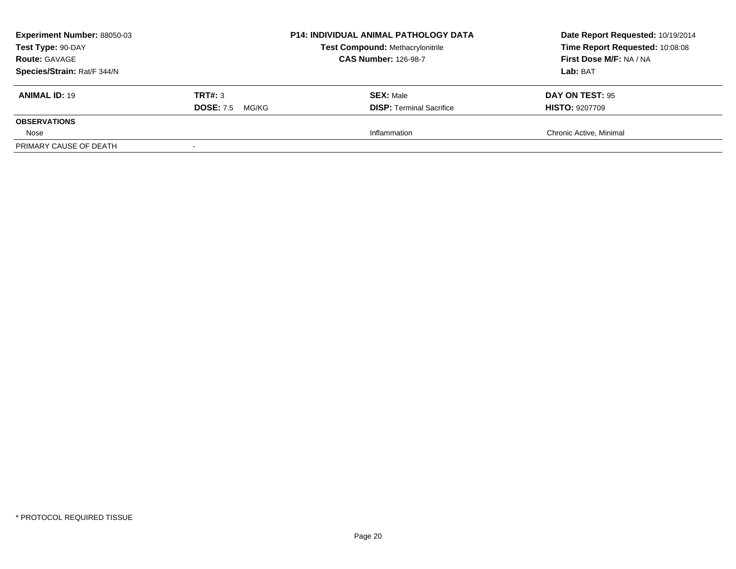| <b>Experiment Number: 88050-03</b><br>Test Type: 90-DAY |                           | <b>P14: INDIVIDUAL ANIMAL PATHOLOGY DATA</b><br><b>Test Compound: Methacrylonitrile</b> | Date Report Requested: 10/19/2014<br>Time Report Requested: 10:08:08 |
|---------------------------------------------------------|---------------------------|-----------------------------------------------------------------------------------------|----------------------------------------------------------------------|
| <b>Route: GAVAGE</b>                                    |                           | <b>CAS Number: 126-98-7</b>                                                             | First Dose M/F: NA / NA                                              |
| Species/Strain: Rat/F 344/N                             |                           |                                                                                         | Lab: BAT                                                             |
| <b>ANIMAL ID: 19</b>                                    | TRT#: 3                   | <b>SEX: Male</b>                                                                        | DAY ON TEST: 95                                                      |
|                                                         | <b>DOSE: 7.5</b><br>MG/KG | <b>DISP: Terminal Sacrifice</b>                                                         | <b>HISTO: 9207709</b>                                                |
| <b>OBSERVATIONS</b>                                     |                           |                                                                                         |                                                                      |
| Nose                                                    |                           | Inflammation                                                                            | Chronic Active, Minimal                                              |
| PRIMARY CAUSE OF DEATH                                  |                           |                                                                                         |                                                                      |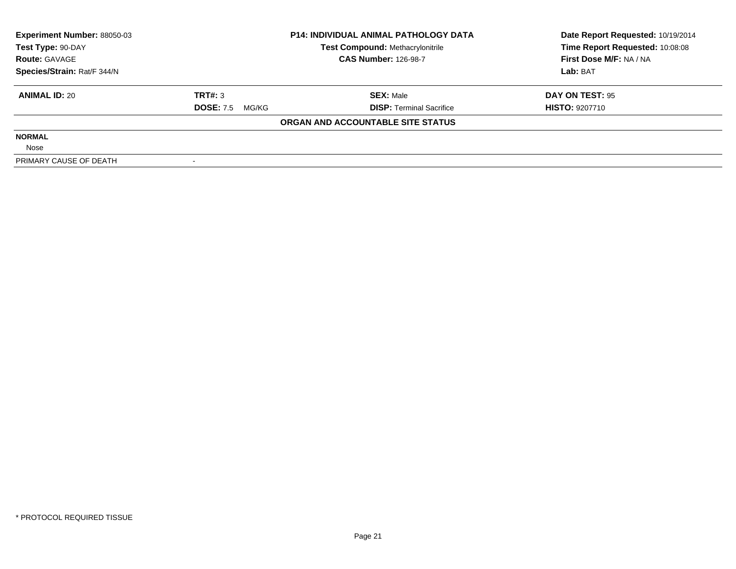| <b>Experiment Number: 88050-03</b> |                           | <b>P14: INDIVIDUAL ANIMAL PATHOLOGY DATA</b> | Date Report Requested: 10/19/2014 |  |
|------------------------------------|---------------------------|----------------------------------------------|-----------------------------------|--|
| Test Type: 90-DAY                  |                           | Test Compound: Methacrylonitrile             | Time Report Requested: 10:08:08   |  |
| <b>Route: GAVAGE</b>               |                           | <b>CAS Number: 126-98-7</b>                  | First Dose M/F: NA / NA           |  |
| Species/Strain: Rat/F 344/N        |                           |                                              | Lab: BAT                          |  |
| <b>ANIMAL ID: 20</b>               | TRT#: 3                   | <b>SEX: Male</b>                             | DAY ON TEST: 95                   |  |
|                                    | <b>DOSE: 7.5</b><br>MG/KG | <b>DISP:</b> Terminal Sacrifice              | <b>HISTO: 9207710</b>             |  |
|                                    |                           | ORGAN AND ACCOUNTABLE SITE STATUS            |                                   |  |
| <b>NORMAL</b>                      |                           |                                              |                                   |  |
| Nose                               |                           |                                              |                                   |  |
| PRIMARY CAUSE OF DEATH             |                           |                                              |                                   |  |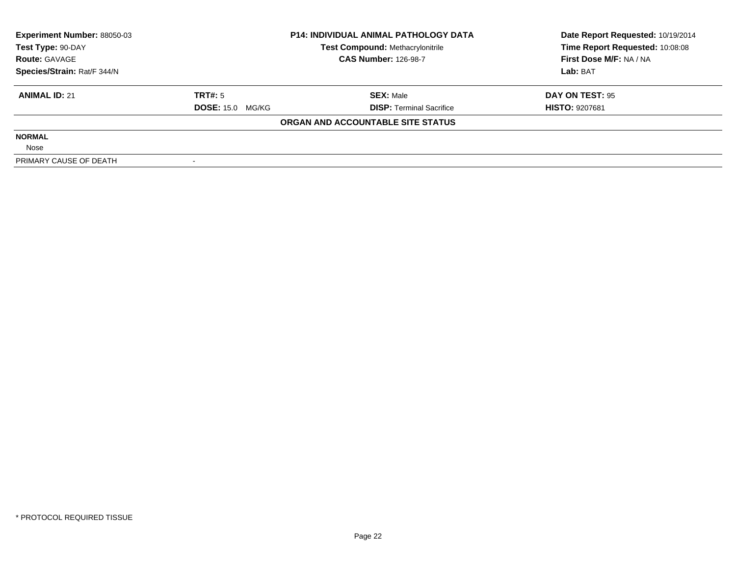| <b>Experiment Number: 88050-03</b> | <b>P14: INDIVIDUAL ANIMAL PATHOLOGY DATA</b> |                                   | Date Report Requested: 10/19/2014 |  |
|------------------------------------|----------------------------------------------|-----------------------------------|-----------------------------------|--|
| Test Type: 90-DAY                  |                                              | Test Compound: Methacrylonitrile  | Time Report Requested: 10:08:08   |  |
| <b>Route: GAVAGE</b>               |                                              | <b>CAS Number: 126-98-7</b>       | First Dose M/F: NA / NA           |  |
| Species/Strain: Rat/F 344/N        |                                              |                                   | Lab: BAT                          |  |
| <b>ANIMAL ID: 21</b>               | TRT#: 5                                      | <b>SEX: Male</b>                  | DAY ON TEST: 95                   |  |
|                                    | <b>DOSE: 15.0 MG/KG</b>                      | <b>DISP:</b> Terminal Sacrifice   | <b>HISTO: 9207681</b>             |  |
|                                    |                                              | ORGAN AND ACCOUNTABLE SITE STATUS |                                   |  |
| <b>NORMAL</b>                      |                                              |                                   |                                   |  |
| Nose                               |                                              |                                   |                                   |  |
| PRIMARY CAUSE OF DEATH             |                                              |                                   |                                   |  |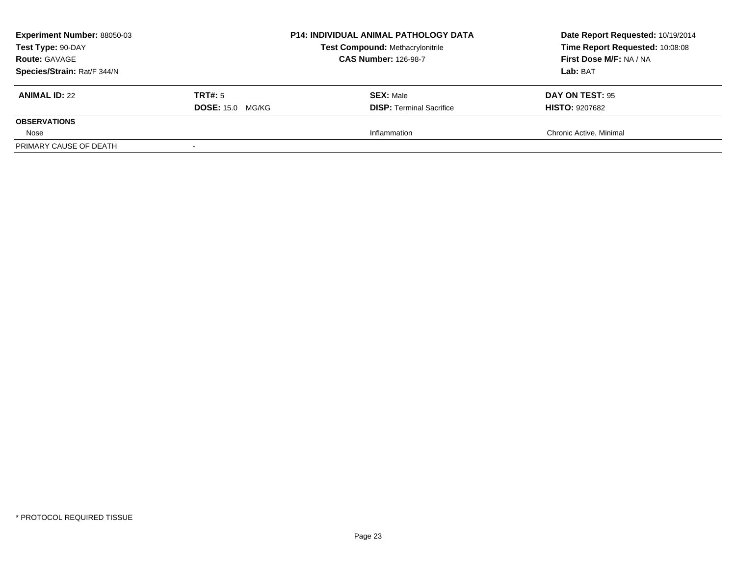| <b>Experiment Number: 88050-03</b><br>Test Type: 90-DAY<br><b>Route: GAVAGE</b><br>Species/Strain: Rat/F 344/N |                                           | <b>P14: INDIVIDUAL ANIMAL PATHOLOGY DATA</b><br><b>Test Compound: Methacrylonitrile</b><br><b>CAS Number: 126-98-7</b> | Date Report Requested: 10/19/2014<br>Time Report Requested: 10:08:08<br>First Dose M/F: NA / NA<br>Lab: BAT |
|----------------------------------------------------------------------------------------------------------------|-------------------------------------------|------------------------------------------------------------------------------------------------------------------------|-------------------------------------------------------------------------------------------------------------|
| <b>ANIMAL ID: 22</b>                                                                                           | <b>TRT#:</b> 5<br><b>DOSE: 15.0 MG/KG</b> | <b>SEX: Male</b><br><b>DISP: Terminal Sacrifice</b>                                                                    | <b>DAY ON TEST: 95</b><br><b>HISTO: 9207682</b>                                                             |
| <b>OBSERVATIONS</b>                                                                                            |                                           |                                                                                                                        |                                                                                                             |
| Nose                                                                                                           |                                           | Inflammation                                                                                                           | Chronic Active, Minimal                                                                                     |
| PRIMARY CAUSE OF DEATH                                                                                         |                                           |                                                                                                                        |                                                                                                             |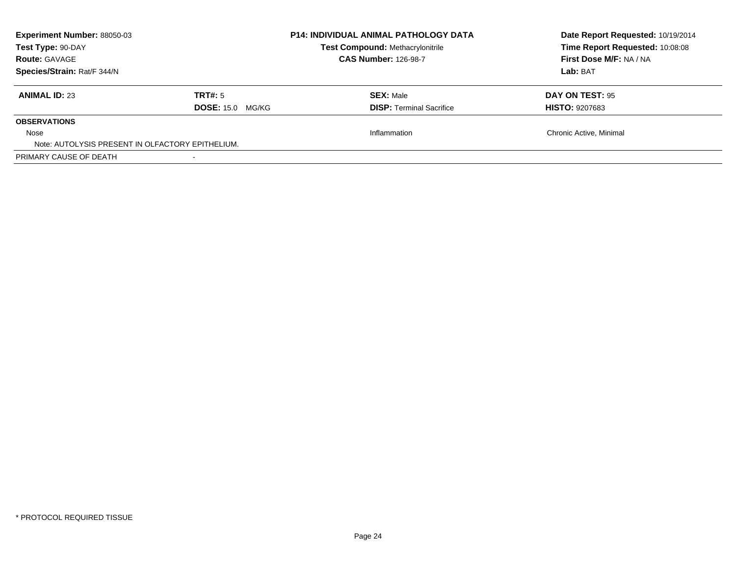| <b>Experiment Number: 88050-03</b><br>Test Type: 90-DAY<br><b>Route: GAVAGE</b><br>Species/Strain: Rat/F 344/N |                                    | <b>P14: INDIVIDUAL ANIMAL PATHOLOGY DATA</b><br>Test Compound: Methacrylonitrile<br><b>CAS Number: 126-98-7</b> | Date Report Requested: 10/19/2014<br>Time Report Requested: 10:08:08<br>First Dose M/F: NA / NA<br>Lab: BAT |
|----------------------------------------------------------------------------------------------------------------|------------------------------------|-----------------------------------------------------------------------------------------------------------------|-------------------------------------------------------------------------------------------------------------|
| <b>ANIMAL ID: 23</b>                                                                                           | TRT#: 5<br><b>DOSE: 15.0 MG/KG</b> | <b>SEX: Male</b><br><b>DISP:</b> Terminal Sacrifice                                                             | DAY ON TEST: 95<br><b>HISTO: 9207683</b>                                                                    |
| <b>OBSERVATIONS</b>                                                                                            |                                    |                                                                                                                 |                                                                                                             |
| Nose<br>Note: AUTOLYSIS PRESENT IN OLFACTORY EPITHELIUM.                                                       |                                    | Inflammation                                                                                                    | Chronic Active, Minimal                                                                                     |
| PRIMARY CAUSE OF DEATH                                                                                         |                                    |                                                                                                                 |                                                                                                             |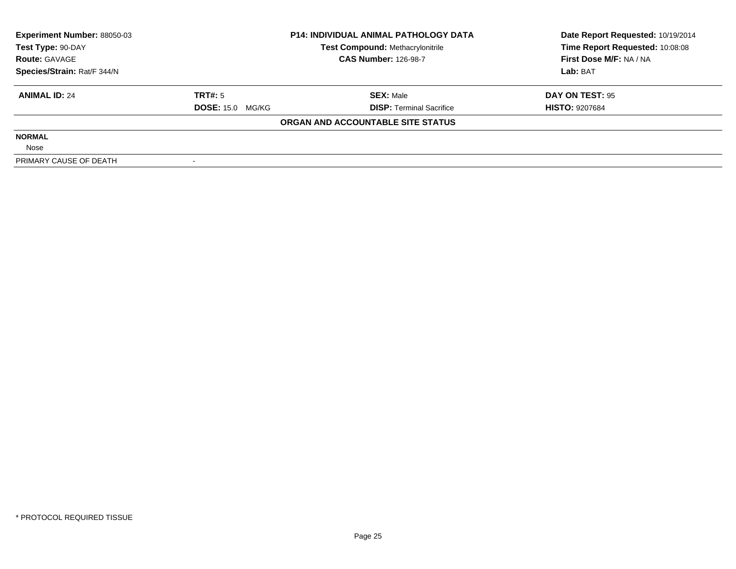| <b>Experiment Number: 88050-03</b> | <b>P14: INDIVIDUAL ANIMAL PATHOLOGY DATA</b> |                                         | Date Report Requested: 10/19/2014 |  |
|------------------------------------|----------------------------------------------|-----------------------------------------|-----------------------------------|--|
| Test Type: 90-DAY                  |                                              | <b>Test Compound: Methacrylonitrile</b> | Time Report Requested: 10:08:08   |  |
| <b>Route: GAVAGE</b>               |                                              | <b>CAS Number: 126-98-7</b>             | First Dose M/F: NA / NA           |  |
| Species/Strain: Rat/F 344/N        |                                              |                                         | Lab: BAT                          |  |
| <b>ANIMAL ID: 24</b>               | TRT#: 5                                      | <b>SEX: Male</b>                        | DAY ON TEST: 95                   |  |
|                                    | <b>DOSE: 15.0 MG/KG</b>                      | <b>DISP:</b> Terminal Sacrifice         | <b>HISTO: 9207684</b>             |  |
|                                    |                                              | ORGAN AND ACCOUNTABLE SITE STATUS       |                                   |  |
| <b>NORMAL</b>                      |                                              |                                         |                                   |  |
| Nose                               |                                              |                                         |                                   |  |
| PRIMARY CAUSE OF DEATH             |                                              |                                         |                                   |  |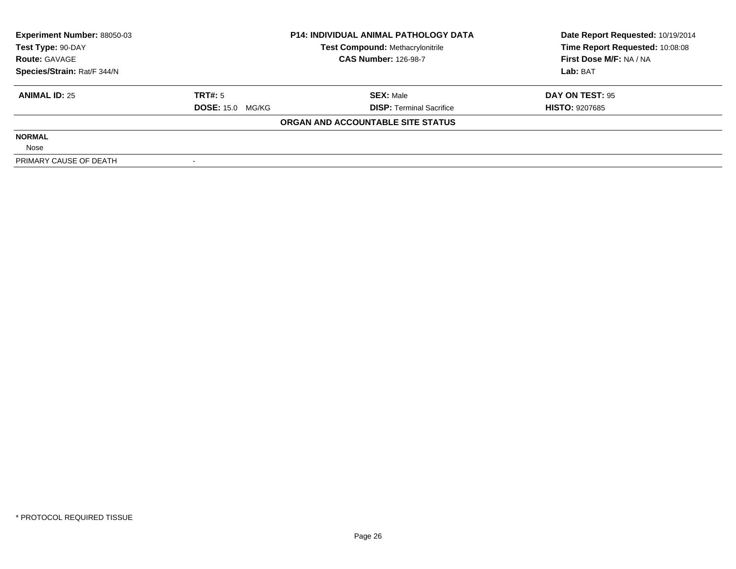| <b>Experiment Number: 88050-03</b> | <b>P14: INDIVIDUAL ANIMAL PATHOLOGY DATA</b> |                                   | Date Report Requested: 10/19/2014 |  |
|------------------------------------|----------------------------------------------|-----------------------------------|-----------------------------------|--|
| Test Type: 90-DAY                  |                                              | Test Compound: Methacrylonitrile  | Time Report Requested: 10:08:08   |  |
| <b>Route: GAVAGE</b>               |                                              | <b>CAS Number: 126-98-7</b>       | First Dose M/F: NA / NA           |  |
| Species/Strain: Rat/F 344/N        |                                              |                                   | Lab: BAT                          |  |
| <b>ANIMAL ID: 25</b>               | TRT#: 5                                      | <b>SEX: Male</b>                  | DAY ON TEST: 95                   |  |
|                                    | <b>DOSE: 15.0 MG/KG</b>                      | <b>DISP:</b> Terminal Sacrifice   | <b>HISTO: 9207685</b>             |  |
|                                    |                                              | ORGAN AND ACCOUNTABLE SITE STATUS |                                   |  |
| <b>NORMAL</b>                      |                                              |                                   |                                   |  |
| Nose                               |                                              |                                   |                                   |  |
| PRIMARY CAUSE OF DEATH             |                                              |                                   |                                   |  |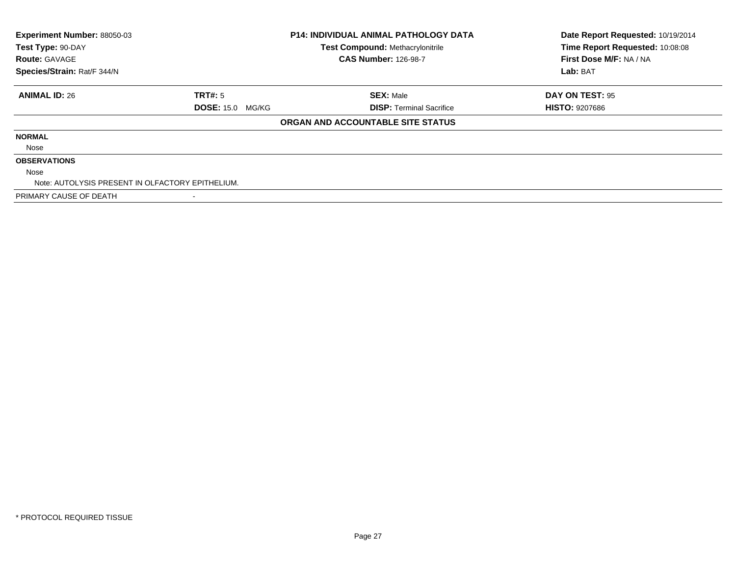| Experiment Number: 88050-03<br>Test Type: 90-DAY<br><b>Route: GAVAGE</b> |                         | <b>P14: INDIVIDUAL ANIMAL PATHOLOGY DATA</b><br><b>Test Compound: Methacrylonitrile</b><br><b>CAS Number: 126-98-7</b> | Date Report Requested: 10/19/2014<br>Time Report Requested: 10:08:08<br>First Dose M/F: NA / NA |
|--------------------------------------------------------------------------|-------------------------|------------------------------------------------------------------------------------------------------------------------|-------------------------------------------------------------------------------------------------|
| Species/Strain: Rat/F 344/N                                              |                         |                                                                                                                        | Lab: BAT                                                                                        |
| <b>ANIMAL ID: 26</b>                                                     | TRT#: 5                 | <b>SEX: Male</b>                                                                                                       | DAY ON TEST: 95                                                                                 |
|                                                                          | <b>DOSE: 15.0 MG/KG</b> | <b>DISP: Terminal Sacrifice</b>                                                                                        | <b>HISTO: 9207686</b>                                                                           |
|                                                                          |                         | ORGAN AND ACCOUNTABLE SITE STATUS                                                                                      |                                                                                                 |
| <b>NORMAL</b>                                                            |                         |                                                                                                                        |                                                                                                 |
| Nose                                                                     |                         |                                                                                                                        |                                                                                                 |
| <b>OBSERVATIONS</b>                                                      |                         |                                                                                                                        |                                                                                                 |
| Nose                                                                     |                         |                                                                                                                        |                                                                                                 |
| Note: AUTOLYSIS PRESENT IN OLFACTORY EPITHELIUM.                         |                         |                                                                                                                        |                                                                                                 |
| PRIMARY CAUSE OF DEATH                                                   |                         |                                                                                                                        |                                                                                                 |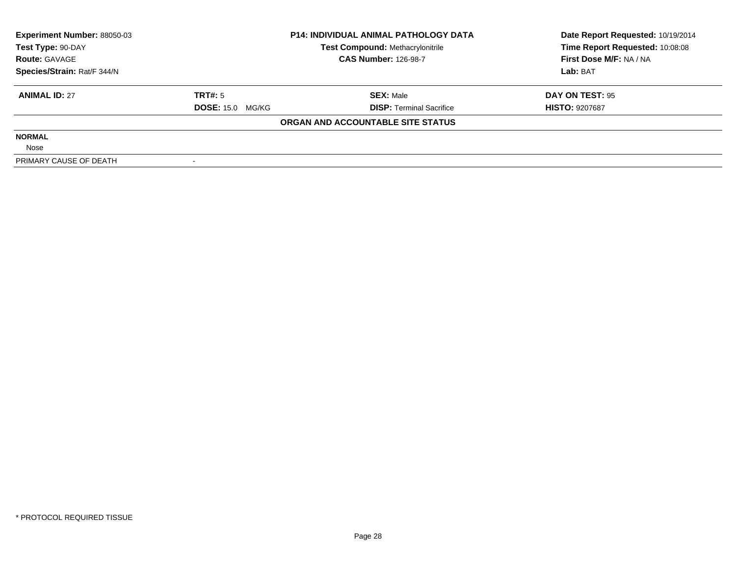| <b>Experiment Number: 88050-03</b> | <b>P14: INDIVIDUAL ANIMAL PATHOLOGY DATA</b> |                                   | Date Report Requested: 10/19/2014 |  |
|------------------------------------|----------------------------------------------|-----------------------------------|-----------------------------------|--|
| Test Type: 90-DAY                  |                                              | Test Compound: Methacrylonitrile  | Time Report Requested: 10:08:08   |  |
| <b>Route: GAVAGE</b>               |                                              | <b>CAS Number: 126-98-7</b>       | First Dose M/F: NA / NA           |  |
| Species/Strain: Rat/F 344/N        |                                              |                                   | Lab: BAT                          |  |
| <b>ANIMAL ID: 27</b>               | TRT#: 5                                      | <b>SEX: Male</b>                  | DAY ON TEST: 95                   |  |
|                                    | <b>DOSE: 15.0 MG/KG</b>                      | <b>DISP:</b> Terminal Sacrifice   | <b>HISTO: 9207687</b>             |  |
|                                    |                                              | ORGAN AND ACCOUNTABLE SITE STATUS |                                   |  |
| <b>NORMAL</b>                      |                                              |                                   |                                   |  |
| Nose                               |                                              |                                   |                                   |  |
| PRIMARY CAUSE OF DEATH             |                                              |                                   |                                   |  |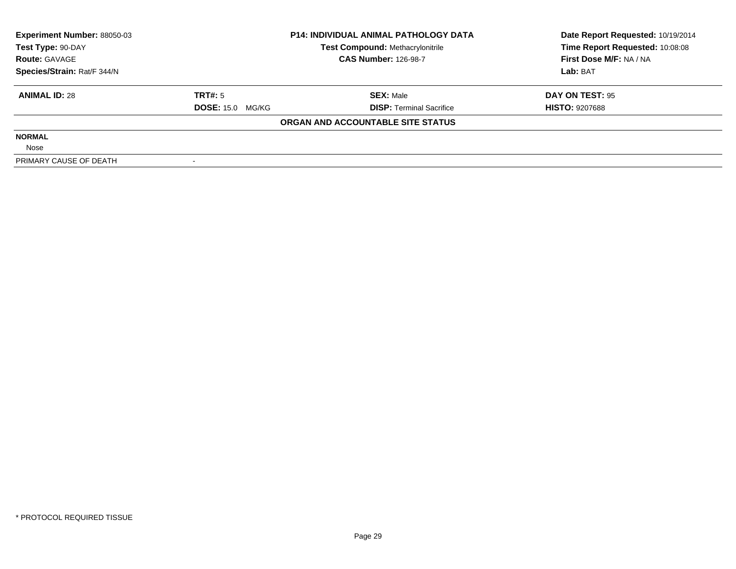| <b>Experiment Number: 88050-03</b> | <b>P14: INDIVIDUAL ANIMAL PATHOLOGY DATA</b> |                                         | Date Report Requested: 10/19/2014 |  |
|------------------------------------|----------------------------------------------|-----------------------------------------|-----------------------------------|--|
| Test Type: 90-DAY                  |                                              | <b>Test Compound: Methacrylonitrile</b> | Time Report Requested: 10:08:08   |  |
| <b>Route: GAVAGE</b>               |                                              | <b>CAS Number: 126-98-7</b>             | First Dose M/F: NA / NA           |  |
| Species/Strain: Rat/F 344/N        |                                              |                                         | Lab: BAT                          |  |
| <b>ANIMAL ID: 28</b>               | TRT#: 5                                      | <b>SEX:</b> Male                        | DAY ON TEST: 95                   |  |
|                                    | <b>DOSE: 15.0 MG/KG</b>                      | <b>DISP:</b> Terminal Sacrifice         | <b>HISTO: 9207688</b>             |  |
|                                    |                                              | ORGAN AND ACCOUNTABLE SITE STATUS       |                                   |  |
| <b>NORMAL</b>                      |                                              |                                         |                                   |  |
| Nose                               |                                              |                                         |                                   |  |
| PRIMARY CAUSE OF DEATH             |                                              |                                         |                                   |  |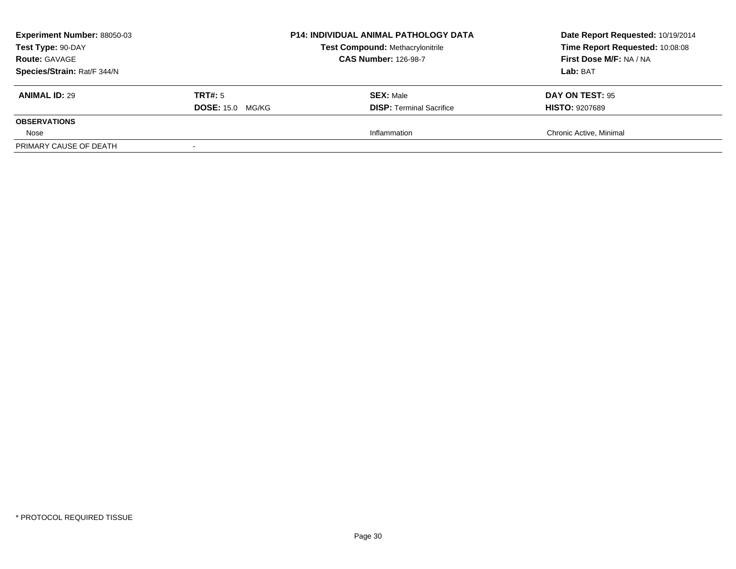| <b>Experiment Number: 88050-03</b><br>Test Type: 90-DAY<br><b>Route: GAVAGE</b><br>Species/Strain: Rat/F 344/N |                                    | <b>P14: INDIVIDUAL ANIMAL PATHOLOGY DATA</b><br><b>Test Compound: Methacrylonitrile</b><br><b>CAS Number: 126-98-7</b> | Date Report Requested: 10/19/2014<br>Time Report Requested: 10:08:08<br>First Dose M/F: NA / NA<br>Lab: BAT |
|----------------------------------------------------------------------------------------------------------------|------------------------------------|------------------------------------------------------------------------------------------------------------------------|-------------------------------------------------------------------------------------------------------------|
| <b>ANIMAL ID: 29</b>                                                                                           | TRT#: 5<br><b>DOSE: 15.0 MG/KG</b> | <b>SEX: Male</b><br><b>DISP: Terminal Sacrifice</b>                                                                    | <b>DAY ON TEST: 95</b><br><b>HISTO: 9207689</b>                                                             |
| <b>OBSERVATIONS</b>                                                                                            |                                    |                                                                                                                        |                                                                                                             |
| Nose                                                                                                           |                                    | Inflammation                                                                                                           | Chronic Active, Minimal                                                                                     |
| PRIMARY CAUSE OF DEATH                                                                                         |                                    |                                                                                                                        |                                                                                                             |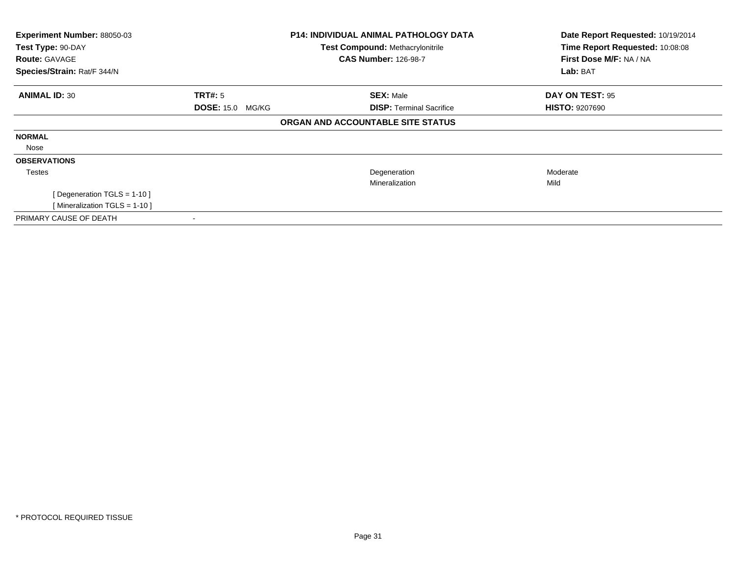| Experiment Number: 88050-03    |                         | <b>P14: INDIVIDUAL ANIMAL PATHOLOGY DATA</b> | Date Report Requested: 10/19/2014 |
|--------------------------------|-------------------------|----------------------------------------------|-----------------------------------|
| Test Type: 90-DAY              |                         | <b>Test Compound: Methacrylonitrile</b>      | Time Report Requested: 10:08:08   |
| <b>Route: GAVAGE</b>           |                         | <b>CAS Number: 126-98-7</b>                  | First Dose M/F: NA / NA           |
| Species/Strain: Rat/F 344/N    |                         |                                              | Lab: BAT                          |
| <b>ANIMAL ID: 30</b>           | <b>TRT#: 5</b>          | <b>SEX: Male</b>                             | DAY ON TEST: 95                   |
|                                | <b>DOSE: 15.0 MG/KG</b> | <b>DISP:</b> Terminal Sacrifice              | <b>HISTO: 9207690</b>             |
|                                |                         | ORGAN AND ACCOUNTABLE SITE STATUS            |                                   |
| <b>NORMAL</b>                  |                         |                                              |                                   |
| Nose                           |                         |                                              |                                   |
| <b>OBSERVATIONS</b>            |                         |                                              |                                   |
| Testes                         |                         | Degeneration                                 | Moderate                          |
|                                |                         | Mineralization                               | Mild                              |
| [ Degeneration TGLS = $1-10$ ] |                         |                                              |                                   |
| [Mineralization TGLS = 1-10]   |                         |                                              |                                   |
| PRIMARY CAUSE OF DEATH         |                         |                                              |                                   |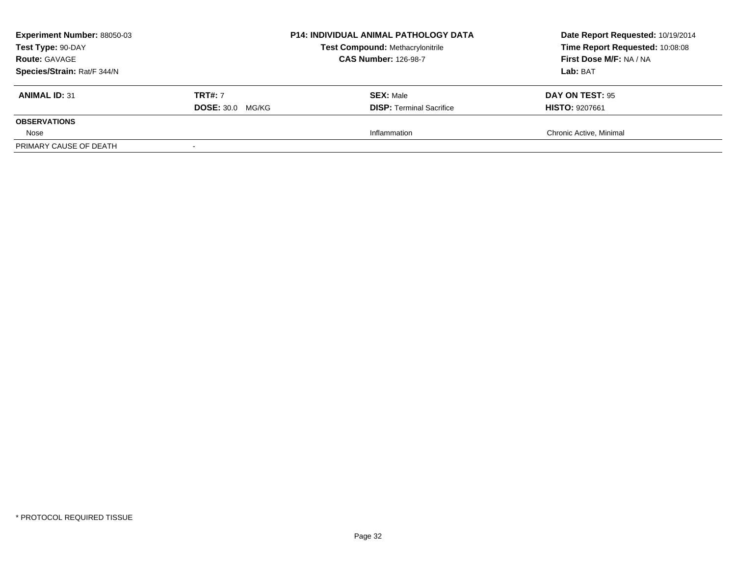| <b>Experiment Number: 88050-03</b><br>Test Type: 90-DAY<br><b>Route: GAVAGE</b><br>Species/Strain: Rat/F 344/N |                         | <b>P14: INDIVIDUAL ANIMAL PATHOLOGY DATA</b><br><b>Test Compound: Methacrylonitrile</b><br><b>CAS Number: 126-98-7</b> | Date Report Requested: 10/19/2014<br>Time Report Requested: 10:08:08<br>First Dose M/F: NA / NA<br>Lab: BAT |
|----------------------------------------------------------------------------------------------------------------|-------------------------|------------------------------------------------------------------------------------------------------------------------|-------------------------------------------------------------------------------------------------------------|
| <b>ANIMAL ID: 31</b>                                                                                           | <b>TRT#: 7</b>          | <b>SEX: Male</b>                                                                                                       | <b>DAY ON TEST: 95</b>                                                                                      |
| <b>OBSERVATIONS</b>                                                                                            | <b>DOSE: 30.0 MG/KG</b> | <b>DISP:</b> Terminal Sacrifice                                                                                        | <b>HISTO: 9207661</b>                                                                                       |
| Nose                                                                                                           |                         | Inflammation                                                                                                           | Chronic Active, Minimal                                                                                     |
| PRIMARY CAUSE OF DEATH                                                                                         |                         |                                                                                                                        |                                                                                                             |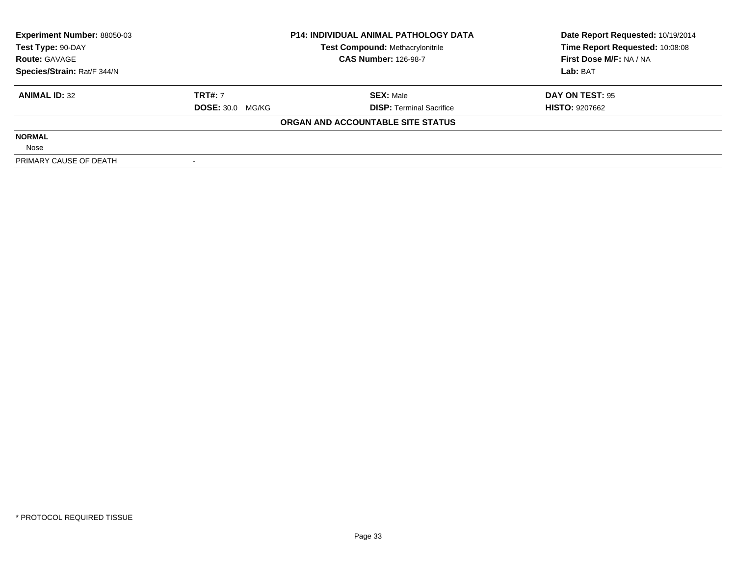| <b>Experiment Number: 88050-03</b> | <b>P14: INDIVIDUAL ANIMAL PATHOLOGY DATA</b> |                                   | Date Report Requested: 10/19/2014 |  |
|------------------------------------|----------------------------------------------|-----------------------------------|-----------------------------------|--|
| Test Type: 90-DAY                  |                                              | Test Compound: Methacrylonitrile  | Time Report Requested: 10:08:08   |  |
| <b>Route: GAVAGE</b>               |                                              | <b>CAS Number: 126-98-7</b>       | First Dose M/F: NA / NA           |  |
| Species/Strain: Rat/F 344/N        |                                              |                                   | Lab: BAT                          |  |
| <b>ANIMAL ID: 32</b>               | <b>TRT#: 7</b>                               | <b>SEX: Male</b>                  | DAY ON TEST: 95                   |  |
|                                    | <b>DOSE: 30.0 MG/KG</b>                      | <b>DISP:</b> Terminal Sacrifice   | <b>HISTO: 9207662</b>             |  |
|                                    |                                              | ORGAN AND ACCOUNTABLE SITE STATUS |                                   |  |
| <b>NORMAL</b>                      |                                              |                                   |                                   |  |
| Nose                               |                                              |                                   |                                   |  |
| PRIMARY CAUSE OF DEATH             |                                              |                                   |                                   |  |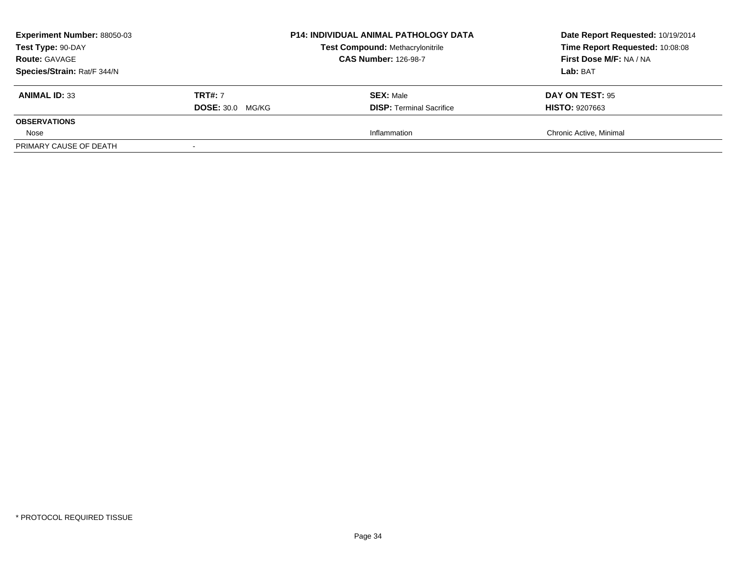| <b>Experiment Number: 88050-03</b><br>Test Type: 90-DAY<br><b>Route: GAVAGE</b><br>Species/Strain: Rat/F 344/N |                         | <b>P14: INDIVIDUAL ANIMAL PATHOLOGY DATA</b><br><b>Test Compound: Methacrylonitrile</b><br><b>CAS Number: 126-98-7</b> | Date Report Requested: 10/19/2014<br>Time Report Requested: 10:08:08<br>First Dose M/F: NA / NA<br>Lab: BAT |
|----------------------------------------------------------------------------------------------------------------|-------------------------|------------------------------------------------------------------------------------------------------------------------|-------------------------------------------------------------------------------------------------------------|
| <b>ANIMAL ID: 33</b>                                                                                           | <b>TRT#: 7</b>          | <b>SEX: Male</b>                                                                                                       | <b>DAY ON TEST: 95</b>                                                                                      |
| <b>OBSERVATIONS</b>                                                                                            | <b>DOSE: 30.0 MG/KG</b> | <b>DISP: Terminal Sacrifice</b>                                                                                        | <b>HISTO: 9207663</b>                                                                                       |
| Nose                                                                                                           |                         | Inflammation                                                                                                           | Chronic Active, Minimal                                                                                     |
| PRIMARY CAUSE OF DEATH                                                                                         |                         |                                                                                                                        |                                                                                                             |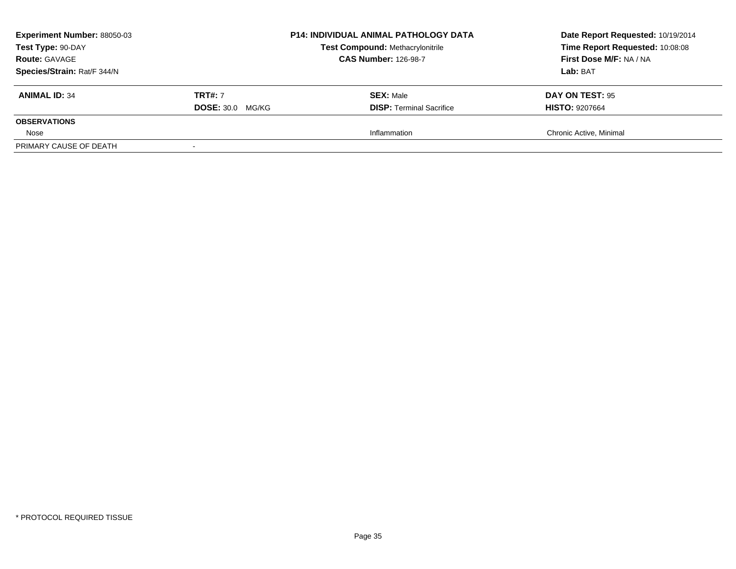| <b>Experiment Number: 88050-03</b><br>Test Type: 90-DAY<br><b>Route: GAVAGE</b><br>Species/Strain: Rat/F 344/N |                         | <b>P14: INDIVIDUAL ANIMAL PATHOLOGY DATA</b><br><b>Test Compound: Methacrylonitrile</b><br><b>CAS Number: 126-98-7</b> | Date Report Requested: 10/19/2014<br>Time Report Requested: 10:08:08<br>First Dose M/F: NA / NA<br>Lab: BAT |
|----------------------------------------------------------------------------------------------------------------|-------------------------|------------------------------------------------------------------------------------------------------------------------|-------------------------------------------------------------------------------------------------------------|
| <b>ANIMAL ID: 34</b>                                                                                           | <b>TRT#: 7</b>          | <b>SEX: Male</b>                                                                                                       | <b>DAY ON TEST: 95</b>                                                                                      |
| <b>OBSERVATIONS</b>                                                                                            | <b>DOSE: 30.0 MG/KG</b> | <b>DISP: Terminal Sacrifice</b>                                                                                        | <b>HISTO: 9207664</b>                                                                                       |
| Nose                                                                                                           |                         | Inflammation                                                                                                           | Chronic Active, Minimal                                                                                     |
| PRIMARY CAUSE OF DEATH                                                                                         |                         |                                                                                                                        |                                                                                                             |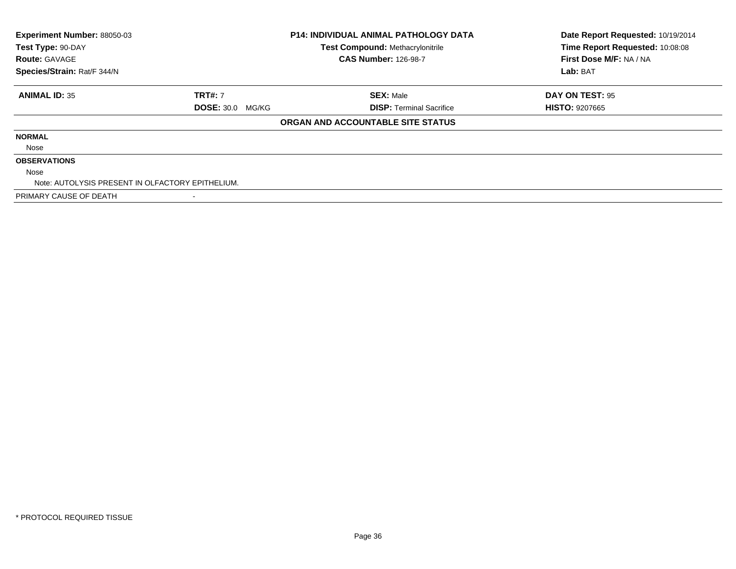| Experiment Number: 88050-03                      |                         | <b>P14: INDIVIDUAL ANIMAL PATHOLOGY DATA</b> | Date Report Requested: 10/19/2014 |
|--------------------------------------------------|-------------------------|----------------------------------------------|-----------------------------------|
| Test Type: 90-DAY                                |                         | <b>Test Compound: Methacrylonitrile</b>      | Time Report Requested: 10:08:08   |
| <b>Route: GAVAGE</b>                             |                         | <b>CAS Number: 126-98-7</b>                  | First Dose M/F: NA / NA           |
| Species/Strain: Rat/F 344/N                      |                         |                                              | Lab: BAT                          |
| <b>ANIMAL ID: 35</b>                             | <b>TRT#: 7</b>          | <b>SEX: Male</b>                             | DAY ON TEST: 95                   |
|                                                  | <b>DOSE: 30.0 MG/KG</b> | <b>DISP:</b> Terminal Sacrifice              | <b>HISTO: 9207665</b>             |
|                                                  |                         | ORGAN AND ACCOUNTABLE SITE STATUS            |                                   |
| <b>NORMAL</b>                                    |                         |                                              |                                   |
| Nose                                             |                         |                                              |                                   |
| <b>OBSERVATIONS</b>                              |                         |                                              |                                   |
| Nose                                             |                         |                                              |                                   |
| Note: AUTOLYSIS PRESENT IN OLFACTORY EPITHELIUM. |                         |                                              |                                   |
| PRIMARY CAUSE OF DEATH                           |                         |                                              |                                   |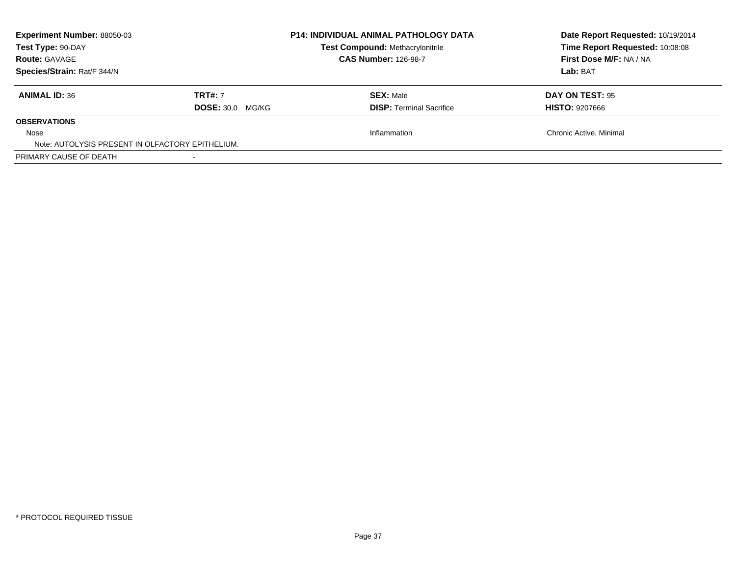| <b>Experiment Number: 88050-03</b><br>Test Type: 90-DAY<br><b>Route: GAVAGE</b><br>Species/Strain: Rat/F 344/N |                                           | <b>P14: INDIVIDUAL ANIMAL PATHOLOGY DATA</b><br>Test Compound: Methacrylonitrile<br><b>CAS Number: 126-98-7</b> | Date Report Requested: 10/19/2014<br>Time Report Requested: 10:08:08<br>First Dose M/F: NA / NA<br>Lab: BAT |
|----------------------------------------------------------------------------------------------------------------|-------------------------------------------|-----------------------------------------------------------------------------------------------------------------|-------------------------------------------------------------------------------------------------------------|
| <b>ANIMAL ID: 36</b>                                                                                           | <b>TRT#: 7</b><br><b>DOSE: 30.0 MG/KG</b> | <b>SEX: Male</b><br><b>DISP:</b> Terminal Sacrifice                                                             | DAY ON TEST: 95<br><b>HISTO: 9207666</b>                                                                    |
| <b>OBSERVATIONS</b>                                                                                            |                                           |                                                                                                                 |                                                                                                             |
| Nose<br>Note: AUTOLYSIS PRESENT IN OLFACTORY EPITHELIUM.                                                       |                                           | Inflammation                                                                                                    | Chronic Active, Minimal                                                                                     |
| PRIMARY CAUSE OF DEATH                                                                                         |                                           |                                                                                                                 |                                                                                                             |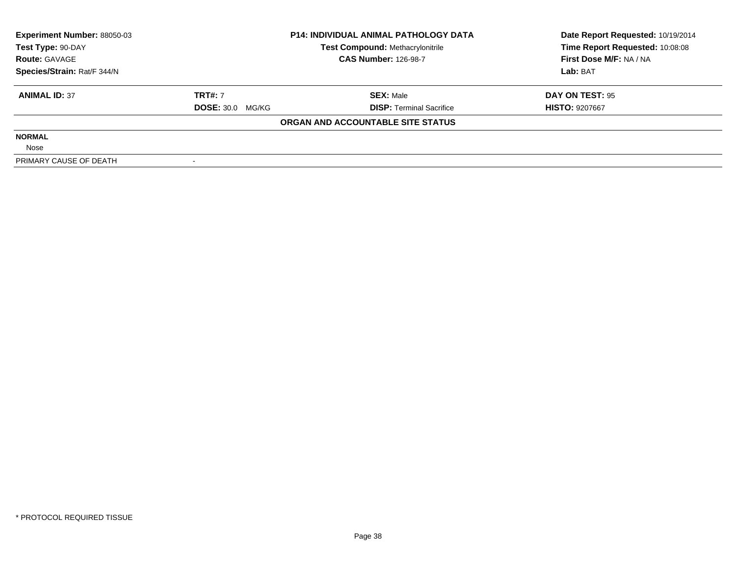| <b>Experiment Number: 88050-03</b> | <b>P14: INDIVIDUAL ANIMAL PATHOLOGY DATA</b> |                                         | Date Report Requested: 10/19/2014 |  |
|------------------------------------|----------------------------------------------|-----------------------------------------|-----------------------------------|--|
| Test Type: 90-DAY                  |                                              | <b>Test Compound: Methacrylonitrile</b> | Time Report Requested: 10:08:08   |  |
| <b>Route: GAVAGE</b>               |                                              | <b>CAS Number: 126-98-7</b>             | First Dose M/F: NA / NA           |  |
| Species/Strain: Rat/F 344/N        |                                              |                                         | Lab: BAT                          |  |
| <b>ANIMAL ID: 37</b>               | <b>TRT#: 7</b>                               | <b>SEX:</b> Male                        | DAY ON TEST: 95                   |  |
|                                    | <b>DOSE: 30.0 MG/KG</b>                      | <b>DISP:</b> Terminal Sacrifice         | <b>HISTO: 9207667</b>             |  |
|                                    |                                              | ORGAN AND ACCOUNTABLE SITE STATUS       |                                   |  |
| <b>NORMAL</b>                      |                                              |                                         |                                   |  |
| Nose                               |                                              |                                         |                                   |  |
| PRIMARY CAUSE OF DEATH             |                                              |                                         |                                   |  |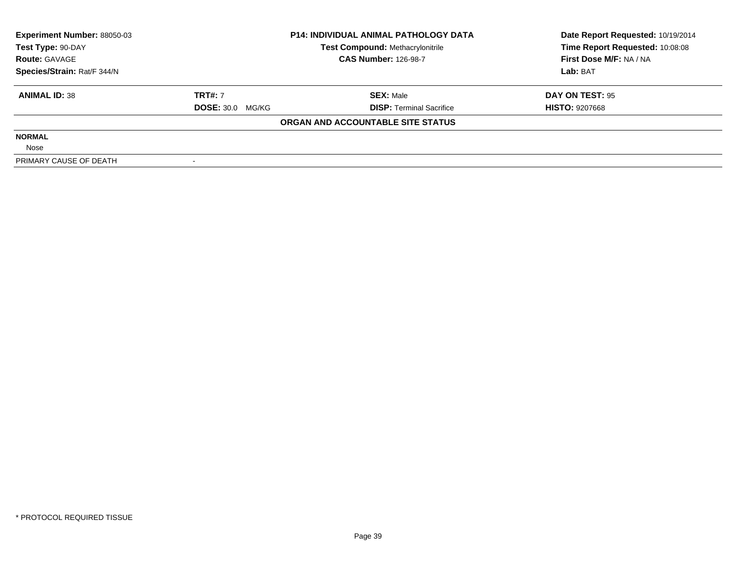| <b>Experiment Number: 88050-03</b> | <b>P14: INDIVIDUAL ANIMAL PATHOLOGY DATA</b> |                                         | Date Report Requested: 10/19/2014 |  |
|------------------------------------|----------------------------------------------|-----------------------------------------|-----------------------------------|--|
| Test Type: 90-DAY                  |                                              | <b>Test Compound: Methacrylonitrile</b> | Time Report Requested: 10:08:08   |  |
| <b>Route: GAVAGE</b>               |                                              | <b>CAS Number: 126-98-7</b>             | First Dose M/F: NA / NA           |  |
| Species/Strain: Rat/F 344/N        |                                              |                                         | Lab: BAT                          |  |
| <b>ANIMAL ID: 38</b>               | <b>TRT#: 7</b>                               | <b>SEX: Male</b>                        | DAY ON TEST: 95                   |  |
|                                    | <b>DOSE: 30.0 MG/KG</b>                      | <b>DISP:</b> Terminal Sacrifice         | <b>HISTO: 9207668</b>             |  |
|                                    |                                              | ORGAN AND ACCOUNTABLE SITE STATUS       |                                   |  |
| <b>NORMAL</b>                      |                                              |                                         |                                   |  |
| Nose                               |                                              |                                         |                                   |  |
| PRIMARY CAUSE OF DEATH             |                                              |                                         |                                   |  |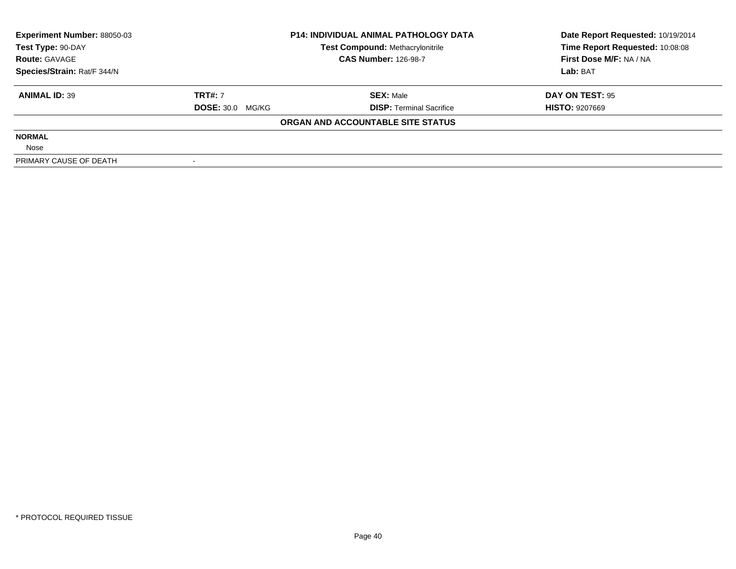| <b>Experiment Number: 88050-03</b> | <b>P14: INDIVIDUAL ANIMAL PATHOLOGY DATA</b> |                                   | Date Report Requested: 10/19/2014 |  |
|------------------------------------|----------------------------------------------|-----------------------------------|-----------------------------------|--|
| Test Type: 90-DAY                  |                                              | Test Compound: Methacrylonitrile  | Time Report Requested: 10:08:08   |  |
| <b>Route: GAVAGE</b>               | <b>CAS Number: 126-98-7</b>                  |                                   | First Dose M/F: NA / NA           |  |
| Species/Strain: Rat/F 344/N        |                                              |                                   | Lab: BAT                          |  |
| <b>ANIMAL ID: 39</b>               | <b>TRT#: 7</b>                               | <b>SEX: Male</b>                  | DAY ON TEST: 95                   |  |
|                                    | <b>DOSE: 30.0 MG/KG</b>                      | <b>DISP:</b> Terminal Sacrifice   | <b>HISTO: 9207669</b>             |  |
|                                    |                                              | ORGAN AND ACCOUNTABLE SITE STATUS |                                   |  |
| <b>NORMAL</b>                      |                                              |                                   |                                   |  |
| Nose                               |                                              |                                   |                                   |  |
| PRIMARY CAUSE OF DEATH             |                                              |                                   |                                   |  |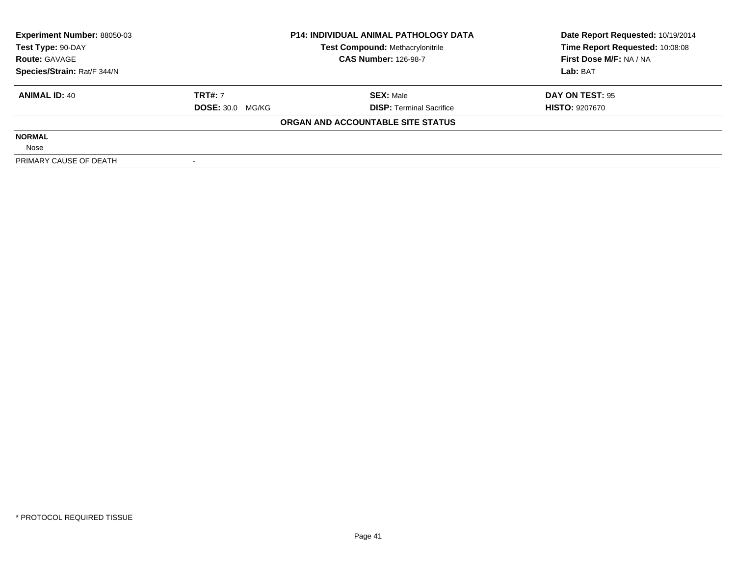| <b>Experiment Number: 88050-03</b> | <b>P14: INDIVIDUAL ANIMAL PATHOLOGY DATA</b> |                                         | Date Report Requested: 10/19/2014 |  |
|------------------------------------|----------------------------------------------|-----------------------------------------|-----------------------------------|--|
| Test Type: 90-DAY                  |                                              | <b>Test Compound: Methacrylonitrile</b> | Time Report Requested: 10:08:08   |  |
| <b>Route: GAVAGE</b>               |                                              | <b>CAS Number: 126-98-7</b>             | First Dose M/F: NA / NA           |  |
| Species/Strain: Rat/F 344/N        |                                              |                                         | Lab: BAT                          |  |
| <b>ANIMAL ID: 40</b>               | <b>TRT#: 7</b>                               | <b>SEX:</b> Male                        | DAY ON TEST: 95                   |  |
|                                    | <b>DOSE: 30.0 MG/KG</b>                      | <b>DISP:</b> Terminal Sacrifice         | <b>HISTO: 9207670</b>             |  |
|                                    |                                              | ORGAN AND ACCOUNTABLE SITE STATUS       |                                   |  |
| <b>NORMAL</b>                      |                                              |                                         |                                   |  |
| Nose                               |                                              |                                         |                                   |  |
| PRIMARY CAUSE OF DEATH             |                                              |                                         |                                   |  |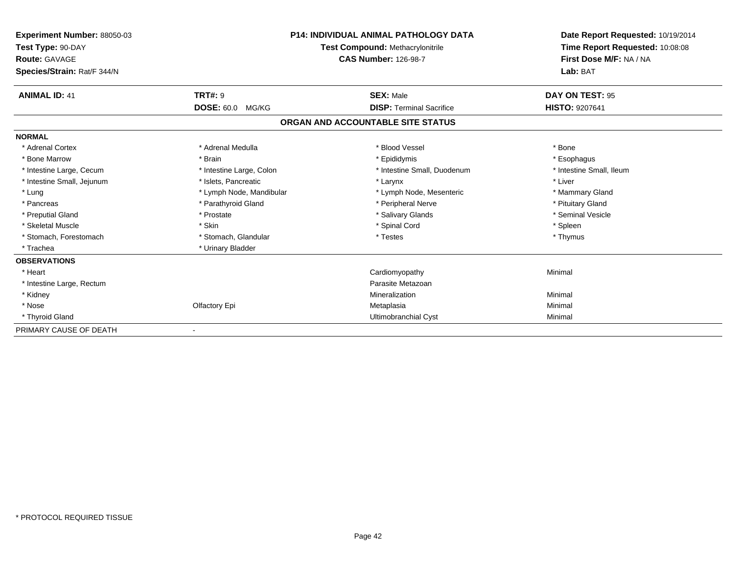| Experiment Number: 88050-03<br>Test Type: 90-DAY<br><b>Route: GAVAGE</b><br>Species/Strain: Rat/F 344/N |                          | P14: INDIVIDUAL ANIMAL PATHOLOGY DATA<br>Test Compound: Methacrylonitrile<br><b>CAS Number: 126-98-7</b> | Date Report Requested: 10/19/2014<br>Time Report Requested: 10:08:08<br>First Dose M/F: NA / NA<br>Lab: BAT |
|---------------------------------------------------------------------------------------------------------|--------------------------|----------------------------------------------------------------------------------------------------------|-------------------------------------------------------------------------------------------------------------|
| <b>ANIMAL ID: 41</b>                                                                                    | <b>TRT#: 9</b>           | <b>SEX: Male</b>                                                                                         | DAY ON TEST: 95                                                                                             |
|                                                                                                         | DOSE: 60.0 MG/KG         | <b>DISP: Terminal Sacrifice</b>                                                                          | <b>HISTO: 9207641</b>                                                                                       |
|                                                                                                         |                          | ORGAN AND ACCOUNTABLE SITE STATUS                                                                        |                                                                                                             |
| <b>NORMAL</b>                                                                                           |                          |                                                                                                          |                                                                                                             |
| * Adrenal Cortex                                                                                        | * Adrenal Medulla        | * Blood Vessel                                                                                           | * Bone                                                                                                      |
| * Bone Marrow                                                                                           | * Brain                  | * Epididymis                                                                                             | * Esophagus                                                                                                 |
| * Intestine Large, Cecum                                                                                | * Intestine Large, Colon | * Intestine Small, Duodenum                                                                              | * Intestine Small, Ileum                                                                                    |
| * Intestine Small, Jejunum                                                                              | * Islets, Pancreatic     | * Larynx                                                                                                 | * Liver                                                                                                     |
| * Lung                                                                                                  | * Lymph Node, Mandibular | * Lymph Node, Mesenteric                                                                                 | * Mammary Gland                                                                                             |
| * Pancreas                                                                                              | * Parathyroid Gland      | * Peripheral Nerve                                                                                       | * Pituitary Gland                                                                                           |
| * Preputial Gland                                                                                       | * Prostate               | * Salivary Glands                                                                                        | * Seminal Vesicle                                                                                           |
| * Skeletal Muscle                                                                                       | * Skin                   | * Spinal Cord                                                                                            | * Spleen                                                                                                    |
| * Stomach, Forestomach                                                                                  | * Stomach, Glandular     | * Testes                                                                                                 | * Thymus                                                                                                    |
| * Trachea                                                                                               | * Urinary Bladder        |                                                                                                          |                                                                                                             |
| <b>OBSERVATIONS</b>                                                                                     |                          |                                                                                                          |                                                                                                             |
| * Heart                                                                                                 |                          | Cardiomyopathy                                                                                           | Minimal                                                                                                     |
| * Intestine Large, Rectum                                                                               |                          | Parasite Metazoan                                                                                        |                                                                                                             |
| * Kidney                                                                                                |                          | Mineralization                                                                                           | Minimal                                                                                                     |
| * Nose                                                                                                  | Olfactory Epi            | Metaplasia                                                                                               | Minimal                                                                                                     |
| * Thyroid Gland                                                                                         |                          | Ultimobranchial Cyst                                                                                     | Minimal                                                                                                     |
| PRIMARY CAUSE OF DEATH                                                                                  |                          |                                                                                                          |                                                                                                             |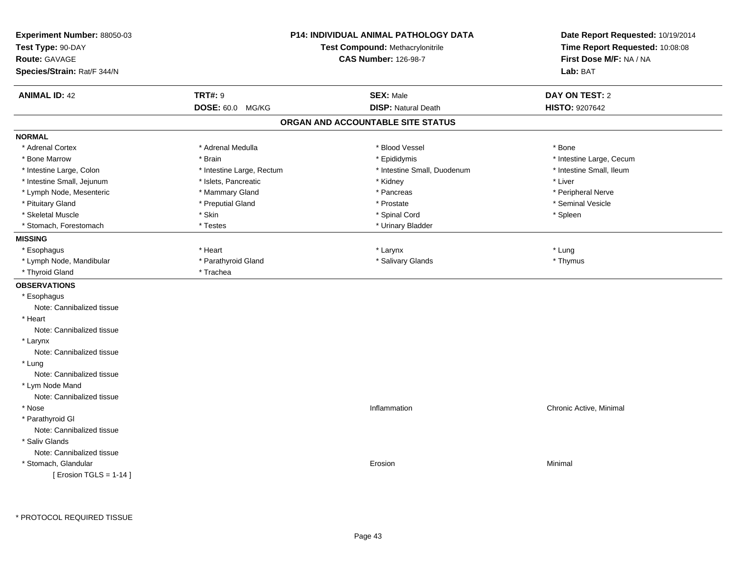| Experiment Number: 88050-03<br>Test Type: 90-DAY | <b>P14: INDIVIDUAL ANIMAL PATHOLOGY DATA</b><br>Test Compound: Methacrylonitrile |                                   | Date Report Requested: 10/19/2014<br>Time Report Requested: 10:08:08 |
|--------------------------------------------------|----------------------------------------------------------------------------------|-----------------------------------|----------------------------------------------------------------------|
| <b>Route: GAVAGE</b>                             |                                                                                  | <b>CAS Number: 126-98-7</b>       | First Dose M/F: NA / NA                                              |
|                                                  |                                                                                  |                                   |                                                                      |
| Species/Strain: Rat/F 344/N                      |                                                                                  |                                   | Lab: BAT                                                             |
| <b>ANIMAL ID: 42</b>                             | <b>TRT#: 9</b>                                                                   | <b>SEX: Male</b>                  | <b>DAY ON TEST: 2</b>                                                |
|                                                  | DOSE: 60.0 MG/KG                                                                 | <b>DISP: Natural Death</b>        | <b>HISTO: 9207642</b>                                                |
|                                                  |                                                                                  | ORGAN AND ACCOUNTABLE SITE STATUS |                                                                      |
| <b>NORMAL</b>                                    |                                                                                  |                                   |                                                                      |
| * Adrenal Cortex                                 | * Adrenal Medulla                                                                | * Blood Vessel                    | * Bone                                                               |
| * Bone Marrow                                    | * Brain                                                                          | * Epididymis                      | * Intestine Large, Cecum                                             |
| * Intestine Large, Colon                         | * Intestine Large, Rectum                                                        | * Intestine Small, Duodenum       | * Intestine Small, Ileum                                             |
| * Intestine Small, Jejunum                       | * Islets, Pancreatic                                                             | * Kidney                          | * Liver                                                              |
| * Lymph Node, Mesenteric                         | * Mammary Gland                                                                  | * Pancreas                        | * Peripheral Nerve                                                   |
| * Pituitary Gland                                | * Preputial Gland                                                                | * Prostate                        | * Seminal Vesicle                                                    |
| * Skeletal Muscle                                | * Skin                                                                           | * Spinal Cord                     | * Spleen                                                             |
| * Stomach, Forestomach                           | * Testes                                                                         | * Urinary Bladder                 |                                                                      |
| <b>MISSING</b>                                   |                                                                                  |                                   |                                                                      |
| * Esophagus                                      | * Heart                                                                          | * Larynx                          | * Lung                                                               |
| * Lymph Node, Mandibular                         | * Parathyroid Gland                                                              | * Salivary Glands                 | * Thymus                                                             |
| * Thyroid Gland                                  | * Trachea                                                                        |                                   |                                                                      |
| <b>OBSERVATIONS</b>                              |                                                                                  |                                   |                                                                      |
| * Esophagus                                      |                                                                                  |                                   |                                                                      |
| Note: Cannibalized tissue                        |                                                                                  |                                   |                                                                      |
| * Heart                                          |                                                                                  |                                   |                                                                      |
| Note: Cannibalized tissue                        |                                                                                  |                                   |                                                                      |
| * Larynx                                         |                                                                                  |                                   |                                                                      |
| Note: Cannibalized tissue                        |                                                                                  |                                   |                                                                      |
| * Lung                                           |                                                                                  |                                   |                                                                      |
| Note: Cannibalized tissue                        |                                                                                  |                                   |                                                                      |
| * Lym Node Mand                                  |                                                                                  |                                   |                                                                      |
| Note: Cannibalized tissue                        |                                                                                  |                                   |                                                                      |
| * Nose                                           |                                                                                  | Inflammation                      | Chronic Active, Minimal                                              |
| * Parathyroid GI                                 |                                                                                  |                                   |                                                                      |
| Note: Cannibalized tissue                        |                                                                                  |                                   |                                                                      |
| * Saliv Glands                                   |                                                                                  |                                   |                                                                      |
| Note: Cannibalized tissue                        |                                                                                  |                                   |                                                                      |
| * Stomach, Glandular                             |                                                                                  | Erosion                           | Minimal                                                              |
| [ Erosion TGLS = $1-14$ ]                        |                                                                                  |                                   |                                                                      |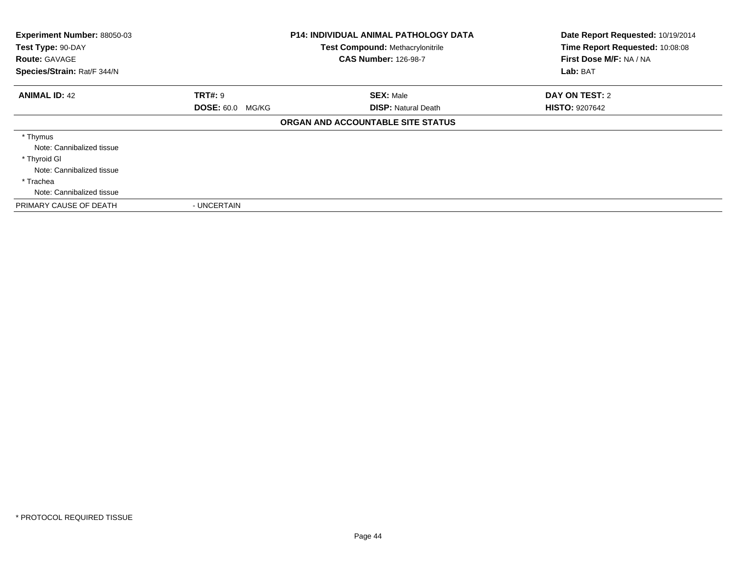| Experiment Number: 88050-03<br>Test Type: 90-DAY<br><b>Route: GAVAGE</b><br>Species/Strain: Rat/F 344/N |                         | <b>P14: INDIVIDUAL ANIMAL PATHOLOGY DATA</b><br><b>Test Compound: Methacrylonitrile</b><br><b>CAS Number: 126-98-7</b> | Date Report Requested: 10/19/2014<br>Time Report Requested: 10:08:08<br>First Dose M/F: NA / NA<br>Lab: BAT |
|---------------------------------------------------------------------------------------------------------|-------------------------|------------------------------------------------------------------------------------------------------------------------|-------------------------------------------------------------------------------------------------------------|
| <b>ANIMAL ID: 42</b>                                                                                    | <b>TRT#: 9</b>          | <b>SEX: Male</b>                                                                                                       | DAY ON TEST: 2                                                                                              |
|                                                                                                         | <b>DOSE: 60.0 MG/KG</b> | <b>DISP:</b> Natural Death                                                                                             | <b>HISTO: 9207642</b>                                                                                       |
|                                                                                                         |                         | ORGAN AND ACCOUNTABLE SITE STATUS                                                                                      |                                                                                                             |
| * Thymus                                                                                                |                         |                                                                                                                        |                                                                                                             |
| Note: Cannibalized tissue<br>* Thyroid GI                                                               |                         |                                                                                                                        |                                                                                                             |
| Note: Cannibalized tissue                                                                               |                         |                                                                                                                        |                                                                                                             |
| * Trachea                                                                                               |                         |                                                                                                                        |                                                                                                             |
| Note: Cannibalized tissue                                                                               |                         |                                                                                                                        |                                                                                                             |
| PRIMARY CAUSE OF DEATH                                                                                  | - UNCERTAIN             |                                                                                                                        |                                                                                                             |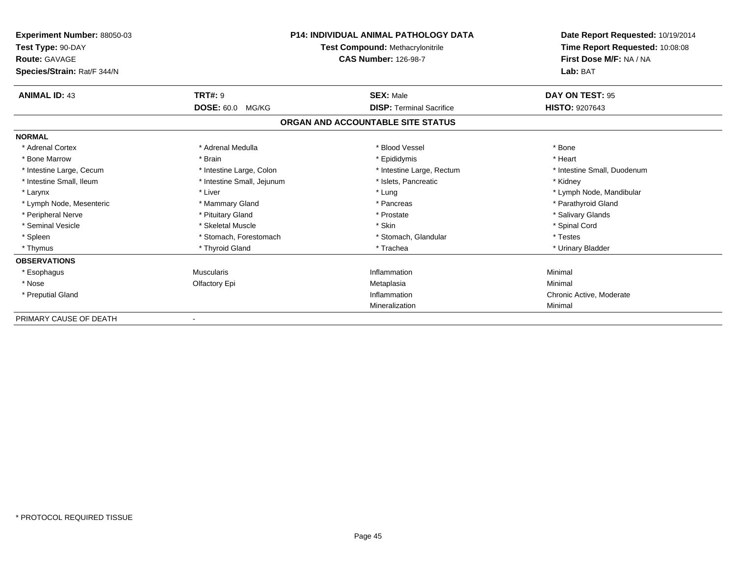| <b>Experiment Number: 88050-03</b><br>Test Type: 90-DAY<br><b>Route: GAVAGE</b><br>Species/Strain: Rat/F 344/N |                            | <b>P14: INDIVIDUAL ANIMAL PATHOLOGY DATA</b><br>Test Compound: Methacrylonitrile<br><b>CAS Number: 126-98-7</b> | Date Report Requested: 10/19/2014<br>Time Report Requested: 10:08:08<br>First Dose M/F: NA / NA<br>Lab: BAT |
|----------------------------------------------------------------------------------------------------------------|----------------------------|-----------------------------------------------------------------------------------------------------------------|-------------------------------------------------------------------------------------------------------------|
| <b>ANIMAL ID: 43</b>                                                                                           | <b>TRT#: 9</b>             | <b>SEX: Male</b>                                                                                                | DAY ON TEST: 95                                                                                             |
|                                                                                                                | DOSE: 60.0 MG/KG           | <b>DISP: Terminal Sacrifice</b>                                                                                 | <b>HISTO: 9207643</b>                                                                                       |
|                                                                                                                |                            | ORGAN AND ACCOUNTABLE SITE STATUS                                                                               |                                                                                                             |
| <b>NORMAL</b>                                                                                                  |                            |                                                                                                                 |                                                                                                             |
| * Adrenal Cortex                                                                                               | * Adrenal Medulla          | * Blood Vessel                                                                                                  | * Bone                                                                                                      |
| * Bone Marrow                                                                                                  | * Brain                    | * Epididymis                                                                                                    | * Heart                                                                                                     |
| * Intestine Large, Cecum                                                                                       | * Intestine Large, Colon   | * Intestine Large, Rectum                                                                                       | * Intestine Small, Duodenum                                                                                 |
| * Intestine Small, Ileum                                                                                       | * Intestine Small, Jejunum | * Islets. Pancreatic                                                                                            | * Kidney                                                                                                    |
| * Larynx                                                                                                       | * Liver                    | * Lung                                                                                                          | * Lymph Node, Mandibular                                                                                    |
| * Lymph Node, Mesenteric                                                                                       | * Mammary Gland            | * Pancreas                                                                                                      | * Parathyroid Gland                                                                                         |
| * Peripheral Nerve                                                                                             | * Pituitary Gland          | * Prostate                                                                                                      | * Salivary Glands                                                                                           |
| * Seminal Vesicle                                                                                              | * Skeletal Muscle          | * Skin                                                                                                          | * Spinal Cord                                                                                               |
| * Spleen                                                                                                       | * Stomach, Forestomach     | * Stomach, Glandular                                                                                            | * Testes                                                                                                    |
| * Thymus                                                                                                       | * Thyroid Gland            | * Trachea                                                                                                       | * Urinary Bladder                                                                                           |
| <b>OBSERVATIONS</b>                                                                                            |                            |                                                                                                                 |                                                                                                             |
| * Esophagus                                                                                                    | <b>Muscularis</b>          | Inflammation                                                                                                    | Minimal                                                                                                     |
| * Nose                                                                                                         | Olfactory Epi              | Metaplasia                                                                                                      | Minimal                                                                                                     |
| * Preputial Gland                                                                                              |                            | Inflammation                                                                                                    | Chronic Active, Moderate                                                                                    |
|                                                                                                                |                            | Mineralization                                                                                                  | Minimal                                                                                                     |
| PRIMARY CAUSE OF DEATH                                                                                         |                            |                                                                                                                 |                                                                                                             |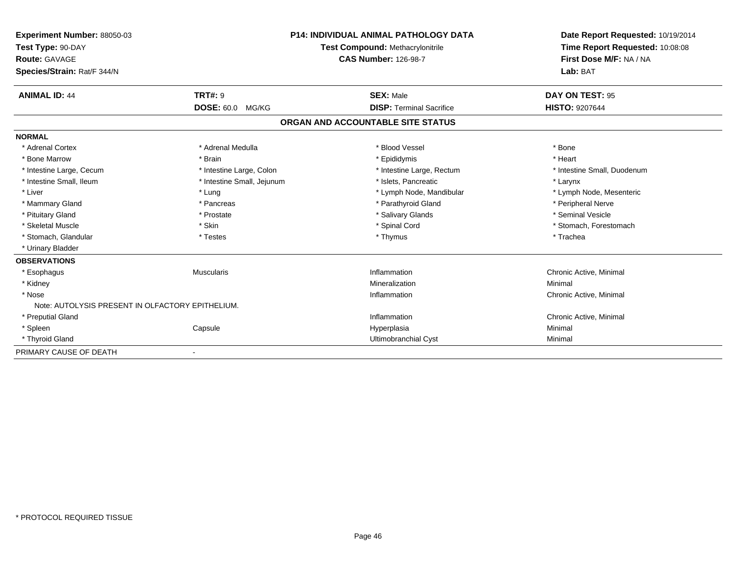| Experiment Number: 88050-03                      |                                  | <b>P14: INDIVIDUAL ANIMAL PATHOLOGY DATA</b> | Date Report Requested: 10/19/2014 |
|--------------------------------------------------|----------------------------------|----------------------------------------------|-----------------------------------|
| Test Type: 90-DAY                                | Test Compound: Methacrylonitrile |                                              | Time Report Requested: 10:08:08   |
| Route: GAVAGE                                    |                                  | <b>CAS Number: 126-98-7</b>                  | First Dose M/F: NA / NA           |
| Species/Strain: Rat/F 344/N                      |                                  |                                              | Lab: BAT                          |
| <b>ANIMAL ID: 44</b>                             | <b>TRT#: 9</b>                   | <b>SEX: Male</b>                             | DAY ON TEST: 95                   |
|                                                  | <b>DOSE: 60.0</b><br>MG/KG       | <b>DISP: Terminal Sacrifice</b>              | <b>HISTO: 9207644</b>             |
|                                                  |                                  | ORGAN AND ACCOUNTABLE SITE STATUS            |                                   |
| <b>NORMAL</b>                                    |                                  |                                              |                                   |
| * Adrenal Cortex                                 | * Adrenal Medulla                | * Blood Vessel                               | * Bone                            |
| * Bone Marrow                                    | * Brain                          | * Epididymis                                 | * Heart                           |
| * Intestine Large, Cecum                         | * Intestine Large, Colon         | * Intestine Large, Rectum                    | * Intestine Small, Duodenum       |
| * Intestine Small, Ileum                         | * Intestine Small, Jejunum       | * Islets. Pancreatic                         | * Larynx                          |
| * Liver                                          | * Lung                           | * Lymph Node, Mandibular                     | * Lymph Node, Mesenteric          |
| * Mammary Gland                                  | * Pancreas                       | * Parathyroid Gland                          | * Peripheral Nerve                |
| * Pituitary Gland                                | * Prostate                       | * Salivary Glands                            | * Seminal Vesicle                 |
| * Skeletal Muscle                                | * Skin                           | * Spinal Cord                                | * Stomach, Forestomach            |
| * Stomach, Glandular                             | * Testes                         | * Thymus                                     | * Trachea                         |
| * Urinary Bladder                                |                                  |                                              |                                   |
| <b>OBSERVATIONS</b>                              |                                  |                                              |                                   |
| * Esophagus                                      | <b>Muscularis</b>                | Inflammation                                 | Chronic Active, Minimal           |
| * Kidney                                         |                                  | Mineralization                               | Minimal                           |
| * Nose                                           |                                  | Inflammation                                 | Chronic Active, Minimal           |
| Note: AUTOLYSIS PRESENT IN OLFACTORY EPITHELIUM. |                                  |                                              |                                   |
| * Preputial Gland                                |                                  | Inflammation                                 | Chronic Active, Minimal           |
| * Spleen                                         | Capsule                          | Hyperplasia                                  | Minimal                           |
| * Thyroid Gland                                  |                                  | Ultimobranchial Cyst                         | Minimal                           |
| PRIMARY CAUSE OF DEATH                           |                                  |                                              |                                   |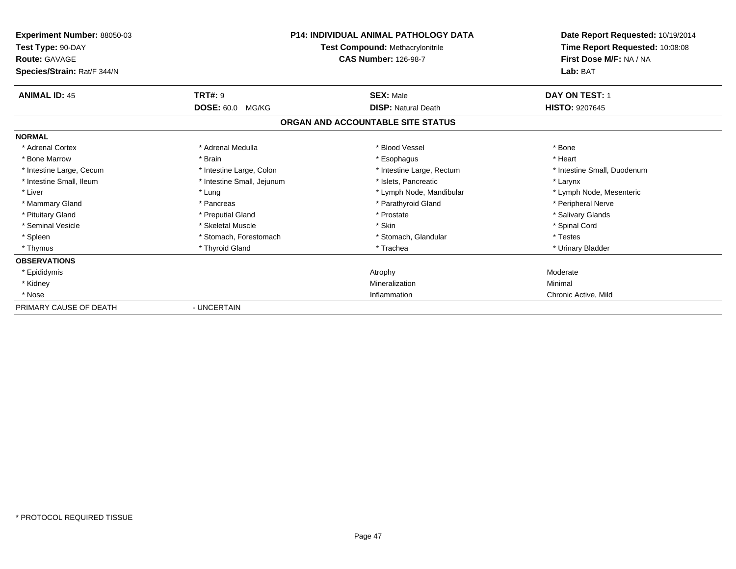| <b>Experiment Number: 88050-03</b><br>Test Type: 90-DAY<br><b>Route: GAVAGE</b> | <b>P14: INDIVIDUAL ANIMAL PATHOLOGY DATA</b><br>Test Compound: Methacrylonitrile<br><b>CAS Number: 126-98-7</b> |                                   | Date Report Requested: 10/19/2014<br>Time Report Requested: 10:08:08<br>First Dose M/F: NA / NA |
|---------------------------------------------------------------------------------|-----------------------------------------------------------------------------------------------------------------|-----------------------------------|-------------------------------------------------------------------------------------------------|
| Species/Strain: Rat/F 344/N                                                     |                                                                                                                 |                                   | Lab: BAT                                                                                        |
| <b>ANIMAL ID: 45</b>                                                            | <b>TRT#: 9</b>                                                                                                  | <b>SEX: Male</b>                  | DAY ON TEST: 1                                                                                  |
|                                                                                 | <b>DOSE: 60.0</b><br>MG/KG                                                                                      | <b>DISP: Natural Death</b>        | <b>HISTO: 9207645</b>                                                                           |
|                                                                                 |                                                                                                                 | ORGAN AND ACCOUNTABLE SITE STATUS |                                                                                                 |
| <b>NORMAL</b>                                                                   |                                                                                                                 |                                   |                                                                                                 |
| * Adrenal Cortex                                                                | * Adrenal Medulla                                                                                               | * Blood Vessel                    | * Bone                                                                                          |
| * Bone Marrow                                                                   | * Brain                                                                                                         | * Esophagus                       | * Heart                                                                                         |
| * Intestine Large, Cecum                                                        | * Intestine Large, Colon                                                                                        | * Intestine Large, Rectum         | * Intestine Small, Duodenum                                                                     |
| * Intestine Small, Ileum                                                        | * Intestine Small, Jejunum                                                                                      | * Islets, Pancreatic              | * Larynx                                                                                        |
| * Liver                                                                         | * Lung                                                                                                          | * Lymph Node, Mandibular          | * Lymph Node, Mesenteric                                                                        |
| * Mammary Gland                                                                 | * Pancreas                                                                                                      | * Parathyroid Gland               | * Peripheral Nerve                                                                              |
| * Pituitary Gland                                                               | * Preputial Gland                                                                                               | * Prostate                        | * Salivary Glands                                                                               |
| * Seminal Vesicle                                                               | * Skeletal Muscle                                                                                               | * Skin                            | * Spinal Cord                                                                                   |
| * Spleen                                                                        | * Stomach, Forestomach                                                                                          | * Stomach, Glandular              | * Testes                                                                                        |
| * Thymus                                                                        | * Thyroid Gland                                                                                                 | * Trachea                         | * Urinary Bladder                                                                               |
| <b>OBSERVATIONS</b>                                                             |                                                                                                                 |                                   |                                                                                                 |
| * Epididymis                                                                    |                                                                                                                 | Atrophy                           | Moderate                                                                                        |
| * Kidney                                                                        |                                                                                                                 | Mineralization                    | Minimal                                                                                         |
| * Nose                                                                          |                                                                                                                 | Inflammation                      | Chronic Active, Mild                                                                            |
| PRIMARY CAUSE OF DEATH                                                          | - UNCERTAIN                                                                                                     |                                   |                                                                                                 |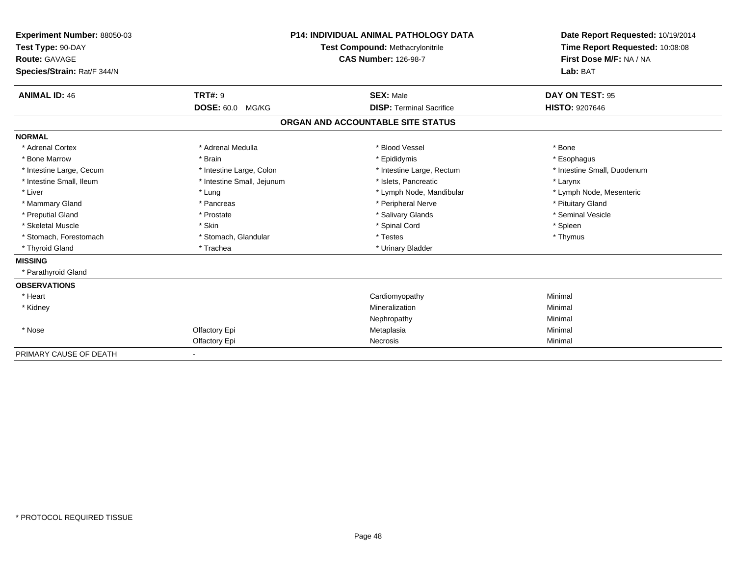| <b>Experiment Number: 88050-03</b><br>Test Type: 90-DAY<br>Route: GAVAGE<br>Species/Strain: Rat/F 344/N |                                           | <b>P14: INDIVIDUAL ANIMAL PATHOLOGY DATA</b><br>Test Compound: Methacrylonitrile<br><b>CAS Number: 126-98-7</b> | Date Report Requested: 10/19/2014<br>Time Report Requested: 10:08:08<br>First Dose M/F: NA / NA<br>Lab: BAT |
|---------------------------------------------------------------------------------------------------------|-------------------------------------------|-----------------------------------------------------------------------------------------------------------------|-------------------------------------------------------------------------------------------------------------|
| <b>ANIMAL ID: 46</b>                                                                                    | <b>TRT#: 9</b><br><b>DOSE: 60.0 MG/KG</b> | <b>SEX: Male</b><br><b>DISP:</b> Terminal Sacrifice                                                             | DAY ON TEST: 95<br><b>HISTO: 9207646</b>                                                                    |
|                                                                                                         |                                           | ORGAN AND ACCOUNTABLE SITE STATUS                                                                               |                                                                                                             |
| <b>NORMAL</b>                                                                                           |                                           |                                                                                                                 |                                                                                                             |
| * Adrenal Cortex                                                                                        | * Adrenal Medulla                         | * Blood Vessel                                                                                                  | * Bone                                                                                                      |
| * Bone Marrow                                                                                           | * Brain                                   | * Epididymis                                                                                                    | * Esophagus                                                                                                 |
| * Intestine Large, Cecum                                                                                | * Intestine Large, Colon                  | * Intestine Large, Rectum                                                                                       | * Intestine Small, Duodenum                                                                                 |
| * Intestine Small, Ileum                                                                                | * Intestine Small, Jejunum                | * Islets, Pancreatic                                                                                            | * Larynx                                                                                                    |
| * Liver                                                                                                 | * Lung                                    | * Lymph Node, Mandibular                                                                                        | * Lymph Node, Mesenteric                                                                                    |
| * Mammary Gland                                                                                         | * Pancreas                                | * Peripheral Nerve                                                                                              | * Pituitary Gland                                                                                           |
| * Preputial Gland                                                                                       | * Prostate                                | * Salivary Glands                                                                                               | * Seminal Vesicle                                                                                           |
| * Skeletal Muscle                                                                                       | * Skin                                    | * Spinal Cord                                                                                                   | * Spleen                                                                                                    |
| * Stomach, Forestomach                                                                                  | * Stomach, Glandular                      | * Testes                                                                                                        | * Thymus                                                                                                    |
| * Thyroid Gland                                                                                         | * Trachea                                 | * Urinary Bladder                                                                                               |                                                                                                             |
| <b>MISSING</b>                                                                                          |                                           |                                                                                                                 |                                                                                                             |
| * Parathyroid Gland                                                                                     |                                           |                                                                                                                 |                                                                                                             |
| <b>OBSERVATIONS</b>                                                                                     |                                           |                                                                                                                 |                                                                                                             |
| * Heart                                                                                                 |                                           | Cardiomyopathy                                                                                                  | Minimal                                                                                                     |
| * Kidney                                                                                                |                                           | Mineralization                                                                                                  | Minimal                                                                                                     |
|                                                                                                         |                                           | Nephropathy                                                                                                     | Minimal                                                                                                     |
| * Nose                                                                                                  | Olfactory Epi                             | Metaplasia                                                                                                      | Minimal                                                                                                     |
|                                                                                                         | Olfactory Epi                             | Necrosis                                                                                                        | Minimal                                                                                                     |
| PRIMARY CAUSE OF DEATH                                                                                  |                                           |                                                                                                                 |                                                                                                             |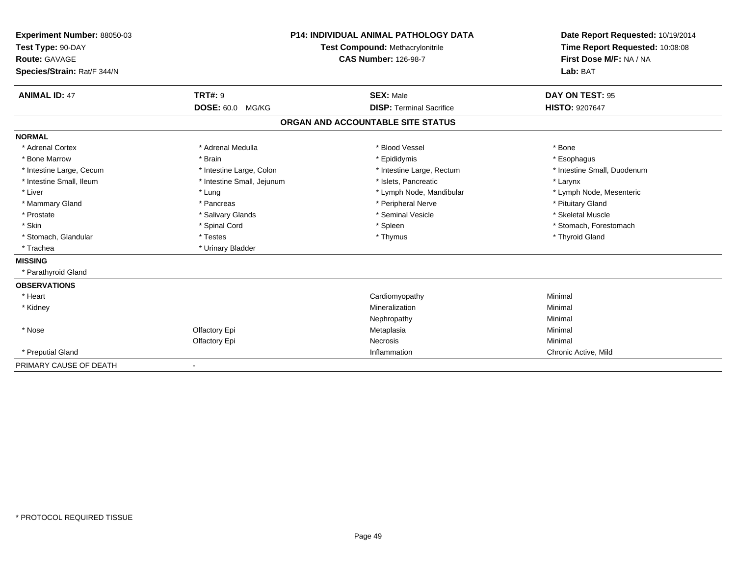| Experiment Number: 88050-03 |                            | P14: INDIVIDUAL ANIMAL PATHOLOGY DATA | Date Report Requested: 10/19/2014 |
|-----------------------------|----------------------------|---------------------------------------|-----------------------------------|
| Test Type: 90-DAY           |                            | Test Compound: Methacrylonitrile      | Time Report Requested: 10:08:08   |
| <b>Route: GAVAGE</b>        |                            | <b>CAS Number: 126-98-7</b>           | First Dose M/F: NA / NA           |
| Species/Strain: Rat/F 344/N |                            |                                       | Lab: BAT                          |
| <b>ANIMAL ID: 47</b>        | <b>TRT#: 9</b>             | <b>SEX: Male</b>                      | DAY ON TEST: 95                   |
|                             | DOSE: 60.0 MG/KG           | <b>DISP: Terminal Sacrifice</b>       | <b>HISTO: 9207647</b>             |
|                             |                            | ORGAN AND ACCOUNTABLE SITE STATUS     |                                   |
| <b>NORMAL</b>               |                            |                                       |                                   |
| * Adrenal Cortex            | * Adrenal Medulla          | * Blood Vessel                        | * Bone                            |
| * Bone Marrow               | * Brain                    | * Epididymis                          | * Esophagus                       |
| * Intestine Large, Cecum    | * Intestine Large, Colon   | * Intestine Large, Rectum             | * Intestine Small, Duodenum       |
| * Intestine Small, Ileum    | * Intestine Small, Jejunum | * Islets. Pancreatic                  | * Larynx                          |
| * Liver                     | * Lung                     | * Lymph Node, Mandibular              | * Lymph Node, Mesenteric          |
| * Mammary Gland             | * Pancreas                 | * Peripheral Nerve                    | * Pituitary Gland                 |
| * Prostate                  | * Salivary Glands          | * Seminal Vesicle                     | * Skeletal Muscle                 |
| * Skin                      | * Spinal Cord              | * Spleen                              | * Stomach, Forestomach            |
| * Stomach, Glandular        | * Testes                   | * Thymus                              | * Thyroid Gland                   |
| * Trachea                   | * Urinary Bladder          |                                       |                                   |
| <b>MISSING</b>              |                            |                                       |                                   |
| * Parathyroid Gland         |                            |                                       |                                   |
| <b>OBSERVATIONS</b>         |                            |                                       |                                   |
| * Heart                     |                            | Cardiomyopathy                        | Minimal                           |
| * Kidney                    |                            | Mineralization                        | Minimal                           |
|                             |                            | Nephropathy                           | Minimal                           |
| * Nose                      | Olfactory Epi              | Metaplasia                            | Minimal                           |
|                             | Olfactory Epi              | Necrosis                              | Minimal                           |
| * Preputial Gland           |                            | Inflammation                          | Chronic Active, Mild              |
| PRIMARY CAUSE OF DEATH      | $\overline{\phantom{a}}$   |                                       |                                   |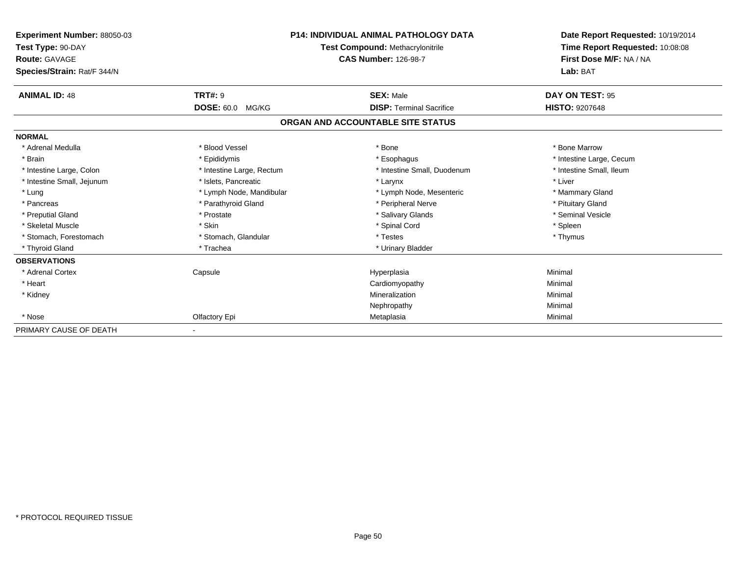| Experiment Number: 88050-03<br>Test Type: 90-DAY<br><b>Route: GAVAGE</b><br>Species/Strain: Rat/F 344/N |                           | <b>P14: INDIVIDUAL ANIMAL PATHOLOGY DATA</b><br><b>Test Compound: Methacrylonitrile</b><br><b>CAS Number: 126-98-7</b> | Date Report Requested: 10/19/2014<br>Time Report Requested: 10:08:08<br>First Dose M/F: NA / NA<br>Lab: BAT |
|---------------------------------------------------------------------------------------------------------|---------------------------|------------------------------------------------------------------------------------------------------------------------|-------------------------------------------------------------------------------------------------------------|
| <b>ANIMAL ID: 48</b>                                                                                    | <b>TRT#: 9</b>            | <b>SEX: Male</b>                                                                                                       | DAY ON TEST: 95                                                                                             |
|                                                                                                         | <b>DOSE: 60.0 MG/KG</b>   | <b>DISP: Terminal Sacrifice</b>                                                                                        | <b>HISTO: 9207648</b>                                                                                       |
|                                                                                                         |                           | ORGAN AND ACCOUNTABLE SITE STATUS                                                                                      |                                                                                                             |
| <b>NORMAL</b>                                                                                           |                           |                                                                                                                        |                                                                                                             |
| * Adrenal Medulla                                                                                       | * Blood Vessel            | * Bone                                                                                                                 | * Bone Marrow                                                                                               |
| * Brain                                                                                                 | * Epididymis              | * Esophagus                                                                                                            | * Intestine Large, Cecum                                                                                    |
| * Intestine Large, Colon                                                                                | * Intestine Large, Rectum | * Intestine Small, Duodenum                                                                                            | * Intestine Small, Ileum                                                                                    |
| * Intestine Small, Jejunum                                                                              | * Islets, Pancreatic      | * Larynx                                                                                                               | * Liver                                                                                                     |
| * Lung                                                                                                  | * Lymph Node, Mandibular  | * Lymph Node, Mesenteric                                                                                               | * Mammary Gland                                                                                             |
| * Pancreas                                                                                              | * Parathyroid Gland       | * Peripheral Nerve                                                                                                     | * Pituitary Gland                                                                                           |
| * Preputial Gland                                                                                       | * Prostate                | * Salivary Glands                                                                                                      | * Seminal Vesicle                                                                                           |
| * Skeletal Muscle                                                                                       | * Skin                    | * Spinal Cord                                                                                                          | * Spleen                                                                                                    |
| * Stomach, Forestomach                                                                                  | * Stomach, Glandular      | * Testes                                                                                                               | * Thymus                                                                                                    |
| * Thyroid Gland                                                                                         | * Trachea                 | * Urinary Bladder                                                                                                      |                                                                                                             |
| <b>OBSERVATIONS</b>                                                                                     |                           |                                                                                                                        |                                                                                                             |
| * Adrenal Cortex                                                                                        | Capsule                   | Hyperplasia                                                                                                            | Minimal                                                                                                     |
| * Heart                                                                                                 |                           | Cardiomyopathy                                                                                                         | Minimal                                                                                                     |
| * Kidney                                                                                                |                           | Mineralization                                                                                                         | Minimal                                                                                                     |
|                                                                                                         |                           | Nephropathy                                                                                                            | Minimal                                                                                                     |
| * Nose                                                                                                  | Olfactory Epi             | Metaplasia                                                                                                             | Minimal                                                                                                     |
| PRIMARY CAUSE OF DEATH                                                                                  |                           |                                                                                                                        |                                                                                                             |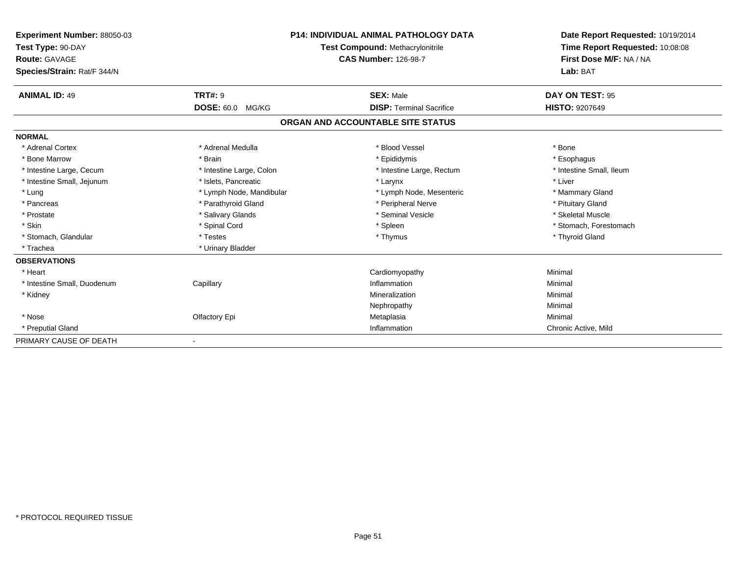| Experiment Number: 88050-03<br>Test Type: 90-DAY<br><b>Route: GAVAGE</b><br>Species/Strain: Rat/F 344/N |                            | <b>P14: INDIVIDUAL ANIMAL PATHOLOGY DATA</b><br>Test Compound: Methacrylonitrile<br><b>CAS Number: 126-98-7</b> | Date Report Requested: 10/19/2014<br>Time Report Requested: 10:08:08<br>First Dose M/F: NA / NA<br>Lab: BAT |
|---------------------------------------------------------------------------------------------------------|----------------------------|-----------------------------------------------------------------------------------------------------------------|-------------------------------------------------------------------------------------------------------------|
|                                                                                                         |                            |                                                                                                                 |                                                                                                             |
| <b>ANIMAL ID: 49</b>                                                                                    | <b>TRT#: 9</b>             | <b>SEX: Male</b>                                                                                                | DAY ON TEST: 95                                                                                             |
|                                                                                                         | <b>DOSE: 60.0</b><br>MG/KG | <b>DISP: Terminal Sacrifice</b>                                                                                 | <b>HISTO: 9207649</b>                                                                                       |
|                                                                                                         |                            | ORGAN AND ACCOUNTABLE SITE STATUS                                                                               |                                                                                                             |
| <b>NORMAL</b>                                                                                           |                            |                                                                                                                 |                                                                                                             |
| * Adrenal Cortex                                                                                        | * Adrenal Medulla          | * Blood Vessel                                                                                                  | * Bone                                                                                                      |
| * Bone Marrow                                                                                           | * Brain                    | * Epididymis                                                                                                    | * Esophagus                                                                                                 |
| * Intestine Large, Cecum                                                                                | * Intestine Large, Colon   | * Intestine Large, Rectum                                                                                       | * Intestine Small, Ileum                                                                                    |
| * Intestine Small, Jejunum                                                                              | * Islets. Pancreatic       | * Larynx                                                                                                        | * Liver                                                                                                     |
| * Lung                                                                                                  | * Lymph Node, Mandibular   | * Lymph Node, Mesenteric                                                                                        | * Mammary Gland                                                                                             |
| * Pancreas                                                                                              | * Parathyroid Gland        | * Peripheral Nerve                                                                                              | * Pituitary Gland                                                                                           |
| * Prostate                                                                                              | * Salivary Glands          | * Seminal Vesicle                                                                                               | * Skeletal Muscle                                                                                           |
| * Skin                                                                                                  | * Spinal Cord              | * Spleen                                                                                                        | * Stomach, Forestomach                                                                                      |
| * Stomach, Glandular                                                                                    | * Testes                   | * Thymus                                                                                                        | * Thyroid Gland                                                                                             |
| * Trachea                                                                                               | * Urinary Bladder          |                                                                                                                 |                                                                                                             |
| <b>OBSERVATIONS</b>                                                                                     |                            |                                                                                                                 |                                                                                                             |
| * Heart                                                                                                 |                            | Cardiomyopathy                                                                                                  | Minimal                                                                                                     |
| * Intestine Small, Duodenum                                                                             | Capillary                  | Inflammation                                                                                                    | Minimal                                                                                                     |
| * Kidney                                                                                                |                            | Mineralization                                                                                                  | Minimal                                                                                                     |
|                                                                                                         |                            | Nephropathy                                                                                                     | Minimal                                                                                                     |
| * Nose                                                                                                  | Olfactory Epi              | Metaplasia                                                                                                      | Minimal                                                                                                     |
| * Preputial Gland                                                                                       |                            | Inflammation                                                                                                    | Chronic Active, Mild                                                                                        |
| PRIMARY CAUSE OF DEATH                                                                                  |                            |                                                                                                                 |                                                                                                             |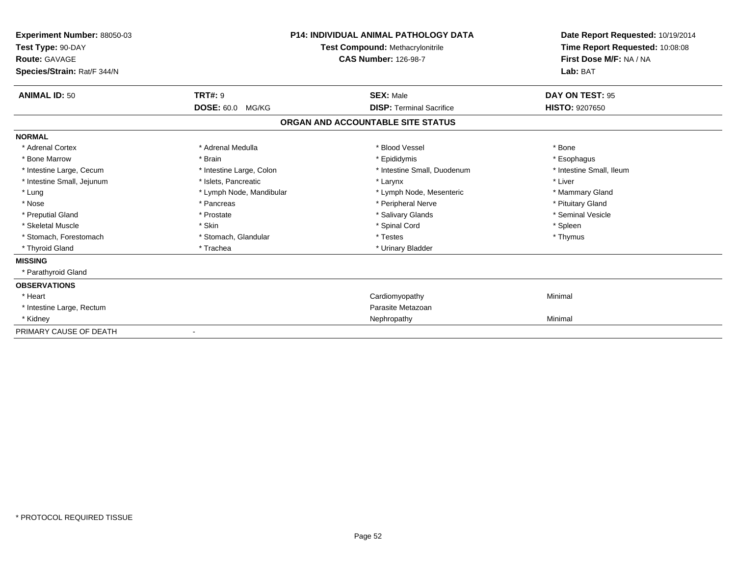| Experiment Number: 88050-03<br>Test Type: 90-DAY<br><b>Route: GAVAGE</b><br>Species/Strain: Rat/F 344/N |                            | <b>P14: INDIVIDUAL ANIMAL PATHOLOGY DATA</b><br>Test Compound: Methacrylonitrile<br><b>CAS Number: 126-98-7</b> | Date Report Requested: 10/19/2014<br>Time Report Requested: 10:08:08<br>First Dose M/F: NA / NA<br>Lab: BAT |
|---------------------------------------------------------------------------------------------------------|----------------------------|-----------------------------------------------------------------------------------------------------------------|-------------------------------------------------------------------------------------------------------------|
| <b>ANIMAL ID: 50</b>                                                                                    | TRT#: 9                    | <b>SEX: Male</b>                                                                                                | DAY ON TEST: 95                                                                                             |
|                                                                                                         | <b>DOSE: 60.0</b><br>MG/KG | <b>DISP: Terminal Sacrifice</b>                                                                                 | <b>HISTO: 9207650</b>                                                                                       |
|                                                                                                         |                            | ORGAN AND ACCOUNTABLE SITE STATUS                                                                               |                                                                                                             |
| <b>NORMAL</b>                                                                                           |                            |                                                                                                                 |                                                                                                             |
| * Adrenal Cortex                                                                                        | * Adrenal Medulla          | * Blood Vessel                                                                                                  | * Bone                                                                                                      |
| * Bone Marrow                                                                                           | * Brain                    | * Epididymis                                                                                                    | * Esophagus                                                                                                 |
| * Intestine Large, Cecum                                                                                | * Intestine Large, Colon   | * Intestine Small, Duodenum                                                                                     | * Intestine Small, Ileum                                                                                    |
| * Intestine Small, Jejunum                                                                              | * Islets, Pancreatic       | * Larynx                                                                                                        | * Liver                                                                                                     |
| * Lung                                                                                                  | * Lymph Node, Mandibular   | * Lymph Node, Mesenteric                                                                                        | * Mammary Gland                                                                                             |
| * Nose                                                                                                  | * Pancreas                 | * Peripheral Nerve                                                                                              | * Pituitary Gland                                                                                           |
| * Preputial Gland                                                                                       | * Prostate                 | * Salivary Glands                                                                                               | * Seminal Vesicle                                                                                           |
| * Skeletal Muscle                                                                                       | * Skin                     | * Spinal Cord                                                                                                   | * Spleen                                                                                                    |
| * Stomach, Forestomach                                                                                  | * Stomach, Glandular       | * Testes                                                                                                        | * Thymus                                                                                                    |
| * Thyroid Gland                                                                                         | * Trachea                  | * Urinary Bladder                                                                                               |                                                                                                             |
| <b>MISSING</b>                                                                                          |                            |                                                                                                                 |                                                                                                             |
| * Parathyroid Gland                                                                                     |                            |                                                                                                                 |                                                                                                             |
| <b>OBSERVATIONS</b>                                                                                     |                            |                                                                                                                 |                                                                                                             |
| * Heart                                                                                                 |                            | Cardiomyopathy                                                                                                  | Minimal                                                                                                     |
| * Intestine Large, Rectum                                                                               |                            | Parasite Metazoan                                                                                               |                                                                                                             |
| * Kidney                                                                                                |                            | Nephropathy                                                                                                     | Minimal                                                                                                     |
| PRIMARY CAUSE OF DEATH                                                                                  |                            |                                                                                                                 |                                                                                                             |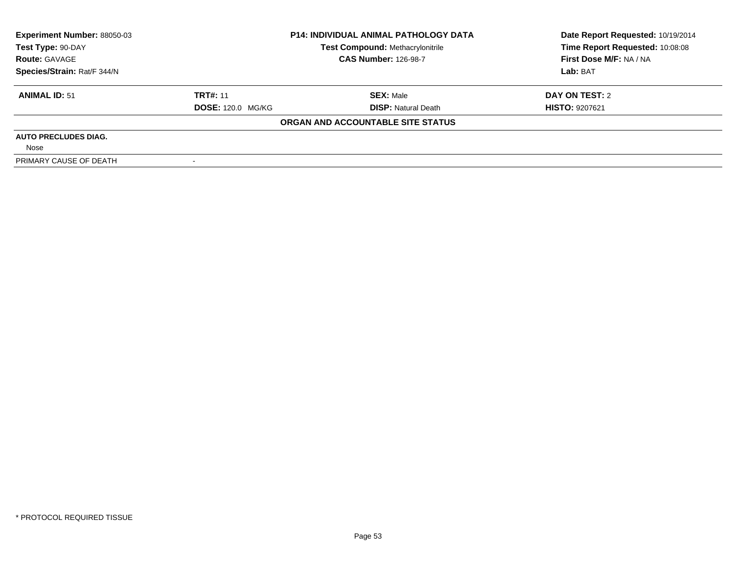| Experiment Number: 88050-03 | <b>P14: INDIVIDUAL ANIMAL PATHOLOGY DATA</b> |                                         | Date Report Requested: 10/19/2014 |  |
|-----------------------------|----------------------------------------------|-----------------------------------------|-----------------------------------|--|
| Test Type: 90-DAY           |                                              | <b>Test Compound: Methacrylonitrile</b> | Time Report Requested: 10:08:08   |  |
| <b>Route: GAVAGE</b>        | <b>CAS Number: 126-98-7</b>                  |                                         | First Dose M/F: NA / NA           |  |
| Species/Strain: Rat/F 344/N |                                              |                                         | Lab: BAT                          |  |
| <b>ANIMAL ID: 51</b>        | <b>TRT#: 11</b>                              | <b>SEX: Male</b>                        | DAY ON TEST: 2                    |  |
|                             | <b>DOSE: 120.0 MG/KG</b>                     | <b>DISP: Natural Death</b>              | <b>HISTO: 9207621</b>             |  |
|                             |                                              | ORGAN AND ACCOUNTABLE SITE STATUS       |                                   |  |
| <b>AUTO PRECLUDES DIAG.</b> |                                              |                                         |                                   |  |
| Nose                        |                                              |                                         |                                   |  |
| PRIMARY CAUSE OF DEATH      |                                              |                                         |                                   |  |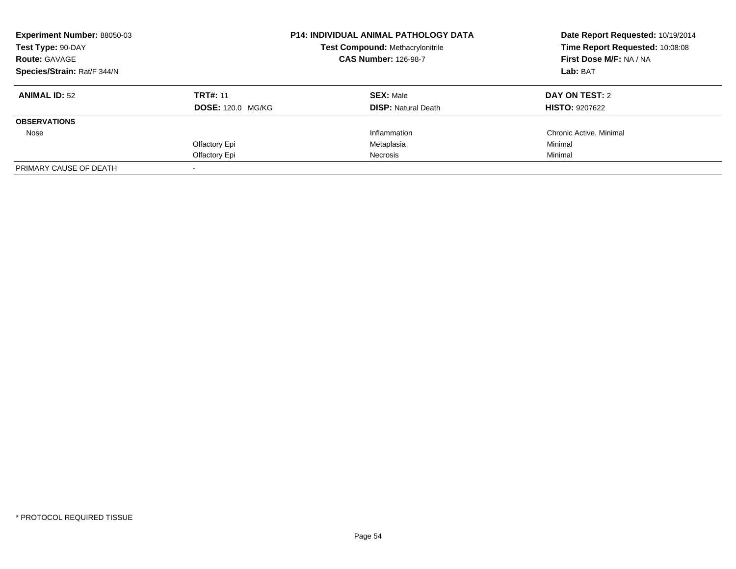| <b>Experiment Number: 88050-03</b><br>Test Type: 90-DAY<br><b>Route: GAVAGE</b> |                          | <b>P14: INDIVIDUAL ANIMAL PATHOLOGY DATA</b><br><b>Test Compound: Methacrylonitrile</b> | Date Report Requested: 10/19/2014<br>Time Report Requested: 10:08:08 |
|---------------------------------------------------------------------------------|--------------------------|-----------------------------------------------------------------------------------------|----------------------------------------------------------------------|
|                                                                                 |                          | <b>CAS Number: 126-98-7</b>                                                             | First Dose M/F: NA / NA<br>Lab: BAT                                  |
| Species/Strain: Rat/F 344/N                                                     |                          |                                                                                         |                                                                      |
| <b>ANIMAL ID: 52</b>                                                            | <b>TRT#: 11</b>          | <b>SEX: Male</b>                                                                        | DAY ON TEST: 2                                                       |
|                                                                                 | <b>DOSE: 120.0 MG/KG</b> | <b>DISP:</b> Natural Death                                                              | <b>HISTO: 9207622</b>                                                |
| <b>OBSERVATIONS</b>                                                             |                          |                                                                                         |                                                                      |
| Nose                                                                            |                          | Inflammation                                                                            | Chronic Active, Minimal                                              |
|                                                                                 | Olfactory Epi            | Metaplasia                                                                              | Minimal                                                              |
|                                                                                 | Olfactory Epi            | Necrosis                                                                                | Minimal                                                              |
| PRIMARY CAUSE OF DEATH                                                          |                          |                                                                                         |                                                                      |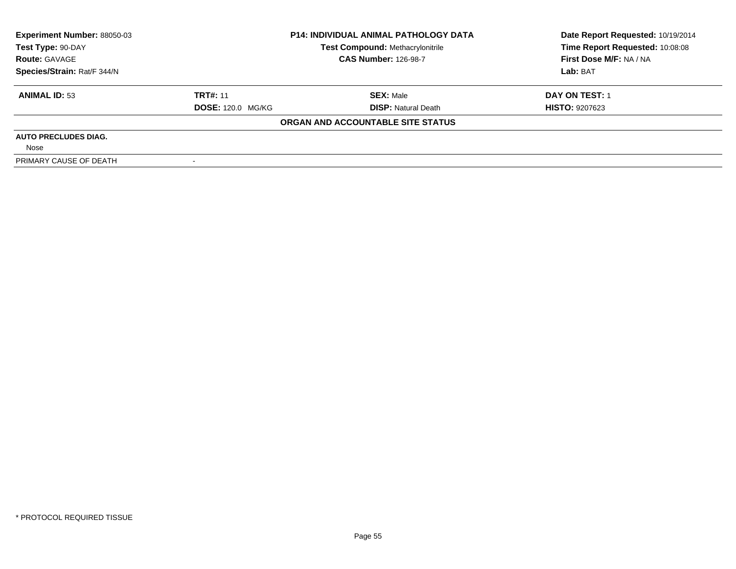| Experiment Number: 88050-03 | <b>P14: INDIVIDUAL ANIMAL PATHOLOGY DATA</b> |                                         | Date Report Requested: 10/19/2014 |
|-----------------------------|----------------------------------------------|-----------------------------------------|-----------------------------------|
| Test Type: 90-DAY           |                                              | <b>Test Compound: Methacrylonitrile</b> | Time Report Requested: 10:08:08   |
| <b>Route: GAVAGE</b>        | <b>CAS Number: 126-98-7</b>                  |                                         | First Dose M/F: NA / NA           |
| Species/Strain: Rat/F 344/N |                                              |                                         | Lab: BAT                          |
| <b>ANIMAL ID: 53</b>        | <b>TRT#: 11</b>                              | <b>SEX: Male</b>                        | <b>DAY ON TEST: 1</b>             |
|                             | <b>DOSE: 120.0 MG/KG</b>                     | <b>DISP: Natural Death</b>              | <b>HISTO: 9207623</b>             |
|                             |                                              | ORGAN AND ACCOUNTABLE SITE STATUS       |                                   |
| <b>AUTO PRECLUDES DIAG.</b> |                                              |                                         |                                   |
| Nose                        |                                              |                                         |                                   |
| PRIMARY CAUSE OF DEATH      |                                              |                                         |                                   |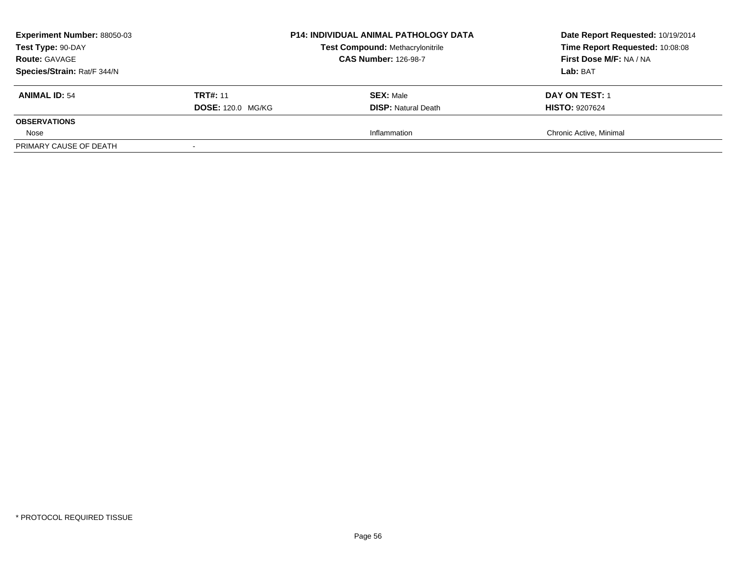| <b>Experiment Number: 88050-03</b><br>Test Type: 90-DAY<br><b>Route: GAVAGE</b><br>Species/Strain: Rat/F 344/N |                                             | <b>P14: INDIVIDUAL ANIMAL PATHOLOGY DATA</b><br><b>Test Compound: Methacrylonitrile</b><br><b>CAS Number: 126-98-7</b> | Date Report Requested: 10/19/2014<br>Time Report Requested: 10:08:08<br>First Dose M/F: NA / NA<br>Lab: BAT |
|----------------------------------------------------------------------------------------------------------------|---------------------------------------------|------------------------------------------------------------------------------------------------------------------------|-------------------------------------------------------------------------------------------------------------|
| <b>ANIMAL ID: 54</b>                                                                                           | <b>TRT#: 11</b><br><b>DOSE: 120.0 MG/KG</b> | <b>SEX: Male</b><br><b>DISP:</b> Natural Death                                                                         | <b>DAY ON TEST: 1</b><br><b>HISTO: 9207624</b>                                                              |
| <b>OBSERVATIONS</b>                                                                                            |                                             |                                                                                                                        |                                                                                                             |
| Nose                                                                                                           |                                             | Inflammation                                                                                                           | Chronic Active, Minimal                                                                                     |
| PRIMARY CAUSE OF DEATH                                                                                         |                                             |                                                                                                                        |                                                                                                             |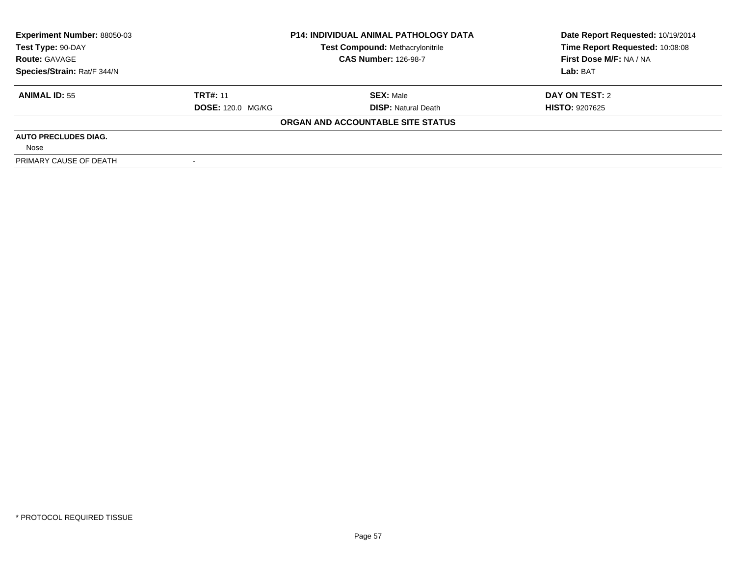| Experiment Number: 88050-03 | <b>P14: INDIVIDUAL ANIMAL PATHOLOGY DATA</b> |                                         | Date Report Requested: 10/19/2014 |
|-----------------------------|----------------------------------------------|-----------------------------------------|-----------------------------------|
| Test Type: 90-DAY           |                                              | <b>Test Compound: Methacrylonitrile</b> | Time Report Requested: 10:08:08   |
| <b>Route: GAVAGE</b>        | <b>CAS Number: 126-98-7</b>                  |                                         | First Dose M/F: NA / NA           |
| Species/Strain: Rat/F 344/N |                                              |                                         | Lab: BAT                          |
| <b>ANIMAL ID: 55</b>        | <b>TRT#: 11</b>                              | <b>SEX: Male</b>                        | DAY ON TEST: 2                    |
|                             | <b>DOSE: 120.0 MG/KG</b>                     | <b>DISP: Natural Death</b>              | <b>HISTO: 9207625</b>             |
|                             |                                              | ORGAN AND ACCOUNTABLE SITE STATUS       |                                   |
| <b>AUTO PRECLUDES DIAG.</b> |                                              |                                         |                                   |
| Nose                        |                                              |                                         |                                   |
| PRIMARY CAUSE OF DEATH      |                                              |                                         |                                   |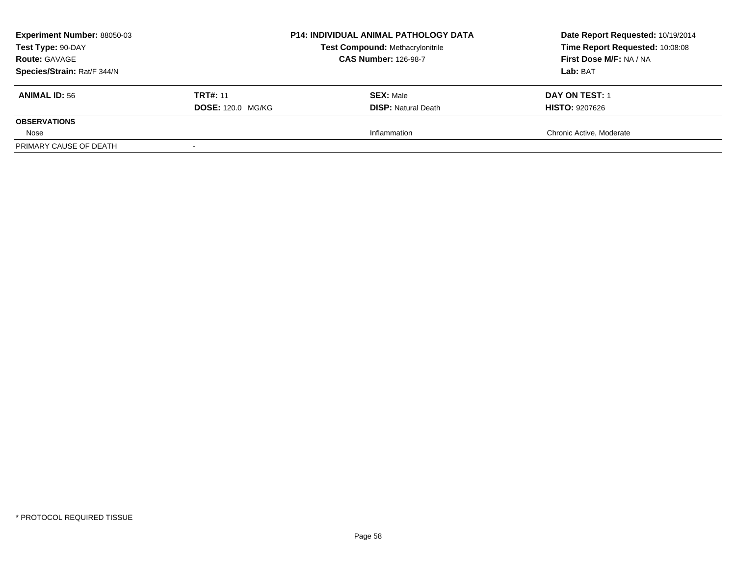| <b>Experiment Number: 88050-03</b><br>Test Type: 90-DAY<br><b>Route: GAVAGE</b><br>Species/Strain: Rat/F 344/N |                                             | <b>P14: INDIVIDUAL ANIMAL PATHOLOGY DATA</b><br><b>Test Compound: Methacrylonitrile</b><br><b>CAS Number: 126-98-7</b> | Date Report Requested: 10/19/2014<br>Time Report Requested: 10:08:08<br>First Dose M/F: NA / NA<br>Lab: BAT |
|----------------------------------------------------------------------------------------------------------------|---------------------------------------------|------------------------------------------------------------------------------------------------------------------------|-------------------------------------------------------------------------------------------------------------|
| <b>ANIMAL ID: 56</b>                                                                                           | <b>TRT#: 11</b><br><b>DOSE: 120.0 MG/KG</b> | <b>SEX: Male</b><br><b>DISP:</b> Natural Death                                                                         | <b>DAY ON TEST: 1</b><br><b>HISTO: 9207626</b>                                                              |
| <b>OBSERVATIONS</b>                                                                                            |                                             |                                                                                                                        |                                                                                                             |
| Nose                                                                                                           |                                             | Inflammation                                                                                                           | Chronic Active, Moderate                                                                                    |
| PRIMARY CAUSE OF DEATH                                                                                         |                                             |                                                                                                                        |                                                                                                             |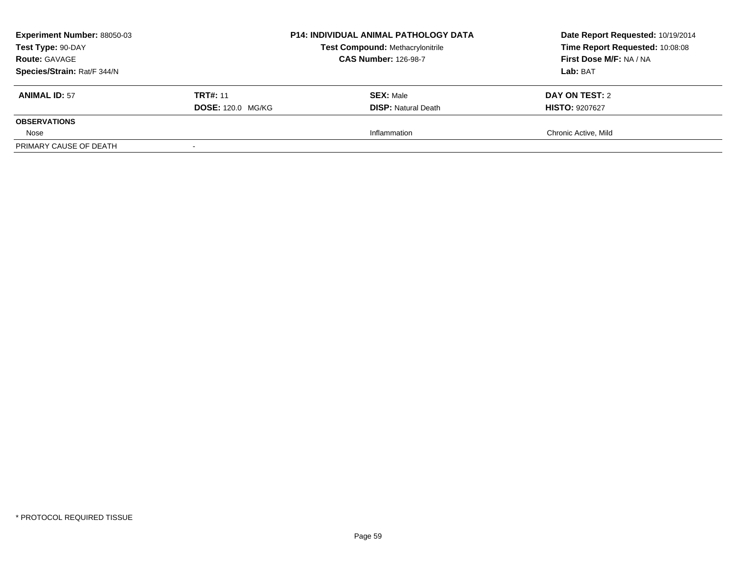| <b>Experiment Number: 88050-03</b><br>Test Type: 90-DAY<br><b>Route: GAVAGE</b><br>Species/Strain: Rat/F 344/N |                                             | P14: INDIVIDUAL ANIMAL PATHOLOGY DATA<br><b>Test Compound: Methacrylonitrile</b><br><b>CAS Number: 126-98-7</b> | Date Report Requested: 10/19/2014<br>Time Report Requested: 10:08:08<br>First Dose M/F: NA / NA<br>Lab: BAT |
|----------------------------------------------------------------------------------------------------------------|---------------------------------------------|-----------------------------------------------------------------------------------------------------------------|-------------------------------------------------------------------------------------------------------------|
| <b>ANIMAL ID: 57</b>                                                                                           | <b>TRT#: 11</b><br><b>DOSE: 120.0 MG/KG</b> | <b>SEX: Male</b><br><b>DISP:</b> Natural Death                                                                  | DAY ON TEST: 2<br><b>HISTO: 9207627</b>                                                                     |
| <b>OBSERVATIONS</b>                                                                                            |                                             |                                                                                                                 |                                                                                                             |
| Nose                                                                                                           |                                             | Inflammation                                                                                                    | Chronic Active, Mild                                                                                        |
| PRIMARY CAUSE OF DEATH                                                                                         |                                             |                                                                                                                 |                                                                                                             |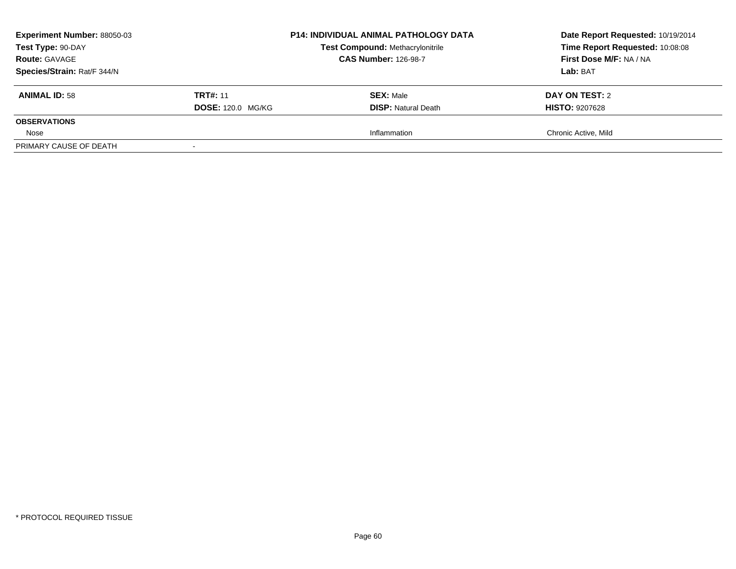| <b>Experiment Number: 88050-03</b><br>Test Type: 90-DAY<br><b>Route: GAVAGE</b><br>Species/Strain: Rat/F 344/N |                                             | <b>P14: INDIVIDUAL ANIMAL PATHOLOGY DATA</b><br><b>Test Compound: Methacrylonitrile</b><br><b>CAS Number: 126-98-7</b> | Date Report Requested: 10/19/2014<br>Time Report Requested: 10:08:08<br>First Dose M/F: NA / NA<br>Lab: BAT |
|----------------------------------------------------------------------------------------------------------------|---------------------------------------------|------------------------------------------------------------------------------------------------------------------------|-------------------------------------------------------------------------------------------------------------|
| <b>ANIMAL ID: 58</b>                                                                                           | <b>TRT#: 11</b><br><b>DOSE: 120.0 MG/KG</b> | <b>SEX: Male</b><br><b>DISP:</b> Natural Death                                                                         | DAY ON TEST: 2<br><b>HISTO: 9207628</b>                                                                     |
| <b>OBSERVATIONS</b>                                                                                            |                                             |                                                                                                                        |                                                                                                             |
| Nose                                                                                                           |                                             | Inflammation                                                                                                           | Chronic Active, Mild                                                                                        |
| PRIMARY CAUSE OF DEATH                                                                                         |                                             |                                                                                                                        |                                                                                                             |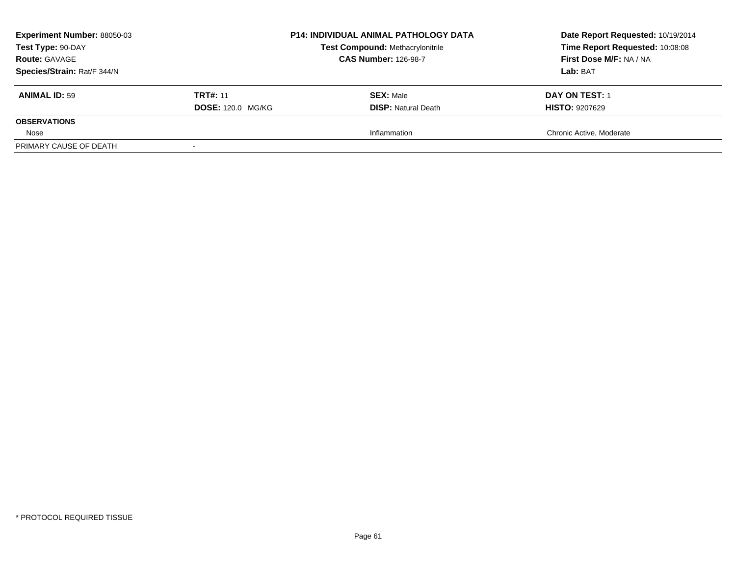| <b>Experiment Number: 88050-03</b><br>Test Type: 90-DAY<br><b>Route: GAVAGE</b><br>Species/Strain: Rat/F 344/N |                          | <b>P14: INDIVIDUAL ANIMAL PATHOLOGY DATA</b><br><b>Test Compound: Methacrylonitrile</b><br><b>CAS Number: 126-98-7</b> | Date Report Requested: 10/19/2014<br>Time Report Requested: 10:08:08<br>First Dose M/F: NA / NA<br>Lab: BAT |
|----------------------------------------------------------------------------------------------------------------|--------------------------|------------------------------------------------------------------------------------------------------------------------|-------------------------------------------------------------------------------------------------------------|
| <b>ANIMAL ID: 59</b>                                                                                           | <b>TRT#: 11</b>          | <b>SEX: Male</b>                                                                                                       | <b>DAY ON TEST: 1</b>                                                                                       |
| <b>OBSERVATIONS</b>                                                                                            | <b>DOSE: 120.0 MG/KG</b> | <b>DISP:</b> Natural Death                                                                                             | <b>HISTO: 9207629</b>                                                                                       |
| Nose                                                                                                           |                          | Inflammation                                                                                                           | Chronic Active, Moderate                                                                                    |
| PRIMARY CAUSE OF DEATH                                                                                         |                          |                                                                                                                        |                                                                                                             |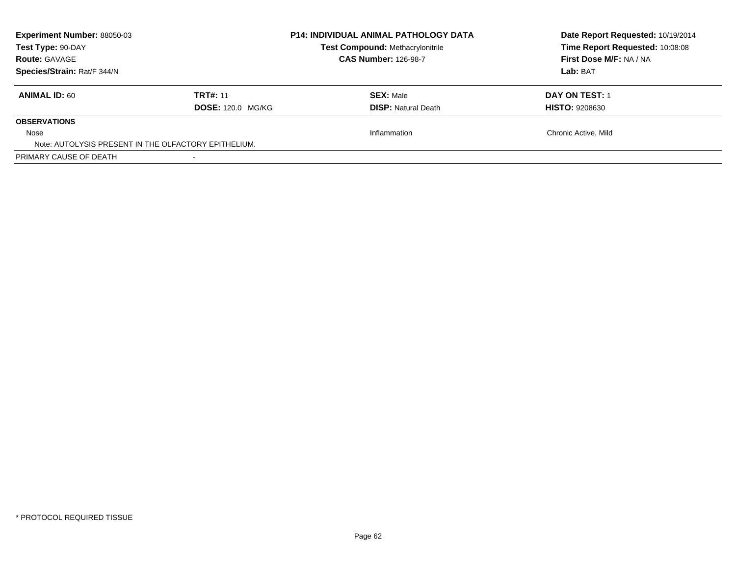| <b>Experiment Number: 88050-03</b><br>Test Type: 90-DAY<br><b>Route: GAVAGE</b> |                          | <b>P14: INDIVIDUAL ANIMAL PATHOLOGY DATA</b><br><b>Test Compound: Methacrylonitrile</b><br><b>CAS Number: 126-98-7</b> | Date Report Requested: 10/19/2014<br>Time Report Requested: 10:08:08<br>First Dose M/F: NA / NA |
|---------------------------------------------------------------------------------|--------------------------|------------------------------------------------------------------------------------------------------------------------|-------------------------------------------------------------------------------------------------|
| Species/Strain: Rat/F 344/N                                                     |                          |                                                                                                                        | Lab: BAT                                                                                        |
| <b>ANIMAL ID: 60</b>                                                            | <b>TRT#: 11</b>          | <b>SEX: Male</b>                                                                                                       | DAY ON TEST: 1                                                                                  |
|                                                                                 | <b>DOSE: 120.0 MG/KG</b> | <b>DISP:</b> Natural Death                                                                                             | <b>HISTO: 9208630</b>                                                                           |
| <b>OBSERVATIONS</b>                                                             |                          |                                                                                                                        |                                                                                                 |
| Nose                                                                            |                          | Inflammation                                                                                                           | Chronic Active, Mild                                                                            |
| Note: AUTOLYSIS PRESENT IN THE OLFACTORY EPITHELIUM.                            |                          |                                                                                                                        |                                                                                                 |
| PRIMARY CAUSE OF DEATH                                                          |                          |                                                                                                                        |                                                                                                 |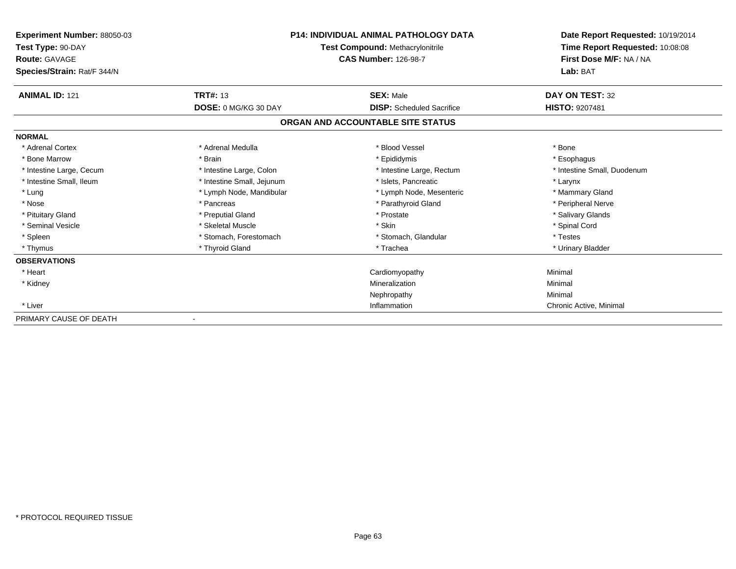| Experiment Number: 88050-03<br>Test Type: 90-DAY<br><b>Route: GAVAGE</b><br>Species/Strain: Rat/F 344/N | P14: INDIVIDUAL ANIMAL PATHOLOGY DATA<br>Test Compound: Methacrylonitrile<br><b>CAS Number: 126-98-7</b> |                                   | Date Report Requested: 10/19/2014<br>Time Report Requested: 10:08:08<br>First Dose M/F: NA / NA<br>Lab: BAT |
|---------------------------------------------------------------------------------------------------------|----------------------------------------------------------------------------------------------------------|-----------------------------------|-------------------------------------------------------------------------------------------------------------|
| <b>ANIMAL ID: 121</b>                                                                                   | <b>TRT#: 13</b>                                                                                          | <b>SEX: Male</b>                  | DAY ON TEST: 32                                                                                             |
|                                                                                                         | DOSE: 0 MG/KG 30 DAY                                                                                     | <b>DISP:</b> Scheduled Sacrifice  | <b>HISTO: 9207481</b>                                                                                       |
|                                                                                                         |                                                                                                          | ORGAN AND ACCOUNTABLE SITE STATUS |                                                                                                             |
| <b>NORMAL</b>                                                                                           |                                                                                                          |                                   |                                                                                                             |
| * Adrenal Cortex                                                                                        | * Adrenal Medulla                                                                                        | * Blood Vessel                    | * Bone                                                                                                      |
| * Bone Marrow                                                                                           | * Brain                                                                                                  | * Epididymis                      | * Esophagus                                                                                                 |
| * Intestine Large, Cecum                                                                                | * Intestine Large, Colon                                                                                 | * Intestine Large, Rectum         | * Intestine Small, Duodenum                                                                                 |
| * Intestine Small, Ileum                                                                                | * Intestine Small, Jejunum                                                                               | * Islets. Pancreatic              | * Larynx                                                                                                    |
| * Lung                                                                                                  | * Lymph Node, Mandibular                                                                                 | * Lymph Node, Mesenteric          | * Mammary Gland                                                                                             |
| * Nose                                                                                                  | * Pancreas                                                                                               | * Parathyroid Gland               | * Peripheral Nerve                                                                                          |
| * Pituitary Gland                                                                                       | * Preputial Gland                                                                                        | * Prostate                        | * Salivary Glands                                                                                           |
| * Seminal Vesicle                                                                                       | * Skeletal Muscle                                                                                        | * Skin                            | * Spinal Cord                                                                                               |
| * Spleen                                                                                                | * Stomach, Forestomach                                                                                   | * Stomach, Glandular              | * Testes                                                                                                    |
| * Thymus                                                                                                | * Thyroid Gland                                                                                          | * Trachea                         | * Urinary Bladder                                                                                           |
| <b>OBSERVATIONS</b>                                                                                     |                                                                                                          |                                   |                                                                                                             |
| * Heart                                                                                                 |                                                                                                          | Cardiomyopathy                    | Minimal                                                                                                     |
| * Kidney                                                                                                |                                                                                                          | Mineralization                    | Minimal                                                                                                     |
|                                                                                                         |                                                                                                          | Nephropathy                       | Minimal                                                                                                     |
| * Liver                                                                                                 |                                                                                                          | Inflammation                      | Chronic Active, Minimal                                                                                     |
| PRIMARY CAUSE OF DEATH                                                                                  |                                                                                                          |                                   |                                                                                                             |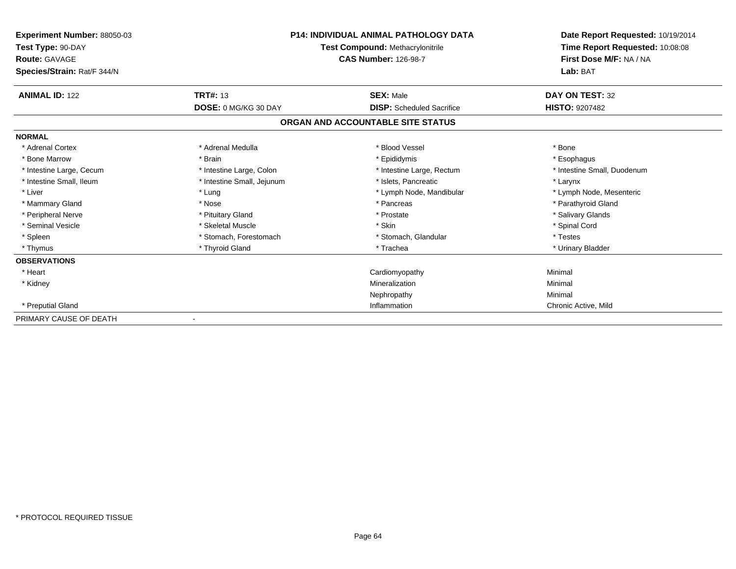| Experiment Number: 88050-03<br>Test Type: 90-DAY<br><b>Route: GAVAGE</b><br>Species/Strain: Rat/F 344/N |                            | P14: INDIVIDUAL ANIMAL PATHOLOGY DATA<br>Test Compound: Methacrylonitrile<br><b>CAS Number: 126-98-7</b> | Date Report Requested: 10/19/2014<br>Time Report Requested: 10:08:08<br>First Dose M/F: NA / NA<br>Lab: BAT |
|---------------------------------------------------------------------------------------------------------|----------------------------|----------------------------------------------------------------------------------------------------------|-------------------------------------------------------------------------------------------------------------|
| <b>ANIMAL ID: 122</b>                                                                                   | <b>TRT#: 13</b>            | <b>SEX: Male</b>                                                                                         | DAY ON TEST: 32                                                                                             |
|                                                                                                         | DOSE: 0 MG/KG 30 DAY       | <b>DISP:</b> Scheduled Sacrifice                                                                         | <b>HISTO: 9207482</b>                                                                                       |
|                                                                                                         |                            | ORGAN AND ACCOUNTABLE SITE STATUS                                                                        |                                                                                                             |
| <b>NORMAL</b>                                                                                           |                            |                                                                                                          |                                                                                                             |
| * Adrenal Cortex                                                                                        | * Adrenal Medulla          | * Blood Vessel                                                                                           | * Bone                                                                                                      |
| * Bone Marrow                                                                                           | * Brain                    | * Epididymis                                                                                             | * Esophagus                                                                                                 |
| * Intestine Large, Cecum                                                                                | * Intestine Large, Colon   | * Intestine Large, Rectum                                                                                | * Intestine Small, Duodenum                                                                                 |
| * Intestine Small, Ileum                                                                                | * Intestine Small, Jejunum | * Islets. Pancreatic                                                                                     | * Larynx                                                                                                    |
| * Liver                                                                                                 | * Lung                     | * Lymph Node, Mandibular                                                                                 | * Lymph Node, Mesenteric                                                                                    |
| * Mammary Gland                                                                                         | * Nose                     | * Pancreas                                                                                               | * Parathyroid Gland                                                                                         |
| * Peripheral Nerve                                                                                      | * Pituitary Gland          | * Prostate                                                                                               | * Salivary Glands                                                                                           |
| * Seminal Vesicle                                                                                       | * Skeletal Muscle          | * Skin                                                                                                   | * Spinal Cord                                                                                               |
| * Spleen                                                                                                | * Stomach, Forestomach     | * Stomach, Glandular                                                                                     | * Testes                                                                                                    |
| * Thymus                                                                                                | * Thyroid Gland            | * Trachea                                                                                                | * Urinary Bladder                                                                                           |
| <b>OBSERVATIONS</b>                                                                                     |                            |                                                                                                          |                                                                                                             |
| * Heart                                                                                                 |                            | Cardiomyopathy                                                                                           | Minimal                                                                                                     |
| * Kidney                                                                                                |                            | Mineralization                                                                                           | Minimal                                                                                                     |
|                                                                                                         |                            | Nephropathy                                                                                              | Minimal                                                                                                     |
| * Preputial Gland                                                                                       |                            | Inflammation                                                                                             | Chronic Active, Mild                                                                                        |
| PRIMARY CAUSE OF DEATH                                                                                  |                            |                                                                                                          |                                                                                                             |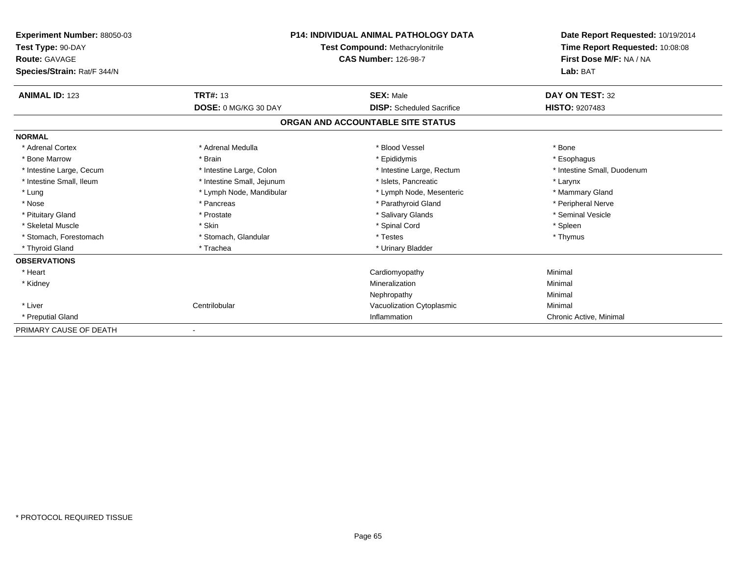| Experiment Number: 88050-03<br>Test Type: 90-DAY<br><b>Route: GAVAGE</b><br>Species/Strain: Rat/F 344/N | <b>P14: INDIVIDUAL ANIMAL PATHOLOGY DATA</b><br><b>Test Compound: Methacrylonitrile</b><br><b>CAS Number: 126-98-7</b> |                                   | Date Report Requested: 10/19/2014<br>Time Report Requested: 10:08:08<br>First Dose M/F: NA / NA<br>Lab: BAT |
|---------------------------------------------------------------------------------------------------------|------------------------------------------------------------------------------------------------------------------------|-----------------------------------|-------------------------------------------------------------------------------------------------------------|
| <b>ANIMAL ID: 123</b>                                                                                   | <b>TRT#: 13</b>                                                                                                        | <b>SEX: Male</b>                  | DAY ON TEST: 32                                                                                             |
|                                                                                                         | DOSE: 0 MG/KG 30 DAY                                                                                                   | <b>DISP:</b> Scheduled Sacrifice  | HISTO: 9207483                                                                                              |
|                                                                                                         |                                                                                                                        | ORGAN AND ACCOUNTABLE SITE STATUS |                                                                                                             |
| <b>NORMAL</b>                                                                                           |                                                                                                                        |                                   |                                                                                                             |
| * Adrenal Cortex                                                                                        | * Adrenal Medulla                                                                                                      | * Blood Vessel                    | * Bone                                                                                                      |
| * Bone Marrow                                                                                           | * Brain                                                                                                                | * Epididymis                      | * Esophagus                                                                                                 |
| * Intestine Large, Cecum                                                                                | * Intestine Large, Colon                                                                                               | * Intestine Large, Rectum         | * Intestine Small, Duodenum                                                                                 |
| * Intestine Small, Ileum                                                                                | * Intestine Small, Jejunum                                                                                             | * Islets. Pancreatic              | * Larynx                                                                                                    |
| * Lung                                                                                                  | * Lymph Node, Mandibular                                                                                               | * Lymph Node, Mesenteric          | * Mammary Gland                                                                                             |
| * Nose                                                                                                  | * Pancreas                                                                                                             | * Parathyroid Gland               | * Peripheral Nerve                                                                                          |
| * Pituitary Gland                                                                                       | * Prostate                                                                                                             | * Salivary Glands                 | * Seminal Vesicle                                                                                           |
| * Skeletal Muscle                                                                                       | * Skin                                                                                                                 | * Spinal Cord                     | * Spleen                                                                                                    |
| * Stomach, Forestomach                                                                                  | * Stomach, Glandular                                                                                                   | * Testes                          | * Thymus                                                                                                    |
| * Thyroid Gland                                                                                         | * Trachea                                                                                                              | * Urinary Bladder                 |                                                                                                             |
| <b>OBSERVATIONS</b>                                                                                     |                                                                                                                        |                                   |                                                                                                             |
| * Heart                                                                                                 |                                                                                                                        | Cardiomyopathy                    | Minimal                                                                                                     |
| * Kidney                                                                                                |                                                                                                                        | Mineralization                    | Minimal                                                                                                     |
|                                                                                                         |                                                                                                                        | Nephropathy                       | Minimal                                                                                                     |
| * Liver                                                                                                 | Centrilobular                                                                                                          | Vacuolization Cytoplasmic         | Minimal                                                                                                     |
| * Preputial Gland                                                                                       |                                                                                                                        | Inflammation                      | Chronic Active, Minimal                                                                                     |
| PRIMARY CAUSE OF DEATH                                                                                  |                                                                                                                        |                                   |                                                                                                             |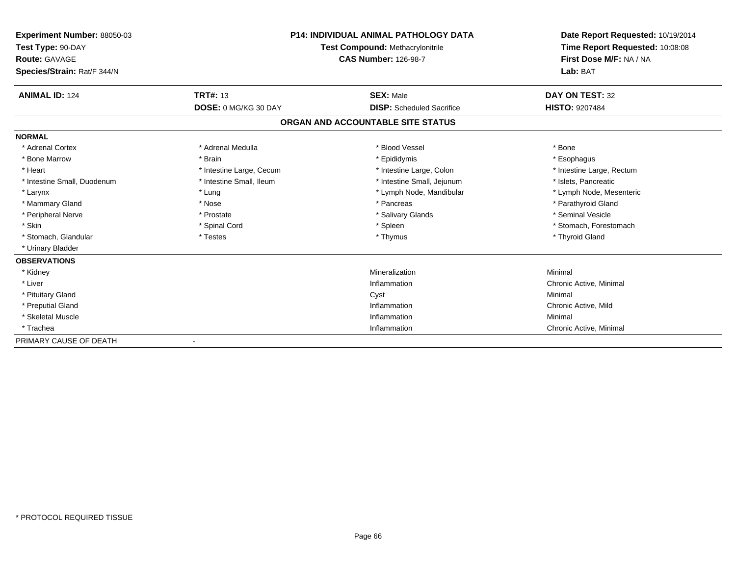| <b>Experiment Number: 88050-03</b> | <b>P14: INDIVIDUAL ANIMAL PATHOLOGY DATA</b><br><b>Test Compound: Methacrylonitrile</b> |                                   | Date Report Requested: 10/19/2014   |  |
|------------------------------------|-----------------------------------------------------------------------------------------|-----------------------------------|-------------------------------------|--|
| Test Type: 90-DAY                  |                                                                                         |                                   | Time Report Requested: 10:08:08     |  |
| <b>Route: GAVAGE</b>               |                                                                                         | <b>CAS Number: 126-98-7</b>       | First Dose M/F: NA / NA<br>Lab: BAT |  |
| Species/Strain: Rat/F 344/N        |                                                                                         |                                   |                                     |  |
| <b>ANIMAL ID: 124</b>              | <b>TRT#: 13</b>                                                                         | <b>SEX: Male</b>                  | DAY ON TEST: 32                     |  |
|                                    | <b>DOSE: 0 MG/KG 30 DAY</b>                                                             | <b>DISP:</b> Scheduled Sacrifice  | <b>HISTO: 9207484</b>               |  |
|                                    |                                                                                         | ORGAN AND ACCOUNTABLE SITE STATUS |                                     |  |
| <b>NORMAL</b>                      |                                                                                         |                                   |                                     |  |
| * Adrenal Cortex                   | * Adrenal Medulla                                                                       | * Blood Vessel                    | * Bone                              |  |
| * Bone Marrow                      | * Brain                                                                                 | * Epididymis                      | * Esophagus                         |  |
| * Heart                            | * Intestine Large, Cecum                                                                | * Intestine Large, Colon          | * Intestine Large, Rectum           |  |
| * Intestine Small, Duodenum        | * Intestine Small, Ileum                                                                | * Intestine Small, Jejunum        | * Islets. Pancreatic                |  |
| * Larynx                           | * Lung                                                                                  | * Lymph Node, Mandibular          | * Lymph Node, Mesenteric            |  |
| * Mammary Gland                    | * Nose                                                                                  | * Pancreas                        | * Parathyroid Gland                 |  |
| * Peripheral Nerve                 | * Prostate                                                                              | * Salivary Glands                 | * Seminal Vesicle                   |  |
| * Skin                             | * Spinal Cord                                                                           | * Spleen                          | * Stomach, Forestomach              |  |
| * Stomach, Glandular               | * Testes                                                                                | * Thymus                          | * Thyroid Gland                     |  |
| * Urinary Bladder                  |                                                                                         |                                   |                                     |  |
| <b>OBSERVATIONS</b>                |                                                                                         |                                   |                                     |  |
| * Kidney                           |                                                                                         | Mineralization                    | Minimal                             |  |
| * Liver                            |                                                                                         | Inflammation                      | Chronic Active, Minimal             |  |
| * Pituitary Gland                  |                                                                                         | Cyst                              | Minimal                             |  |
| * Preputial Gland                  |                                                                                         | Inflammation                      | Chronic Active, Mild                |  |
| * Skeletal Muscle                  |                                                                                         | Inflammation                      | Minimal                             |  |
| * Trachea                          |                                                                                         | Inflammation                      | Chronic Active, Minimal             |  |
| PRIMARY CAUSE OF DEATH             |                                                                                         |                                   |                                     |  |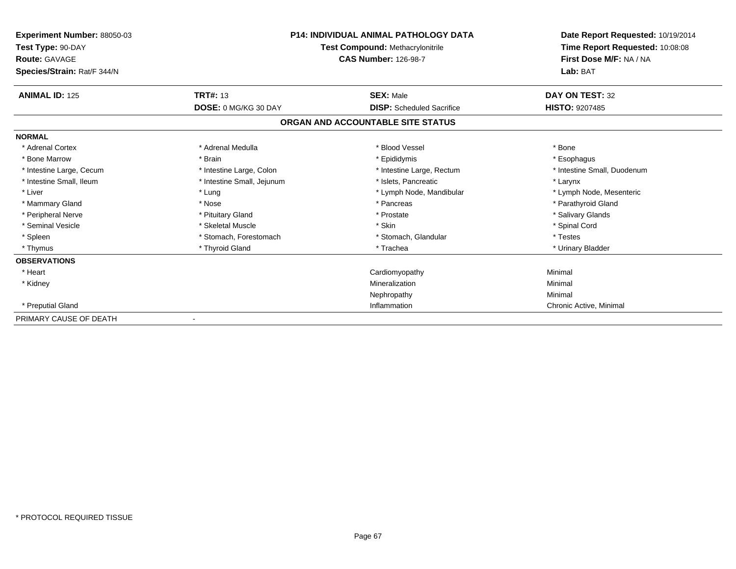| Experiment Number: 88050-03<br>Test Type: 90-DAY<br><b>Route: GAVAGE</b><br>Species/Strain: Rat/F 344/N |                            | P14: INDIVIDUAL ANIMAL PATHOLOGY DATA<br>Test Compound: Methacrylonitrile<br><b>CAS Number: 126-98-7</b> | Date Report Requested: 10/19/2014<br>Time Report Requested: 10:08:08<br>First Dose M/F: NA / NA<br>Lab: BAT |
|---------------------------------------------------------------------------------------------------------|----------------------------|----------------------------------------------------------------------------------------------------------|-------------------------------------------------------------------------------------------------------------|
| <b>ANIMAL ID: 125</b>                                                                                   | <b>TRT#: 13</b>            | <b>SEX: Male</b>                                                                                         | DAY ON TEST: 32                                                                                             |
|                                                                                                         | DOSE: 0 MG/KG 30 DAY       | <b>DISP:</b> Scheduled Sacrifice                                                                         | <b>HISTO: 9207485</b>                                                                                       |
|                                                                                                         |                            | ORGAN AND ACCOUNTABLE SITE STATUS                                                                        |                                                                                                             |
| <b>NORMAL</b>                                                                                           |                            |                                                                                                          |                                                                                                             |
| * Adrenal Cortex                                                                                        | * Adrenal Medulla          | * Blood Vessel                                                                                           | * Bone                                                                                                      |
| * Bone Marrow                                                                                           | * Brain                    | * Epididymis                                                                                             | * Esophagus                                                                                                 |
| * Intestine Large, Cecum                                                                                | * Intestine Large, Colon   | * Intestine Large, Rectum                                                                                | * Intestine Small, Duodenum                                                                                 |
| * Intestine Small, Ileum                                                                                | * Intestine Small, Jejunum | * Islets, Pancreatic                                                                                     | * Larynx                                                                                                    |
| * Liver                                                                                                 | * Lung                     | * Lymph Node, Mandibular                                                                                 | * Lymph Node, Mesenteric                                                                                    |
| * Mammary Gland                                                                                         | * Nose                     | * Pancreas                                                                                               | * Parathyroid Gland                                                                                         |
| * Peripheral Nerve                                                                                      | * Pituitary Gland          | * Prostate                                                                                               | * Salivary Glands                                                                                           |
| * Seminal Vesicle                                                                                       | * Skeletal Muscle          | * Skin                                                                                                   | * Spinal Cord                                                                                               |
| * Spleen                                                                                                | * Stomach, Forestomach     | * Stomach, Glandular                                                                                     | * Testes                                                                                                    |
| * Thymus                                                                                                | * Thyroid Gland            | * Trachea                                                                                                | * Urinary Bladder                                                                                           |
| <b>OBSERVATIONS</b>                                                                                     |                            |                                                                                                          |                                                                                                             |
| * Heart                                                                                                 |                            | Cardiomyopathy                                                                                           | Minimal                                                                                                     |
| * Kidney                                                                                                |                            | Mineralization                                                                                           | Minimal                                                                                                     |
|                                                                                                         |                            | Nephropathy                                                                                              | Minimal                                                                                                     |
| * Preputial Gland                                                                                       |                            | Inflammation                                                                                             | Chronic Active, Minimal                                                                                     |
| PRIMARY CAUSE OF DEATH                                                                                  |                            |                                                                                                          |                                                                                                             |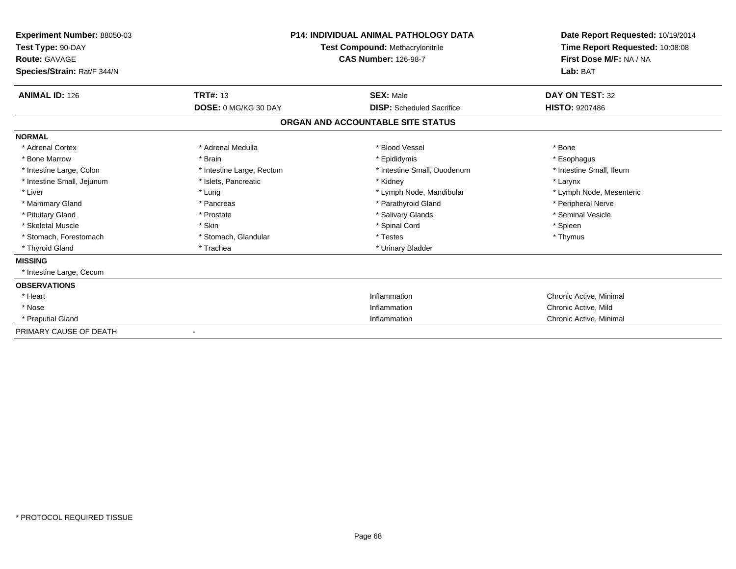| Experiment Number: 88050-03<br>Test Type: 90-DAY<br>Route: GAVAGE<br>Species/Strain: Rat/F 344/N |                           | <b>P14: INDIVIDUAL ANIMAL PATHOLOGY DATA</b><br><b>Test Compound: Methacrylonitrile</b><br><b>CAS Number: 126-98-7</b> | Date Report Requested: 10/19/2014<br>Time Report Requested: 10:08:08<br>First Dose M/F: NA / NA<br>Lab: BAT |
|--------------------------------------------------------------------------------------------------|---------------------------|------------------------------------------------------------------------------------------------------------------------|-------------------------------------------------------------------------------------------------------------|
| <b>ANIMAL ID: 126</b>                                                                            | <b>TRT#: 13</b>           | <b>SEX: Male</b>                                                                                                       | DAY ON TEST: 32                                                                                             |
|                                                                                                  | DOSE: 0 MG/KG 30 DAY      | <b>DISP:</b> Scheduled Sacrifice                                                                                       | <b>HISTO: 9207486</b>                                                                                       |
|                                                                                                  |                           | ORGAN AND ACCOUNTABLE SITE STATUS                                                                                      |                                                                                                             |
| <b>NORMAL</b>                                                                                    |                           |                                                                                                                        |                                                                                                             |
| * Adrenal Cortex                                                                                 | * Adrenal Medulla         | * Blood Vessel                                                                                                         | * Bone                                                                                                      |
| * Bone Marrow                                                                                    | * Brain                   | * Epididymis                                                                                                           | * Esophagus                                                                                                 |
| * Intestine Large, Colon                                                                         | * Intestine Large, Rectum | * Intestine Small, Duodenum                                                                                            | * Intestine Small, Ileum                                                                                    |
| * Intestine Small, Jejunum                                                                       | * Islets, Pancreatic      | * Kidney                                                                                                               | * Larynx                                                                                                    |
| * Liver                                                                                          | * Lung                    | * Lymph Node, Mandibular                                                                                               | * Lymph Node, Mesenteric                                                                                    |
| * Mammary Gland                                                                                  | * Pancreas                | * Parathyroid Gland                                                                                                    | * Peripheral Nerve                                                                                          |
| * Pituitary Gland                                                                                | * Prostate                | * Salivary Glands                                                                                                      | * Seminal Vesicle                                                                                           |
| * Skeletal Muscle                                                                                | * Skin                    | * Spinal Cord                                                                                                          | * Spleen                                                                                                    |
| * Stomach, Forestomach                                                                           | * Stomach, Glandular      | * Testes                                                                                                               | * Thymus                                                                                                    |
| * Thyroid Gland                                                                                  | * Trachea                 | * Urinary Bladder                                                                                                      |                                                                                                             |
| <b>MISSING</b>                                                                                   |                           |                                                                                                                        |                                                                                                             |
| * Intestine Large, Cecum                                                                         |                           |                                                                                                                        |                                                                                                             |
| <b>OBSERVATIONS</b>                                                                              |                           |                                                                                                                        |                                                                                                             |
| * Heart                                                                                          |                           | Inflammation                                                                                                           | Chronic Active, Minimal                                                                                     |
| * Nose                                                                                           |                           | Inflammation                                                                                                           | Chronic Active, Mild                                                                                        |
| * Preputial Gland                                                                                |                           | Inflammation                                                                                                           | Chronic Active, Minimal                                                                                     |
| PRIMARY CAUSE OF DEATH                                                                           |                           |                                                                                                                        |                                                                                                             |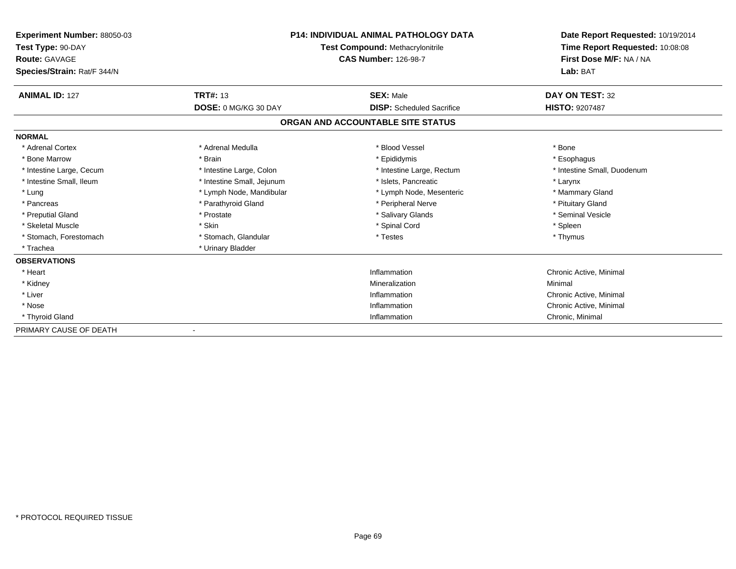| Experiment Number: 88050-03 | <b>P14: INDIVIDUAL ANIMAL PATHOLOGY DATA</b><br>Test Compound: Methacrylonitrile |                                   | Date Report Requested: 10/19/2014<br>Time Report Requested: 10:08:08 |  |
|-----------------------------|----------------------------------------------------------------------------------|-----------------------------------|----------------------------------------------------------------------|--|
| Test Type: 90-DAY           |                                                                                  |                                   |                                                                      |  |
| <b>Route: GAVAGE</b>        |                                                                                  | <b>CAS Number: 126-98-7</b>       | First Dose M/F: NA / NA                                              |  |
| Species/Strain: Rat/F 344/N |                                                                                  |                                   | Lab: BAT                                                             |  |
| <b>ANIMAL ID: 127</b>       | <b>TRT#: 13</b>                                                                  | <b>SEX: Male</b>                  | DAY ON TEST: 32                                                      |  |
|                             | DOSE: 0 MG/KG 30 DAY                                                             | <b>DISP:</b> Scheduled Sacrifice  | HISTO: 9207487                                                       |  |
|                             |                                                                                  | ORGAN AND ACCOUNTABLE SITE STATUS |                                                                      |  |
| <b>NORMAL</b>               |                                                                                  |                                   |                                                                      |  |
| * Adrenal Cortex            | * Adrenal Medulla                                                                | * Blood Vessel                    | * Bone                                                               |  |
| * Bone Marrow               | * Brain                                                                          | * Epididymis                      | * Esophagus                                                          |  |
| * Intestine Large, Cecum    | * Intestine Large, Colon                                                         | * Intestine Large, Rectum         | * Intestine Small, Duodenum                                          |  |
| * Intestine Small, Ileum    | * Intestine Small, Jejunum                                                       | * Islets. Pancreatic              | * Larynx                                                             |  |
| * Lung                      | * Lymph Node, Mandibular                                                         | * Lymph Node, Mesenteric          | * Mammary Gland                                                      |  |
| * Pancreas                  | * Parathyroid Gland                                                              | * Peripheral Nerve                | * Pituitary Gland                                                    |  |
| * Preputial Gland           | * Prostate                                                                       | * Salivary Glands                 | * Seminal Vesicle                                                    |  |
| * Skeletal Muscle           | * Skin                                                                           | * Spinal Cord                     | * Spleen                                                             |  |
| * Stomach, Forestomach      | * Stomach, Glandular                                                             | * Testes                          | * Thymus                                                             |  |
| * Trachea                   | * Urinary Bladder                                                                |                                   |                                                                      |  |
| <b>OBSERVATIONS</b>         |                                                                                  |                                   |                                                                      |  |
| * Heart                     |                                                                                  | Inflammation                      | Chronic Active, Minimal                                              |  |
| * Kidney                    |                                                                                  | Mineralization                    | Minimal                                                              |  |
| * Liver                     |                                                                                  | Inflammation                      | Chronic Active, Minimal                                              |  |
| * Nose                      |                                                                                  | Inflammation                      | Chronic Active, Minimal                                              |  |
| * Thyroid Gland             |                                                                                  | Inflammation                      | Chronic, Minimal                                                     |  |
| PRIMARY CAUSE OF DEATH      |                                                                                  |                                   |                                                                      |  |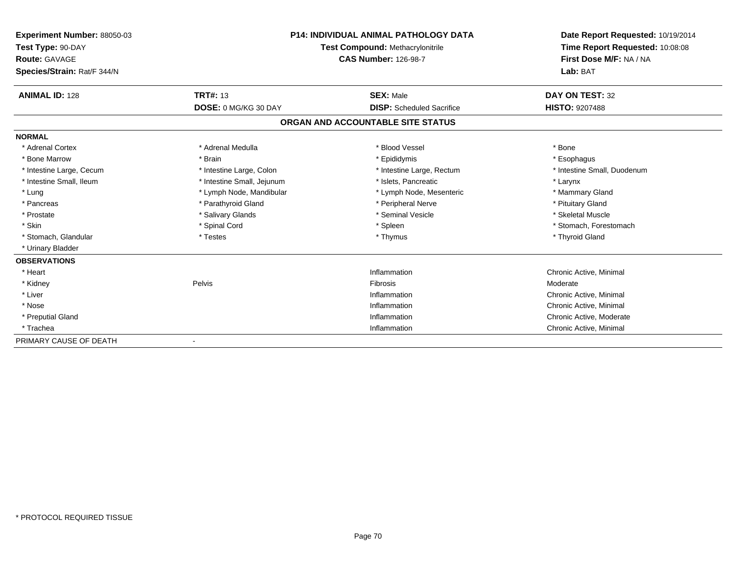| <b>Experiment Number: 88050-03</b><br>Test Type: 90-DAY |                            | <b>P14: INDIVIDUAL ANIMAL PATHOLOGY DATA</b><br><b>Test Compound: Methacrylonitrile</b> | Date Report Requested: 10/19/2014<br>Time Report Requested: 10:08:08<br>First Dose M/F: NA / NA<br>Lab: BAT |
|---------------------------------------------------------|----------------------------|-----------------------------------------------------------------------------------------|-------------------------------------------------------------------------------------------------------------|
| <b>Route: GAVAGE</b><br>Species/Strain: Rat/F 344/N     |                            | <b>CAS Number: 126-98-7</b>                                                             |                                                                                                             |
| <b>ANIMAL ID: 128</b>                                   | <b>TRT#: 13</b>            | <b>SEX: Male</b>                                                                        | DAY ON TEST: 32                                                                                             |
|                                                         | DOSE: 0 MG/KG 30 DAY       | <b>DISP:</b> Scheduled Sacrifice                                                        | <b>HISTO: 9207488</b>                                                                                       |
|                                                         |                            | ORGAN AND ACCOUNTABLE SITE STATUS                                                       |                                                                                                             |
| <b>NORMAL</b>                                           |                            |                                                                                         |                                                                                                             |
| * Adrenal Cortex                                        | * Adrenal Medulla          | * Blood Vessel                                                                          | * Bone                                                                                                      |
| * Bone Marrow                                           | * Brain                    | * Epididymis                                                                            | * Esophagus                                                                                                 |
| * Intestine Large, Cecum                                | * Intestine Large, Colon   | * Intestine Large, Rectum                                                               | * Intestine Small, Duodenum                                                                                 |
| * Intestine Small, Ileum                                | * Intestine Small, Jejunum | * Islets, Pancreatic                                                                    | * Larynx                                                                                                    |
| * Lung                                                  | * Lymph Node, Mandibular   | * Lymph Node, Mesenteric                                                                | * Mammary Gland                                                                                             |
| * Pancreas                                              | * Parathyroid Gland        | * Peripheral Nerve                                                                      | * Pituitary Gland                                                                                           |
| * Prostate                                              | * Salivary Glands          | * Seminal Vesicle                                                                       | * Skeletal Muscle                                                                                           |
| * Skin                                                  | * Spinal Cord              | * Spleen                                                                                | * Stomach, Forestomach                                                                                      |
| * Stomach, Glandular                                    | * Testes                   | * Thymus                                                                                | * Thyroid Gland                                                                                             |
| * Urinary Bladder                                       |                            |                                                                                         |                                                                                                             |
| <b>OBSERVATIONS</b>                                     |                            |                                                                                         |                                                                                                             |
| * Heart                                                 |                            | Inflammation                                                                            | Chronic Active, Minimal                                                                                     |
| * Kidney                                                | Pelvis                     | Fibrosis                                                                                | Moderate                                                                                                    |
| * Liver                                                 |                            | Inflammation                                                                            | Chronic Active, Minimal                                                                                     |
| * Nose                                                  |                            | Inflammation                                                                            | Chronic Active, Minimal                                                                                     |
| * Preputial Gland                                       |                            | Inflammation                                                                            | Chronic Active, Moderate                                                                                    |
| * Trachea                                               |                            | Inflammation                                                                            | Chronic Active, Minimal                                                                                     |
| PRIMARY CAUSE OF DEATH                                  |                            |                                                                                         |                                                                                                             |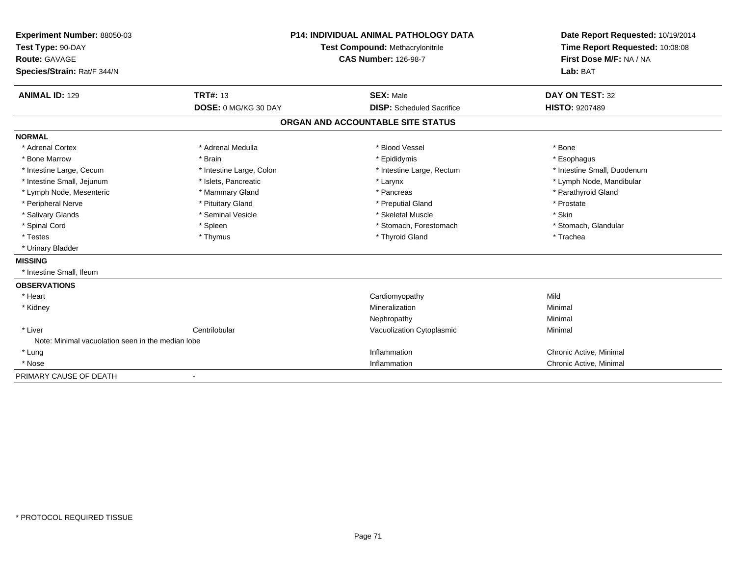| Experiment Number: 88050-03                       |                             | <b>P14: INDIVIDUAL ANIMAL PATHOLOGY DATA</b> | Date Report Requested: 10/19/2014<br>Time Report Requested: 10:08:08 |
|---------------------------------------------------|-----------------------------|----------------------------------------------|----------------------------------------------------------------------|
| Test Type: 90-DAY                                 |                             | Test Compound: Methacrylonitrile             |                                                                      |
| <b>Route: GAVAGE</b>                              |                             | <b>CAS Number: 126-98-7</b>                  | First Dose M/F: NA / NA                                              |
| Species/Strain: Rat/F 344/N                       |                             |                                              | Lab: BAT                                                             |
| <b>ANIMAL ID: 129</b>                             | <b>TRT#: 13</b>             | <b>SEX: Male</b>                             | <b>DAY ON TEST: 32</b>                                               |
|                                                   | <b>DOSE: 0 MG/KG 30 DAY</b> | <b>DISP:</b> Scheduled Sacrifice             | <b>HISTO: 9207489</b>                                                |
|                                                   |                             | ORGAN AND ACCOUNTABLE SITE STATUS            |                                                                      |
| <b>NORMAL</b>                                     |                             |                                              |                                                                      |
| * Adrenal Cortex                                  | * Adrenal Medulla           | * Blood Vessel                               | * Bone                                                               |
| * Bone Marrow                                     | * Brain                     | * Epididymis                                 | * Esophagus                                                          |
| * Intestine Large, Cecum                          | * Intestine Large, Colon    | * Intestine Large, Rectum                    | * Intestine Small, Duodenum                                          |
| * Intestine Small, Jejunum                        | * Islets, Pancreatic        | * Larynx                                     | * Lymph Node, Mandibular                                             |
| * Lymph Node, Mesenteric                          | * Mammary Gland             | * Pancreas                                   | * Parathyroid Gland                                                  |
| * Peripheral Nerve                                | * Pituitary Gland           | * Preputial Gland                            | * Prostate                                                           |
| * Salivary Glands                                 | * Seminal Vesicle           | * Skeletal Muscle                            | * Skin                                                               |
| * Spinal Cord                                     | * Spleen                    | * Stomach, Forestomach                       | * Stomach, Glandular                                                 |
| * Testes                                          | * Thymus                    | * Thyroid Gland                              | * Trachea                                                            |
| * Urinary Bladder                                 |                             |                                              |                                                                      |
| <b>MISSING</b>                                    |                             |                                              |                                                                      |
| * Intestine Small. Ileum                          |                             |                                              |                                                                      |
| <b>OBSERVATIONS</b>                               |                             |                                              |                                                                      |
| * Heart                                           |                             | Cardiomyopathy                               | Mild                                                                 |
| * Kidney                                          |                             | Mineralization                               | Minimal                                                              |
|                                                   |                             | Nephropathy                                  | Minimal                                                              |
| * Liver                                           | Centrilobular               | Vacuolization Cytoplasmic                    | Minimal                                                              |
| Note: Minimal vacuolation seen in the median lobe |                             |                                              |                                                                      |
| * Lung                                            |                             | Inflammation                                 | Chronic Active, Minimal                                              |
| * Nose                                            |                             | Inflammation                                 | Chronic Active, Minimal                                              |
| PRIMARY CAUSE OF DEATH                            | $\overline{\phantom{a}}$    |                                              |                                                                      |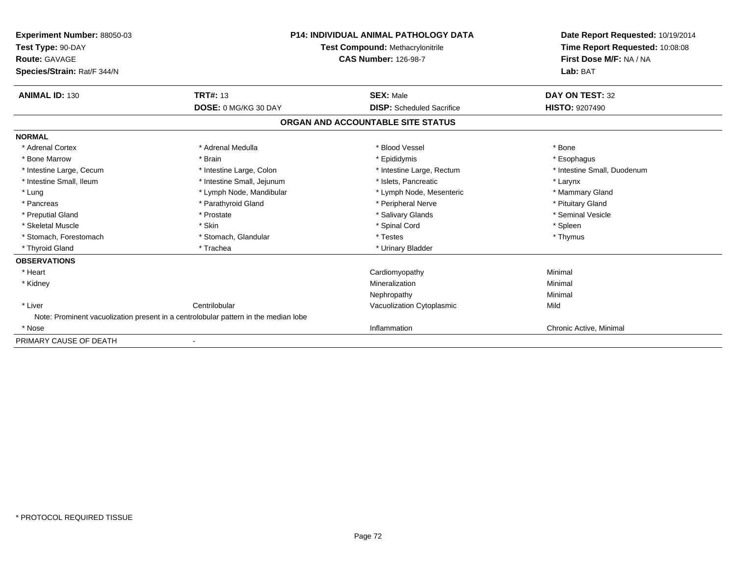| Experiment Number: 88050-03<br>Test Type: 90-DAY<br>Route: GAVAGE<br>Species/Strain: Rat/F 344/N |                                                                                     | P14: INDIVIDUAL ANIMAL PATHOLOGY DATA<br>Test Compound: Methacrylonitrile<br><b>CAS Number: 126-98-7</b> | Date Report Requested: 10/19/2014<br>Time Report Requested: 10:08:08<br>First Dose M/F: NA / NA<br>Lab: BAT |
|--------------------------------------------------------------------------------------------------|-------------------------------------------------------------------------------------|----------------------------------------------------------------------------------------------------------|-------------------------------------------------------------------------------------------------------------|
| <b>ANIMAL ID: 130</b>                                                                            | <b>TRT#: 13</b>                                                                     | <b>SEX: Male</b>                                                                                         | DAY ON TEST: 32                                                                                             |
|                                                                                                  | DOSE: 0 MG/KG 30 DAY                                                                | <b>DISP:</b> Scheduled Sacrifice                                                                         | <b>HISTO: 9207490</b>                                                                                       |
|                                                                                                  |                                                                                     | ORGAN AND ACCOUNTABLE SITE STATUS                                                                        |                                                                                                             |
| <b>NORMAL</b>                                                                                    |                                                                                     |                                                                                                          |                                                                                                             |
| * Adrenal Cortex                                                                                 | * Adrenal Medulla                                                                   | * Blood Vessel                                                                                           | * Bone                                                                                                      |
| * Bone Marrow                                                                                    | * Brain                                                                             | * Epididymis                                                                                             | * Esophagus                                                                                                 |
| * Intestine Large, Cecum                                                                         | * Intestine Large, Colon                                                            | * Intestine Large, Rectum                                                                                | * Intestine Small, Duodenum                                                                                 |
| * Intestine Small. Ileum                                                                         | * Intestine Small, Jejunum                                                          | * Islets. Pancreatic                                                                                     | * Larynx                                                                                                    |
| * Lung                                                                                           | * Lymph Node, Mandibular                                                            | * Lymph Node, Mesenteric                                                                                 | * Mammary Gland                                                                                             |
| * Pancreas                                                                                       | * Parathyroid Gland                                                                 | * Peripheral Nerve                                                                                       | * Pituitary Gland                                                                                           |
| * Preputial Gland                                                                                | * Prostate                                                                          | * Salivary Glands                                                                                        | * Seminal Vesicle                                                                                           |
| * Skeletal Muscle                                                                                | * Skin                                                                              | * Spinal Cord                                                                                            | * Spleen                                                                                                    |
| * Stomach, Forestomach                                                                           | * Stomach, Glandular                                                                | * Testes                                                                                                 | * Thymus                                                                                                    |
| * Thyroid Gland                                                                                  | * Trachea                                                                           | * Urinary Bladder                                                                                        |                                                                                                             |
| <b>OBSERVATIONS</b>                                                                              |                                                                                     |                                                                                                          |                                                                                                             |
| * Heart                                                                                          |                                                                                     | Cardiomyopathy                                                                                           | Minimal                                                                                                     |
| * Kidney                                                                                         |                                                                                     | Mineralization                                                                                           | Minimal                                                                                                     |
|                                                                                                  |                                                                                     | Nephropathy                                                                                              | Minimal                                                                                                     |
| * Liver                                                                                          | Centrilobular                                                                       | Vacuolization Cytoplasmic                                                                                | Mild                                                                                                        |
|                                                                                                  | Note: Prominent vacuolization present in a centrolobular pattern in the median lobe |                                                                                                          |                                                                                                             |
| * Nose                                                                                           |                                                                                     | Inflammation                                                                                             | Chronic Active, Minimal                                                                                     |
| PRIMARY CAUSE OF DEATH                                                                           |                                                                                     |                                                                                                          |                                                                                                             |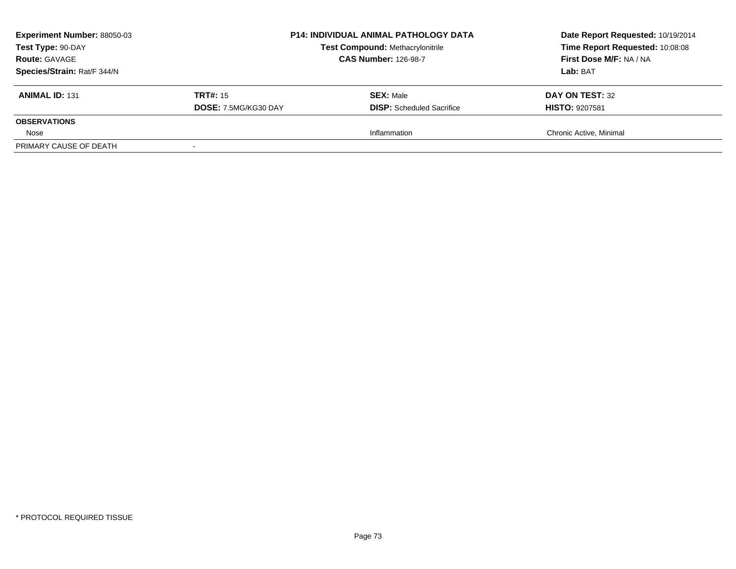| <b>Experiment Number: 88050-03</b><br>Test Type: 90-DAY<br><b>Route: GAVAGE</b><br>Species/Strain: Rat/F 344/N |                                         | <b>P14: INDIVIDUAL ANIMAL PATHOLOGY DATA</b><br><b>Test Compound: Methacrylonitrile</b><br><b>CAS Number: 126-98-7</b> | Date Report Requested: 10/19/2014<br>Time Report Requested: 10:08:08<br>First Dose M/F: NA / NA<br>Lab: BAT |
|----------------------------------------------------------------------------------------------------------------|-----------------------------------------|------------------------------------------------------------------------------------------------------------------------|-------------------------------------------------------------------------------------------------------------|
| <b>ANIMAL ID: 131</b>                                                                                          | <b>TRT#:</b> 15<br>DOSE: 7.5MG/KG30 DAY | <b>SEX: Male</b><br><b>DISP:</b> Scheduled Sacrifice                                                                   | DAY ON TEST: 32<br><b>HISTO: 9207581</b>                                                                    |
| <b>OBSERVATIONS</b>                                                                                            |                                         |                                                                                                                        |                                                                                                             |
| Nose                                                                                                           |                                         | Inflammation                                                                                                           | Chronic Active, Minimal                                                                                     |
| PRIMARY CAUSE OF DEATH                                                                                         |                                         |                                                                                                                        |                                                                                                             |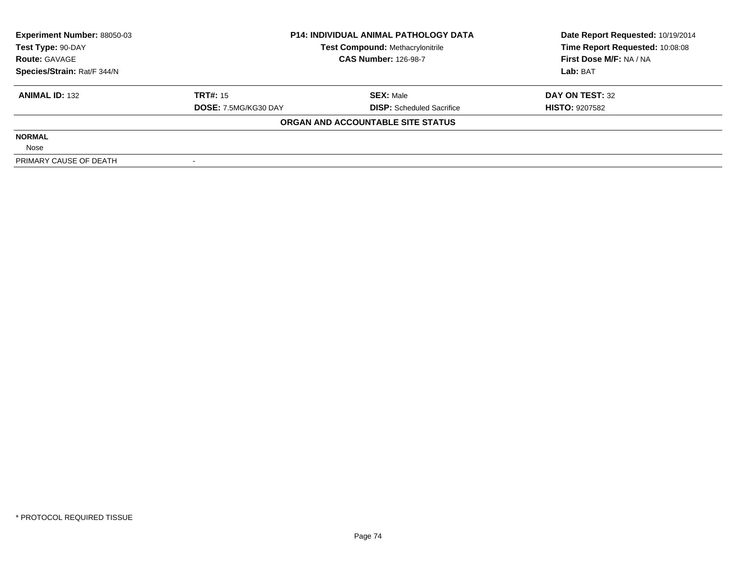| <b>Experiment Number: 88050-03</b> | <b>P14: INDIVIDUAL ANIMAL PATHOLOGY DATA</b> |                                         | Date Report Requested: 10/19/2014 |  |
|------------------------------------|----------------------------------------------|-----------------------------------------|-----------------------------------|--|
| Test Type: 90-DAY                  |                                              | <b>Test Compound: Methacrylonitrile</b> | Time Report Requested: 10:08:08   |  |
| <b>Route: GAVAGE</b>               |                                              | <b>CAS Number: 126-98-7</b>             | First Dose M/F: NA / NA           |  |
| Species/Strain: Rat/F 344/N        |                                              |                                         | Lab: BAT                          |  |
| <b>ANIMAL ID: 132</b>              | <b>TRT#: 15</b>                              | <b>SEX: Male</b>                        | DAY ON TEST: 32                   |  |
|                                    | DOSE: 7.5MG/KG30 DAY                         | <b>DISP:</b> Scheduled Sacrifice        | <b>HISTO: 9207582</b>             |  |
|                                    |                                              | ORGAN AND ACCOUNTABLE SITE STATUS       |                                   |  |
| <b>NORMAL</b>                      |                                              |                                         |                                   |  |
| Nose                               |                                              |                                         |                                   |  |
| PRIMARY CAUSE OF DEATH             |                                              |                                         |                                   |  |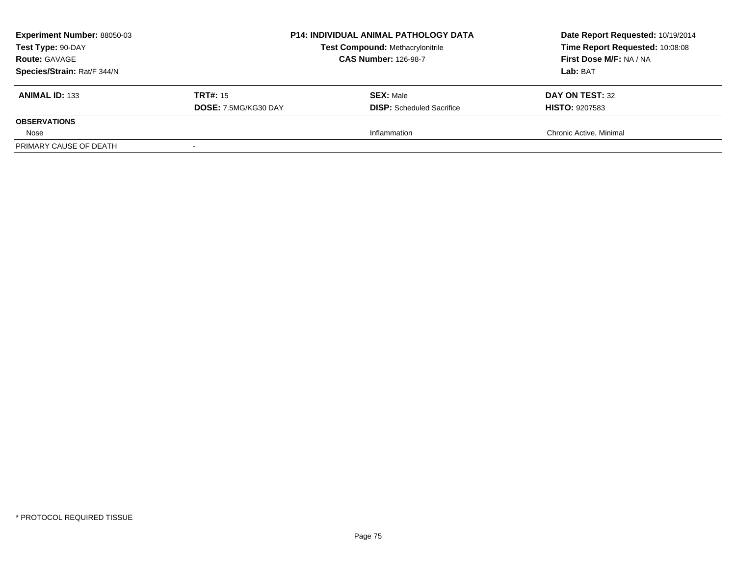| <b>Experiment Number: 88050-03</b><br>Test Type: 90-DAY<br><b>Route: GAVAGE</b><br>Species/Strain: Rat/F 344/N |                                         | <b>P14: INDIVIDUAL ANIMAL PATHOLOGY DATA</b><br><b>Test Compound: Methacrylonitrile</b><br><b>CAS Number: 126-98-7</b> | Date Report Requested: 10/19/2014<br>Time Report Requested: 10:08:08<br>First Dose M/F: NA / NA<br>Lab: BAT |
|----------------------------------------------------------------------------------------------------------------|-----------------------------------------|------------------------------------------------------------------------------------------------------------------------|-------------------------------------------------------------------------------------------------------------|
| <b>ANIMAL ID: 133</b>                                                                                          | <b>TRT#:</b> 15<br>DOSE: 7.5MG/KG30 DAY | <b>SEX: Male</b><br><b>DISP:</b> Scheduled Sacrifice                                                                   | DAY ON TEST: 32<br><b>HISTO: 9207583</b>                                                                    |
| <b>OBSERVATIONS</b>                                                                                            |                                         |                                                                                                                        |                                                                                                             |
| Nose                                                                                                           |                                         | Inflammation                                                                                                           | Chronic Active, Minimal                                                                                     |
| PRIMARY CAUSE OF DEATH                                                                                         |                                         |                                                                                                                        |                                                                                                             |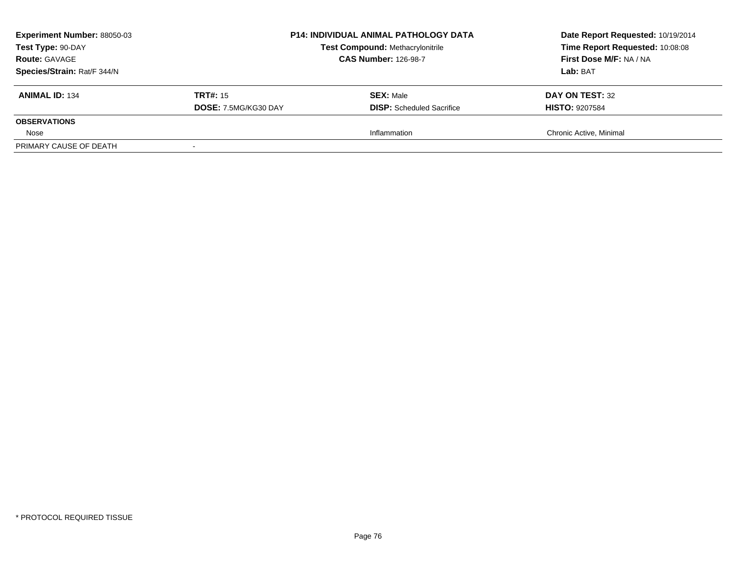| <b>Experiment Number: 88050-03</b><br>Test Type: 90-DAY<br><b>Route: GAVAGE</b><br>Species/Strain: Rat/F 344/N |                                         | <b>P14: INDIVIDUAL ANIMAL PATHOLOGY DATA</b><br><b>Test Compound: Methacrylonitrile</b><br><b>CAS Number: 126-98-7</b> | Date Report Requested: 10/19/2014<br>Time Report Requested: 10:08:08<br>First Dose M/F: NA / NA<br>Lab: BAT |
|----------------------------------------------------------------------------------------------------------------|-----------------------------------------|------------------------------------------------------------------------------------------------------------------------|-------------------------------------------------------------------------------------------------------------|
| <b>ANIMAL ID: 134</b>                                                                                          | <b>TRT#:</b> 15<br>DOSE: 7.5MG/KG30 DAY | <b>SEX: Male</b><br><b>DISP:</b> Scheduled Sacrifice                                                                   | DAY ON TEST: 32<br><b>HISTO: 9207584</b>                                                                    |
| <b>OBSERVATIONS</b>                                                                                            |                                         |                                                                                                                        |                                                                                                             |
| Nose                                                                                                           |                                         | Inflammation                                                                                                           | Chronic Active, Minimal                                                                                     |
| PRIMARY CAUSE OF DEATH                                                                                         |                                         |                                                                                                                        |                                                                                                             |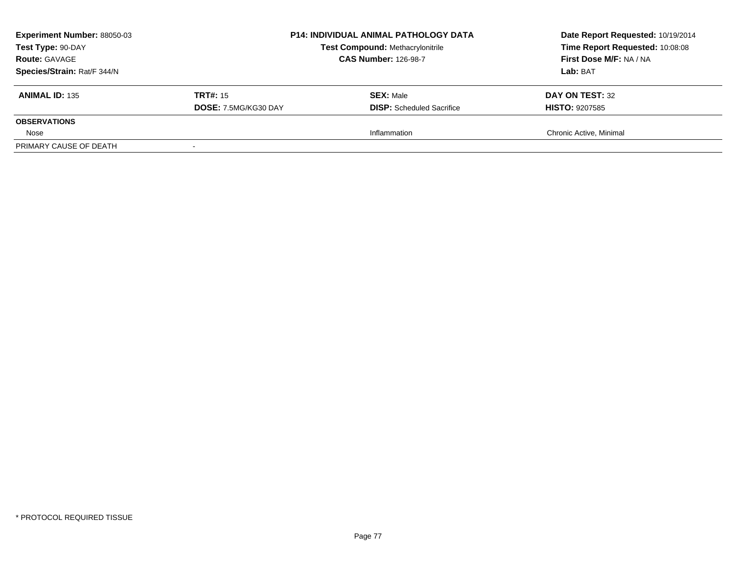| <b>Experiment Number: 88050-03</b><br>Test Type: 90-DAY<br><b>Route: GAVAGE</b><br>Species/Strain: Rat/F 344/N |                                         | <b>P14: INDIVIDUAL ANIMAL PATHOLOGY DATA</b><br><b>Test Compound: Methacrylonitrile</b><br><b>CAS Number: 126-98-7</b> | Date Report Requested: 10/19/2014<br>Time Report Requested: 10:08:08<br>First Dose M/F: NA / NA<br>Lab: BAT |
|----------------------------------------------------------------------------------------------------------------|-----------------------------------------|------------------------------------------------------------------------------------------------------------------------|-------------------------------------------------------------------------------------------------------------|
| <b>ANIMAL ID: 135</b>                                                                                          | <b>TRT#:</b> 15<br>DOSE: 7.5MG/KG30 DAY | <b>SEX: Male</b><br><b>DISP:</b> Scheduled Sacrifice                                                                   | DAY ON TEST: 32<br><b>HISTO: 9207585</b>                                                                    |
| <b>OBSERVATIONS</b>                                                                                            |                                         |                                                                                                                        |                                                                                                             |
| Nose                                                                                                           |                                         | Inflammation                                                                                                           | Chronic Active, Minimal                                                                                     |
| PRIMARY CAUSE OF DEATH                                                                                         |                                         |                                                                                                                        |                                                                                                             |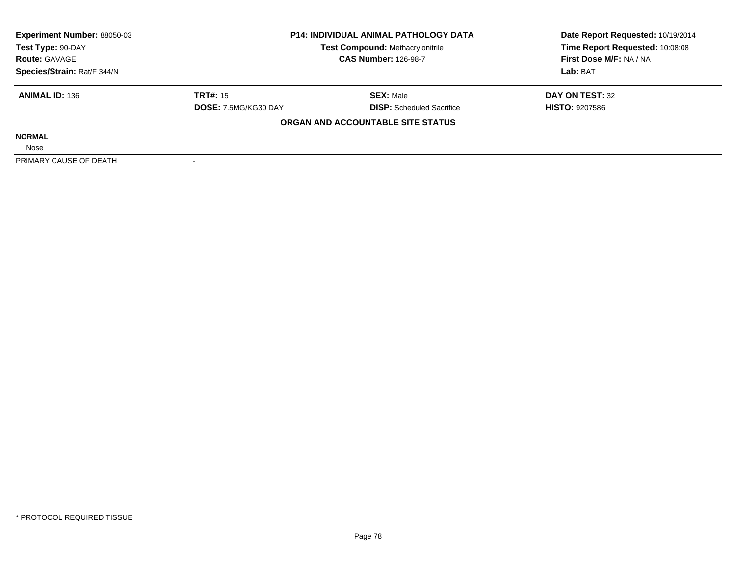| <b>Experiment Number: 88050-03</b> | <b>P14: INDIVIDUAL ANIMAL PATHOLOGY DATA</b> |                                         | Date Report Requested: 10/19/2014 |  |
|------------------------------------|----------------------------------------------|-----------------------------------------|-----------------------------------|--|
| Test Type: 90-DAY                  |                                              | <b>Test Compound: Methacrylonitrile</b> | Time Report Requested: 10:08:08   |  |
| <b>Route: GAVAGE</b>               |                                              | <b>CAS Number: 126-98-7</b>             | First Dose M/F: NA / NA           |  |
| Species/Strain: Rat/F 344/N        |                                              |                                         | Lab: BAT                          |  |
| <b>ANIMAL ID: 136</b>              | <b>TRT#: 15</b>                              | <b>SEX: Male</b>                        | DAY ON TEST: 32                   |  |
|                                    | DOSE: 7.5MG/KG30 DAY                         | <b>DISP:</b> Scheduled Sacrifice        | <b>HISTO: 9207586</b>             |  |
|                                    |                                              | ORGAN AND ACCOUNTABLE SITE STATUS       |                                   |  |
| <b>NORMAL</b>                      |                                              |                                         |                                   |  |
| Nose                               |                                              |                                         |                                   |  |
| PRIMARY CAUSE OF DEATH             |                                              |                                         |                                   |  |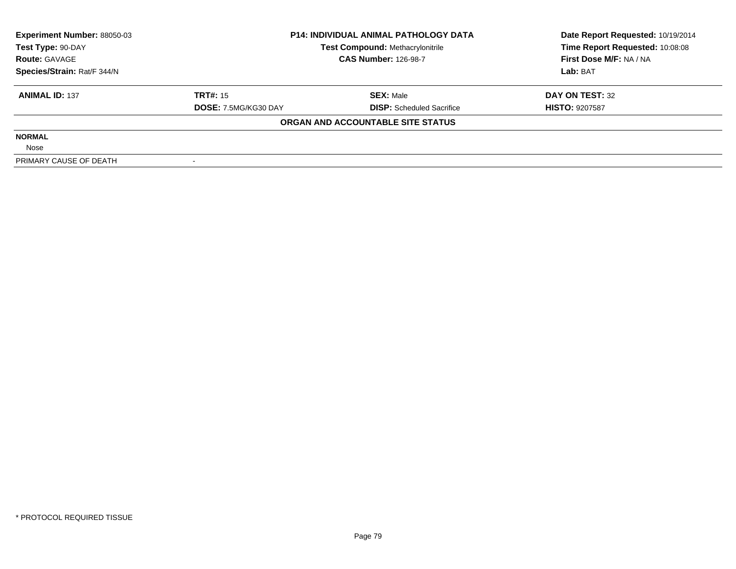| <b>Experiment Number: 88050-03</b> | <b>P14: INDIVIDUAL ANIMAL PATHOLOGY DATA</b> |                                         | Date Report Requested: 10/19/2014 |  |
|------------------------------------|----------------------------------------------|-----------------------------------------|-----------------------------------|--|
| Test Type: 90-DAY                  |                                              | <b>Test Compound: Methacrylonitrile</b> | Time Report Requested: 10:08:08   |  |
| <b>Route: GAVAGE</b>               |                                              | <b>CAS Number: 126-98-7</b>             | First Dose M/F: NA / NA           |  |
| Species/Strain: Rat/F 344/N        |                                              |                                         | Lab: BAT                          |  |
| <b>ANIMAL ID: 137</b>              | <b>TRT#: 15</b>                              | <b>SEX: Male</b>                        | DAY ON TEST: 32                   |  |
|                                    | DOSE: 7.5MG/KG30 DAY                         | <b>DISP:</b> Scheduled Sacrifice        | <b>HISTO: 9207587</b>             |  |
|                                    |                                              | ORGAN AND ACCOUNTABLE SITE STATUS       |                                   |  |
| <b>NORMAL</b>                      |                                              |                                         |                                   |  |
| Nose                               |                                              |                                         |                                   |  |
| PRIMARY CAUSE OF DEATH             |                                              |                                         |                                   |  |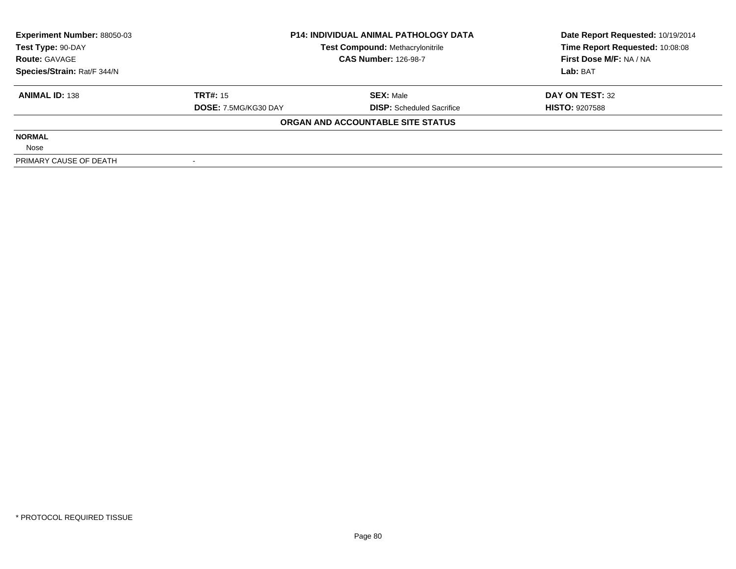| <b>Experiment Number: 88050-03</b> | <b>P14: INDIVIDUAL ANIMAL PATHOLOGY DATA</b> |                                         | Date Report Requested: 10/19/2014 |  |
|------------------------------------|----------------------------------------------|-----------------------------------------|-----------------------------------|--|
| Test Type: 90-DAY                  |                                              | <b>Test Compound: Methacrylonitrile</b> | Time Report Requested: 10:08:08   |  |
| <b>Route: GAVAGE</b>               |                                              | <b>CAS Number: 126-98-7</b>             | First Dose M/F: NA / NA           |  |
| Species/Strain: Rat/F 344/N        |                                              |                                         | Lab: BAT                          |  |
| <b>ANIMAL ID: 138</b>              | <b>TRT#: 15</b>                              | <b>SEX: Male</b>                        | DAY ON TEST: 32                   |  |
|                                    | DOSE: 7.5MG/KG30 DAY                         | <b>DISP:</b> Scheduled Sacrifice        | <b>HISTO: 9207588</b>             |  |
|                                    |                                              | ORGAN AND ACCOUNTABLE SITE STATUS       |                                   |  |
| <b>NORMAL</b>                      |                                              |                                         |                                   |  |
| Nose                               |                                              |                                         |                                   |  |
| PRIMARY CAUSE OF DEATH             |                                              |                                         |                                   |  |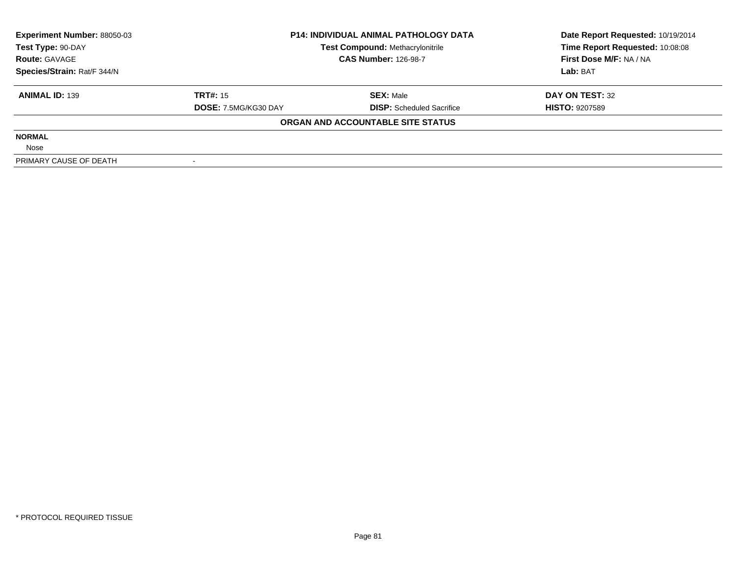| <b>Experiment Number: 88050-03</b> | <b>P14: INDIVIDUAL ANIMAL PATHOLOGY DATA</b> |                                         | Date Report Requested: 10/19/2014 |  |
|------------------------------------|----------------------------------------------|-----------------------------------------|-----------------------------------|--|
| Test Type: 90-DAY                  |                                              | <b>Test Compound: Methacrylonitrile</b> | Time Report Requested: 10:08:08   |  |
| <b>Route: GAVAGE</b>               |                                              | <b>CAS Number: 126-98-7</b>             | First Dose M/F: NA / NA           |  |
| Species/Strain: Rat/F 344/N        |                                              |                                         | Lab: BAT                          |  |
| <b>ANIMAL ID: 139</b>              | <b>TRT#: 15</b>                              | <b>SEX: Male</b>                        | DAY ON TEST: 32                   |  |
|                                    | DOSE: 7.5MG/KG30 DAY                         | <b>DISP:</b> Scheduled Sacrifice        | <b>HISTO: 9207589</b>             |  |
|                                    |                                              | ORGAN AND ACCOUNTABLE SITE STATUS       |                                   |  |
| <b>NORMAL</b>                      |                                              |                                         |                                   |  |
| Nose                               |                                              |                                         |                                   |  |
| PRIMARY CAUSE OF DEATH             |                                              |                                         |                                   |  |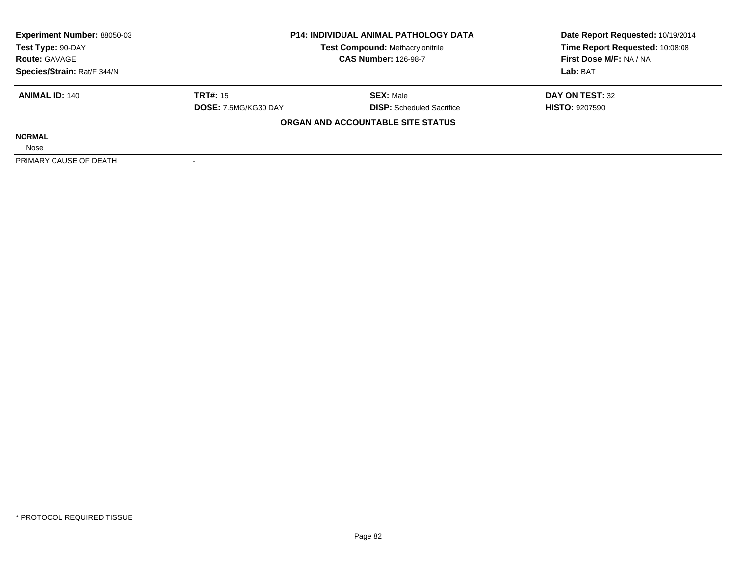| <b>Experiment Number: 88050-03</b> | <b>P14: INDIVIDUAL ANIMAL PATHOLOGY DATA</b> |                                         | Date Report Requested: 10/19/2014 |  |
|------------------------------------|----------------------------------------------|-----------------------------------------|-----------------------------------|--|
| Test Type: 90-DAY                  |                                              | <b>Test Compound: Methacrylonitrile</b> | Time Report Requested: 10:08:08   |  |
| <b>Route: GAVAGE</b>               |                                              | <b>CAS Number: 126-98-7</b>             | First Dose M/F: NA / NA           |  |
| Species/Strain: Rat/F 344/N        |                                              |                                         | Lab: BAT                          |  |
| <b>ANIMAL ID: 140</b>              | <b>TRT#: 15</b>                              | <b>SEX: Male</b>                        | DAY ON TEST: 32                   |  |
|                                    | DOSE: 7.5MG/KG30 DAY                         | <b>DISP:</b> Scheduled Sacrifice        | <b>HISTO: 9207590</b>             |  |
|                                    |                                              | ORGAN AND ACCOUNTABLE SITE STATUS       |                                   |  |
| <b>NORMAL</b>                      |                                              |                                         |                                   |  |
| Nose                               |                                              |                                         |                                   |  |
| PRIMARY CAUSE OF DEATH             |                                              |                                         |                                   |  |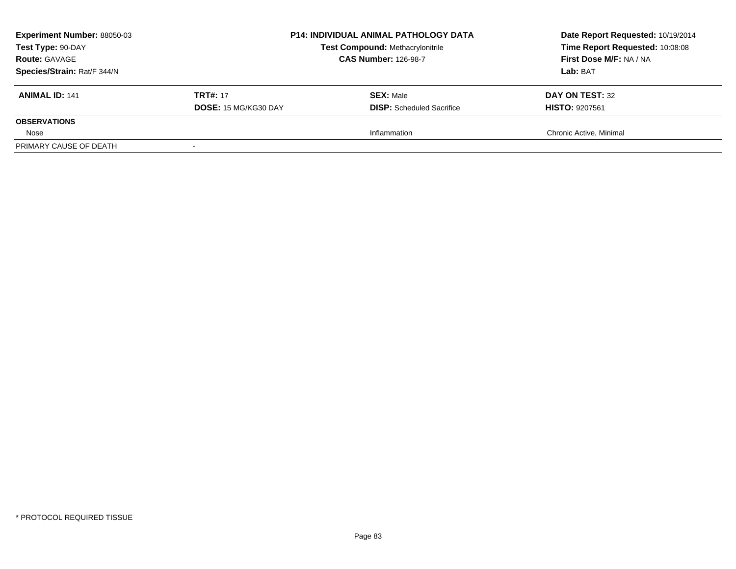| <b>Experiment Number: 88050-03</b> |                      | <b>P14: INDIVIDUAL ANIMAL PATHOLOGY DATA</b> | Date Report Requested: 10/19/2014<br>Time Report Requested: 10:08:08 |
|------------------------------------|----------------------|----------------------------------------------|----------------------------------------------------------------------|
| Test Type: 90-DAY                  |                      | <b>Test Compound: Methacrylonitrile</b>      |                                                                      |
| <b>Route: GAVAGE</b>               |                      | <b>CAS Number: 126-98-7</b>                  | First Dose M/F: NA / NA                                              |
| Species/Strain: Rat/F 344/N        |                      |                                              | <b>Lab: BAT</b>                                                      |
| <b>ANIMAL ID: 141</b>              | <b>TRT#: 17</b>      | <b>SEX: Male</b>                             | DAY ON TEST: 32                                                      |
|                                    | DOSE: 15 MG/KG30 DAY | <b>DISP:</b> Scheduled Sacrifice             | <b>HISTO: 9207561</b>                                                |
| <b>OBSERVATIONS</b>                |                      |                                              |                                                                      |
| Nose                               |                      | Inflammation                                 | Chronic Active, Minimal                                              |
| PRIMARY CAUSE OF DEATH             |                      |                                              |                                                                      |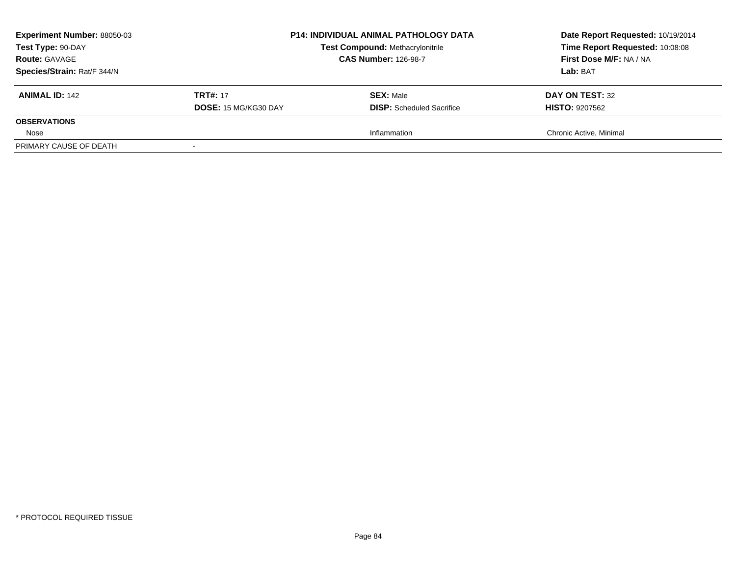| <b>Experiment Number: 88050-03</b><br>Test Type: 90-DAY<br><b>Route: GAVAGE</b><br>Species/Strain: Rat/F 344/N | <b>P14: INDIVIDUAL ANIMAL PATHOLOGY DATA</b><br><b>Test Compound: Methacrylonitrile</b><br><b>CAS Number: 126-98-7</b> |                                                      | Date Report Requested: 10/19/2014<br>Time Report Requested: 10:08:08<br>First Dose M/F: NA / NA<br>Lab: BAT |
|----------------------------------------------------------------------------------------------------------------|------------------------------------------------------------------------------------------------------------------------|------------------------------------------------------|-------------------------------------------------------------------------------------------------------------|
| <b>ANIMAL ID: 142</b>                                                                                          | <b>TRT#: 17</b><br>DOSE: 15 MG/KG30 DAY                                                                                | <b>SEX: Male</b><br><b>DISP:</b> Scheduled Sacrifice | DAY ON TEST: 32<br><b>HISTO: 9207562</b>                                                                    |
| <b>OBSERVATIONS</b>                                                                                            |                                                                                                                        |                                                      |                                                                                                             |
| Nose                                                                                                           |                                                                                                                        | Inflammation                                         | Chronic Active, Minimal                                                                                     |
| PRIMARY CAUSE OF DEATH                                                                                         |                                                                                                                        |                                                      |                                                                                                             |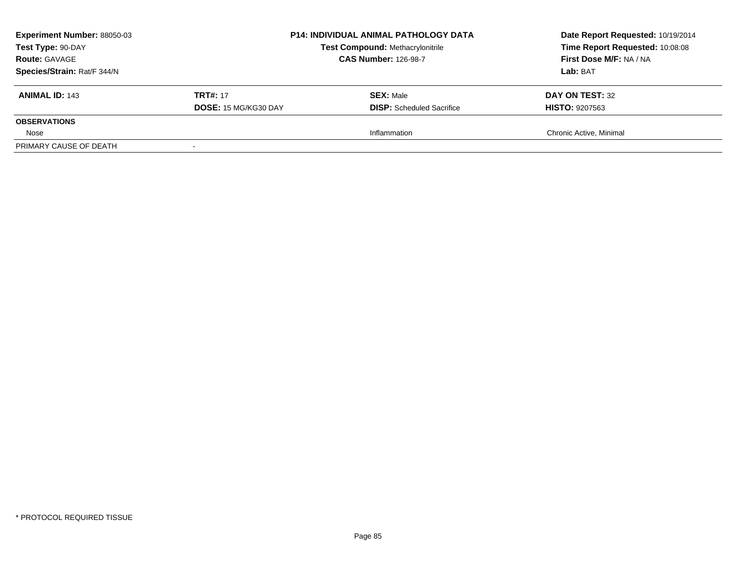| <b>Experiment Number: 88050-03</b><br>Test Type: 90-DAY<br><b>Route: GAVAGE</b><br>Species/Strain: Rat/F 344/N | <b>P14: INDIVIDUAL ANIMAL PATHOLOGY DATA</b><br><b>Test Compound: Methacrylonitrile</b><br><b>CAS Number: 126-98-7</b> |                                                      | Date Report Requested: 10/19/2014<br>Time Report Requested: 10:08:08<br>First Dose M/F: NA / NA<br>Lab: BAT |
|----------------------------------------------------------------------------------------------------------------|------------------------------------------------------------------------------------------------------------------------|------------------------------------------------------|-------------------------------------------------------------------------------------------------------------|
| <b>ANIMAL ID: 143</b>                                                                                          | <b>TRT#: 17</b><br>DOSE: 15 MG/KG30 DAY                                                                                | <b>SEX: Male</b><br><b>DISP:</b> Scheduled Sacrifice | DAY ON TEST: 32<br><b>HISTO: 9207563</b>                                                                    |
| <b>OBSERVATIONS</b>                                                                                            |                                                                                                                        |                                                      |                                                                                                             |
| Nose                                                                                                           |                                                                                                                        | Inflammation                                         | Chronic Active, Minimal                                                                                     |
| PRIMARY CAUSE OF DEATH                                                                                         |                                                                                                                        |                                                      |                                                                                                             |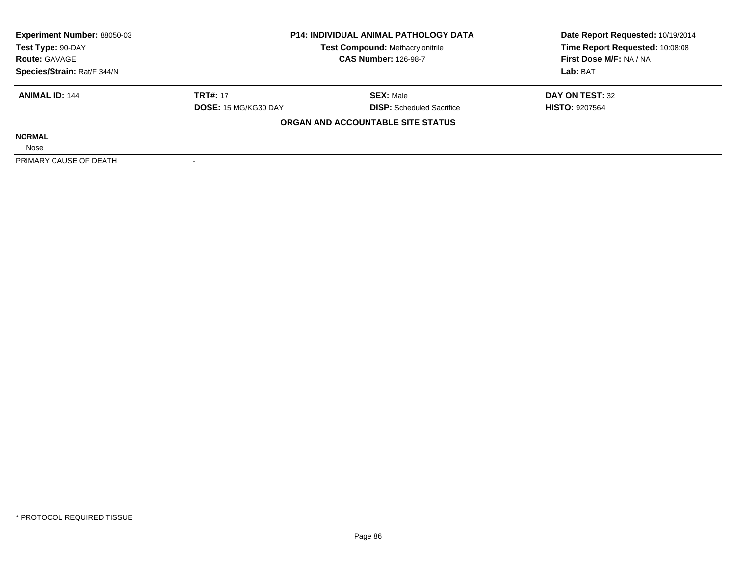| <b>Experiment Number: 88050-03</b> | <b>P14: INDIVIDUAL ANIMAL PATHOLOGY DATA</b><br><b>Test Compound: Methacrylonitrile</b> |                                   | Date Report Requested: 10/19/2014 |  |
|------------------------------------|-----------------------------------------------------------------------------------------|-----------------------------------|-----------------------------------|--|
| Test Type: 90-DAY                  |                                                                                         |                                   | Time Report Requested: 10:08:08   |  |
| <b>Route: GAVAGE</b>               |                                                                                         | <b>CAS Number: 126-98-7</b>       | First Dose M/F: NA / NA           |  |
| Species/Strain: Rat/F 344/N        |                                                                                         |                                   | Lab: BAT                          |  |
| <b>ANIMAL ID: 144</b>              | <b>TRT#: 17</b>                                                                         | <b>SEX: Male</b>                  | DAY ON TEST: 32                   |  |
|                                    | <b>DOSE: 15 MG/KG30 DAY</b>                                                             | <b>DISP:</b> Scheduled Sacrifice  | <b>HISTO: 9207564</b>             |  |
|                                    |                                                                                         | ORGAN AND ACCOUNTABLE SITE STATUS |                                   |  |
| <b>NORMAL</b>                      |                                                                                         |                                   |                                   |  |
| Nose                               |                                                                                         |                                   |                                   |  |
| PRIMARY CAUSE OF DEATH             |                                                                                         |                                   |                                   |  |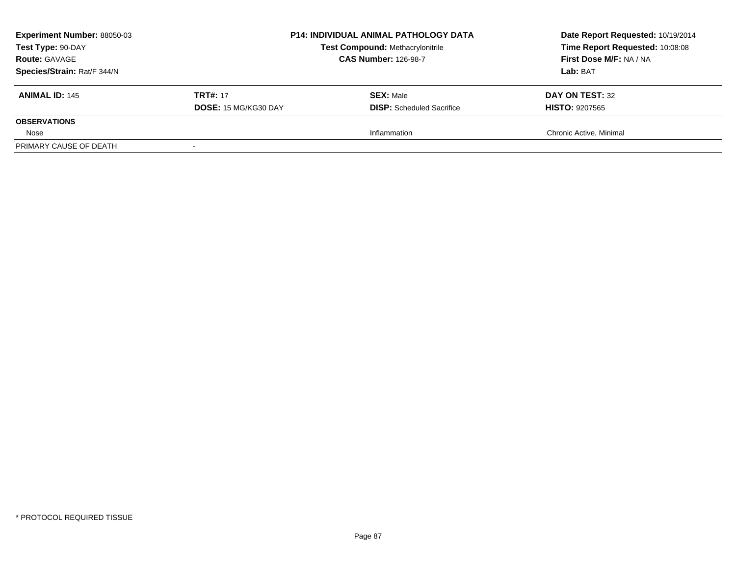| <b>Experiment Number: 88050-03</b><br>Test Type: 90-DAY<br><b>Route: GAVAGE</b><br>Species/Strain: Rat/F 344/N | <b>P14: INDIVIDUAL ANIMAL PATHOLOGY DATA</b><br><b>Test Compound: Methacrylonitrile</b><br><b>CAS Number: 126-98-7</b> |                                                      | Date Report Requested: 10/19/2014<br>Time Report Requested: 10:08:08<br>First Dose M/F: NA / NA<br>Lab: BAT |
|----------------------------------------------------------------------------------------------------------------|------------------------------------------------------------------------------------------------------------------------|------------------------------------------------------|-------------------------------------------------------------------------------------------------------------|
| <b>ANIMAL ID: 145</b>                                                                                          | <b>TRT#: 17</b><br>DOSE: 15 MG/KG30 DAY                                                                                | <b>SEX: Male</b><br><b>DISP:</b> Scheduled Sacrifice | DAY ON TEST: 32<br><b>HISTO: 9207565</b>                                                                    |
| <b>OBSERVATIONS</b>                                                                                            |                                                                                                                        |                                                      |                                                                                                             |
| Nose                                                                                                           |                                                                                                                        | Inflammation                                         | Chronic Active, Minimal                                                                                     |
| PRIMARY CAUSE OF DEATH                                                                                         |                                                                                                                        |                                                      |                                                                                                             |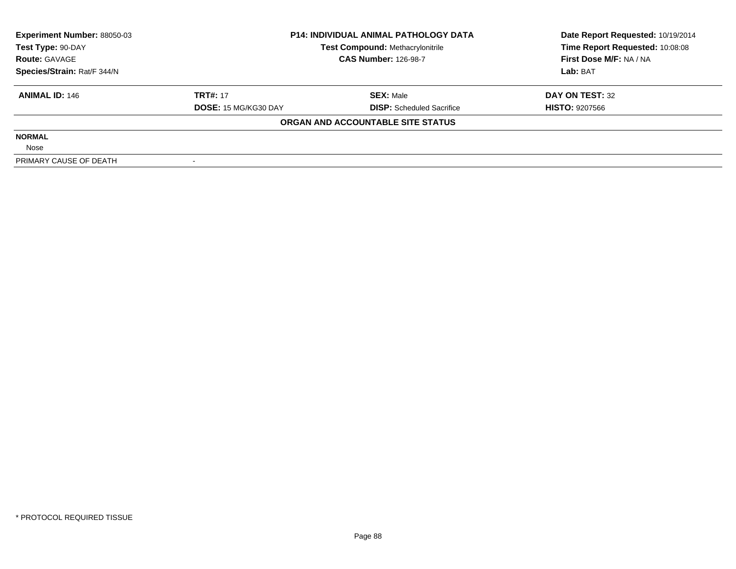| <b>Experiment Number: 88050-03</b> | <b>P14: INDIVIDUAL ANIMAL PATHOLOGY DATA</b><br><b>Test Compound: Methacrylonitrile</b> |                                   | Date Report Requested: 10/19/2014 |  |
|------------------------------------|-----------------------------------------------------------------------------------------|-----------------------------------|-----------------------------------|--|
| Test Type: 90-DAY                  |                                                                                         |                                   | Time Report Requested: 10:08:08   |  |
| <b>Route: GAVAGE</b>               |                                                                                         | <b>CAS Number: 126-98-7</b>       | First Dose M/F: NA / NA           |  |
| Species/Strain: Rat/F 344/N        |                                                                                         |                                   | Lab: BAT                          |  |
| <b>ANIMAL ID: 146</b>              | <b>TRT#: 17</b>                                                                         | <b>SEX: Male</b>                  | DAY ON TEST: 32                   |  |
|                                    | DOSE: 15 MG/KG30 DAY                                                                    | <b>DISP:</b> Scheduled Sacrifice  | <b>HISTO: 9207566</b>             |  |
|                                    |                                                                                         | ORGAN AND ACCOUNTABLE SITE STATUS |                                   |  |
| <b>NORMAL</b>                      |                                                                                         |                                   |                                   |  |
| Nose                               |                                                                                         |                                   |                                   |  |
| PRIMARY CAUSE OF DEATH             |                                                                                         |                                   |                                   |  |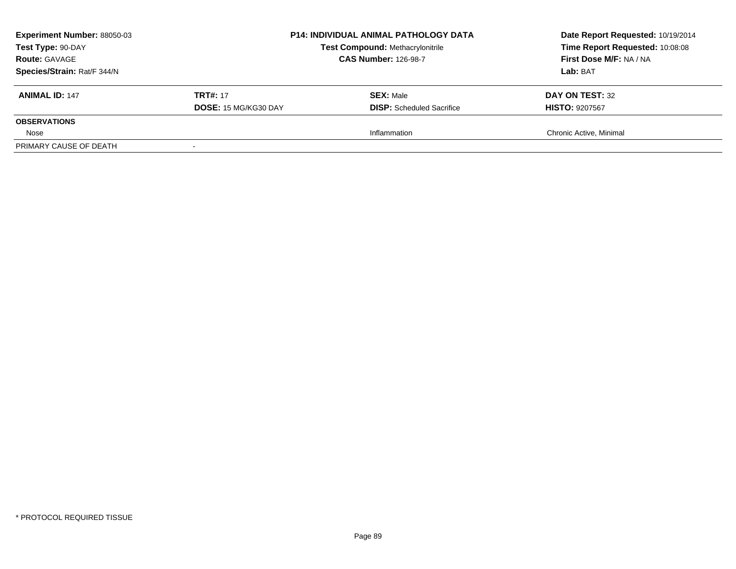| <b>Experiment Number: 88050-03</b><br>Test Type: 90-DAY<br><b>Route: GAVAGE</b><br>Species/Strain: Rat/F 344/N | <b>P14: INDIVIDUAL ANIMAL PATHOLOGY DATA</b><br><b>Test Compound: Methacrylonitrile</b><br><b>CAS Number: 126-98-7</b> |                                                      | Date Report Requested: 10/19/2014<br>Time Report Requested: 10:08:08<br>First Dose M/F: NA / NA<br>Lab: BAT |
|----------------------------------------------------------------------------------------------------------------|------------------------------------------------------------------------------------------------------------------------|------------------------------------------------------|-------------------------------------------------------------------------------------------------------------|
| <b>ANIMAL ID: 147</b>                                                                                          | <b>TRT#: 17</b><br>DOSE: 15 MG/KG30 DAY                                                                                | <b>SEX: Male</b><br><b>DISP:</b> Scheduled Sacrifice | DAY ON TEST: 32<br><b>HISTO: 9207567</b>                                                                    |
| <b>OBSERVATIONS</b>                                                                                            |                                                                                                                        |                                                      |                                                                                                             |
| Nose                                                                                                           |                                                                                                                        | Inflammation                                         | Chronic Active, Minimal                                                                                     |
| PRIMARY CAUSE OF DEATH                                                                                         |                                                                                                                        |                                                      |                                                                                                             |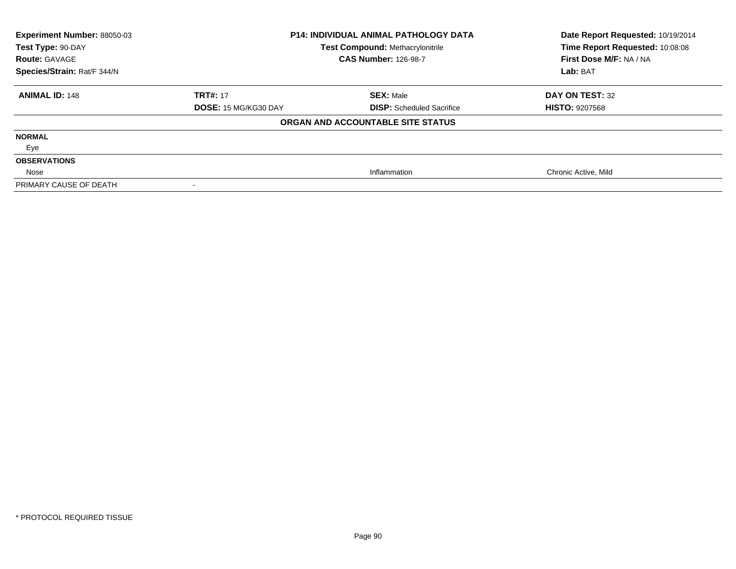| Experiment Number: 88050-03<br>Test Type: 90-DAY | <b>P14: INDIVIDUAL ANIMAL PATHOLOGY DATA</b><br>Test Compound: Methacrylonitrile |                                   | Date Report Requested: 10/19/2014<br>Time Report Requested: 10:08:08 |
|--------------------------------------------------|----------------------------------------------------------------------------------|-----------------------------------|----------------------------------------------------------------------|
| <b>Route: GAVAGE</b>                             |                                                                                  | <b>CAS Number: 126-98-7</b>       | First Dose M/F: NA / NA                                              |
| Species/Strain: Rat/F 344/N                      |                                                                                  |                                   | Lab: BAT                                                             |
| <b>ANIMAL ID: 148</b>                            | <b>TRT#: 17</b>                                                                  | <b>SEX: Male</b>                  | DAY ON TEST: 32                                                      |
|                                                  | DOSE: 15 MG/KG30 DAY                                                             | <b>DISP:</b> Scheduled Sacrifice  | <b>HISTO: 9207568</b>                                                |
|                                                  |                                                                                  | ORGAN AND ACCOUNTABLE SITE STATUS |                                                                      |
| <b>NORMAL</b>                                    |                                                                                  |                                   |                                                                      |
| Eye                                              |                                                                                  |                                   |                                                                      |
| <b>OBSERVATIONS</b>                              |                                                                                  |                                   |                                                                      |
| Nose                                             |                                                                                  | Inflammation                      | Chronic Active, Mild                                                 |
| PRIMARY CAUSE OF DEATH                           |                                                                                  |                                   |                                                                      |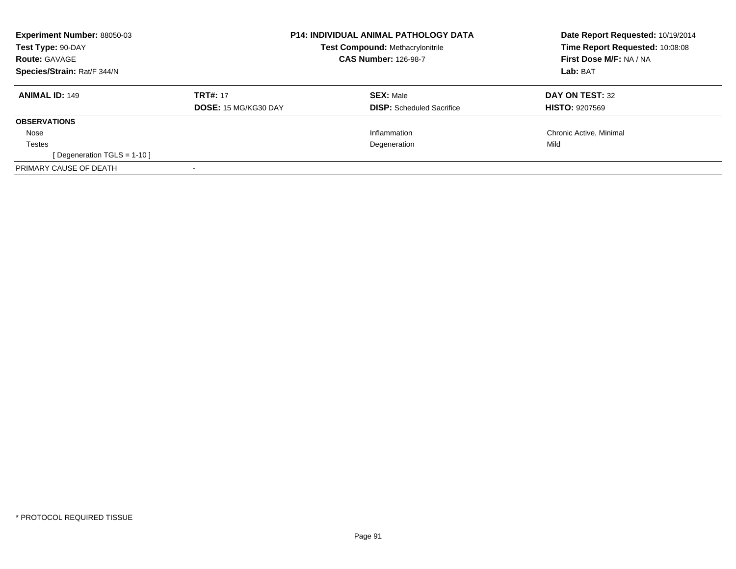| Experiment Number: 88050-03<br>Test Type: 90-DAY<br><b>Route: GAVAGE</b><br>Species/Strain: Rat/F 344/N |                                         | <b>P14: INDIVIDUAL ANIMAL PATHOLOGY DATA</b><br><b>Test Compound: Methacrylonitrile</b><br><b>CAS Number: 126-98-7</b> | Date Report Requested: 10/19/2014<br>Time Report Requested: 10:08:08<br>First Dose M/F: NA / NA<br>Lab: BAT |
|---------------------------------------------------------------------------------------------------------|-----------------------------------------|------------------------------------------------------------------------------------------------------------------------|-------------------------------------------------------------------------------------------------------------|
| <b>ANIMAL ID: 149</b>                                                                                   | <b>TRT#: 17</b><br>DOSE: 15 MG/KG30 DAY | <b>SEX: Male</b><br><b>DISP:</b> Scheduled Sacrifice                                                                   | DAY ON TEST: 32<br><b>HISTO: 9207569</b>                                                                    |
| <b>OBSERVATIONS</b>                                                                                     |                                         |                                                                                                                        |                                                                                                             |
| Nose                                                                                                    |                                         | Inflammation                                                                                                           | Chronic Active, Minimal                                                                                     |
| Testes                                                                                                  |                                         | Degeneration                                                                                                           | Mild                                                                                                        |
| [Degeneration TGLS = 1-10]                                                                              |                                         |                                                                                                                        |                                                                                                             |
| PRIMARY CAUSE OF DEATH                                                                                  |                                         |                                                                                                                        |                                                                                                             |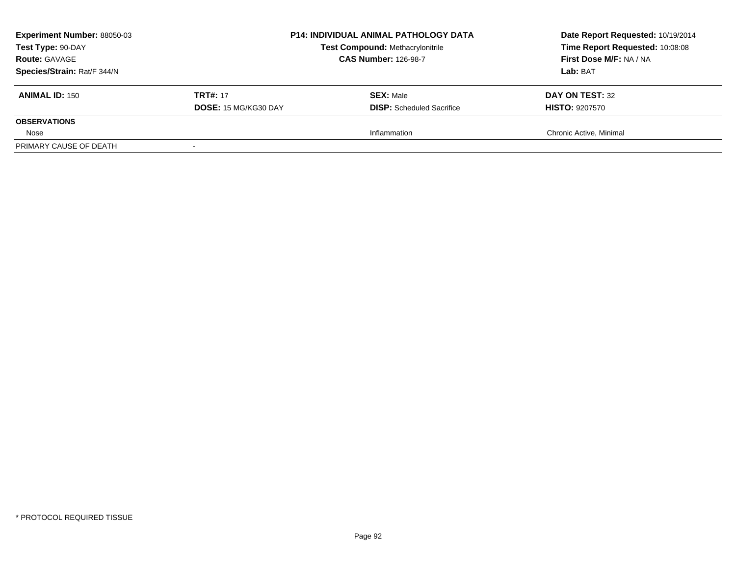| <b>Experiment Number: 88050-03</b><br>Test Type: 90-DAY<br><b>Route: GAVAGE</b><br>Species/Strain: Rat/F 344/N | <b>P14: INDIVIDUAL ANIMAL PATHOLOGY DATA</b><br><b>Test Compound: Methacrylonitrile</b><br><b>CAS Number: 126-98-7</b> |                                                      | Date Report Requested: 10/19/2014<br>Time Report Requested: 10:08:08<br>First Dose M/F: NA / NA<br>Lab: BAT |
|----------------------------------------------------------------------------------------------------------------|------------------------------------------------------------------------------------------------------------------------|------------------------------------------------------|-------------------------------------------------------------------------------------------------------------|
| <b>ANIMAL ID: 150</b>                                                                                          | <b>TRT#: 17</b><br>DOSE: 15 MG/KG30 DAY                                                                                | <b>SEX: Male</b><br><b>DISP:</b> Scheduled Sacrifice | DAY ON TEST: 32<br><b>HISTO: 9207570</b>                                                                    |
| <b>OBSERVATIONS</b>                                                                                            |                                                                                                                        |                                                      |                                                                                                             |
| Nose                                                                                                           |                                                                                                                        | Inflammation                                         | Chronic Active, Minimal                                                                                     |
| PRIMARY CAUSE OF DEATH                                                                                         |                                                                                                                        |                                                      |                                                                                                             |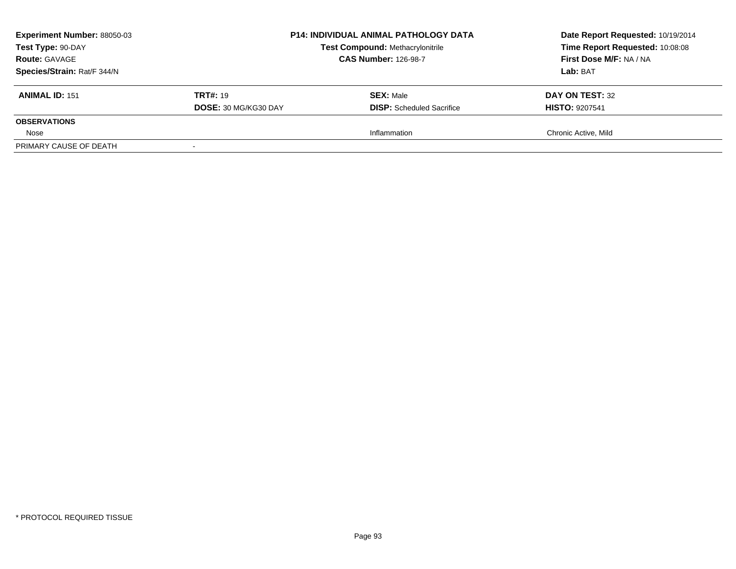| <b>Experiment Number: 88050-03</b><br>Test Type: 90-DAY<br><b>Route: GAVAGE</b><br>Species/Strain: Rat/F 344/N | <b>P14: INDIVIDUAL ANIMAL PATHOLOGY DATA</b><br><b>Test Compound: Methacrylonitrile</b><br><b>CAS Number: 126-98-7</b> |                                                      | Date Report Requested: 10/19/2014<br>Time Report Requested: 10:08:08<br>First Dose M/F: NA / NA<br>Lab: BAT |
|----------------------------------------------------------------------------------------------------------------|------------------------------------------------------------------------------------------------------------------------|------------------------------------------------------|-------------------------------------------------------------------------------------------------------------|
| <b>ANIMAL ID: 151</b>                                                                                          | <b>TRT#: 19</b><br>DOSE: 30 MG/KG30 DAY                                                                                | <b>SEX: Male</b><br><b>DISP:</b> Scheduled Sacrifice | DAY ON TEST: 32<br><b>HISTO: 9207541</b>                                                                    |
| <b>OBSERVATIONS</b>                                                                                            |                                                                                                                        |                                                      |                                                                                                             |
| Nose                                                                                                           |                                                                                                                        | Inflammation                                         | Chronic Active, Mild                                                                                        |
| PRIMARY CAUSE OF DEATH                                                                                         |                                                                                                                        |                                                      |                                                                                                             |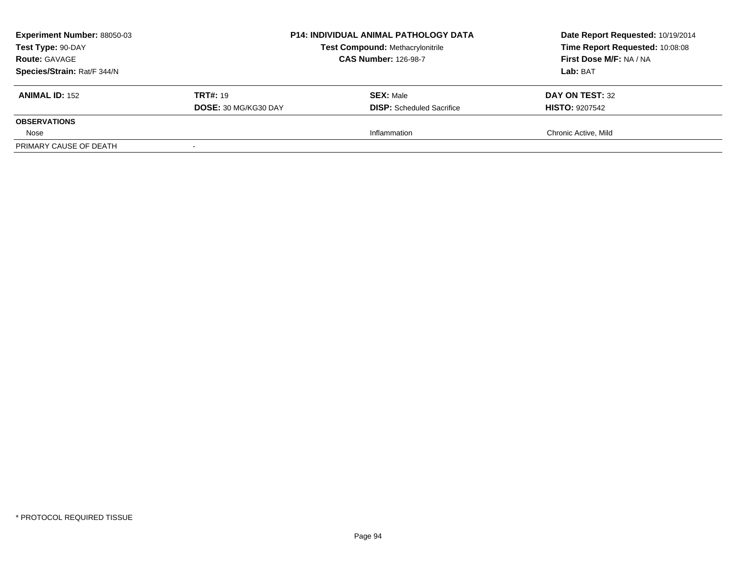| <b>Experiment Number: 88050-03</b><br>Test Type: 90-DAY<br><b>Route: GAVAGE</b><br>Species/Strain: Rat/F 344/N | <b>P14: INDIVIDUAL ANIMAL PATHOLOGY DATA</b><br><b>Test Compound: Methacrylonitrile</b><br><b>CAS Number: 126-98-7</b> |                                                      | Date Report Requested: 10/19/2014<br>Time Report Requested: 10:08:08<br>First Dose M/F: NA / NA<br>Lab: BAT |
|----------------------------------------------------------------------------------------------------------------|------------------------------------------------------------------------------------------------------------------------|------------------------------------------------------|-------------------------------------------------------------------------------------------------------------|
| <b>ANIMAL ID: 152</b>                                                                                          | <b>TRT#: 19</b><br>DOSE: 30 MG/KG30 DAY                                                                                | <b>SEX: Male</b><br><b>DISP:</b> Scheduled Sacrifice | DAY ON TEST: 32<br><b>HISTO: 9207542</b>                                                                    |
| <b>OBSERVATIONS</b>                                                                                            |                                                                                                                        |                                                      |                                                                                                             |
| Nose                                                                                                           |                                                                                                                        | Inflammation                                         | Chronic Active, Mild                                                                                        |
| PRIMARY CAUSE OF DEATH                                                                                         |                                                                                                                        |                                                      |                                                                                                             |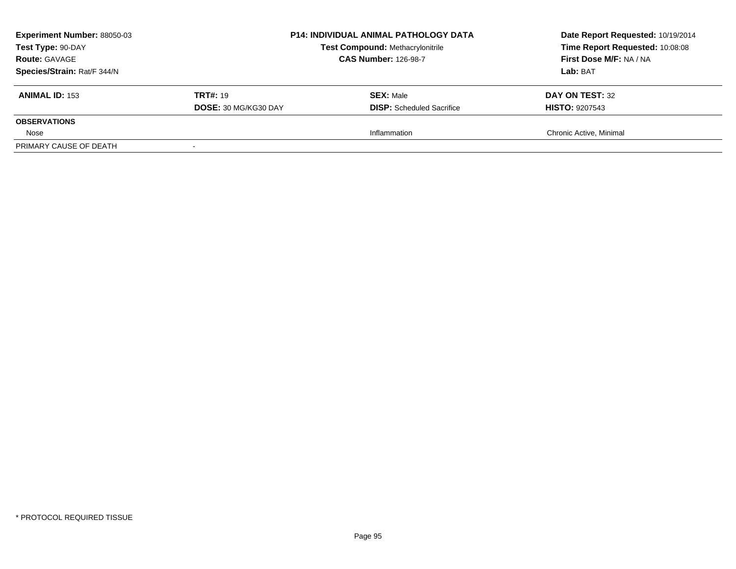| <b>Experiment Number: 88050-03</b><br>Test Type: 90-DAY<br><b>Route: GAVAGE</b><br>Species/Strain: Rat/F 344/N | <b>P14: INDIVIDUAL ANIMAL PATHOLOGY DATA</b><br><b>Test Compound: Methacrylonitrile</b><br><b>CAS Number: 126-98-7</b> |                                                      | Date Report Requested: 10/19/2014<br>Time Report Requested: 10:08:08<br>First Dose M/F: NA / NA<br>Lab: BAT |
|----------------------------------------------------------------------------------------------------------------|------------------------------------------------------------------------------------------------------------------------|------------------------------------------------------|-------------------------------------------------------------------------------------------------------------|
| <b>ANIMAL ID: 153</b>                                                                                          | <b>TRT#: 19</b><br>DOSE: 30 MG/KG30 DAY                                                                                | <b>SEX: Male</b><br><b>DISP:</b> Scheduled Sacrifice | DAY ON TEST: 32<br><b>HISTO: 9207543</b>                                                                    |
| <b>OBSERVATIONS</b>                                                                                            |                                                                                                                        |                                                      |                                                                                                             |
| Nose                                                                                                           |                                                                                                                        | Inflammation                                         | Chronic Active, Minimal                                                                                     |
| PRIMARY CAUSE OF DEATH                                                                                         |                                                                                                                        |                                                      |                                                                                                             |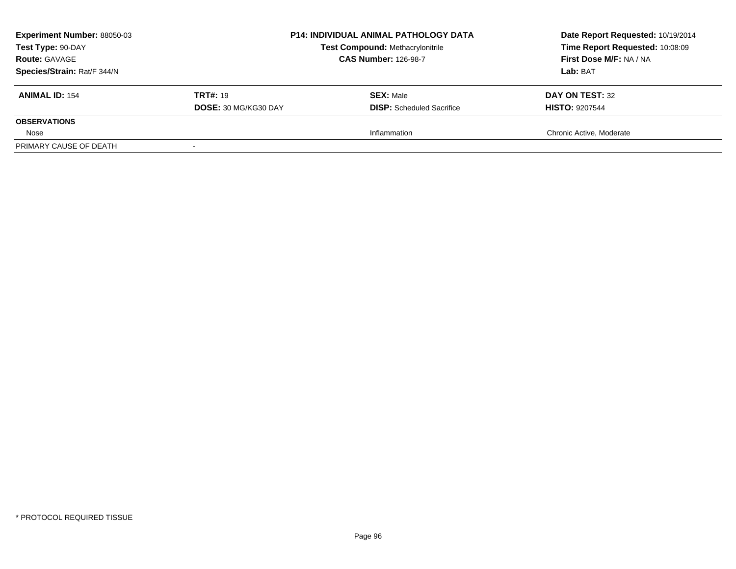| <b>Experiment Number: 88050-03</b><br>Test Type: 90-DAY<br><b>Route: GAVAGE</b><br>Species/Strain: Rat/F 344/N | <b>P14: INDIVIDUAL ANIMAL PATHOLOGY DATA</b><br><b>Test Compound: Methacrylonitrile</b><br><b>CAS Number: 126-98-7</b> |                                                      | Date Report Requested: 10/19/2014<br>Time Report Requested: 10:08:09<br>First Dose M/F: NA / NA<br>Lab: BAT |
|----------------------------------------------------------------------------------------------------------------|------------------------------------------------------------------------------------------------------------------------|------------------------------------------------------|-------------------------------------------------------------------------------------------------------------|
| <b>ANIMAL ID: 154</b>                                                                                          | <b>TRT#: 19</b><br>DOSE: 30 MG/KG30 DAY                                                                                | <b>SEX: Male</b><br><b>DISP:</b> Scheduled Sacrifice | DAY ON TEST: 32<br><b>HISTO: 9207544</b>                                                                    |
| <b>OBSERVATIONS</b>                                                                                            |                                                                                                                        |                                                      |                                                                                                             |
| Nose                                                                                                           |                                                                                                                        | Inflammation                                         | Chronic Active, Moderate                                                                                    |
| PRIMARY CAUSE OF DEATH                                                                                         |                                                                                                                        |                                                      |                                                                                                             |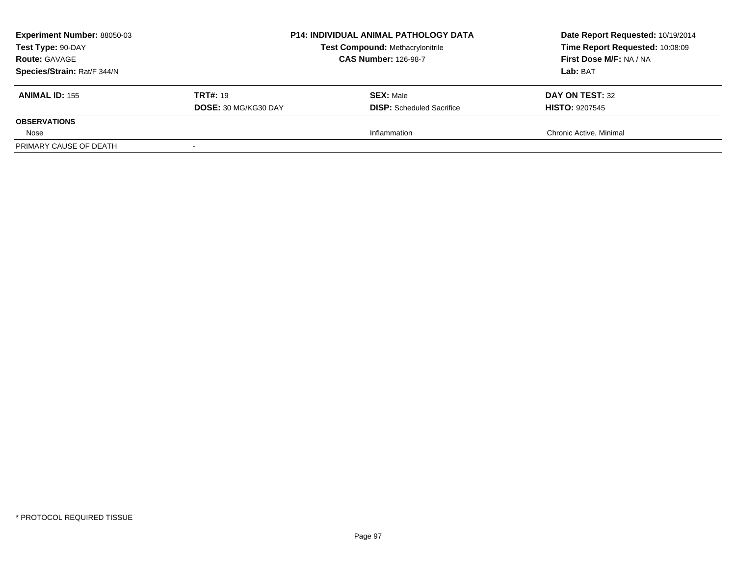| <b>Experiment Number: 88050-03</b><br>Test Type: 90-DAY<br><b>Route: GAVAGE</b><br>Species/Strain: Rat/F 344/N |                                         | <b>P14: INDIVIDUAL ANIMAL PATHOLOGY DATA</b><br>Date Report Requested: 10/19/2014<br>Time Report Requested: 10:08:09<br><b>Test Compound: Methacrylonitrile</b><br>First Dose M/F: NA / NA<br><b>CAS Number: 126-98-7</b><br>Lab: BAT |                                          |
|----------------------------------------------------------------------------------------------------------------|-----------------------------------------|---------------------------------------------------------------------------------------------------------------------------------------------------------------------------------------------------------------------------------------|------------------------------------------|
| <b>ANIMAL ID: 155</b>                                                                                          | <b>TRT#: 19</b><br>DOSE: 30 MG/KG30 DAY | <b>SEX: Male</b><br><b>DISP:</b> Scheduled Sacrifice                                                                                                                                                                                  | DAY ON TEST: 32<br><b>HISTO: 9207545</b> |
| <b>OBSERVATIONS</b>                                                                                            |                                         |                                                                                                                                                                                                                                       |                                          |
| Nose                                                                                                           |                                         | Inflammation                                                                                                                                                                                                                          | Chronic Active, Minimal                  |
| PRIMARY CAUSE OF DEATH                                                                                         |                                         |                                                                                                                                                                                                                                       |                                          |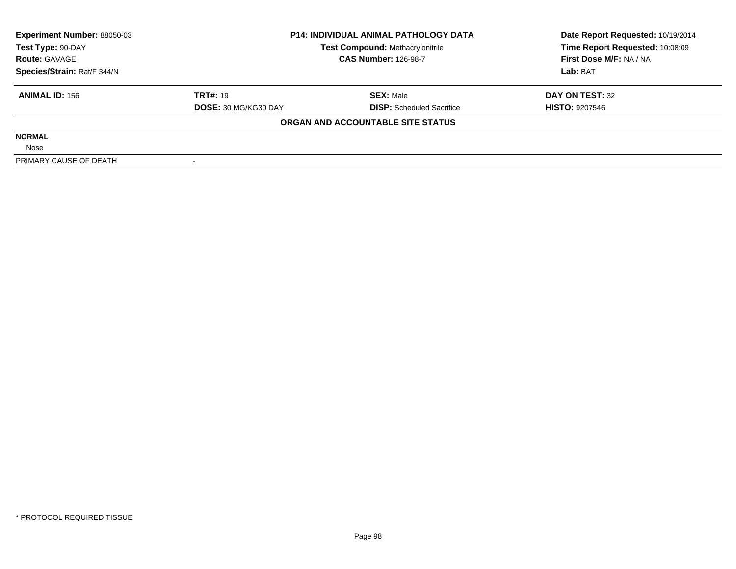| <b>Experiment Number: 88050-03</b> | <b>P14: INDIVIDUAL ANIMAL PATHOLOGY DATA</b><br><b>Test Compound: Methacrylonitrile</b><br><b>CAS Number: 126-98-7</b> |                                   | Date Report Requested: 10/19/2014 |  |
|------------------------------------|------------------------------------------------------------------------------------------------------------------------|-----------------------------------|-----------------------------------|--|
| Test Type: 90-DAY                  |                                                                                                                        |                                   | Time Report Requested: 10:08:09   |  |
| <b>Route: GAVAGE</b>               |                                                                                                                        |                                   | First Dose M/F: NA / NA           |  |
| Species/Strain: Rat/F 344/N        |                                                                                                                        |                                   | Lab: BAT                          |  |
| <b>ANIMAL ID: 156</b>              | <b>TRT#: 19</b>                                                                                                        | <b>SEX: Male</b>                  | DAY ON TEST: 32                   |  |
|                                    | <b>DOSE: 30 MG/KG30 DAY</b>                                                                                            | <b>DISP:</b> Scheduled Sacrifice  | <b>HISTO: 9207546</b>             |  |
|                                    |                                                                                                                        | ORGAN AND ACCOUNTABLE SITE STATUS |                                   |  |
| <b>NORMAL</b>                      |                                                                                                                        |                                   |                                   |  |
| Nose                               |                                                                                                                        |                                   |                                   |  |
| PRIMARY CAUSE OF DEATH             |                                                                                                                        |                                   |                                   |  |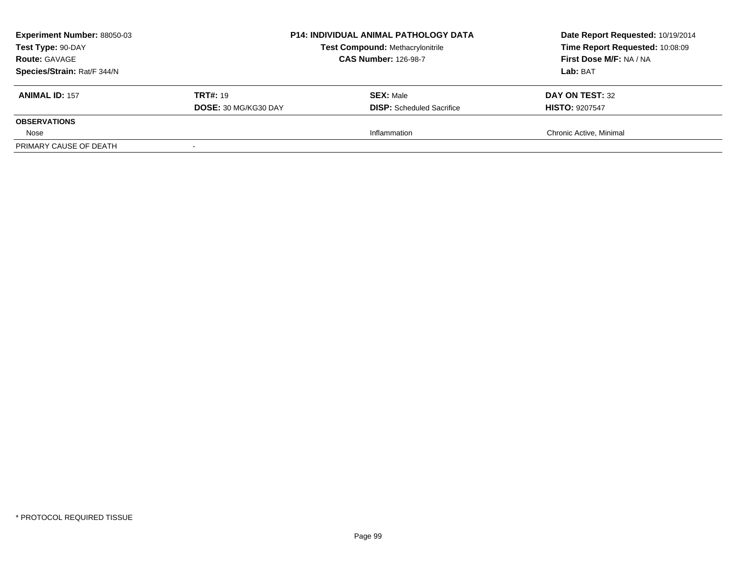| <b>Experiment Number: 88050-03</b><br>Test Type: 90-DAY<br><b>Route: GAVAGE</b><br>Species/Strain: Rat/F 344/N |                                         | <b>P14: INDIVIDUAL ANIMAL PATHOLOGY DATA</b><br><b>Test Compound: Methacrylonitrile</b><br><b>CAS Number: 126-98-7</b> | Date Report Requested: 10/19/2014<br>Time Report Requested: 10:08:09<br>First Dose M/F: NA / NA<br>Lab: BAT |
|----------------------------------------------------------------------------------------------------------------|-----------------------------------------|------------------------------------------------------------------------------------------------------------------------|-------------------------------------------------------------------------------------------------------------|
| <b>ANIMAL ID: 157</b>                                                                                          | <b>TRT#: 19</b><br>DOSE: 30 MG/KG30 DAY | <b>SEX: Male</b><br><b>DISP:</b> Scheduled Sacrifice                                                                   | DAY ON TEST: 32<br><b>HISTO: 9207547</b>                                                                    |
| <b>OBSERVATIONS</b>                                                                                            |                                         |                                                                                                                        |                                                                                                             |
| Nose                                                                                                           |                                         | Inflammation                                                                                                           | Chronic Active, Minimal                                                                                     |
| PRIMARY CAUSE OF DEATH                                                                                         |                                         |                                                                                                                        |                                                                                                             |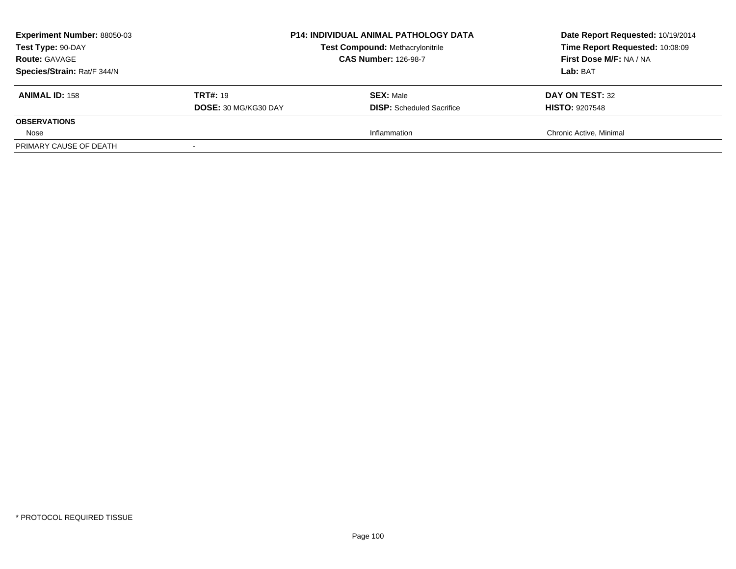| <b>Experiment Number: 88050-03</b><br>Test Type: 90-DAY<br><b>Route: GAVAGE</b><br>Species/Strain: Rat/F 344/N | <b>P14: INDIVIDUAL ANIMAL PATHOLOGY DATA</b><br><b>Test Compound: Methacrylonitrile</b><br><b>CAS Number: 126-98-7</b> |                                                      | Date Report Requested: 10/19/2014<br>Time Report Requested: 10:08:09<br>First Dose M/F: NA / NA<br>Lab: BAT |
|----------------------------------------------------------------------------------------------------------------|------------------------------------------------------------------------------------------------------------------------|------------------------------------------------------|-------------------------------------------------------------------------------------------------------------|
| <b>ANIMAL ID: 158</b>                                                                                          | <b>TRT#: 19</b><br>DOSE: 30 MG/KG30 DAY                                                                                | <b>SEX: Male</b><br><b>DISP:</b> Scheduled Sacrifice | DAY ON TEST: 32<br><b>HISTO: 9207548</b>                                                                    |
| <b>OBSERVATIONS</b>                                                                                            |                                                                                                                        |                                                      |                                                                                                             |
| Nose                                                                                                           |                                                                                                                        | Inflammation                                         | Chronic Active, Minimal                                                                                     |
| PRIMARY CAUSE OF DEATH                                                                                         |                                                                                                                        |                                                      |                                                                                                             |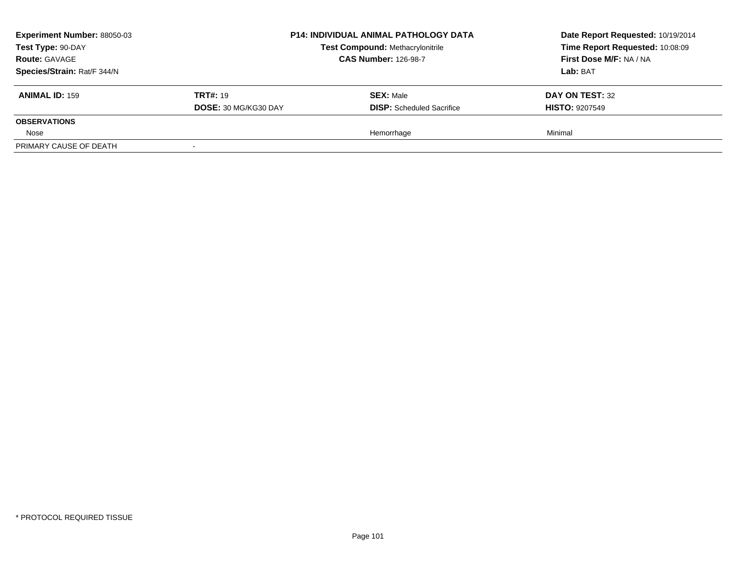| <b>Experiment Number: 88050-03</b> |                      | <b>P14: INDIVIDUAL ANIMAL PATHOLOGY DATA</b> | Date Report Requested: 10/19/2014<br>Time Report Requested: 10:08:09 |
|------------------------------------|----------------------|----------------------------------------------|----------------------------------------------------------------------|
| Test Type: 90-DAY                  |                      | <b>Test Compound: Methacrylonitrile</b>      |                                                                      |
| <b>Route: GAVAGE</b>               |                      | <b>CAS Number: 126-98-7</b>                  | First Dose M/F: NA / NA                                              |
| Species/Strain: Rat/F 344/N        |                      |                                              | Lab: BAT                                                             |
| <b>ANIMAL ID: 159</b>              | <b>TRT#: 19</b>      | <b>SEX: Male</b>                             | DAY ON TEST: 32                                                      |
|                                    | DOSE: 30 MG/KG30 DAY | <b>DISP:</b> Scheduled Sacrifice             | <b>HISTO: 9207549</b>                                                |
| <b>OBSERVATIONS</b>                |                      |                                              |                                                                      |
| Nose                               |                      | Hemorrhage                                   | Minimal                                                              |
| PRIMARY CAUSE OF DEATH             |                      |                                              |                                                                      |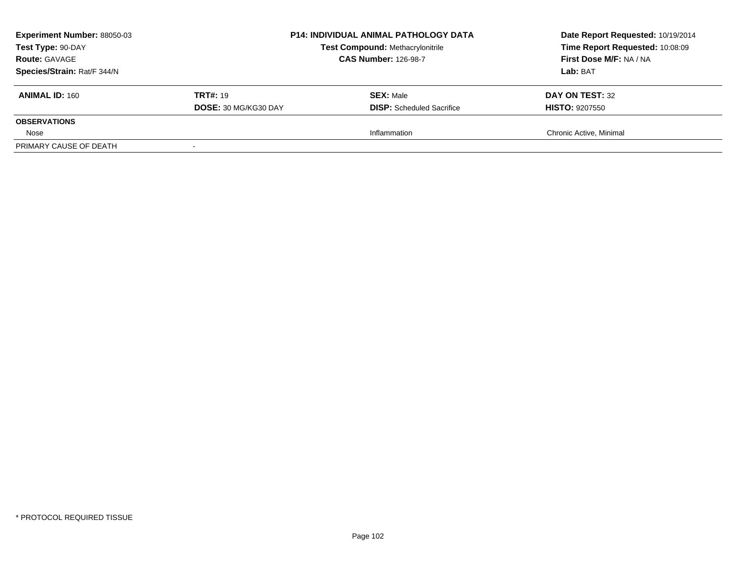| <b>Experiment Number: 88050-03</b><br>Test Type: 90-DAY<br><b>Route: GAVAGE</b><br>Species/Strain: Rat/F 344/N |                                         | <b>P14: INDIVIDUAL ANIMAL PATHOLOGY DATA</b><br><b>Test Compound: Methacrylonitrile</b><br><b>CAS Number: 126-98-7</b> | Date Report Requested: 10/19/2014<br>Time Report Requested: 10:08:09<br>First Dose M/F: NA / NA<br>Lab: BAT |
|----------------------------------------------------------------------------------------------------------------|-----------------------------------------|------------------------------------------------------------------------------------------------------------------------|-------------------------------------------------------------------------------------------------------------|
| <b>ANIMAL ID: 160</b>                                                                                          | <b>TRT#: 19</b><br>DOSE: 30 MG/KG30 DAY | <b>SEX: Male</b><br><b>DISP:</b> Scheduled Sacrifice                                                                   | DAY ON TEST: 32<br><b>HISTO: 9207550</b>                                                                    |
| <b>OBSERVATIONS</b>                                                                                            |                                         |                                                                                                                        |                                                                                                             |
| Nose                                                                                                           |                                         | Inflammation                                                                                                           | Chronic Active, Minimal                                                                                     |
| PRIMARY CAUSE OF DEATH                                                                                         |                                         |                                                                                                                        |                                                                                                             |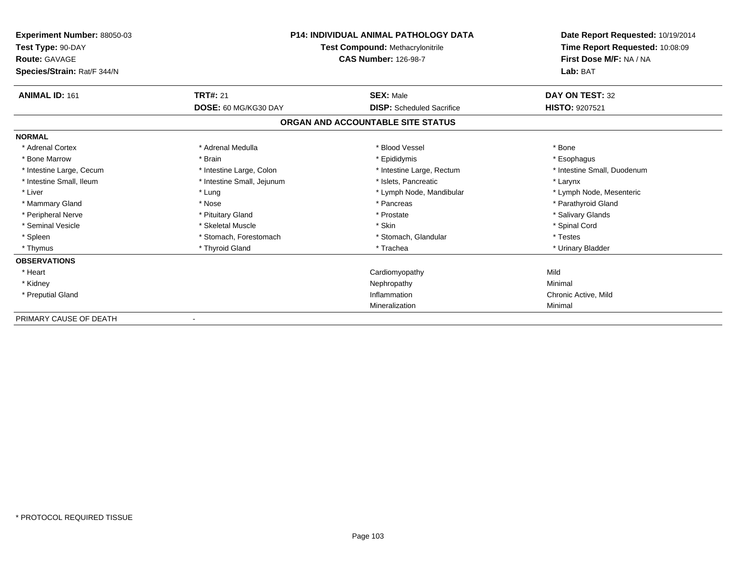| Experiment Number: 88050-03<br>Test Type: 90-DAY<br><b>Route: GAVAGE</b><br>Species/Strain: Rat/F 344/N | <b>P14: INDIVIDUAL ANIMAL PATHOLOGY DATA</b><br>Test Compound: Methacrylonitrile<br><b>CAS Number: 126-98-7</b> |                                   | Date Report Requested: 10/19/2014<br>Time Report Requested: 10:08:09<br>First Dose M/F: NA / NA<br>Lab: BAT |
|---------------------------------------------------------------------------------------------------------|-----------------------------------------------------------------------------------------------------------------|-----------------------------------|-------------------------------------------------------------------------------------------------------------|
| <b>ANIMAL ID: 161</b>                                                                                   | <b>TRT#: 21</b>                                                                                                 | <b>SEX: Male</b>                  | DAY ON TEST: 32                                                                                             |
|                                                                                                         | DOSE: 60 MG/KG30 DAY                                                                                            | <b>DISP:</b> Scheduled Sacrifice  | <b>HISTO: 9207521</b>                                                                                       |
|                                                                                                         |                                                                                                                 | ORGAN AND ACCOUNTABLE SITE STATUS |                                                                                                             |
| <b>NORMAL</b>                                                                                           |                                                                                                                 |                                   |                                                                                                             |
| * Adrenal Cortex                                                                                        | * Adrenal Medulla                                                                                               | * Blood Vessel                    | * Bone                                                                                                      |
| * Bone Marrow                                                                                           | * Brain                                                                                                         | * Epididymis                      | * Esophagus                                                                                                 |
| * Intestine Large, Cecum                                                                                | * Intestine Large, Colon                                                                                        | * Intestine Large, Rectum         | * Intestine Small, Duodenum                                                                                 |
| * Intestine Small, Ileum                                                                                | * Intestine Small, Jejunum                                                                                      | * Islets. Pancreatic              | * Larynx                                                                                                    |
| * Liver                                                                                                 | * Lung                                                                                                          | * Lymph Node, Mandibular          | * Lymph Node, Mesenteric                                                                                    |
| * Mammary Gland                                                                                         | * Nose                                                                                                          | * Pancreas                        | * Parathyroid Gland                                                                                         |
| * Peripheral Nerve                                                                                      | * Pituitary Gland                                                                                               | * Prostate                        | * Salivary Glands                                                                                           |
| * Seminal Vesicle                                                                                       | * Skeletal Muscle                                                                                               | * Skin                            | * Spinal Cord                                                                                               |
| * Spleen                                                                                                | * Stomach, Forestomach                                                                                          | * Stomach, Glandular              | * Testes                                                                                                    |
| * Thymus                                                                                                | * Thyroid Gland                                                                                                 | * Trachea                         | * Urinary Bladder                                                                                           |
| <b>OBSERVATIONS</b>                                                                                     |                                                                                                                 |                                   |                                                                                                             |
| * Heart                                                                                                 |                                                                                                                 | Cardiomyopathy                    | Mild                                                                                                        |
| * Kidney                                                                                                |                                                                                                                 | Nephropathy                       | Minimal                                                                                                     |
| * Preputial Gland                                                                                       |                                                                                                                 | Inflammation                      | Chronic Active, Mild                                                                                        |
|                                                                                                         |                                                                                                                 | Mineralization                    | Minimal                                                                                                     |
| PRIMARY CAUSE OF DEATH                                                                                  |                                                                                                                 |                                   |                                                                                                             |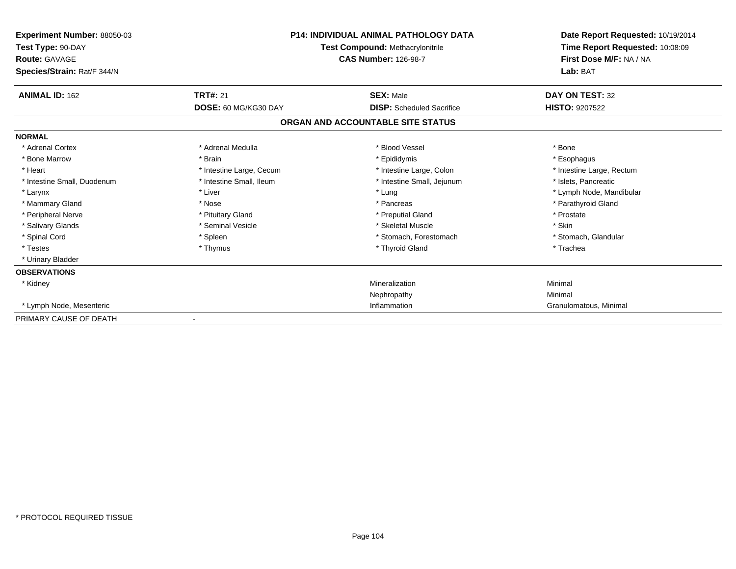| <b>Experiment Number: 88050-03</b><br>Test Type: 90-DAY<br><b>Route: GAVAGE</b><br>Species/Strain: Rat/F 344/N |                          | <b>P14: INDIVIDUAL ANIMAL PATHOLOGY DATA</b><br>Test Compound: Methacrylonitrile<br><b>CAS Number: 126-98-7</b> | Date Report Requested: 10/19/2014<br>Time Report Requested: 10:08:09<br>First Dose M/F: NA / NA<br>Lab: BAT |
|----------------------------------------------------------------------------------------------------------------|--------------------------|-----------------------------------------------------------------------------------------------------------------|-------------------------------------------------------------------------------------------------------------|
| <b>ANIMAL ID: 162</b>                                                                                          | <b>TRT#: 21</b>          | <b>SEX: Male</b>                                                                                                | DAY ON TEST: 32                                                                                             |
|                                                                                                                | DOSE: 60 MG/KG30 DAY     | <b>DISP:</b> Scheduled Sacrifice                                                                                | <b>HISTO: 9207522</b>                                                                                       |
|                                                                                                                |                          | ORGAN AND ACCOUNTABLE SITE STATUS                                                                               |                                                                                                             |
| <b>NORMAL</b>                                                                                                  |                          |                                                                                                                 |                                                                                                             |
| * Adrenal Cortex                                                                                               | * Adrenal Medulla        | * Blood Vessel                                                                                                  | * Bone                                                                                                      |
| * Bone Marrow                                                                                                  | * Brain                  | * Epididymis                                                                                                    | * Esophagus                                                                                                 |
| * Heart                                                                                                        | * Intestine Large, Cecum | * Intestine Large, Colon                                                                                        | * Intestine Large, Rectum                                                                                   |
| * Intestine Small, Duodenum                                                                                    | * Intestine Small, Ileum | * Intestine Small, Jejunum                                                                                      | * Islets. Pancreatic                                                                                        |
| * Larynx                                                                                                       | * Liver                  | * Lung                                                                                                          | * Lymph Node, Mandibular                                                                                    |
| * Mammary Gland                                                                                                | * Nose                   | * Pancreas                                                                                                      | * Parathyroid Gland                                                                                         |
| * Peripheral Nerve                                                                                             | * Pituitary Gland        | * Preputial Gland                                                                                               | * Prostate                                                                                                  |
| * Salivary Glands                                                                                              | * Seminal Vesicle        | * Skeletal Muscle                                                                                               | * Skin                                                                                                      |
| * Spinal Cord                                                                                                  | * Spleen                 | * Stomach, Forestomach                                                                                          | * Stomach, Glandular                                                                                        |
| * Testes                                                                                                       | * Thymus                 | * Thyroid Gland                                                                                                 | * Trachea                                                                                                   |
| * Urinary Bladder                                                                                              |                          |                                                                                                                 |                                                                                                             |
| <b>OBSERVATIONS</b>                                                                                            |                          |                                                                                                                 |                                                                                                             |
| * Kidney                                                                                                       |                          | Mineralization                                                                                                  | Minimal                                                                                                     |
|                                                                                                                |                          | Nephropathy                                                                                                     | Minimal                                                                                                     |
| * Lymph Node, Mesenteric                                                                                       |                          | Inflammation                                                                                                    | Granulomatous, Minimal                                                                                      |
| PRIMARY CAUSE OF DEATH                                                                                         |                          |                                                                                                                 |                                                                                                             |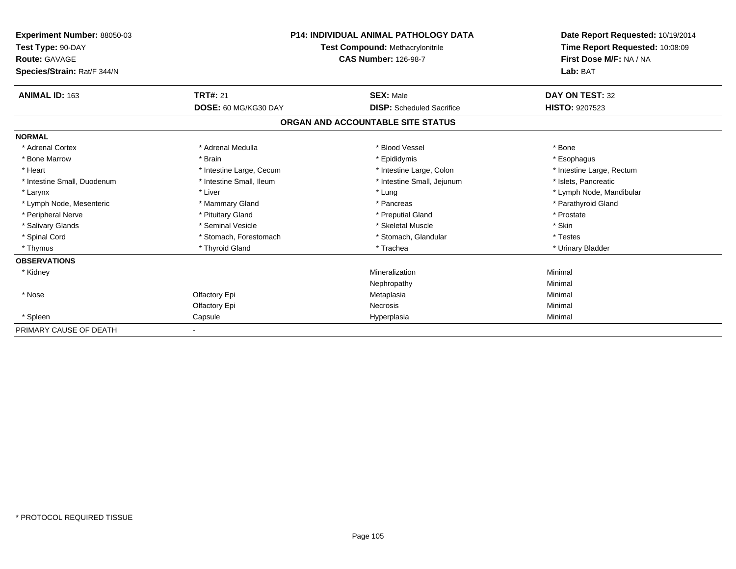| Experiment Number: 88050-03<br>Test Type: 90-DAY<br>Route: GAVAGE |                          | <b>P14: INDIVIDUAL ANIMAL PATHOLOGY DATA</b><br>Test Compound: Methacrylonitrile<br><b>CAS Number: 126-98-7</b> | Date Report Requested: 10/19/2014<br>Time Report Requested: 10:08:09<br>First Dose M/F: NA / NA |
|-------------------------------------------------------------------|--------------------------|-----------------------------------------------------------------------------------------------------------------|-------------------------------------------------------------------------------------------------|
| Species/Strain: Rat/F 344/N                                       |                          |                                                                                                                 | Lab: BAT                                                                                        |
| <b>ANIMAL ID: 163</b>                                             | <b>TRT#: 21</b>          | <b>SEX: Male</b>                                                                                                | <b>DAY ON TEST: 32</b>                                                                          |
|                                                                   | DOSE: 60 MG/KG30 DAY     | <b>DISP:</b> Scheduled Sacrifice                                                                                | HISTO: 9207523                                                                                  |
|                                                                   |                          | ORGAN AND ACCOUNTABLE SITE STATUS                                                                               |                                                                                                 |
| <b>NORMAL</b>                                                     |                          |                                                                                                                 |                                                                                                 |
| * Adrenal Cortex                                                  | * Adrenal Medulla        | * Blood Vessel                                                                                                  | * Bone                                                                                          |
| * Bone Marrow                                                     | * Brain                  | * Epididymis                                                                                                    | * Esophagus                                                                                     |
| * Heart                                                           | * Intestine Large, Cecum | * Intestine Large, Colon                                                                                        | * Intestine Large, Rectum                                                                       |
| * Intestine Small, Duodenum                                       | * Intestine Small, Ileum | * Intestine Small, Jejunum                                                                                      | * Islets, Pancreatic                                                                            |
| * Larynx                                                          | * Liver                  | * Lung                                                                                                          | * Lymph Node, Mandibular                                                                        |
| * Lymph Node, Mesenteric                                          | * Mammary Gland          | * Pancreas                                                                                                      | * Parathyroid Gland                                                                             |
| * Peripheral Nerve                                                | * Pituitary Gland        | * Preputial Gland                                                                                               | * Prostate                                                                                      |
| * Salivary Glands                                                 | * Seminal Vesicle        | * Skeletal Muscle                                                                                               | * Skin                                                                                          |
| * Spinal Cord                                                     | * Stomach, Forestomach   | * Stomach, Glandular                                                                                            | * Testes                                                                                        |
| * Thymus                                                          | * Thyroid Gland          | * Trachea                                                                                                       | * Urinary Bladder                                                                               |
| <b>OBSERVATIONS</b>                                               |                          |                                                                                                                 |                                                                                                 |
| * Kidney                                                          |                          | Mineralization                                                                                                  | Minimal                                                                                         |
|                                                                   |                          | Nephropathy                                                                                                     | Minimal                                                                                         |
| * Nose                                                            | Olfactory Epi            | Metaplasia                                                                                                      | Minimal                                                                                         |
|                                                                   | Olfactory Epi            | <b>Necrosis</b>                                                                                                 | Minimal                                                                                         |
| * Spleen                                                          | Capsule                  | Hyperplasia                                                                                                     | Minimal                                                                                         |
| PRIMARY CAUSE OF DEATH                                            |                          |                                                                                                                 |                                                                                                 |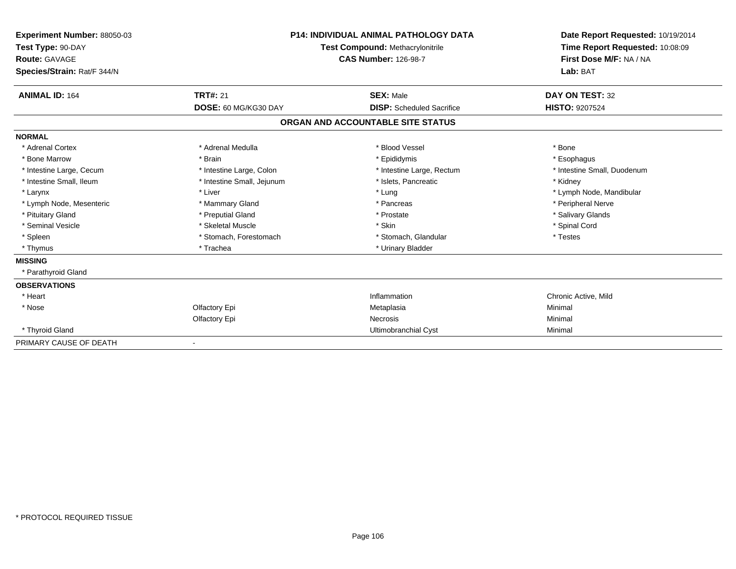| Experiment Number: 88050-03<br>Test Type: 90-DAY<br>Route: GAVAGE<br>Species/Strain: Rat/F 344/N | <b>P14: INDIVIDUAL ANIMAL PATHOLOGY DATA</b><br>Test Compound: Methacrylonitrile<br><b>CAS Number: 126-98-7</b> |                                   | Date Report Requested: 10/19/2014<br>Time Report Requested: 10:08:09<br>First Dose M/F: NA / NA<br>Lab: BAT |
|--------------------------------------------------------------------------------------------------|-----------------------------------------------------------------------------------------------------------------|-----------------------------------|-------------------------------------------------------------------------------------------------------------|
| <b>ANIMAL ID: 164</b>                                                                            | <b>TRT#: 21</b>                                                                                                 | <b>SEX: Male</b>                  | DAY ON TEST: 32                                                                                             |
|                                                                                                  | DOSE: 60 MG/KG30 DAY                                                                                            | <b>DISP:</b> Scheduled Sacrifice  | <b>HISTO: 9207524</b>                                                                                       |
|                                                                                                  |                                                                                                                 | ORGAN AND ACCOUNTABLE SITE STATUS |                                                                                                             |
| <b>NORMAL</b>                                                                                    |                                                                                                                 |                                   |                                                                                                             |
| * Adrenal Cortex                                                                                 | * Adrenal Medulla                                                                                               | * Blood Vessel                    | * Bone                                                                                                      |
| * Bone Marrow                                                                                    | * Brain                                                                                                         | * Epididymis                      | * Esophagus                                                                                                 |
| * Intestine Large, Cecum                                                                         | * Intestine Large, Colon                                                                                        | * Intestine Large, Rectum         | * Intestine Small, Duodenum                                                                                 |
| * Intestine Small, Ileum                                                                         | * Intestine Small, Jejunum                                                                                      | * Islets, Pancreatic              | * Kidney                                                                                                    |
| * Larynx                                                                                         | * Liver                                                                                                         | * Lung                            | * Lymph Node, Mandibular                                                                                    |
| * Lymph Node, Mesenteric                                                                         | * Mammary Gland                                                                                                 | * Pancreas                        | * Peripheral Nerve                                                                                          |
| * Pituitary Gland                                                                                | * Preputial Gland                                                                                               | * Prostate                        | * Salivary Glands                                                                                           |
| * Seminal Vesicle                                                                                | * Skeletal Muscle                                                                                               | * Skin                            | * Spinal Cord                                                                                               |
| * Spleen                                                                                         | * Stomach, Forestomach                                                                                          | * Stomach, Glandular              | * Testes                                                                                                    |
| * Thymus                                                                                         | * Trachea                                                                                                       | * Urinary Bladder                 |                                                                                                             |
| <b>MISSING</b>                                                                                   |                                                                                                                 |                                   |                                                                                                             |
| * Parathyroid Gland                                                                              |                                                                                                                 |                                   |                                                                                                             |
| <b>OBSERVATIONS</b>                                                                              |                                                                                                                 |                                   |                                                                                                             |
| * Heart                                                                                          |                                                                                                                 | Inflammation                      | Chronic Active, Mild                                                                                        |
| * Nose                                                                                           | Olfactory Epi                                                                                                   | Metaplasia                        | Minimal                                                                                                     |
|                                                                                                  | Olfactory Epi                                                                                                   | Necrosis                          | Minimal                                                                                                     |
| * Thyroid Gland                                                                                  |                                                                                                                 | Ultimobranchial Cyst              | Minimal                                                                                                     |
| PRIMARY CAUSE OF DEATH                                                                           |                                                                                                                 |                                   |                                                                                                             |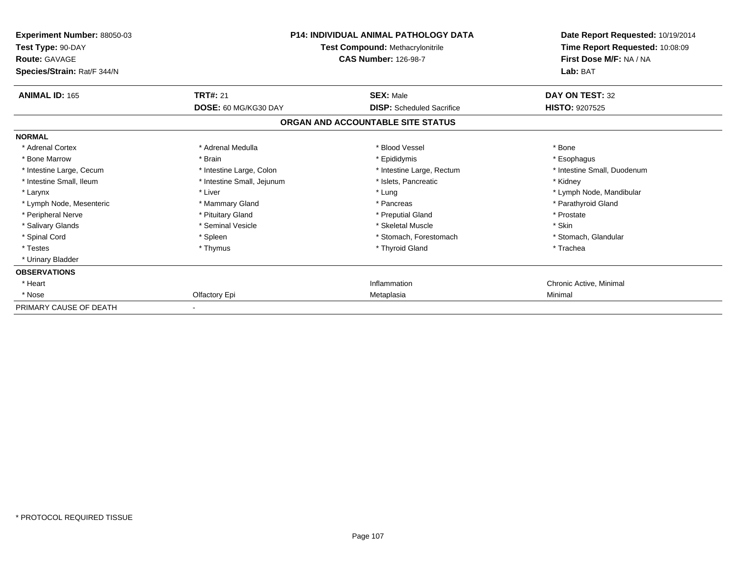| Experiment Number: 88050-03<br>Test Type: 90-DAY<br><b>Route: GAVAGE</b><br>Species/Strain: Rat/F 344/N | <b>P14: INDIVIDUAL ANIMAL PATHOLOGY DATA</b><br><b>Test Compound: Methacrylonitrile</b><br><b>CAS Number: 126-98-7</b> |                                   | Date Report Requested: 10/19/2014<br>Time Report Requested: 10:08:09<br>First Dose M/F: NA / NA<br>Lab: BAT |
|---------------------------------------------------------------------------------------------------------|------------------------------------------------------------------------------------------------------------------------|-----------------------------------|-------------------------------------------------------------------------------------------------------------|
| <b>ANIMAL ID: 165</b>                                                                                   | <b>TRT#: 21</b>                                                                                                        | <b>SEX: Male</b>                  | DAY ON TEST: 32                                                                                             |
|                                                                                                         | DOSE: 60 MG/KG30 DAY                                                                                                   | <b>DISP:</b> Scheduled Sacrifice  | <b>HISTO: 9207525</b>                                                                                       |
|                                                                                                         |                                                                                                                        | ORGAN AND ACCOUNTABLE SITE STATUS |                                                                                                             |
| <b>NORMAL</b>                                                                                           |                                                                                                                        |                                   |                                                                                                             |
| * Adrenal Cortex                                                                                        | * Adrenal Medulla                                                                                                      | * Blood Vessel                    | * Bone                                                                                                      |
| * Bone Marrow                                                                                           | * Brain                                                                                                                | * Epididymis                      | * Esophagus                                                                                                 |
| * Intestine Large, Cecum                                                                                | * Intestine Large, Colon                                                                                               | * Intestine Large, Rectum         | * Intestine Small, Duodenum                                                                                 |
| * Intestine Small, Ileum                                                                                | * Intestine Small, Jejunum                                                                                             | * Islets, Pancreatic              | * Kidney                                                                                                    |
| * Larynx                                                                                                | * Liver                                                                                                                | * Lung                            | * Lymph Node, Mandibular                                                                                    |
| * Lymph Node, Mesenteric                                                                                | * Mammary Gland                                                                                                        | * Pancreas                        | * Parathyroid Gland                                                                                         |
| * Peripheral Nerve                                                                                      | * Pituitary Gland                                                                                                      | * Preputial Gland                 | * Prostate                                                                                                  |
| * Salivary Glands                                                                                       | * Seminal Vesicle                                                                                                      | * Skeletal Muscle                 | * Skin                                                                                                      |
| * Spinal Cord                                                                                           | * Spleen                                                                                                               | * Stomach, Forestomach            | * Stomach, Glandular                                                                                        |
| * Testes                                                                                                | * Thymus                                                                                                               | * Thyroid Gland                   | * Trachea                                                                                                   |
| * Urinary Bladder                                                                                       |                                                                                                                        |                                   |                                                                                                             |
| <b>OBSERVATIONS</b>                                                                                     |                                                                                                                        |                                   |                                                                                                             |
| * Heart                                                                                                 |                                                                                                                        | Inflammation                      | Chronic Active, Minimal                                                                                     |
| * Nose                                                                                                  | Olfactory Epi                                                                                                          | Metaplasia                        | Minimal                                                                                                     |
| PRIMARY CAUSE OF DEATH                                                                                  |                                                                                                                        |                                   |                                                                                                             |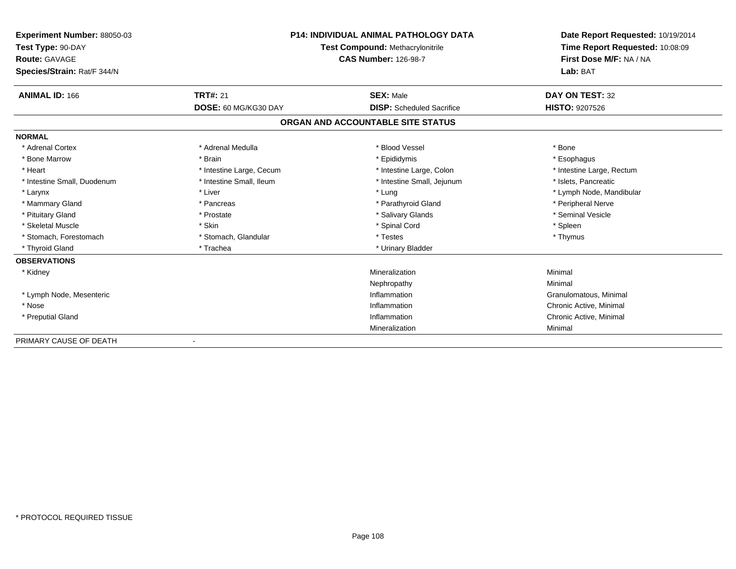| <b>Experiment Number: 88050-03</b><br>Test Type: 90-DAY |                             | <b>P14: INDIVIDUAL ANIMAL PATHOLOGY DATA</b><br>Test Compound: Methacrylonitrile | Date Report Requested: 10/19/2014<br>Time Report Requested: 10:08:09 |
|---------------------------------------------------------|-----------------------------|----------------------------------------------------------------------------------|----------------------------------------------------------------------|
| <b>Route: GAVAGE</b>                                    | <b>CAS Number: 126-98-7</b> |                                                                                  | First Dose M/F: NA / NA                                              |
| Species/Strain: Rat/F 344/N                             |                             |                                                                                  | Lab: BAT                                                             |
| <b>ANIMAL ID: 166</b>                                   | <b>TRT#: 21</b>             | <b>SEX: Male</b>                                                                 | DAY ON TEST: 32                                                      |
|                                                         | DOSE: 60 MG/KG30 DAY        | <b>DISP:</b> Scheduled Sacrifice                                                 | <b>HISTO: 9207526</b>                                                |
|                                                         |                             | ORGAN AND ACCOUNTABLE SITE STATUS                                                |                                                                      |
| <b>NORMAL</b>                                           |                             |                                                                                  |                                                                      |
| * Adrenal Cortex                                        | * Adrenal Medulla           | * Blood Vessel                                                                   | * Bone                                                               |
| * Bone Marrow                                           | * Brain                     | * Epididymis                                                                     | * Esophagus                                                          |
| * Heart                                                 | * Intestine Large, Cecum    | * Intestine Large, Colon                                                         | * Intestine Large, Rectum                                            |
| * Intestine Small, Duodenum                             | * Intestine Small, Ileum    | * Intestine Small, Jejunum                                                       | * Islets. Pancreatic                                                 |
| * Larynx                                                | * Liver                     | * Lung                                                                           | * Lymph Node, Mandibular                                             |
| * Mammary Gland                                         | * Pancreas                  | * Parathyroid Gland                                                              | * Peripheral Nerve                                                   |
| * Pituitary Gland                                       | * Prostate                  | * Salivary Glands                                                                | * Seminal Vesicle                                                    |
| * Skeletal Muscle                                       | * Skin                      | * Spinal Cord                                                                    | * Spleen                                                             |
| * Stomach, Forestomach                                  | * Stomach, Glandular        | * Testes                                                                         | * Thymus                                                             |
| * Thyroid Gland                                         | * Trachea                   | * Urinary Bladder                                                                |                                                                      |
| <b>OBSERVATIONS</b>                                     |                             |                                                                                  |                                                                      |
| * Kidney                                                |                             | Mineralization                                                                   | Minimal                                                              |
|                                                         |                             | Nephropathy                                                                      | Minimal                                                              |
| * Lymph Node, Mesenteric                                |                             | Inflammation                                                                     | Granulomatous, Minimal                                               |
| * Nose                                                  |                             | Inflammation                                                                     | Chronic Active, Minimal                                              |
| * Preputial Gland                                       |                             | Inflammation                                                                     | Chronic Active, Minimal                                              |
|                                                         |                             | Mineralization                                                                   | Minimal                                                              |
| PRIMARY CAUSE OF DEATH                                  |                             |                                                                                  |                                                                      |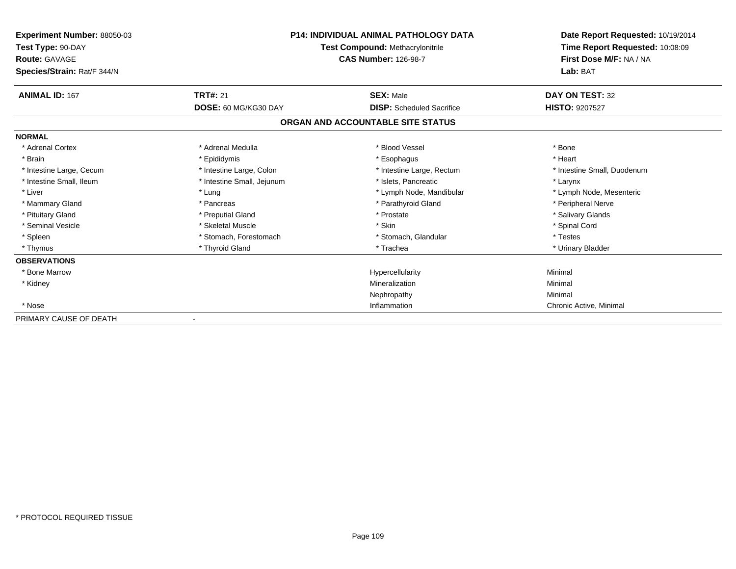| <b>Experiment Number: 88050-03</b><br>Test Type: 90-DAY<br><b>Route: GAVAGE</b><br>Species/Strain: Rat/F 344/N |                            | <b>P14: INDIVIDUAL ANIMAL PATHOLOGY DATA</b><br><b>Test Compound: Methacrylonitrile</b><br><b>CAS Number: 126-98-7</b> | Date Report Requested: 10/19/2014<br>Time Report Requested: 10:08:09<br>First Dose M/F: NA / NA<br>Lab: BAT |
|----------------------------------------------------------------------------------------------------------------|----------------------------|------------------------------------------------------------------------------------------------------------------------|-------------------------------------------------------------------------------------------------------------|
| <b>ANIMAL ID: 167</b>                                                                                          | <b>TRT#: 21</b>            | <b>SEX: Male</b>                                                                                                       | DAY ON TEST: 32                                                                                             |
|                                                                                                                | DOSE: 60 MG/KG30 DAY       | <b>DISP:</b> Scheduled Sacrifice                                                                                       | <b>HISTO: 9207527</b>                                                                                       |
|                                                                                                                |                            | ORGAN AND ACCOUNTABLE SITE STATUS                                                                                      |                                                                                                             |
| <b>NORMAL</b>                                                                                                  |                            |                                                                                                                        |                                                                                                             |
| * Adrenal Cortex                                                                                               | * Adrenal Medulla          | * Blood Vessel                                                                                                         | * Bone                                                                                                      |
| * Brain                                                                                                        | * Epididymis               | * Esophagus                                                                                                            | * Heart                                                                                                     |
| * Intestine Large, Cecum                                                                                       | * Intestine Large, Colon   | * Intestine Large, Rectum                                                                                              | * Intestine Small, Duodenum                                                                                 |
| * Intestine Small, Ileum                                                                                       | * Intestine Small, Jejunum | * Islets. Pancreatic                                                                                                   | * Larynx                                                                                                    |
| * Liver                                                                                                        | * Lung                     | * Lymph Node, Mandibular                                                                                               | * Lymph Node, Mesenteric                                                                                    |
| * Mammary Gland                                                                                                | * Pancreas                 | * Parathyroid Gland                                                                                                    | * Peripheral Nerve                                                                                          |
| * Pituitary Gland                                                                                              | * Preputial Gland          | * Prostate                                                                                                             | * Salivary Glands                                                                                           |
| * Seminal Vesicle                                                                                              | * Skeletal Muscle          | * Skin                                                                                                                 | * Spinal Cord                                                                                               |
| * Spleen                                                                                                       | * Stomach, Forestomach     | * Stomach, Glandular                                                                                                   | * Testes                                                                                                    |
| * Thymus                                                                                                       | * Thyroid Gland            | * Trachea                                                                                                              | * Urinary Bladder                                                                                           |
| <b>OBSERVATIONS</b>                                                                                            |                            |                                                                                                                        |                                                                                                             |
| * Bone Marrow                                                                                                  |                            | Hypercellularity                                                                                                       | Minimal                                                                                                     |
| * Kidney                                                                                                       |                            | Mineralization                                                                                                         | Minimal                                                                                                     |
|                                                                                                                |                            | Nephropathy                                                                                                            | Minimal                                                                                                     |
| * Nose                                                                                                         |                            | Inflammation                                                                                                           | Chronic Active, Minimal                                                                                     |
| PRIMARY CAUSE OF DEATH                                                                                         |                            |                                                                                                                        |                                                                                                             |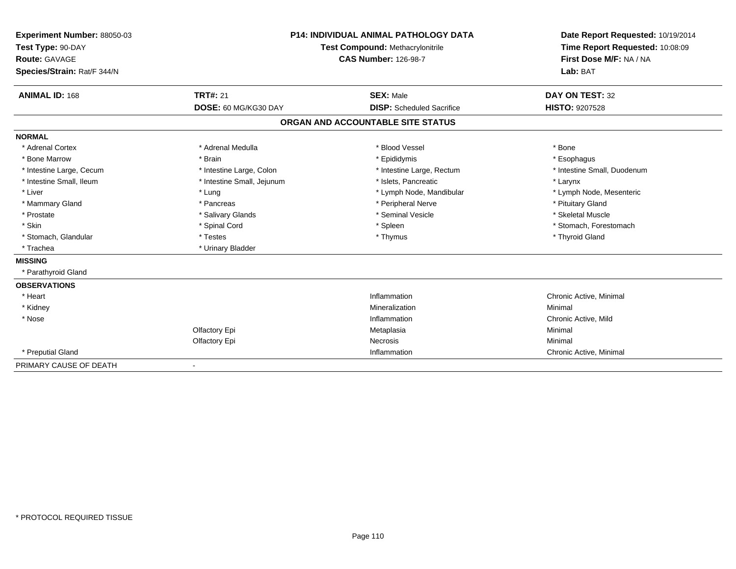| Experiment Number: 88050-03<br>Test Type: 90-DAY<br><b>Route: GAVAGE</b><br>Species/Strain: Rat/F 344/N<br><b>ANIMAL ID: 168</b> | <b>TRT#: 21</b>            | P14: INDIVIDUAL ANIMAL PATHOLOGY DATA<br><b>Test Compound: Methacrylonitrile</b><br><b>CAS Number: 126-98-7</b><br><b>SEX: Male</b> | Date Report Requested: 10/19/2014<br>Time Report Requested: 10:08:09<br>First Dose M/F: NA / NA<br>Lab: BAT<br>DAY ON TEST: 32 |
|----------------------------------------------------------------------------------------------------------------------------------|----------------------------|-------------------------------------------------------------------------------------------------------------------------------------|--------------------------------------------------------------------------------------------------------------------------------|
|                                                                                                                                  | DOSE: 60 MG/KG30 DAY       | <b>DISP:</b> Scheduled Sacrifice                                                                                                    | HISTO: 9207528                                                                                                                 |
|                                                                                                                                  |                            | ORGAN AND ACCOUNTABLE SITE STATUS                                                                                                   |                                                                                                                                |
| <b>NORMAL</b>                                                                                                                    |                            |                                                                                                                                     |                                                                                                                                |
| * Adrenal Cortex                                                                                                                 | * Adrenal Medulla          | * Blood Vessel                                                                                                                      | * Bone                                                                                                                         |
| * Bone Marrow                                                                                                                    | * Brain                    | * Epididymis                                                                                                                        | * Esophagus                                                                                                                    |
| * Intestine Large, Cecum                                                                                                         | * Intestine Large, Colon   | * Intestine Large, Rectum                                                                                                           | * Intestine Small, Duodenum                                                                                                    |
| * Intestine Small, Ileum                                                                                                         | * Intestine Small, Jejunum | * Islets, Pancreatic                                                                                                                | * Larynx                                                                                                                       |
| * Liver                                                                                                                          | * Lung                     | * Lymph Node, Mandibular                                                                                                            | * Lymph Node, Mesenteric                                                                                                       |
| * Mammary Gland                                                                                                                  | * Pancreas                 | * Peripheral Nerve                                                                                                                  | * Pituitary Gland                                                                                                              |
| * Prostate                                                                                                                       | * Salivary Glands          | * Seminal Vesicle                                                                                                                   | * Skeletal Muscle                                                                                                              |
| * Skin                                                                                                                           | * Spinal Cord              | * Spleen                                                                                                                            | * Stomach, Forestomach                                                                                                         |
| * Stomach, Glandular                                                                                                             | * Testes                   | * Thymus                                                                                                                            | * Thyroid Gland                                                                                                                |
| * Trachea                                                                                                                        | * Urinary Bladder          |                                                                                                                                     |                                                                                                                                |
| <b>MISSING</b>                                                                                                                   |                            |                                                                                                                                     |                                                                                                                                |
| * Parathyroid Gland                                                                                                              |                            |                                                                                                                                     |                                                                                                                                |
| <b>OBSERVATIONS</b>                                                                                                              |                            |                                                                                                                                     |                                                                                                                                |
| * Heart                                                                                                                          |                            | Inflammation                                                                                                                        | Chronic Active, Minimal                                                                                                        |
| * Kidney                                                                                                                         |                            | Mineralization                                                                                                                      | Minimal                                                                                                                        |
| * Nose                                                                                                                           |                            | Inflammation                                                                                                                        | Chronic Active, Mild                                                                                                           |
|                                                                                                                                  | Olfactory Epi              | Metaplasia                                                                                                                          | Minimal                                                                                                                        |
|                                                                                                                                  | Olfactory Epi              | Necrosis                                                                                                                            | Minimal                                                                                                                        |
| * Preputial Gland                                                                                                                |                            | Inflammation                                                                                                                        | Chronic Active, Minimal                                                                                                        |
| PRIMARY CAUSE OF DEATH                                                                                                           |                            |                                                                                                                                     |                                                                                                                                |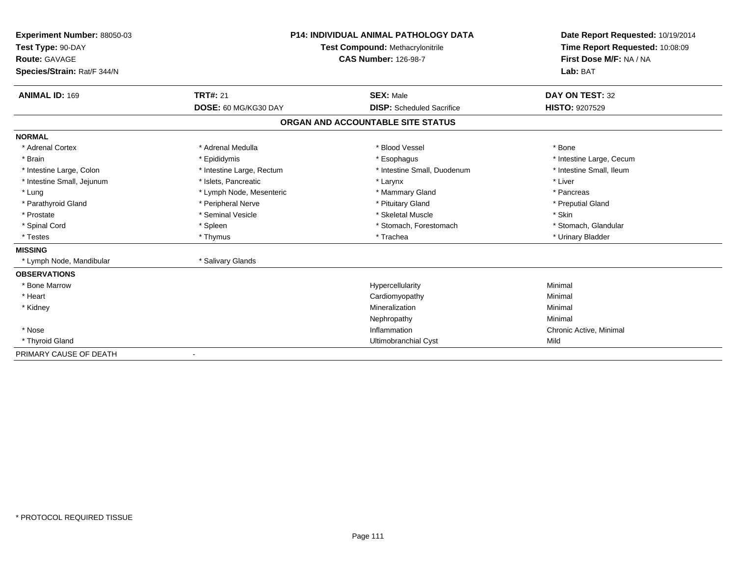| Experiment Number: 88050-03 | <b>P14: INDIVIDUAL ANIMAL PATHOLOGY DATA</b><br><b>Test Compound: Methacrylonitrile</b> |                                   | Date Report Requested: 10/19/2014 |
|-----------------------------|-----------------------------------------------------------------------------------------|-----------------------------------|-----------------------------------|
| Test Type: 90-DAY           |                                                                                         |                                   | Time Report Requested: 10:08:09   |
| Route: GAVAGE               |                                                                                         | <b>CAS Number: 126-98-7</b>       | First Dose M/F: NA / NA           |
| Species/Strain: Rat/F 344/N |                                                                                         |                                   | Lab: BAT                          |
| <b>ANIMAL ID: 169</b>       | <b>TRT#: 21</b>                                                                         | <b>SEX: Male</b>                  | DAY ON TEST: 32                   |
|                             | DOSE: 60 MG/KG30 DAY                                                                    | <b>DISP:</b> Scheduled Sacrifice  | <b>HISTO: 9207529</b>             |
|                             |                                                                                         | ORGAN AND ACCOUNTABLE SITE STATUS |                                   |
| <b>NORMAL</b>               |                                                                                         |                                   |                                   |
| * Adrenal Cortex            | * Adrenal Medulla                                                                       | * Blood Vessel                    | * Bone                            |
| * Brain                     | * Epididymis                                                                            | * Esophagus                       | * Intestine Large, Cecum          |
| * Intestine Large, Colon    | * Intestine Large, Rectum                                                               | * Intestine Small, Duodenum       | * Intestine Small, Ileum          |
| * Intestine Small, Jejunum  | * Islets, Pancreatic                                                                    | * Larynx                          | * Liver                           |
| * Lung                      | * Lymph Node, Mesenteric                                                                | * Mammary Gland                   | * Pancreas                        |
| * Parathyroid Gland         | * Peripheral Nerve                                                                      | * Pituitary Gland                 | * Preputial Gland                 |
| * Prostate                  | * Seminal Vesicle                                                                       | * Skeletal Muscle                 | * Skin                            |
| * Spinal Cord               | * Spleen                                                                                | * Stomach, Forestomach            | * Stomach, Glandular              |
| * Testes                    | * Thymus                                                                                | * Trachea                         | * Urinary Bladder                 |
| <b>MISSING</b>              |                                                                                         |                                   |                                   |
| * Lymph Node, Mandibular    | * Salivary Glands                                                                       |                                   |                                   |
| <b>OBSERVATIONS</b>         |                                                                                         |                                   |                                   |
| * Bone Marrow               |                                                                                         | Hypercellularity                  | Minimal                           |
| * Heart                     |                                                                                         | Cardiomyopathy                    | Minimal                           |
| * Kidney                    |                                                                                         | Mineralization                    | Minimal                           |
|                             |                                                                                         | Nephropathy                       | Minimal                           |
| * Nose                      |                                                                                         | Inflammation                      | Chronic Active, Minimal           |
| * Thyroid Gland             |                                                                                         | Ultimobranchial Cyst              | Mild                              |
| PRIMARY CAUSE OF DEATH      |                                                                                         |                                   |                                   |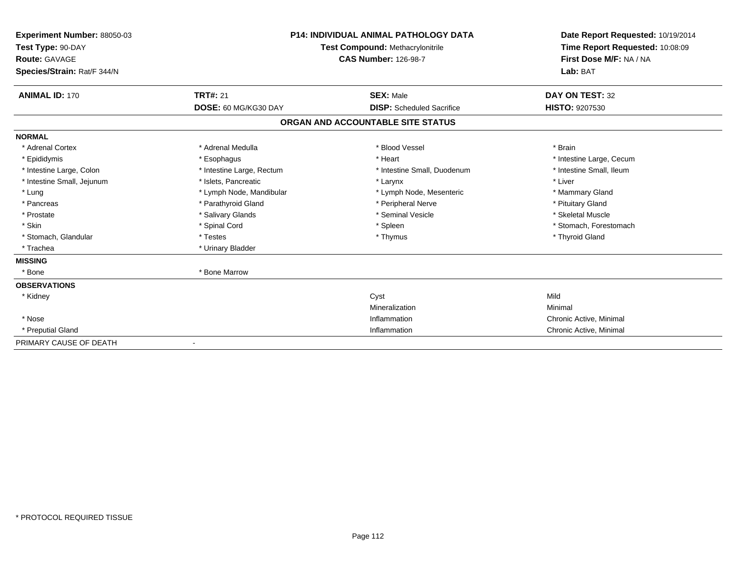| Experiment Number: 88050-03<br>Test Type: 90-DAY<br>Route: GAVAGE<br>Species/Strain: Rat/F 344/N | <b>P14: INDIVIDUAL ANIMAL PATHOLOGY DATA</b><br>Test Compound: Methacrylonitrile<br><b>CAS Number: 126-98-7</b> |                                   | Date Report Requested: 10/19/2014<br>Time Report Requested: 10:08:09<br>First Dose M/F: NA / NA<br>Lab: BAT |
|--------------------------------------------------------------------------------------------------|-----------------------------------------------------------------------------------------------------------------|-----------------------------------|-------------------------------------------------------------------------------------------------------------|
| <b>ANIMAL ID: 170</b>                                                                            | <b>TRT#: 21</b>                                                                                                 | <b>SEX: Male</b>                  | DAY ON TEST: 32                                                                                             |
|                                                                                                  | DOSE: 60 MG/KG30 DAY                                                                                            | <b>DISP:</b> Scheduled Sacrifice  | HISTO: 9207530                                                                                              |
|                                                                                                  |                                                                                                                 | ORGAN AND ACCOUNTABLE SITE STATUS |                                                                                                             |
| <b>NORMAL</b>                                                                                    |                                                                                                                 |                                   |                                                                                                             |
| * Adrenal Cortex                                                                                 | * Adrenal Medulla                                                                                               | * Blood Vessel                    | * Brain                                                                                                     |
| * Epididymis                                                                                     | * Esophagus                                                                                                     | * Heart                           | * Intestine Large, Cecum                                                                                    |
| * Intestine Large, Colon                                                                         | * Intestine Large, Rectum                                                                                       | * Intestine Small, Duodenum       | * Intestine Small, Ileum                                                                                    |
| * Intestine Small, Jejunum                                                                       | * Islets, Pancreatic                                                                                            | * Larynx                          | * Liver                                                                                                     |
| * Lung                                                                                           | * Lymph Node, Mandibular                                                                                        | * Lymph Node, Mesenteric          | * Mammary Gland                                                                                             |
| * Pancreas                                                                                       | * Parathyroid Gland                                                                                             | * Peripheral Nerve                | * Pituitary Gland                                                                                           |
| * Prostate                                                                                       | * Salivary Glands                                                                                               | * Seminal Vesicle                 | * Skeletal Muscle                                                                                           |
| * Skin                                                                                           | * Spinal Cord                                                                                                   | * Spleen                          | * Stomach, Forestomach                                                                                      |
| * Stomach, Glandular                                                                             | * Testes                                                                                                        | * Thymus                          | * Thyroid Gland                                                                                             |
| * Trachea                                                                                        | * Urinary Bladder                                                                                               |                                   |                                                                                                             |
| <b>MISSING</b>                                                                                   |                                                                                                                 |                                   |                                                                                                             |
| * Bone                                                                                           | * Bone Marrow                                                                                                   |                                   |                                                                                                             |
| <b>OBSERVATIONS</b>                                                                              |                                                                                                                 |                                   |                                                                                                             |
| * Kidney                                                                                         |                                                                                                                 | Cyst                              | Mild                                                                                                        |
|                                                                                                  |                                                                                                                 | Mineralization                    | Minimal                                                                                                     |
| * Nose                                                                                           |                                                                                                                 | Inflammation                      | Chronic Active, Minimal                                                                                     |
| * Preputial Gland                                                                                |                                                                                                                 | Inflammation                      | Chronic Active, Minimal                                                                                     |
| PRIMARY CAUSE OF DEATH                                                                           |                                                                                                                 |                                   |                                                                                                             |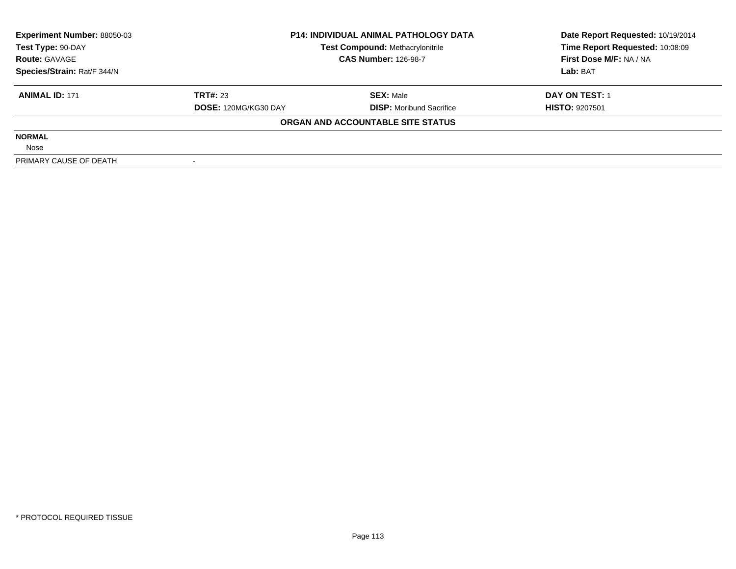| <b>Experiment Number: 88050-03</b> | <b>P14: INDIVIDUAL ANIMAL PATHOLOGY DATA</b><br><b>Test Compound: Methacrylonitrile</b><br><b>CAS Number: 126-98-7</b> |                                   | Date Report Requested: 10/19/2014 |
|------------------------------------|------------------------------------------------------------------------------------------------------------------------|-----------------------------------|-----------------------------------|
| Test Type: 90-DAY                  |                                                                                                                        |                                   | Time Report Requested: 10:08:09   |
| <b>Route: GAVAGE</b>               |                                                                                                                        |                                   | First Dose M/F: NA / NA           |
| Species/Strain: Rat/F 344/N        |                                                                                                                        |                                   | Lab: BAT                          |
| <b>ANIMAL ID: 171</b>              | <b>TRT#: 23</b>                                                                                                        | <b>SEX: Male</b>                  | DAY ON TEST: 1                    |
|                                    | <b>DOSE: 120MG/KG30 DAY</b>                                                                                            | <b>DISP:</b> Moribund Sacrifice   | <b>HISTO: 9207501</b>             |
|                                    |                                                                                                                        | ORGAN AND ACCOUNTABLE SITE STATUS |                                   |
| <b>NORMAL</b>                      |                                                                                                                        |                                   |                                   |
| Nose                               |                                                                                                                        |                                   |                                   |
| PRIMARY CAUSE OF DEATH             |                                                                                                                        |                                   |                                   |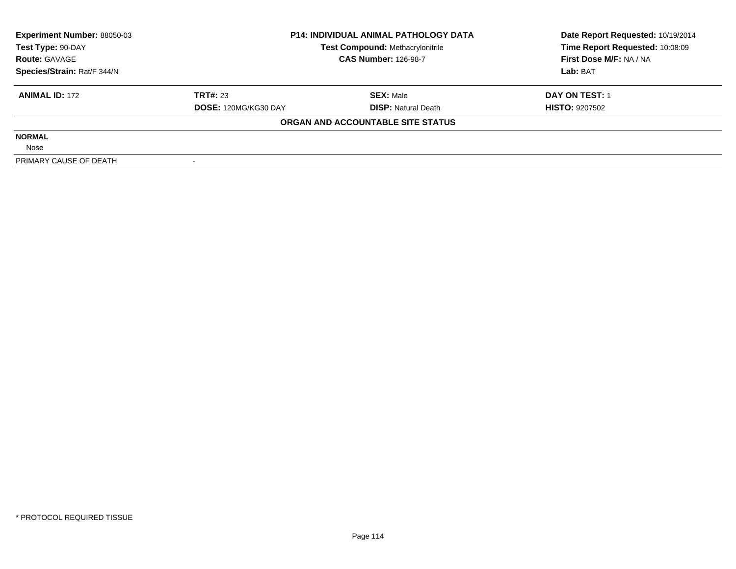| <b>Experiment Number: 88050-03</b> | <b>P14: INDIVIDUAL ANIMAL PATHOLOGY DATA</b><br><b>Test Compound: Methacrylonitrile</b><br><b>CAS Number: 126-98-7</b> |                                   | Date Report Requested: 10/19/2014 |  |
|------------------------------------|------------------------------------------------------------------------------------------------------------------------|-----------------------------------|-----------------------------------|--|
| Test Type: 90-DAY                  |                                                                                                                        |                                   | Time Report Requested: 10:08:09   |  |
| <b>Route: GAVAGE</b>               |                                                                                                                        |                                   | First Dose M/F: NA / NA           |  |
| Species/Strain: Rat/F 344/N        |                                                                                                                        |                                   | Lab: BAT                          |  |
| <b>ANIMAL ID: 172</b>              | <b>TRT#: 23</b>                                                                                                        | <b>SEX: Male</b>                  | DAY ON TEST: 1                    |  |
|                                    | DOSE: 120MG/KG30 DAY                                                                                                   | <b>DISP:</b> Natural Death        | <b>HISTO: 9207502</b>             |  |
|                                    |                                                                                                                        | ORGAN AND ACCOUNTABLE SITE STATUS |                                   |  |
| <b>NORMAL</b>                      |                                                                                                                        |                                   |                                   |  |
| Nose                               |                                                                                                                        |                                   |                                   |  |
| PRIMARY CAUSE OF DEATH             |                                                                                                                        |                                   |                                   |  |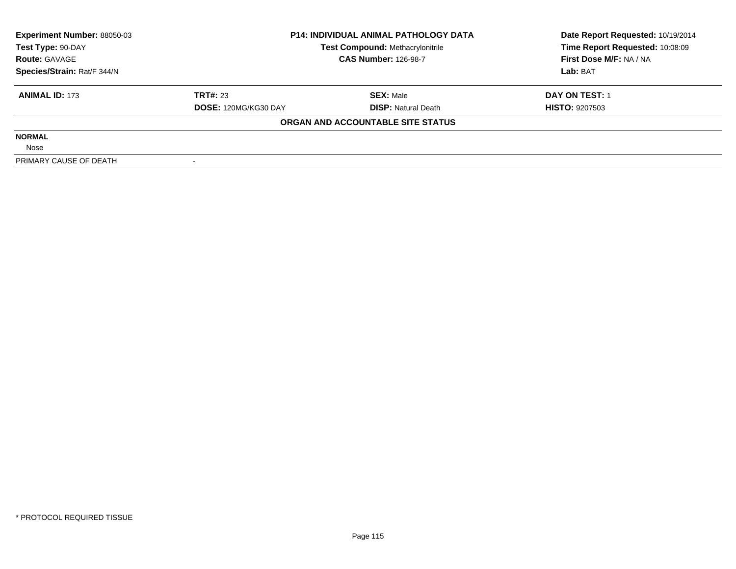| <b>Experiment Number: 88050-03</b> | <b>P14: INDIVIDUAL ANIMAL PATHOLOGY DATA</b><br><b>Test Compound: Methacrylonitrile</b><br><b>CAS Number: 126-98-7</b> |                                   | Date Report Requested: 10/19/2014 |  |
|------------------------------------|------------------------------------------------------------------------------------------------------------------------|-----------------------------------|-----------------------------------|--|
| Test Type: 90-DAY                  |                                                                                                                        |                                   | Time Report Requested: 10:08:09   |  |
| <b>Route: GAVAGE</b>               |                                                                                                                        |                                   | First Dose M/F: NA / NA           |  |
| Species/Strain: Rat/F 344/N        |                                                                                                                        |                                   | Lab: BAT                          |  |
| <b>ANIMAL ID: 173</b>              | <b>TRT#: 23</b>                                                                                                        | <b>SEX: Male</b>                  | DAY ON TEST: 1                    |  |
|                                    | DOSE: 120MG/KG30 DAY                                                                                                   | <b>DISP:</b> Natural Death        | <b>HISTO: 9207503</b>             |  |
|                                    |                                                                                                                        | ORGAN AND ACCOUNTABLE SITE STATUS |                                   |  |
| <b>NORMAL</b>                      |                                                                                                                        |                                   |                                   |  |
| Nose                               |                                                                                                                        |                                   |                                   |  |
| PRIMARY CAUSE OF DEATH             |                                                                                                                        |                                   |                                   |  |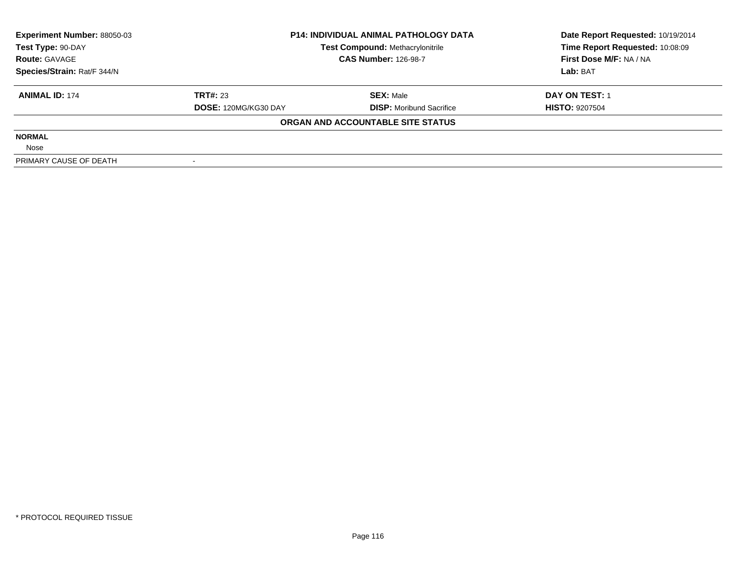| <b>Experiment Number: 88050-03</b> | <b>P14: INDIVIDUAL ANIMAL PATHOLOGY DATA</b><br><b>Test Compound: Methacrylonitrile</b><br><b>CAS Number: 126-98-7</b> |                                   | Date Report Requested: 10/19/2014 |  |
|------------------------------------|------------------------------------------------------------------------------------------------------------------------|-----------------------------------|-----------------------------------|--|
| Test Type: 90-DAY                  |                                                                                                                        |                                   | Time Report Requested: 10:08:09   |  |
| <b>Route: GAVAGE</b>               |                                                                                                                        |                                   | First Dose M/F: NA / NA           |  |
| Species/Strain: Rat/F 344/N        |                                                                                                                        |                                   | Lab: BAT                          |  |
| <b>ANIMAL ID: 174</b>              | <b>TRT#: 23</b>                                                                                                        | <b>SEX: Male</b>                  | DAY ON TEST: 1                    |  |
|                                    | <b>DOSE: 120MG/KG30 DAY</b>                                                                                            | <b>DISP:</b> Moribund Sacrifice   | <b>HISTO: 9207504</b>             |  |
|                                    |                                                                                                                        | ORGAN AND ACCOUNTABLE SITE STATUS |                                   |  |
| <b>NORMAL</b>                      |                                                                                                                        |                                   |                                   |  |
| Nose                               |                                                                                                                        |                                   |                                   |  |
| PRIMARY CAUSE OF DEATH             |                                                                                                                        |                                   |                                   |  |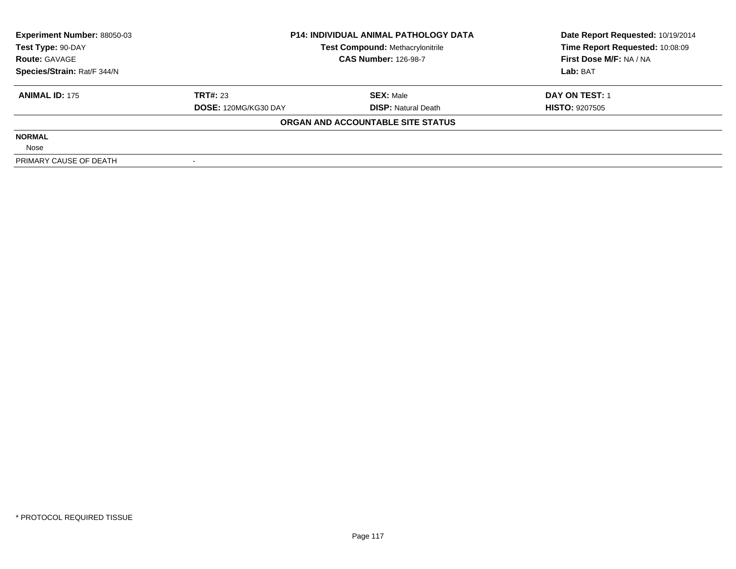| <b>Experiment Number: 88050-03</b> | <b>P14: INDIVIDUAL ANIMAL PATHOLOGY DATA</b><br><b>Test Compound: Methacrylonitrile</b><br><b>CAS Number: 126-98-7</b> |                                   | Date Report Requested: 10/19/2014 |  |
|------------------------------------|------------------------------------------------------------------------------------------------------------------------|-----------------------------------|-----------------------------------|--|
| Test Type: 90-DAY                  |                                                                                                                        |                                   | Time Report Requested: 10:08:09   |  |
| <b>Route: GAVAGE</b>               |                                                                                                                        |                                   | First Dose M/F: NA / NA           |  |
| Species/Strain: Rat/F 344/N        |                                                                                                                        |                                   | Lab: BAT                          |  |
| <b>ANIMAL ID: 175</b>              | <b>TRT#: 23</b>                                                                                                        | <b>SEX: Male</b>                  | DAY ON TEST: 1                    |  |
|                                    | DOSE: 120MG/KG30 DAY                                                                                                   | <b>DISP:</b> Natural Death        | <b>HISTO: 9207505</b>             |  |
|                                    |                                                                                                                        | ORGAN AND ACCOUNTABLE SITE STATUS |                                   |  |
| <b>NORMAL</b>                      |                                                                                                                        |                                   |                                   |  |
| Nose                               |                                                                                                                        |                                   |                                   |  |
| PRIMARY CAUSE OF DEATH             |                                                                                                                        |                                   |                                   |  |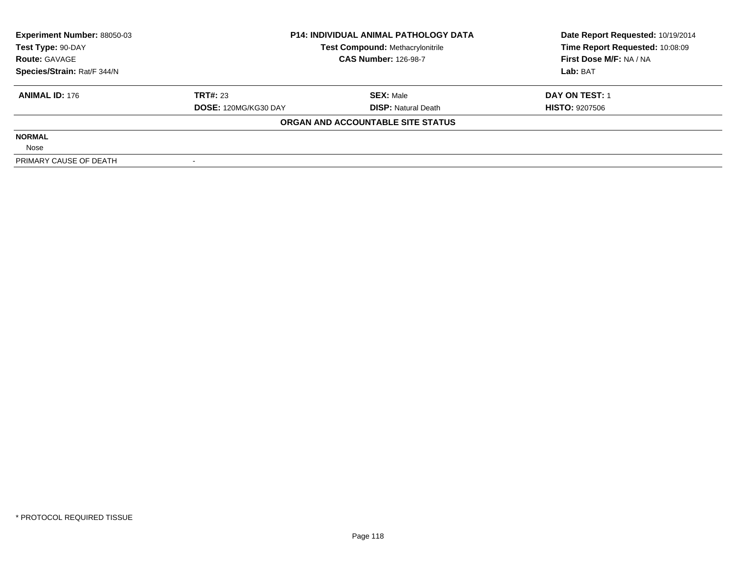| <b>Experiment Number: 88050-03</b> | <b>P14: INDIVIDUAL ANIMAL PATHOLOGY DATA</b><br><b>Test Compound: Methacrylonitrile</b><br><b>CAS Number: 126-98-7</b> |                                   | Date Report Requested: 10/19/2014 |  |
|------------------------------------|------------------------------------------------------------------------------------------------------------------------|-----------------------------------|-----------------------------------|--|
| Test Type: 90-DAY                  |                                                                                                                        |                                   | Time Report Requested: 10:08:09   |  |
| <b>Route: GAVAGE</b>               |                                                                                                                        |                                   | First Dose M/F: NA / NA           |  |
| Species/Strain: Rat/F 344/N        |                                                                                                                        |                                   | Lab: BAT                          |  |
| <b>ANIMAL ID: 176</b>              | <b>TRT#: 23</b>                                                                                                        | <b>SEX: Male</b>                  | DAY ON TEST: 1                    |  |
|                                    | DOSE: 120MG/KG30 DAY                                                                                                   | <b>DISP:</b> Natural Death        | <b>HISTO: 9207506</b>             |  |
|                                    |                                                                                                                        | ORGAN AND ACCOUNTABLE SITE STATUS |                                   |  |
| <b>NORMAL</b>                      |                                                                                                                        |                                   |                                   |  |
| Nose                               |                                                                                                                        |                                   |                                   |  |
| PRIMARY CAUSE OF DEATH             |                                                                                                                        |                                   |                                   |  |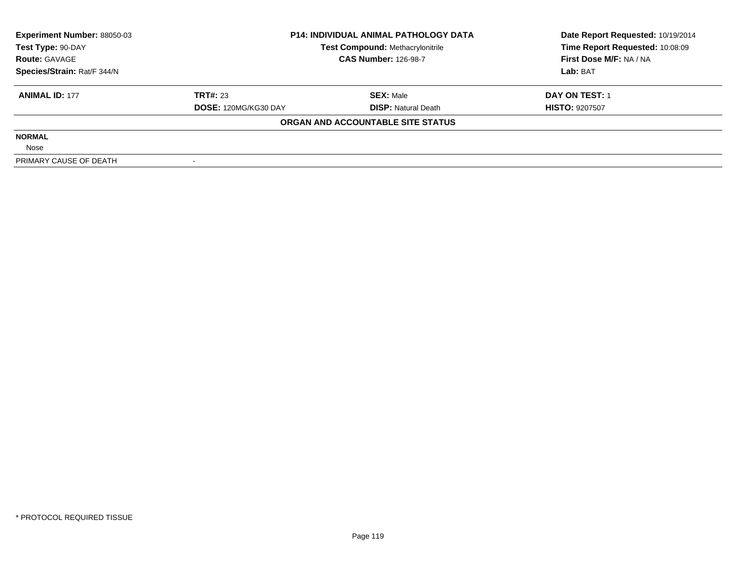| <b>Experiment Number: 88050-03</b> | <b>P14: INDIVIDUAL ANIMAL PATHOLOGY DATA</b><br><b>Test Compound: Methacrylonitrile</b><br><b>CAS Number: 126-98-7</b> |                                   | Date Report Requested: 10/19/2014 |  |
|------------------------------------|------------------------------------------------------------------------------------------------------------------------|-----------------------------------|-----------------------------------|--|
| Test Type: 90-DAY                  |                                                                                                                        |                                   | Time Report Requested: 10:08:09   |  |
| <b>Route: GAVAGE</b>               |                                                                                                                        |                                   | First Dose M/F: NA / NA           |  |
| Species/Strain: Rat/F 344/N        |                                                                                                                        |                                   | Lab: BAT                          |  |
| <b>ANIMAL ID: 177</b>              | <b>TRT#: 23</b>                                                                                                        | <b>SEX: Male</b>                  | DAY ON TEST: 1                    |  |
|                                    | DOSE: 120MG/KG30 DAY                                                                                                   | <b>DISP:</b> Natural Death        | <b>HISTO: 9207507</b>             |  |
|                                    |                                                                                                                        | ORGAN AND ACCOUNTABLE SITE STATUS |                                   |  |
| <b>NORMAL</b>                      |                                                                                                                        |                                   |                                   |  |
| Nose                               |                                                                                                                        |                                   |                                   |  |
| PRIMARY CAUSE OF DEATH             |                                                                                                                        |                                   |                                   |  |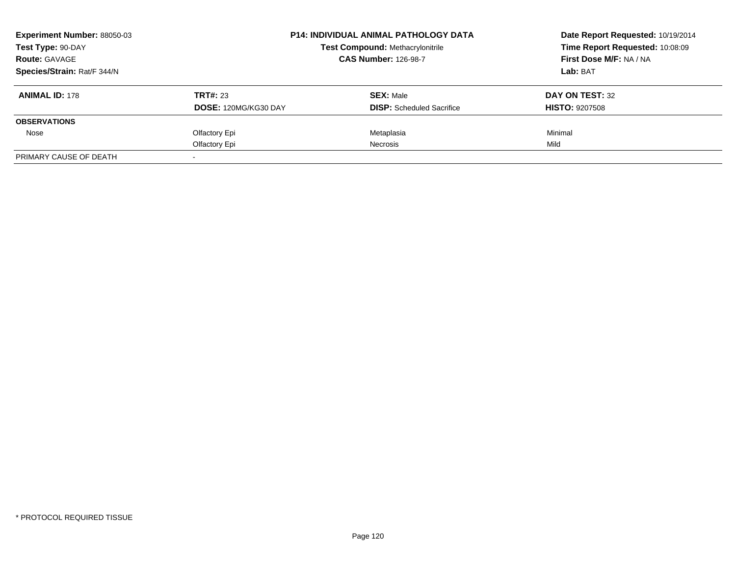| <b>Experiment Number: 88050-03</b> |                             | <b>P14: INDIVIDUAL ANIMAL PATHOLOGY DATA</b> |                                 |
|------------------------------------|-----------------------------|----------------------------------------------|---------------------------------|
| Test Type: 90-DAY                  |                             | <b>Test Compound: Methacrylonitrile</b>      | Time Report Requested: 10:08:09 |
| <b>Route: GAVAGE</b>               |                             | <b>CAS Number: 126-98-7</b>                  | First Dose M/F: NA / NA         |
| Species/Strain: Rat/F 344/N        |                             |                                              | <b>Lab: BAT</b>                 |
| <b>ANIMAL ID: 178</b>              | TRT#: 23                    | <b>SEX: Male</b>                             | DAY ON TEST: 32                 |
|                                    | <b>DOSE: 120MG/KG30 DAY</b> | <b>DISP:</b> Scheduled Sacrifice             | <b>HISTO: 9207508</b>           |
| <b>OBSERVATIONS</b>                |                             |                                              |                                 |
| Nose                               | Olfactory Epi               | Metaplasia                                   | Minimal                         |
|                                    | Olfactory Epi               | Necrosis                                     | Mild                            |
| PRIMARY CAUSE OF DEATH             |                             |                                              |                                 |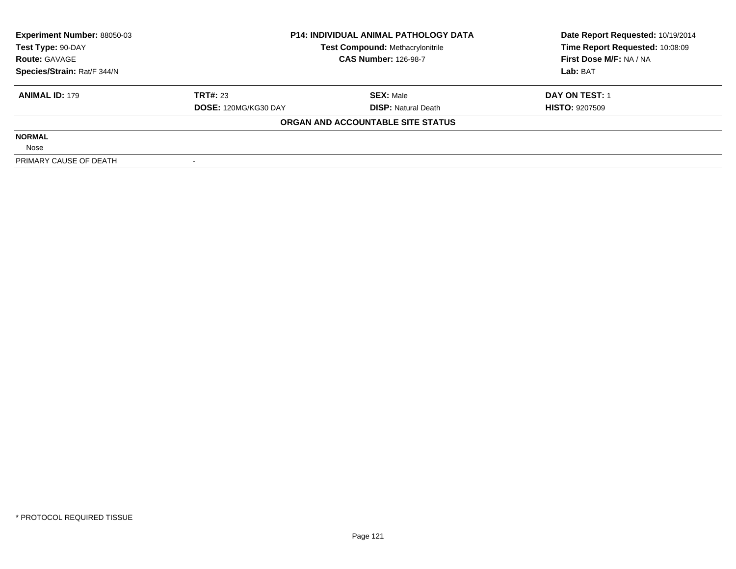| <b>Experiment Number: 88050-03</b> | <b>P14: INDIVIDUAL ANIMAL PATHOLOGY DATA</b><br><b>Test Compound: Methacrylonitrile</b> |                                   | Date Report Requested: 10/19/2014 |  |
|------------------------------------|-----------------------------------------------------------------------------------------|-----------------------------------|-----------------------------------|--|
| Test Type: 90-DAY                  |                                                                                         |                                   | Time Report Requested: 10:08:09   |  |
| <b>Route: GAVAGE</b>               |                                                                                         | <b>CAS Number: 126-98-7</b>       |                                   |  |
| Species/Strain: Rat/F 344/N        |                                                                                         |                                   | Lab: BAT                          |  |
| <b>ANIMAL ID: 179</b>              | <b>TRT#: 23</b>                                                                         | <b>SEX: Male</b>                  | DAY ON TEST: 1                    |  |
|                                    | DOSE: 120MG/KG30 DAY                                                                    | <b>DISP:</b> Natural Death        | <b>HISTO: 9207509</b>             |  |
|                                    |                                                                                         | ORGAN AND ACCOUNTABLE SITE STATUS |                                   |  |
| <b>NORMAL</b>                      |                                                                                         |                                   |                                   |  |
| Nose                               |                                                                                         |                                   |                                   |  |
| PRIMARY CAUSE OF DEATH             |                                                                                         |                                   |                                   |  |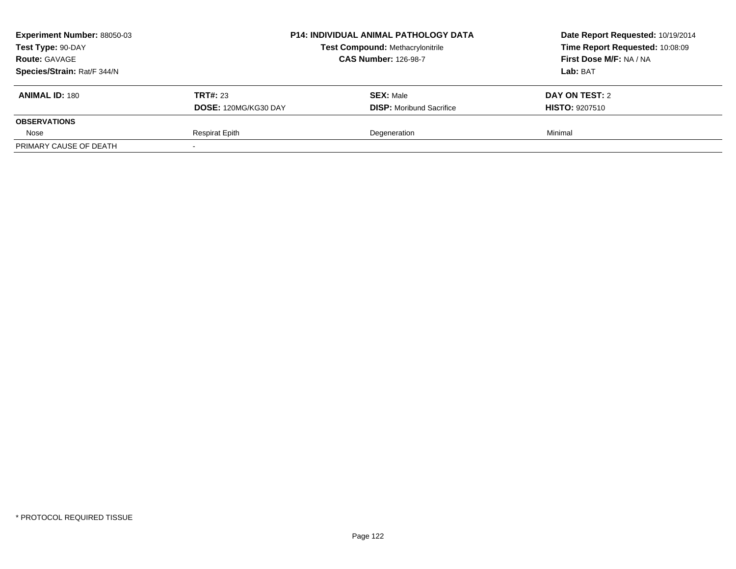| <b>Experiment Number: 88050-03</b> |                       | <b>P14: INDIVIDUAL ANIMAL PATHOLOGY DATA</b> | Date Report Requested: 10/19/2014<br>Time Report Requested: 10:08:09 |
|------------------------------------|-----------------------|----------------------------------------------|----------------------------------------------------------------------|
| Test Type: 90-DAY                  |                       | Test Compound: Methacrylonitrile             |                                                                      |
| <b>Route: GAVAGE</b>               |                       | <b>CAS Number: 126-98-7</b>                  | First Dose M/F: NA / NA                                              |
| Species/Strain: Rat/F 344/N        |                       |                                              | <b>Lab:</b> BAT                                                      |
| <b>ANIMAL ID: 180</b>              | <b>TRT#: 23</b>       | <b>SEX: Male</b>                             | DAY ON TEST: 2                                                       |
|                                    | DOSE: 120MG/KG30 DAY  | <b>DISP:</b> Moribund Sacrifice              | <b>HISTO: 9207510</b>                                                |
| <b>OBSERVATIONS</b>                |                       |                                              |                                                                      |
| Nose                               | <b>Respirat Epith</b> | Degeneration                                 | Minimal                                                              |
| PRIMARY CAUSE OF DEATH             |                       |                                              |                                                                      |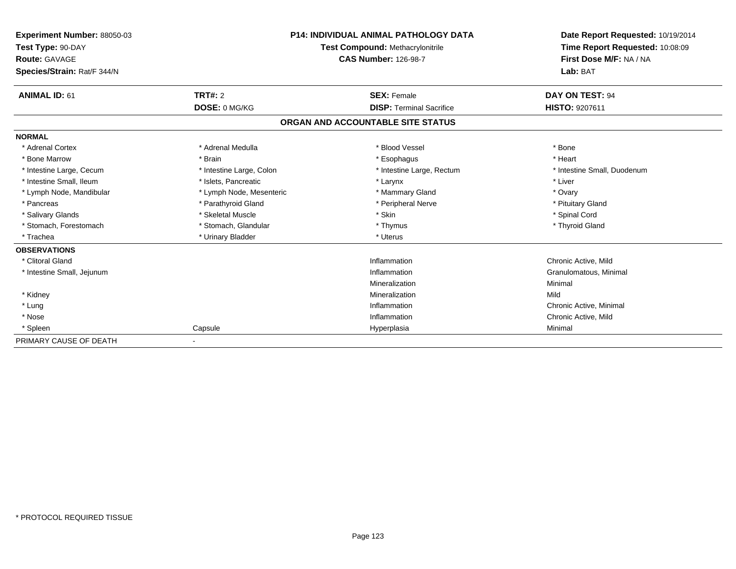| <b>Experiment Number: 88050-03</b><br>Test Type: 90-DAY<br><b>Route: GAVAGE</b><br>Species/Strain: Rat/F 344/N |                          | <b>P14: INDIVIDUAL ANIMAL PATHOLOGY DATA</b><br>Test Compound: Methacrylonitrile<br><b>CAS Number: 126-98-7</b> | Date Report Requested: 10/19/2014<br>Time Report Requested: 10:08:09<br>First Dose M/F: NA / NA<br>Lab: BAT |
|----------------------------------------------------------------------------------------------------------------|--------------------------|-----------------------------------------------------------------------------------------------------------------|-------------------------------------------------------------------------------------------------------------|
| <b>ANIMAL ID: 61</b>                                                                                           | TRT#: 2                  | <b>SEX: Female</b>                                                                                              | DAY ON TEST: 94                                                                                             |
|                                                                                                                | DOSE: 0 MG/KG            | <b>DISP: Terminal Sacrifice</b>                                                                                 | <b>HISTO: 9207611</b>                                                                                       |
|                                                                                                                |                          | ORGAN AND ACCOUNTABLE SITE STATUS                                                                               |                                                                                                             |
| <b>NORMAL</b>                                                                                                  |                          |                                                                                                                 |                                                                                                             |
| * Adrenal Cortex                                                                                               | * Adrenal Medulla        | * Blood Vessel                                                                                                  | * Bone                                                                                                      |
| * Bone Marrow                                                                                                  | * Brain                  | * Esophagus                                                                                                     | * Heart                                                                                                     |
| * Intestine Large, Cecum                                                                                       | * Intestine Large, Colon | * Intestine Large, Rectum                                                                                       | * Intestine Small, Duodenum                                                                                 |
| * Intestine Small. Ileum                                                                                       | * Islets. Pancreatic     | * Larynx                                                                                                        | * Liver                                                                                                     |
| * Lymph Node, Mandibular                                                                                       | * Lymph Node, Mesenteric | * Mammary Gland                                                                                                 | * Ovary                                                                                                     |
| * Pancreas                                                                                                     | * Parathyroid Gland      | * Peripheral Nerve                                                                                              | * Pituitary Gland                                                                                           |
| * Salivary Glands                                                                                              | * Skeletal Muscle        | * Skin                                                                                                          | * Spinal Cord                                                                                               |
| * Stomach, Forestomach                                                                                         | * Stomach, Glandular     | * Thymus                                                                                                        | * Thyroid Gland                                                                                             |
| * Trachea                                                                                                      | * Urinary Bladder        | * Uterus                                                                                                        |                                                                                                             |
| <b>OBSERVATIONS</b>                                                                                            |                          |                                                                                                                 |                                                                                                             |
| * Clitoral Gland                                                                                               |                          | Inflammation                                                                                                    | Chronic Active, Mild                                                                                        |
| * Intestine Small, Jejunum                                                                                     |                          | Inflammation                                                                                                    | Granulomatous, Minimal                                                                                      |
|                                                                                                                |                          | Mineralization                                                                                                  | Minimal                                                                                                     |
| * Kidney                                                                                                       |                          | Mineralization                                                                                                  | Mild                                                                                                        |
| * Lung                                                                                                         |                          | Inflammation                                                                                                    | Chronic Active, Minimal                                                                                     |
| * Nose                                                                                                         |                          | Inflammation                                                                                                    | Chronic Active, Mild                                                                                        |
| * Spleen                                                                                                       | Capsule                  | Hyperplasia                                                                                                     | Minimal                                                                                                     |
| PRIMARY CAUSE OF DEATH                                                                                         |                          |                                                                                                                 |                                                                                                             |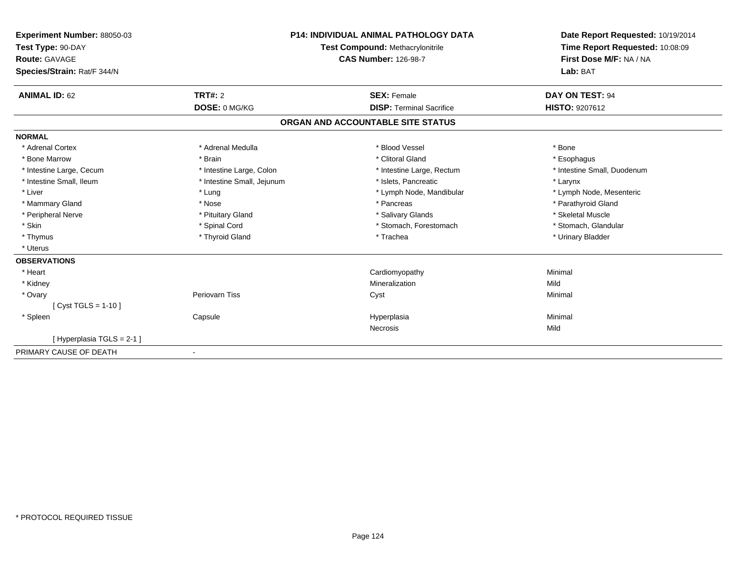| Experiment Number: 88050-03<br>Test Type: 90-DAY<br>Route: GAVAGE<br>Species/Strain: Rat/F 344/N |                            | <b>P14: INDIVIDUAL ANIMAL PATHOLOGY DATA</b><br><b>Test Compound: Methacrylonitrile</b><br><b>CAS Number: 126-98-7</b> | Date Report Requested: 10/19/2014<br>Time Report Requested: 10:08:09<br>First Dose M/F: NA / NA<br>Lab: BAT |
|--------------------------------------------------------------------------------------------------|----------------------------|------------------------------------------------------------------------------------------------------------------------|-------------------------------------------------------------------------------------------------------------|
|                                                                                                  |                            |                                                                                                                        |                                                                                                             |
| <b>ANIMAL ID: 62</b>                                                                             | TRT#: 2                    | <b>SEX: Female</b>                                                                                                     | DAY ON TEST: 94                                                                                             |
|                                                                                                  | DOSE: 0 MG/KG              | <b>DISP: Terminal Sacrifice</b>                                                                                        | <b>HISTO: 9207612</b>                                                                                       |
|                                                                                                  |                            | ORGAN AND ACCOUNTABLE SITE STATUS                                                                                      |                                                                                                             |
| <b>NORMAL</b>                                                                                    |                            |                                                                                                                        |                                                                                                             |
| * Adrenal Cortex                                                                                 | * Adrenal Medulla          | * Blood Vessel                                                                                                         | * Bone                                                                                                      |
| * Bone Marrow                                                                                    | * Brain                    | * Clitoral Gland                                                                                                       | * Esophagus                                                                                                 |
| * Intestine Large, Cecum                                                                         | * Intestine Large, Colon   | * Intestine Large, Rectum                                                                                              | * Intestine Small, Duodenum                                                                                 |
| * Intestine Small, Ileum                                                                         | * Intestine Small, Jejunum | * Islets, Pancreatic                                                                                                   | * Larynx                                                                                                    |
| * Liver                                                                                          | * Lung                     | * Lymph Node, Mandibular                                                                                               | * Lymph Node, Mesenteric                                                                                    |
| * Mammary Gland                                                                                  | * Nose                     | * Pancreas                                                                                                             | * Parathyroid Gland                                                                                         |
| * Peripheral Nerve                                                                               | * Pituitary Gland          | * Salivary Glands                                                                                                      | * Skeletal Muscle                                                                                           |
| * Skin                                                                                           | * Spinal Cord              | * Stomach, Forestomach                                                                                                 | * Stomach, Glandular                                                                                        |
| * Thymus                                                                                         | * Thyroid Gland            | * Trachea                                                                                                              | * Urinary Bladder                                                                                           |
| * Uterus                                                                                         |                            |                                                                                                                        |                                                                                                             |
| <b>OBSERVATIONS</b>                                                                              |                            |                                                                                                                        |                                                                                                             |
| * Heart                                                                                          |                            | Cardiomyopathy                                                                                                         | Minimal                                                                                                     |
| * Kidney                                                                                         |                            | Mineralization                                                                                                         | Mild                                                                                                        |
| * Ovary                                                                                          | <b>Periovarn Tiss</b>      | Cyst                                                                                                                   | Minimal                                                                                                     |
| [ $Cyst TGLS = 1-10$ ]                                                                           |                            |                                                                                                                        |                                                                                                             |
| * Spleen                                                                                         | Capsule                    | Hyperplasia                                                                                                            | Minimal                                                                                                     |
|                                                                                                  |                            | Necrosis                                                                                                               | Mild                                                                                                        |
| [Hyperplasia TGLS = 2-1]                                                                         |                            |                                                                                                                        |                                                                                                             |
| PRIMARY CAUSE OF DEATH                                                                           | $\blacksquare$             |                                                                                                                        |                                                                                                             |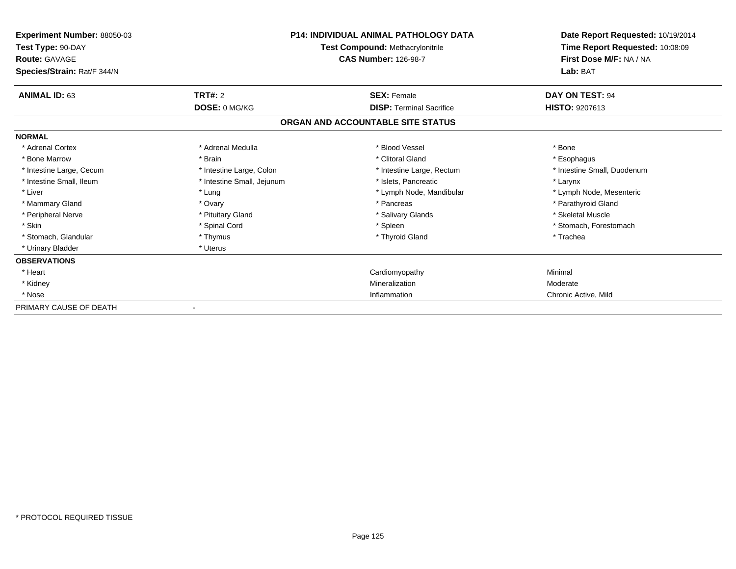| <b>Experiment Number: 88050-03</b><br>Test Type: 90-DAY<br><b>Route: GAVAGE</b> | <b>P14: INDIVIDUAL ANIMAL PATHOLOGY DATA</b><br><b>Test Compound: Methacrylonitrile</b><br><b>CAS Number: 126-98-7</b> |                                   | Date Report Requested: 10/19/2014<br>Time Report Requested: 10:08:09<br>First Dose M/F: NA / NA |
|---------------------------------------------------------------------------------|------------------------------------------------------------------------------------------------------------------------|-----------------------------------|-------------------------------------------------------------------------------------------------|
| Species/Strain: Rat/F 344/N                                                     |                                                                                                                        |                                   | Lab: BAT                                                                                        |
| <b>ANIMAL ID: 63</b>                                                            | <b>TRT#: 2</b>                                                                                                         | <b>SEX: Female</b>                | DAY ON TEST: 94                                                                                 |
|                                                                                 | DOSE: 0 MG/KG                                                                                                          | <b>DISP: Terminal Sacrifice</b>   | <b>HISTO: 9207613</b>                                                                           |
|                                                                                 |                                                                                                                        | ORGAN AND ACCOUNTABLE SITE STATUS |                                                                                                 |
| <b>NORMAL</b>                                                                   |                                                                                                                        |                                   |                                                                                                 |
| * Adrenal Cortex                                                                | * Adrenal Medulla                                                                                                      | * Blood Vessel                    | * Bone                                                                                          |
| * Bone Marrow                                                                   | * Brain                                                                                                                | * Clitoral Gland                  | * Esophagus                                                                                     |
| * Intestine Large, Cecum                                                        | * Intestine Large, Colon                                                                                               | * Intestine Large, Rectum         | * Intestine Small, Duodenum                                                                     |
| * Intestine Small, Ileum                                                        | * Intestine Small, Jejunum                                                                                             | * Islets. Pancreatic              | * Larynx                                                                                        |
| * Liver                                                                         | * Lung                                                                                                                 | * Lymph Node, Mandibular          | * Lymph Node, Mesenteric                                                                        |
| * Mammary Gland                                                                 | * Ovary                                                                                                                | * Pancreas                        | * Parathyroid Gland                                                                             |
| * Peripheral Nerve                                                              | * Pituitary Gland                                                                                                      | * Salivary Glands                 | * Skeletal Muscle                                                                               |
| * Skin                                                                          | * Spinal Cord                                                                                                          | * Spleen                          | * Stomach, Forestomach                                                                          |
| * Stomach, Glandular                                                            | * Thymus                                                                                                               | * Thyroid Gland                   | * Trachea                                                                                       |
| * Urinary Bladder                                                               | * Uterus                                                                                                               |                                   |                                                                                                 |
| <b>OBSERVATIONS</b>                                                             |                                                                                                                        |                                   |                                                                                                 |
| * Heart                                                                         |                                                                                                                        | Cardiomyopathy                    | Minimal                                                                                         |
| * Kidney                                                                        |                                                                                                                        | Mineralization                    | Moderate                                                                                        |
| * Nose                                                                          |                                                                                                                        | Inflammation                      | Chronic Active, Mild                                                                            |
| PRIMARY CAUSE OF DEATH                                                          |                                                                                                                        |                                   |                                                                                                 |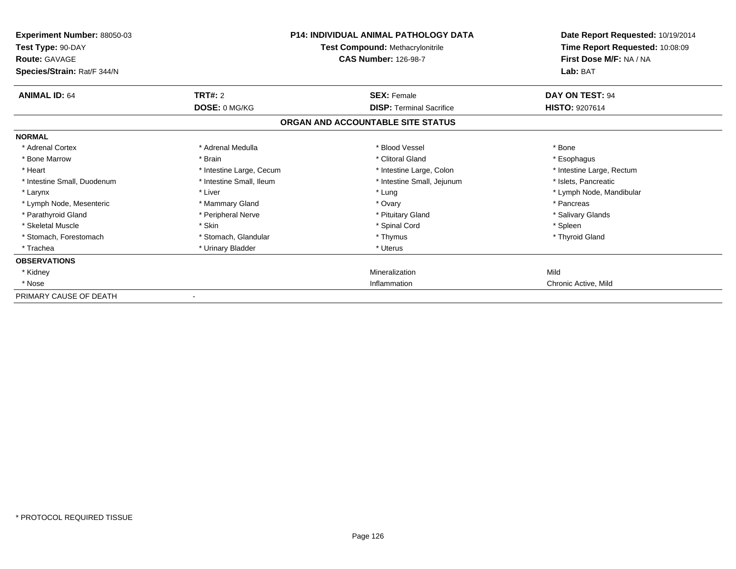| Experiment Number: 88050-03<br>Test Type: 90-DAY<br><b>Route: GAVAGE</b><br>Species/Strain: Rat/F 344/N |                          | <b>P14: INDIVIDUAL ANIMAL PATHOLOGY DATA</b><br>Test Compound: Methacrylonitrile<br><b>CAS Number: 126-98-7</b> | Date Report Requested: 10/19/2014<br>Time Report Requested: 10:08:09<br>First Dose M/F: NA / NA<br>Lab: BAT |
|---------------------------------------------------------------------------------------------------------|--------------------------|-----------------------------------------------------------------------------------------------------------------|-------------------------------------------------------------------------------------------------------------|
| <b>ANIMAL ID: 64</b>                                                                                    | <b>TRT#: 2</b>           | <b>SEX: Female</b>                                                                                              | DAY ON TEST: 94                                                                                             |
|                                                                                                         | DOSE: 0 MG/KG            | <b>DISP: Terminal Sacrifice</b>                                                                                 | <b>HISTO: 9207614</b>                                                                                       |
|                                                                                                         |                          | ORGAN AND ACCOUNTABLE SITE STATUS                                                                               |                                                                                                             |
| <b>NORMAL</b>                                                                                           |                          |                                                                                                                 |                                                                                                             |
| * Adrenal Cortex                                                                                        | * Adrenal Medulla        | * Blood Vessel                                                                                                  | * Bone                                                                                                      |
| * Bone Marrow                                                                                           | * Brain                  | * Clitoral Gland                                                                                                | * Esophagus                                                                                                 |
| * Heart                                                                                                 | * Intestine Large, Cecum | * Intestine Large, Colon                                                                                        | * Intestine Large, Rectum                                                                                   |
| * Intestine Small, Duodenum                                                                             | * Intestine Small, Ileum | * Intestine Small, Jejunum                                                                                      | * Islets, Pancreatic                                                                                        |
| * Larynx                                                                                                | * Liver                  | * Lung                                                                                                          | * Lymph Node, Mandibular                                                                                    |
| * Lymph Node, Mesenteric                                                                                | * Mammary Gland          | * Ovary                                                                                                         | * Pancreas                                                                                                  |
| * Parathyroid Gland                                                                                     | * Peripheral Nerve       | * Pituitary Gland                                                                                               | * Salivary Glands                                                                                           |
| * Skeletal Muscle                                                                                       | * Skin                   | * Spinal Cord                                                                                                   | * Spleen                                                                                                    |
| * Stomach, Forestomach                                                                                  | * Stomach, Glandular     | * Thymus                                                                                                        | * Thyroid Gland                                                                                             |
| * Trachea                                                                                               | * Urinary Bladder        | * Uterus                                                                                                        |                                                                                                             |
| <b>OBSERVATIONS</b>                                                                                     |                          |                                                                                                                 |                                                                                                             |
| * Kidney                                                                                                |                          | Mineralization                                                                                                  | Mild                                                                                                        |
| * Nose                                                                                                  |                          | Inflammation                                                                                                    | Chronic Active, Mild                                                                                        |
| PRIMARY CAUSE OF DEATH                                                                                  |                          |                                                                                                                 |                                                                                                             |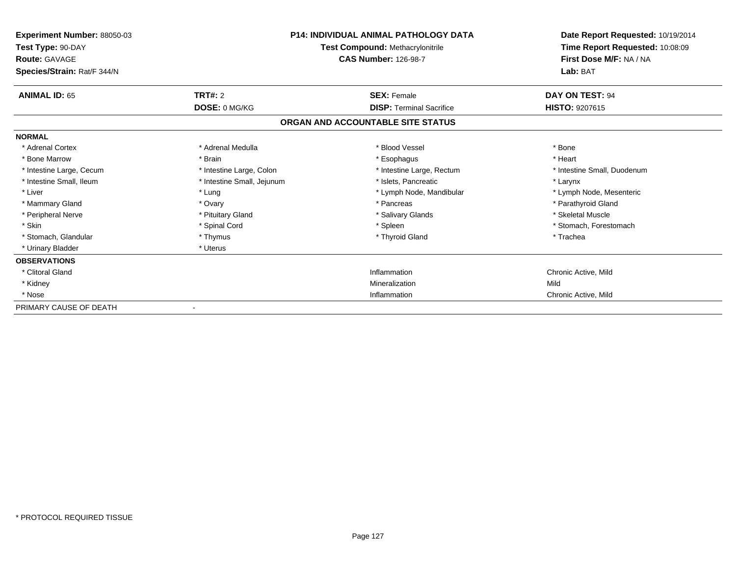| <b>Experiment Number: 88050-03</b><br>Test Type: 90-DAY<br><b>Route: GAVAGE</b><br>Species/Strain: Rat/F 344/N |                            | <b>P14: INDIVIDUAL ANIMAL PATHOLOGY DATA</b><br><b>Test Compound: Methacrylonitrile</b><br><b>CAS Number: 126-98-7</b> | Date Report Requested: 10/19/2014<br>Time Report Requested: 10:08:09<br>First Dose M/F: NA / NA<br>Lab: BAT |
|----------------------------------------------------------------------------------------------------------------|----------------------------|------------------------------------------------------------------------------------------------------------------------|-------------------------------------------------------------------------------------------------------------|
| <b>ANIMAL ID: 65</b>                                                                                           | TRT#: 2                    | <b>SEX: Female</b>                                                                                                     | DAY ON TEST: 94                                                                                             |
|                                                                                                                | DOSE: 0 MG/KG              | <b>DISP: Terminal Sacrifice</b>                                                                                        | <b>HISTO: 9207615</b>                                                                                       |
|                                                                                                                |                            | ORGAN AND ACCOUNTABLE SITE STATUS                                                                                      |                                                                                                             |
| <b>NORMAL</b>                                                                                                  |                            |                                                                                                                        |                                                                                                             |
| * Adrenal Cortex                                                                                               | * Adrenal Medulla          | * Blood Vessel                                                                                                         | * Bone                                                                                                      |
| * Bone Marrow                                                                                                  | * Brain                    | * Esophagus                                                                                                            | * Heart                                                                                                     |
| * Intestine Large, Cecum                                                                                       | * Intestine Large, Colon   | * Intestine Large, Rectum                                                                                              | * Intestine Small, Duodenum                                                                                 |
| * Intestine Small. Ileum                                                                                       | * Intestine Small, Jejunum | * Islets, Pancreatic                                                                                                   | * Larynx                                                                                                    |
| * Liver                                                                                                        | * Lung                     | * Lymph Node, Mandibular                                                                                               | * Lymph Node, Mesenteric                                                                                    |
| * Mammary Gland                                                                                                | * Ovary                    | * Pancreas                                                                                                             | * Parathyroid Gland                                                                                         |
| * Peripheral Nerve                                                                                             | * Pituitary Gland          | * Salivary Glands                                                                                                      | * Skeletal Muscle                                                                                           |
| * Skin                                                                                                         | * Spinal Cord              | * Spleen                                                                                                               | * Stomach, Forestomach                                                                                      |
| * Stomach, Glandular                                                                                           | * Thymus                   | * Thyroid Gland                                                                                                        | * Trachea                                                                                                   |
| * Urinary Bladder                                                                                              | * Uterus                   |                                                                                                                        |                                                                                                             |
| <b>OBSERVATIONS</b>                                                                                            |                            |                                                                                                                        |                                                                                                             |
| * Clitoral Gland                                                                                               |                            | Inflammation                                                                                                           | Chronic Active, Mild                                                                                        |
| * Kidney                                                                                                       |                            | Mineralization                                                                                                         | Mild                                                                                                        |
| * Nose                                                                                                         |                            | Inflammation                                                                                                           | Chronic Active, Mild                                                                                        |
| PRIMARY CAUSE OF DEATH                                                                                         |                            |                                                                                                                        |                                                                                                             |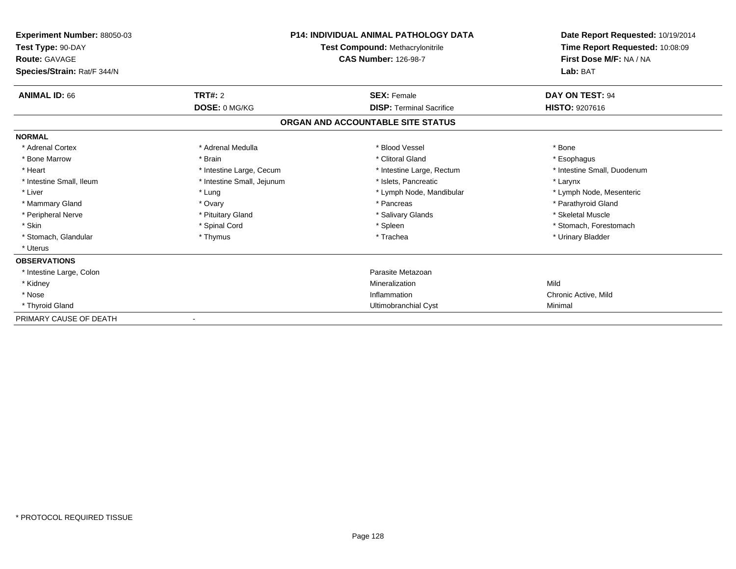| <b>Experiment Number: 88050-03</b><br>Test Type: 90-DAY<br><b>Route: GAVAGE</b><br>Species/Strain: Rat/F 344/N |                            | <b>P14: INDIVIDUAL ANIMAL PATHOLOGY DATA</b><br>Test Compound: Methacrylonitrile<br><b>CAS Number: 126-98-7</b> | Date Report Requested: 10/19/2014<br>Time Report Requested: 10:08:09<br>First Dose M/F: NA / NA<br>Lab: BAT |
|----------------------------------------------------------------------------------------------------------------|----------------------------|-----------------------------------------------------------------------------------------------------------------|-------------------------------------------------------------------------------------------------------------|
| <b>ANIMAL ID: 66</b>                                                                                           | <b>TRT#: 2</b>             | <b>SEX: Female</b>                                                                                              | DAY ON TEST: 94                                                                                             |
|                                                                                                                | DOSE: 0 MG/KG              | <b>DISP: Terminal Sacrifice</b>                                                                                 | <b>HISTO: 9207616</b>                                                                                       |
|                                                                                                                |                            | ORGAN AND ACCOUNTABLE SITE STATUS                                                                               |                                                                                                             |
| <b>NORMAL</b>                                                                                                  |                            |                                                                                                                 |                                                                                                             |
| * Adrenal Cortex                                                                                               | * Adrenal Medulla          | * Blood Vessel                                                                                                  | * Bone                                                                                                      |
| * Bone Marrow                                                                                                  | * Brain                    | * Clitoral Gland                                                                                                | * Esophagus                                                                                                 |
| * Heart                                                                                                        | * Intestine Large, Cecum   | * Intestine Large, Rectum                                                                                       | * Intestine Small, Duodenum                                                                                 |
| * Intestine Small, Ileum                                                                                       | * Intestine Small, Jejunum | * Islets. Pancreatic                                                                                            | * Larynx                                                                                                    |
| * Liver                                                                                                        | * Lung                     | * Lymph Node, Mandibular                                                                                        | * Lymph Node, Mesenteric                                                                                    |
| * Mammary Gland                                                                                                | * Ovary                    | * Pancreas                                                                                                      | * Parathyroid Gland                                                                                         |
| * Peripheral Nerve                                                                                             | * Pituitary Gland          | * Salivary Glands                                                                                               | * Skeletal Muscle                                                                                           |
| * Skin                                                                                                         | * Spinal Cord              | * Spleen                                                                                                        | * Stomach, Forestomach                                                                                      |
| * Stomach, Glandular                                                                                           | * Thymus                   | * Trachea                                                                                                       | * Urinary Bladder                                                                                           |
| * Uterus                                                                                                       |                            |                                                                                                                 |                                                                                                             |
| <b>OBSERVATIONS</b>                                                                                            |                            |                                                                                                                 |                                                                                                             |
| * Intestine Large, Colon                                                                                       |                            | Parasite Metazoan                                                                                               |                                                                                                             |
| * Kidney                                                                                                       |                            | Mineralization                                                                                                  | Mild                                                                                                        |
| * Nose                                                                                                         |                            | Inflammation                                                                                                    | Chronic Active, Mild                                                                                        |
| * Thyroid Gland                                                                                                |                            | Ultimobranchial Cyst                                                                                            | Minimal                                                                                                     |
| PRIMARY CAUSE OF DEATH                                                                                         |                            |                                                                                                                 |                                                                                                             |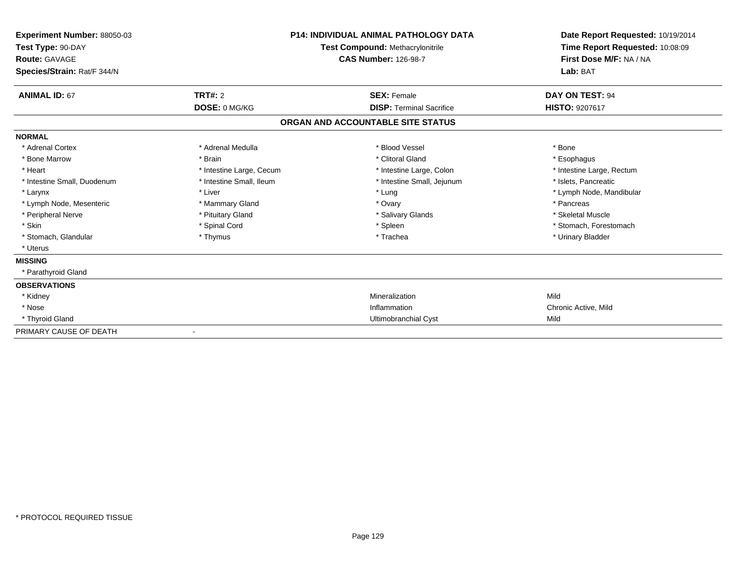| Experiment Number: 88050-03<br>Test Type: 90-DAY<br>Route: GAVAGE<br>Species/Strain: Rat/F 344/N |                          | <b>P14: INDIVIDUAL ANIMAL PATHOLOGY DATA</b><br>Test Compound: Methacrylonitrile<br><b>CAS Number: 126-98-7</b> | Date Report Requested: 10/19/2014<br>Time Report Requested: 10:08:09<br>First Dose M/F: NA / NA<br>Lab: BAT |
|--------------------------------------------------------------------------------------------------|--------------------------|-----------------------------------------------------------------------------------------------------------------|-------------------------------------------------------------------------------------------------------------|
| <b>ANIMAL ID: 67</b>                                                                             | TRT#: 2                  | <b>SEX: Female</b>                                                                                              | DAY ON TEST: 94                                                                                             |
|                                                                                                  | DOSE: 0 MG/KG            | <b>DISP: Terminal Sacrifice</b>                                                                                 | HISTO: 9207617                                                                                              |
|                                                                                                  |                          | ORGAN AND ACCOUNTABLE SITE STATUS                                                                               |                                                                                                             |
| <b>NORMAL</b>                                                                                    |                          |                                                                                                                 |                                                                                                             |
| * Adrenal Cortex                                                                                 | * Adrenal Medulla        | * Blood Vessel                                                                                                  | * Bone                                                                                                      |
| * Bone Marrow                                                                                    | * Brain                  | * Clitoral Gland                                                                                                | * Esophagus                                                                                                 |
| * Heart                                                                                          | * Intestine Large, Cecum | * Intestine Large, Colon                                                                                        | * Intestine Large, Rectum                                                                                   |
| * Intestine Small, Duodenum                                                                      | * Intestine Small, Ileum | * Intestine Small, Jejunum                                                                                      | * Islets, Pancreatic                                                                                        |
| * Larynx                                                                                         | * Liver                  | * Lung                                                                                                          | * Lymph Node, Mandibular                                                                                    |
| * Lymph Node, Mesenteric                                                                         | * Mammary Gland          | * Ovary                                                                                                         | * Pancreas                                                                                                  |
| * Peripheral Nerve                                                                               | * Pituitary Gland        | * Salivary Glands                                                                                               | * Skeletal Muscle                                                                                           |
| * Skin                                                                                           | * Spinal Cord            | * Spleen                                                                                                        | * Stomach, Forestomach                                                                                      |
| * Stomach, Glandular                                                                             | * Thymus                 | * Trachea                                                                                                       | * Urinary Bladder                                                                                           |
| * Uterus                                                                                         |                          |                                                                                                                 |                                                                                                             |
| <b>MISSING</b>                                                                                   |                          |                                                                                                                 |                                                                                                             |
| * Parathyroid Gland                                                                              |                          |                                                                                                                 |                                                                                                             |
| <b>OBSERVATIONS</b>                                                                              |                          |                                                                                                                 |                                                                                                             |
| * Kidney                                                                                         |                          | Mineralization                                                                                                  | Mild                                                                                                        |
| * Nose                                                                                           |                          | Inflammation                                                                                                    | Chronic Active, Mild                                                                                        |
| * Thyroid Gland                                                                                  |                          | Ultimobranchial Cyst                                                                                            | Mild                                                                                                        |
| PRIMARY CAUSE OF DEATH                                                                           |                          |                                                                                                                 |                                                                                                             |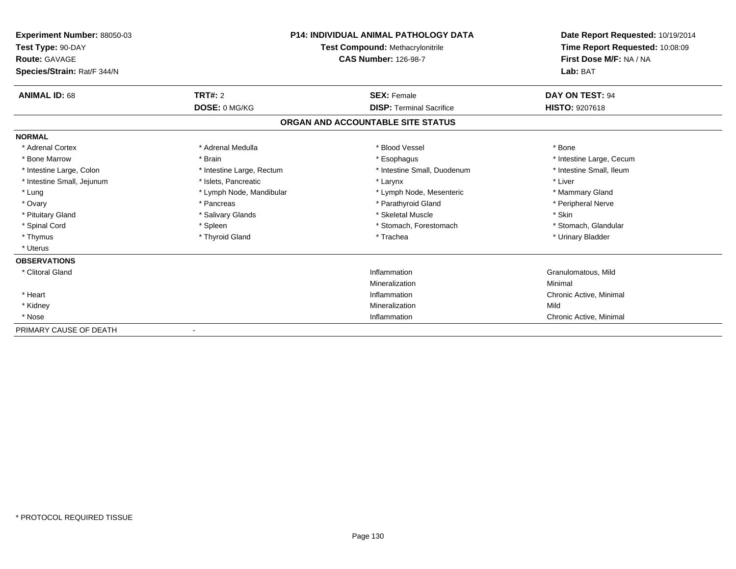| <b>Experiment Number: 88050-03</b><br>Test Type: 90-DAY<br><b>Route: GAVAGE</b><br>Species/Strain: Rat/F 344/N |                           | <b>P14: INDIVIDUAL ANIMAL PATHOLOGY DATA</b><br>Test Compound: Methacrylonitrile<br><b>CAS Number: 126-98-7</b> | Date Report Requested: 10/19/2014<br>Time Report Requested: 10:08:09<br>First Dose M/F: NA / NA<br>Lab: BAT |
|----------------------------------------------------------------------------------------------------------------|---------------------------|-----------------------------------------------------------------------------------------------------------------|-------------------------------------------------------------------------------------------------------------|
| <b>ANIMAL ID: 68</b>                                                                                           | <b>TRT#: 2</b>            | <b>SEX: Female</b>                                                                                              | <b>DAY ON TEST: 94</b>                                                                                      |
|                                                                                                                | DOSE: 0 MG/KG             | <b>DISP: Terminal Sacrifice</b>                                                                                 | <b>HISTO: 9207618</b>                                                                                       |
|                                                                                                                |                           | ORGAN AND ACCOUNTABLE SITE STATUS                                                                               |                                                                                                             |
| <b>NORMAL</b>                                                                                                  |                           |                                                                                                                 |                                                                                                             |
| * Adrenal Cortex                                                                                               | * Adrenal Medulla         | * Blood Vessel                                                                                                  | * Bone                                                                                                      |
| * Bone Marrow                                                                                                  | * Brain                   | * Esophagus                                                                                                     | * Intestine Large, Cecum                                                                                    |
| * Intestine Large, Colon                                                                                       | * Intestine Large, Rectum | * Intestine Small, Duodenum                                                                                     | * Intestine Small, Ileum                                                                                    |
| * Intestine Small, Jejunum                                                                                     | * Islets, Pancreatic      | * Larynx                                                                                                        | * Liver                                                                                                     |
| * Lung                                                                                                         | * Lymph Node, Mandibular  | * Lymph Node, Mesenteric                                                                                        | * Mammary Gland                                                                                             |
| * Ovary                                                                                                        | * Pancreas                | * Parathyroid Gland                                                                                             | * Peripheral Nerve                                                                                          |
| * Pituitary Gland                                                                                              | * Salivary Glands         | * Skeletal Muscle                                                                                               | * Skin                                                                                                      |
| * Spinal Cord                                                                                                  | * Spleen                  | * Stomach, Forestomach                                                                                          | * Stomach, Glandular                                                                                        |
| * Thymus                                                                                                       | * Thyroid Gland           | * Trachea                                                                                                       | * Urinary Bladder                                                                                           |
| * Uterus                                                                                                       |                           |                                                                                                                 |                                                                                                             |
| <b>OBSERVATIONS</b>                                                                                            |                           |                                                                                                                 |                                                                                                             |
| * Clitoral Gland                                                                                               |                           | Inflammation                                                                                                    | Granulomatous, Mild                                                                                         |
|                                                                                                                |                           | Mineralization                                                                                                  | Minimal                                                                                                     |
| * Heart                                                                                                        |                           | Inflammation                                                                                                    | Chronic Active, Minimal                                                                                     |
| * Kidney                                                                                                       |                           | Mineralization                                                                                                  | Mild                                                                                                        |
| * Nose                                                                                                         |                           | Inflammation                                                                                                    | Chronic Active, Minimal                                                                                     |
| PRIMARY CAUSE OF DEATH                                                                                         |                           |                                                                                                                 |                                                                                                             |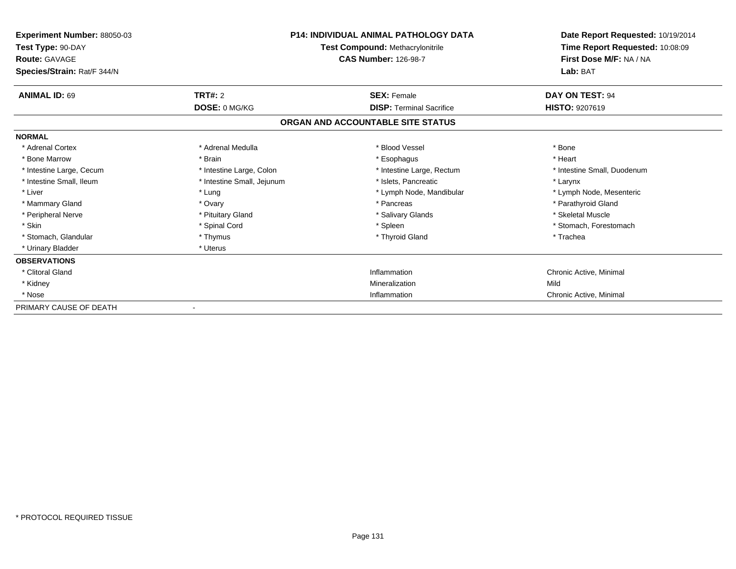| <b>Experiment Number: 88050-03</b><br>Test Type: 90-DAY<br><b>Route: GAVAGE</b><br>Species/Strain: Rat/F 344/N |                            | <b>P14: INDIVIDUAL ANIMAL PATHOLOGY DATA</b><br><b>Test Compound: Methacrylonitrile</b><br><b>CAS Number: 126-98-7</b> | Date Report Requested: 10/19/2014<br>Time Report Requested: 10:08:09<br>First Dose M/F: NA / NA<br>Lab: BAT |
|----------------------------------------------------------------------------------------------------------------|----------------------------|------------------------------------------------------------------------------------------------------------------------|-------------------------------------------------------------------------------------------------------------|
| <b>ANIMAL ID: 69</b>                                                                                           | TRT#: 2                    | <b>SEX: Female</b>                                                                                                     | DAY ON TEST: 94                                                                                             |
|                                                                                                                | DOSE: 0 MG/KG              | <b>DISP: Terminal Sacrifice</b>                                                                                        | <b>HISTO: 9207619</b>                                                                                       |
|                                                                                                                |                            | ORGAN AND ACCOUNTABLE SITE STATUS                                                                                      |                                                                                                             |
| <b>NORMAL</b>                                                                                                  |                            |                                                                                                                        |                                                                                                             |
| * Adrenal Cortex                                                                                               | * Adrenal Medulla          | * Blood Vessel                                                                                                         | * Bone                                                                                                      |
| * Bone Marrow                                                                                                  | * Brain                    | * Esophagus                                                                                                            | * Heart                                                                                                     |
| * Intestine Large, Cecum                                                                                       | * Intestine Large, Colon   | * Intestine Large, Rectum                                                                                              | * Intestine Small, Duodenum                                                                                 |
| * Intestine Small, Ileum                                                                                       | * Intestine Small, Jejunum | * Islets. Pancreatic                                                                                                   | * Larynx                                                                                                    |
| * Liver                                                                                                        | * Lung                     | * Lymph Node, Mandibular                                                                                               | * Lymph Node, Mesenteric                                                                                    |
| * Mammary Gland                                                                                                | * Ovary                    | * Pancreas                                                                                                             | * Parathyroid Gland                                                                                         |
| * Peripheral Nerve                                                                                             | * Pituitary Gland          | * Salivary Glands                                                                                                      | * Skeletal Muscle                                                                                           |
| * Skin                                                                                                         | * Spinal Cord              | * Spleen                                                                                                               | * Stomach, Forestomach                                                                                      |
| * Stomach, Glandular                                                                                           | * Thymus                   | * Thyroid Gland                                                                                                        | * Trachea                                                                                                   |
| * Urinary Bladder                                                                                              | * Uterus                   |                                                                                                                        |                                                                                                             |
| <b>OBSERVATIONS</b>                                                                                            |                            |                                                                                                                        |                                                                                                             |
| * Clitoral Gland                                                                                               |                            | Inflammation                                                                                                           | Chronic Active, Minimal                                                                                     |
| * Kidney                                                                                                       |                            | Mineralization                                                                                                         | Mild                                                                                                        |
| * Nose                                                                                                         |                            | Inflammation                                                                                                           | Chronic Active, Minimal                                                                                     |
| PRIMARY CAUSE OF DEATH                                                                                         |                            |                                                                                                                        |                                                                                                             |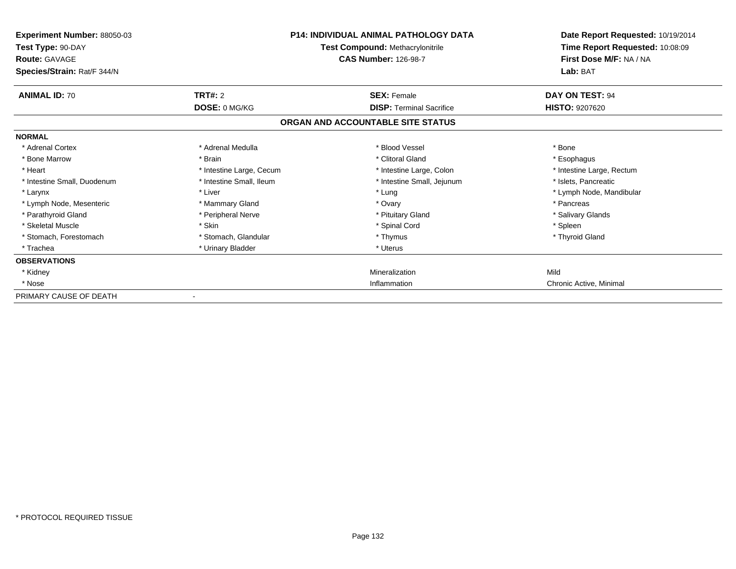| Experiment Number: 88050-03<br>Test Type: 90-DAY<br><b>Route: GAVAGE</b><br>Species/Strain: Rat/F 344/N |                          | <b>P14: INDIVIDUAL ANIMAL PATHOLOGY DATA</b><br>Test Compound: Methacrylonitrile<br><b>CAS Number: 126-98-7</b> | Date Report Requested: 10/19/2014<br>Time Report Requested: 10:08:09<br>First Dose M/F: NA / NA<br>Lab: BAT |
|---------------------------------------------------------------------------------------------------------|--------------------------|-----------------------------------------------------------------------------------------------------------------|-------------------------------------------------------------------------------------------------------------|
| <b>ANIMAL ID: 70</b>                                                                                    | <b>TRT#: 2</b>           | <b>SEX: Female</b>                                                                                              | DAY ON TEST: 94                                                                                             |
|                                                                                                         | DOSE: 0 MG/KG            | <b>DISP: Terminal Sacrifice</b>                                                                                 | <b>HISTO: 9207620</b>                                                                                       |
|                                                                                                         |                          | ORGAN AND ACCOUNTABLE SITE STATUS                                                                               |                                                                                                             |
| <b>NORMAL</b>                                                                                           |                          |                                                                                                                 |                                                                                                             |
| * Adrenal Cortex                                                                                        | * Adrenal Medulla        | * Blood Vessel                                                                                                  | * Bone                                                                                                      |
| * Bone Marrow                                                                                           | * Brain                  | * Clitoral Gland                                                                                                | * Esophagus                                                                                                 |
| * Heart                                                                                                 | * Intestine Large, Cecum | * Intestine Large, Colon                                                                                        | * Intestine Large, Rectum                                                                                   |
| * Intestine Small, Duodenum                                                                             | * Intestine Small, Ileum | * Intestine Small, Jejunum                                                                                      | * Islets, Pancreatic                                                                                        |
| * Larynx                                                                                                | * Liver                  | * Lung                                                                                                          | * Lymph Node, Mandibular                                                                                    |
| * Lymph Node, Mesenteric                                                                                | * Mammary Gland          | * Ovary                                                                                                         | * Pancreas                                                                                                  |
| * Parathyroid Gland                                                                                     | * Peripheral Nerve       | * Pituitary Gland                                                                                               | * Salivary Glands                                                                                           |
| * Skeletal Muscle                                                                                       | * Skin                   | * Spinal Cord                                                                                                   | * Spleen                                                                                                    |
| * Stomach, Forestomach                                                                                  | * Stomach, Glandular     | * Thymus                                                                                                        | * Thyroid Gland                                                                                             |
| * Trachea                                                                                               | * Urinary Bladder        | * Uterus                                                                                                        |                                                                                                             |
| <b>OBSERVATIONS</b>                                                                                     |                          |                                                                                                                 |                                                                                                             |
| * Kidney                                                                                                |                          | Mineralization                                                                                                  | Mild                                                                                                        |
| * Nose                                                                                                  |                          | Inflammation                                                                                                    | Chronic Active, Minimal                                                                                     |
| PRIMARY CAUSE OF DEATH                                                                                  |                          |                                                                                                                 |                                                                                                             |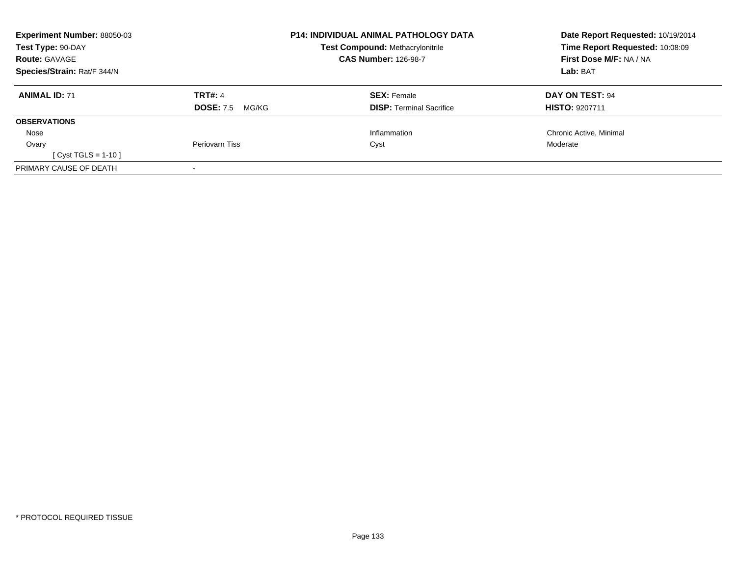| <b>Experiment Number: 88050-03</b> |                           | <b>P14: INDIVIDUAL ANIMAL PATHOLOGY DATA</b> | Date Report Requested: 10/19/2014 |
|------------------------------------|---------------------------|----------------------------------------------|-----------------------------------|
| Test Type: 90-DAY                  |                           | <b>Test Compound: Methacrylonitrile</b>      | Time Report Requested: 10:08:09   |
| <b>Route: GAVAGE</b>               |                           | <b>CAS Number: 126-98-7</b>                  | <b>First Dose M/F: NA / NA</b>    |
| Species/Strain: Rat/F 344/N        |                           |                                              | Lab: BAT                          |
| <b>ANIMAL ID: 71</b>               | <b>TRT#: 4</b>            | <b>SEX: Female</b>                           | DAY ON TEST: 94                   |
|                                    | <b>DOSE: 7.5</b><br>MG/KG | <b>DISP: Terminal Sacrifice</b>              | <b>HISTO: 9207711</b>             |
| <b>OBSERVATIONS</b>                |                           |                                              |                                   |
| Nose                               |                           | Inflammation                                 | Chronic Active, Minimal           |
| Ovary                              | <b>Periovarn Tiss</b>     | Cyst                                         | Moderate                          |
| [ Cyst TGLS = $1-10$ ]             |                           |                                              |                                   |
| PRIMARY CAUSE OF DEATH             |                           |                                              |                                   |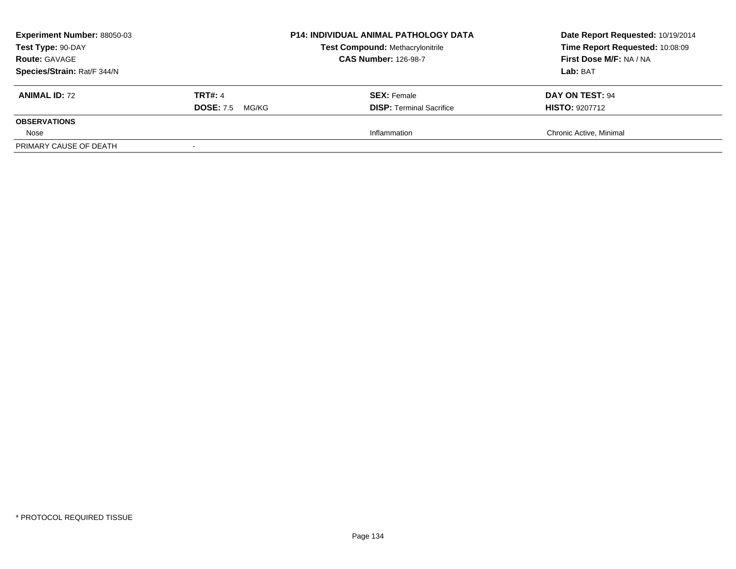| <b>Experiment Number: 88050-03</b><br>Test Type: 90-DAY<br><b>Route: GAVAGE</b><br>Species/Strain: Rat/F 344/N |                           | <b>P14: INDIVIDUAL ANIMAL PATHOLOGY DATA</b><br><b>Test Compound: Methacrylonitrile</b><br><b>CAS Number: 126-98-7</b> | Date Report Requested: 10/19/2014<br>Time Report Requested: 10:08:09<br>First Dose M/F: NA / NA<br>Lab: BAT |
|----------------------------------------------------------------------------------------------------------------|---------------------------|------------------------------------------------------------------------------------------------------------------------|-------------------------------------------------------------------------------------------------------------|
| <b>ANIMAL ID: 72</b>                                                                                           | <b>TRT#: 4</b>            | <b>SEX:</b> Female                                                                                                     | DAY ON TEST: 94                                                                                             |
| <b>OBSERVATIONS</b>                                                                                            | <b>DOSE: 7.5</b><br>MG/KG | <b>DISP: Terminal Sacrifice</b>                                                                                        | <b>HISTO: 9207712</b>                                                                                       |
| Nose                                                                                                           |                           | Inflammation                                                                                                           | Chronic Active, Minimal                                                                                     |
| PRIMARY CAUSE OF DEATH                                                                                         |                           |                                                                                                                        |                                                                                                             |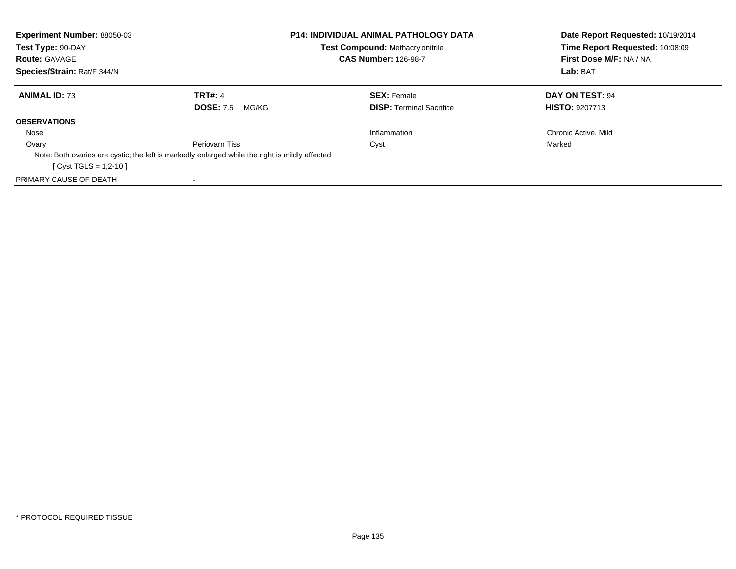| Experiment Number: 88050-03 |                                                                                                 | <b>P14: INDIVIDUAL ANIMAL PATHOLOGY DATA</b> | Date Report Requested: 10/19/2014 |  |
|-----------------------------|-------------------------------------------------------------------------------------------------|----------------------------------------------|-----------------------------------|--|
| Test Type: 90-DAY           |                                                                                                 | Test Compound: Methacrylonitrile             | Time Report Requested: 10:08:09   |  |
| <b>Route: GAVAGE</b>        |                                                                                                 | <b>CAS Number: 126-98-7</b>                  | First Dose M/F: NA / NA           |  |
| Species/Strain: Rat/F 344/N |                                                                                                 |                                              | Lab: BAT                          |  |
| <b>ANIMAL ID: 73</b>        | <b>TRT#: 4</b>                                                                                  | <b>SEX: Female</b>                           | DAY ON TEST: 94                   |  |
|                             | <b>DOSE: 7.5</b><br>MG/KG                                                                       | <b>DISP:</b> Terminal Sacrifice              | <b>HISTO: 9207713</b>             |  |
| <b>OBSERVATIONS</b>         |                                                                                                 |                                              |                                   |  |
| Nose                        |                                                                                                 | Inflammation                                 | Chronic Active, Mild              |  |
| Ovary                       | Periovarn Tiss                                                                                  | Cyst                                         | Marked                            |  |
|                             | Note: Both ovaries are cystic; the left is markedly enlarged while the right is mildly affected |                                              |                                   |  |
| $[Cyst TGLS = 1,2-10]$      |                                                                                                 |                                              |                                   |  |
| PRIMARY CAUSE OF DEATH      |                                                                                                 |                                              |                                   |  |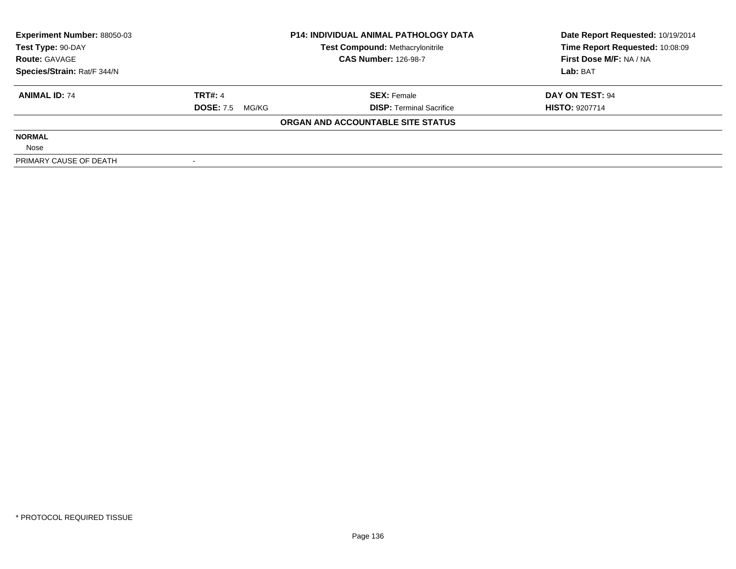| Experiment Number: 88050-03 | <b>P14: INDIVIDUAL ANIMAL PATHOLOGY DATA</b> |                                         | Date Report Requested: 10/19/2014 |
|-----------------------------|----------------------------------------------|-----------------------------------------|-----------------------------------|
| Test Type: 90-DAY           |                                              | <b>Test Compound: Methacrylonitrile</b> | Time Report Requested: 10:08:09   |
| <b>Route: GAVAGE</b>        |                                              | <b>CAS Number: 126-98-7</b>             | First Dose M/F: NA / NA           |
| Species/Strain: Rat/F 344/N |                                              |                                         | Lab: BAT                          |
| <b>ANIMAL ID: 74</b>        | <b>TRT#: 4</b>                               | <b>SEX: Female</b>                      | DAY ON TEST: 94                   |
|                             | <b>DOSE: 7.5</b><br>MG/KG                    | <b>DISP:</b> Terminal Sacrifice         | <b>HISTO: 9207714</b>             |
|                             |                                              | ORGAN AND ACCOUNTABLE SITE STATUS       |                                   |
| <b>NORMAL</b>               |                                              |                                         |                                   |
| Nose                        |                                              |                                         |                                   |
| PRIMARY CAUSE OF DEATH      |                                              |                                         |                                   |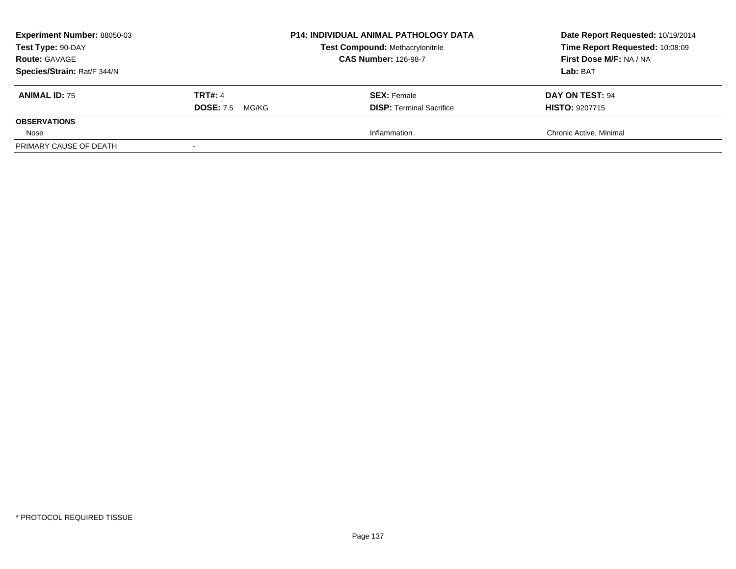| <b>Experiment Number: 88050-03</b><br>Test Type: 90-DAY<br><b>Route: GAVAGE</b><br>Species/Strain: Rat/F 344/N |                                             | <b>P14: INDIVIDUAL ANIMAL PATHOLOGY DATA</b><br><b>Test Compound: Methacrylonitrile</b><br><b>CAS Number: 126-98-7</b> | Date Report Requested: 10/19/2014<br>Time Report Requested: 10:08:09<br>First Dose M/F: NA / NA<br>Lab: BAT |
|----------------------------------------------------------------------------------------------------------------|---------------------------------------------|------------------------------------------------------------------------------------------------------------------------|-------------------------------------------------------------------------------------------------------------|
| <b>ANIMAL ID: 75</b>                                                                                           | <b>TRT#: 4</b><br><b>DOSE: 7.5</b><br>MG/KG | <b>SEX:</b> Female<br><b>DISP: Terminal Sacrifice</b>                                                                  | DAY ON TEST: 94<br><b>HISTO: 9207715</b>                                                                    |
| <b>OBSERVATIONS</b>                                                                                            |                                             |                                                                                                                        |                                                                                                             |
| Nose                                                                                                           |                                             | Inflammation                                                                                                           | Chronic Active, Minimal                                                                                     |
| PRIMARY CAUSE OF DEATH                                                                                         |                                             |                                                                                                                        |                                                                                                             |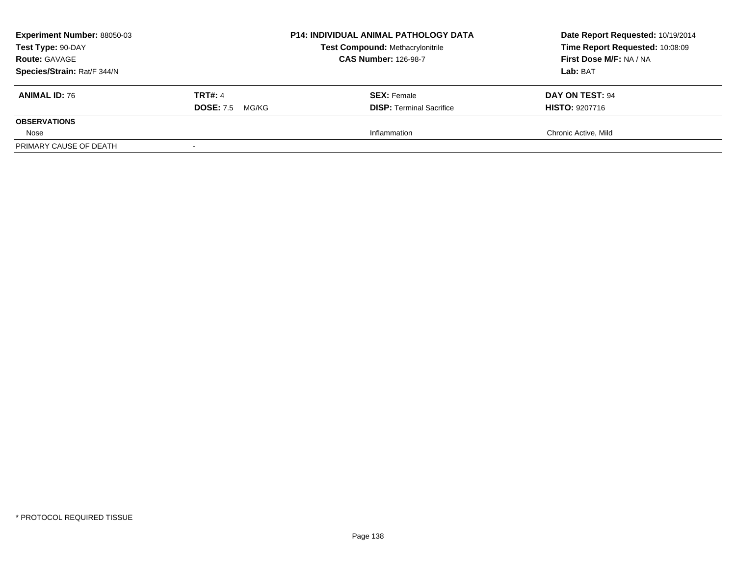| <b>Experiment Number: 88050-03</b><br>Test Type: 90-DAY<br><b>Route: GAVAGE</b> |                           | <b>P14: INDIVIDUAL ANIMAL PATHOLOGY DATA</b><br><b>Test Compound: Methacrylonitrile</b><br><b>CAS Number: 126-98-7</b> | Date Report Requested: 10/19/2014<br>Time Report Requested: 10:08:09<br>First Dose M/F: NA / NA |  |
|---------------------------------------------------------------------------------|---------------------------|------------------------------------------------------------------------------------------------------------------------|-------------------------------------------------------------------------------------------------|--|
| Species/Strain: Rat/F 344/N                                                     |                           |                                                                                                                        | Lab: BAT                                                                                        |  |
| <b>ANIMAL ID: 76</b>                                                            | <b>TRT#: 4</b>            | <b>SEX:</b> Female                                                                                                     | <b>DAY ON TEST: 94</b>                                                                          |  |
|                                                                                 | <b>DOSE: 7.5</b><br>MG/KG | <b>DISP: Terminal Sacrifice</b>                                                                                        | <b>HISTO: 9207716</b>                                                                           |  |
| <b>OBSERVATIONS</b>                                                             |                           |                                                                                                                        |                                                                                                 |  |
| Nose                                                                            |                           | Inflammation                                                                                                           | Chronic Active, Mild                                                                            |  |
| PRIMARY CAUSE OF DEATH                                                          |                           |                                                                                                                        |                                                                                                 |  |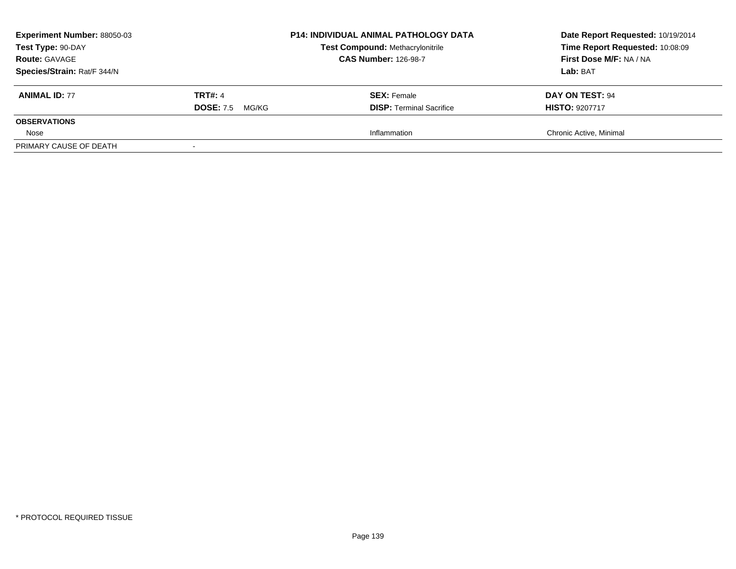| <b>Experiment Number: 88050-03</b><br>Test Type: 90-DAY<br><b>Route: GAVAGE</b><br>Species/Strain: Rat/F 344/N |                           | <b>P14: INDIVIDUAL ANIMAL PATHOLOGY DATA</b><br><b>Test Compound: Methacrylonitrile</b><br><b>CAS Number: 126-98-7</b> | Date Report Requested: 10/19/2014<br>Time Report Requested: 10:08:09<br>First Dose M/F: NA / NA<br>Lab: BAT |
|----------------------------------------------------------------------------------------------------------------|---------------------------|------------------------------------------------------------------------------------------------------------------------|-------------------------------------------------------------------------------------------------------------|
| <b>ANIMAL ID: 77</b>                                                                                           | <b>TRT#: 4</b>            | <b>SEX:</b> Female                                                                                                     | DAY ON TEST: 94                                                                                             |
| <b>OBSERVATIONS</b>                                                                                            | <b>DOSE: 7.5</b><br>MG/KG | <b>DISP: Terminal Sacrifice</b>                                                                                        | <b>HISTO: 9207717</b>                                                                                       |
| Nose                                                                                                           |                           | Inflammation                                                                                                           | Chronic Active, Minimal                                                                                     |
| PRIMARY CAUSE OF DEATH                                                                                         |                           |                                                                                                                        |                                                                                                             |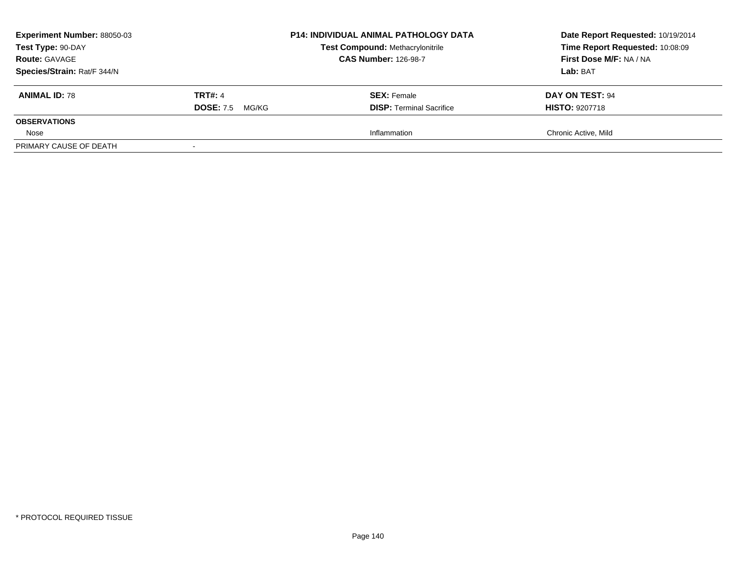| <b>Experiment Number: 88050-03</b><br>Test Type: 90-DAY<br><b>Route: GAVAGE</b><br>Species/Strain: Rat/F 344/N |                                          | <b>P14: INDIVIDUAL ANIMAL PATHOLOGY DATA</b><br><b>Test Compound: Methacrylonitrile</b><br><b>CAS Number: 126-98-7</b> | Date Report Requested: 10/19/2014<br>Time Report Requested: 10:08:09<br>First Dose M/F: NA / NA<br>Lab: BAT |
|----------------------------------------------------------------------------------------------------------------|------------------------------------------|------------------------------------------------------------------------------------------------------------------------|-------------------------------------------------------------------------------------------------------------|
| <b>ANIMAL ID: 78</b>                                                                                           | <b>TRT#: 4</b><br><b>DOSE:</b> 7.5 MG/KG | <b>SEX:</b> Female<br><b>DISP: Terminal Sacrifice</b>                                                                  | DAY ON TEST: 94<br><b>HISTO: 9207718</b>                                                                    |
| <b>OBSERVATIONS</b>                                                                                            |                                          |                                                                                                                        |                                                                                                             |
| Nose<br>PRIMARY CAUSE OF DEATH                                                                                 |                                          | Inflammation                                                                                                           | Chronic Active, Mild                                                                                        |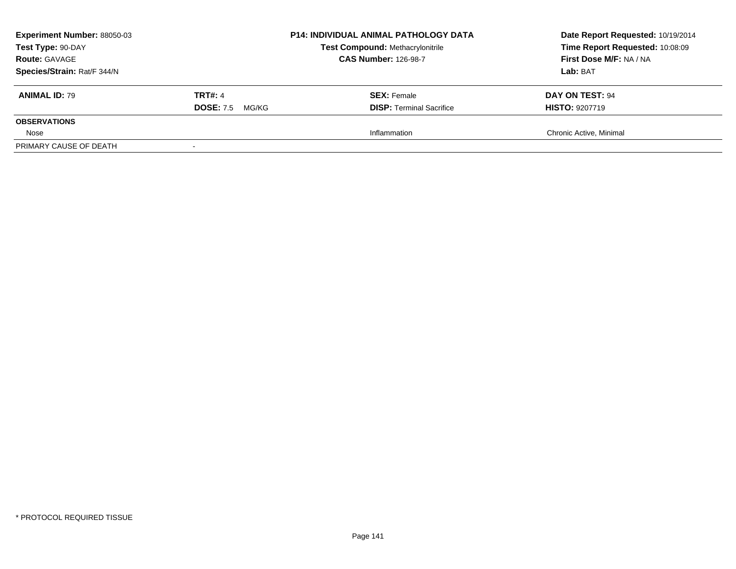| <b>Experiment Number: 88050-03</b><br>Test Type: 90-DAY<br><b>Route: GAVAGE</b> |                           | <b>P14: INDIVIDUAL ANIMAL PATHOLOGY DATA</b><br><b>Test Compound: Methacrylonitrile</b><br><b>CAS Number: 126-98-7</b> | Date Report Requested: 10/19/2014<br>Time Report Requested: 10:08:09<br>First Dose M/F: NA / NA |  |
|---------------------------------------------------------------------------------|---------------------------|------------------------------------------------------------------------------------------------------------------------|-------------------------------------------------------------------------------------------------|--|
| Species/Strain: Rat/F 344/N                                                     |                           |                                                                                                                        | Lab: BAT                                                                                        |  |
| <b>ANIMAL ID: 79</b>                                                            | TRT#: 4                   | <b>SEX:</b> Female                                                                                                     | DAY ON TEST: 94                                                                                 |  |
|                                                                                 | <b>DOSE: 7.5</b><br>MG/KG | <b>DISP: Terminal Sacrifice</b>                                                                                        | <b>HISTO: 9207719</b>                                                                           |  |
| <b>OBSERVATIONS</b>                                                             |                           |                                                                                                                        |                                                                                                 |  |
| Nose                                                                            |                           | Inflammation                                                                                                           | Chronic Active, Minimal                                                                         |  |
| PRIMARY CAUSE OF DEATH                                                          |                           |                                                                                                                        |                                                                                                 |  |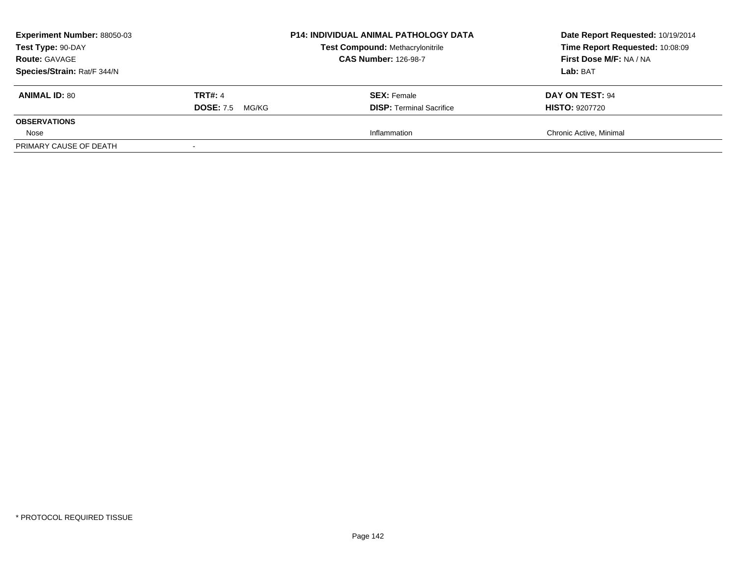| <b>Experiment Number: 88050-03</b><br>Test Type: 90-DAY<br><b>Route: GAVAGE</b><br>Species/Strain: Rat/F 344/N |                                             | <b>P14: INDIVIDUAL ANIMAL PATHOLOGY DATA</b><br><b>Test Compound: Methacrylonitrile</b><br><b>CAS Number: 126-98-7</b> | Date Report Requested: 10/19/2014<br>Time Report Requested: 10:08:09<br>First Dose M/F: NA / NA<br>Lab: BAT |
|----------------------------------------------------------------------------------------------------------------|---------------------------------------------|------------------------------------------------------------------------------------------------------------------------|-------------------------------------------------------------------------------------------------------------|
| <b>ANIMAL ID: 80</b>                                                                                           | <b>TRT#: 4</b><br><b>DOSE: 7.5</b><br>MG/KG | <b>SEX:</b> Female<br><b>DISP: Terminal Sacrifice</b>                                                                  | DAY ON TEST: 94<br><b>HISTO: 9207720</b>                                                                    |
| <b>OBSERVATIONS</b>                                                                                            |                                             |                                                                                                                        |                                                                                                             |
| Nose                                                                                                           |                                             | Inflammation                                                                                                           | Chronic Active, Minimal                                                                                     |
| PRIMARY CAUSE OF DEATH                                                                                         |                                             |                                                                                                                        |                                                                                                             |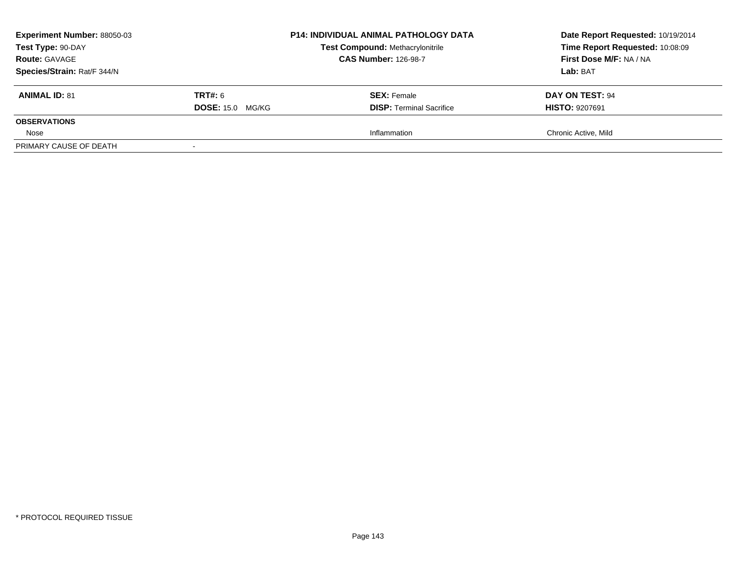| <b>Experiment Number: 88050-03</b><br>Test Type: 90-DAY<br><b>Route: GAVAGE</b><br>Species/Strain: Rat/F 344/N |                         | <b>P14: INDIVIDUAL ANIMAL PATHOLOGY DATA</b><br><b>Test Compound: Methacrylonitrile</b><br><b>CAS Number: 126-98-7</b> | Date Report Requested: 10/19/2014<br>Time Report Requested: 10:08:09<br>First Dose M/F: NA / NA<br>Lab: BAT |
|----------------------------------------------------------------------------------------------------------------|-------------------------|------------------------------------------------------------------------------------------------------------------------|-------------------------------------------------------------------------------------------------------------|
| <b>ANIMAL ID: 81</b>                                                                                           | <b>TRT#:</b> 6          | <b>SEX:</b> Female                                                                                                     | DAY ON TEST: 94                                                                                             |
| <b>OBSERVATIONS</b>                                                                                            | <b>DOSE: 15.0 MG/KG</b> | <b>DISP: Terminal Sacrifice</b>                                                                                        | <b>HISTO: 9207691</b>                                                                                       |
| Nose                                                                                                           |                         | Inflammation                                                                                                           | Chronic Active, Mild                                                                                        |
| PRIMARY CAUSE OF DEATH                                                                                         |                         |                                                                                                                        |                                                                                                             |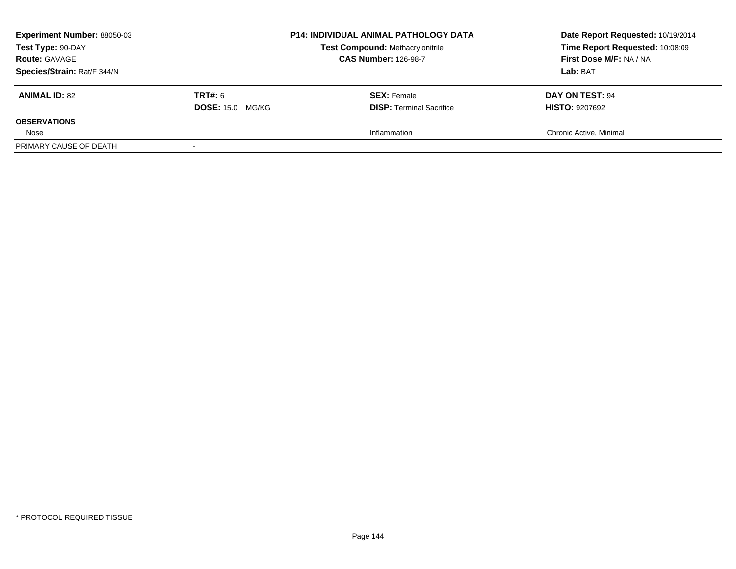| <b>Experiment Number: 88050-03</b><br>Test Type: 90-DAY<br><b>Route: GAVAGE</b><br>Species/Strain: Rat/F 344/N |                                           | <b>P14: INDIVIDUAL ANIMAL PATHOLOGY DATA</b><br><b>Test Compound: Methacrylonitrile</b><br><b>CAS Number: 126-98-7</b> | Date Report Requested: 10/19/2014<br>Time Report Requested: 10:08:09<br>First Dose M/F: NA / NA<br>Lab: BAT |
|----------------------------------------------------------------------------------------------------------------|-------------------------------------------|------------------------------------------------------------------------------------------------------------------------|-------------------------------------------------------------------------------------------------------------|
| <b>ANIMAL ID: 82</b>                                                                                           | <b>TRT#:</b> 6<br><b>DOSE: 15.0 MG/KG</b> | <b>SEX:</b> Female<br><b>DISP: Terminal Sacrifice</b>                                                                  | DAY ON TEST: 94<br><b>HISTO: 9207692</b>                                                                    |
| <b>OBSERVATIONS</b>                                                                                            |                                           |                                                                                                                        |                                                                                                             |
| Nose                                                                                                           |                                           | Inflammation                                                                                                           | Chronic Active, Minimal                                                                                     |
| PRIMARY CAUSE OF DEATH                                                                                         |                                           |                                                                                                                        |                                                                                                             |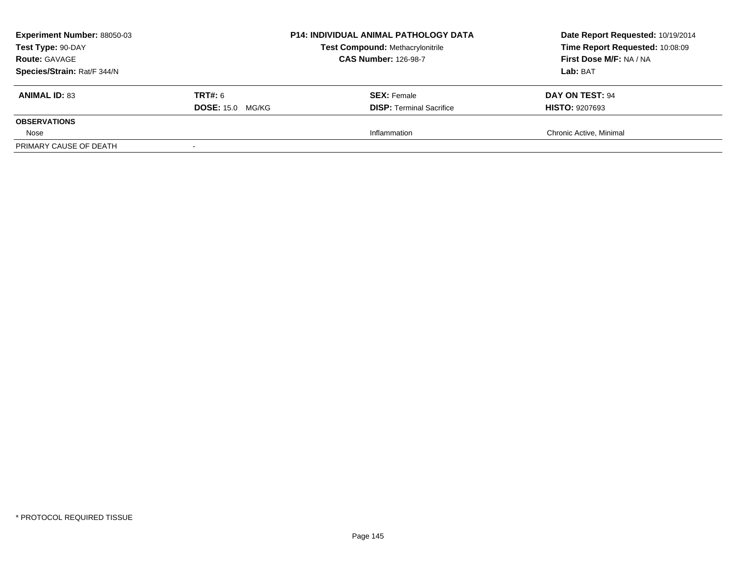| <b>Experiment Number: 88050-03</b><br>Test Type: 90-DAY<br><b>Route: GAVAGE</b><br>Species/Strain: Rat/F 344/N |                                           | <b>P14: INDIVIDUAL ANIMAL PATHOLOGY DATA</b><br><b>Test Compound: Methacrylonitrile</b><br><b>CAS Number: 126-98-7</b> | Date Report Requested: 10/19/2014<br>Time Report Requested: 10:08:09<br>First Dose M/F: NA / NA<br>Lab: BAT |
|----------------------------------------------------------------------------------------------------------------|-------------------------------------------|------------------------------------------------------------------------------------------------------------------------|-------------------------------------------------------------------------------------------------------------|
| <b>ANIMAL ID: 83</b>                                                                                           | <b>TRT#:</b> 6<br><b>DOSE: 15.0 MG/KG</b> | <b>SEX:</b> Female<br><b>DISP:</b> Terminal Sacrifice                                                                  | DAY ON TEST: 94<br><b>HISTO: 9207693</b>                                                                    |
| <b>OBSERVATIONS</b>                                                                                            |                                           |                                                                                                                        |                                                                                                             |
| Nose                                                                                                           |                                           | Inflammation                                                                                                           | Chronic Active, Minimal                                                                                     |
| PRIMARY CAUSE OF DEATH                                                                                         |                                           |                                                                                                                        |                                                                                                             |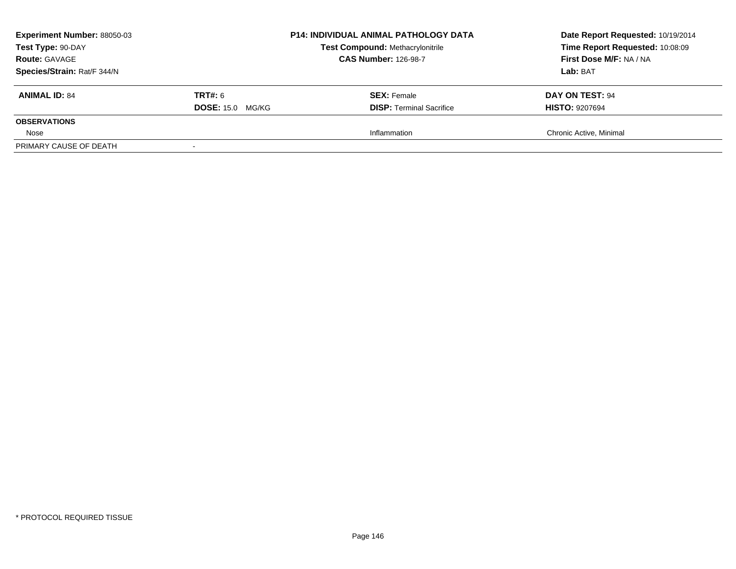| <b>Experiment Number: 88050-03</b><br>Test Type: 90-DAY<br><b>Route: GAVAGE</b><br>Species/Strain: Rat/F 344/N |                                           | <b>P14: INDIVIDUAL ANIMAL PATHOLOGY DATA</b><br><b>Test Compound: Methacrylonitrile</b><br><b>CAS Number: 126-98-7</b> | Date Report Requested: 10/19/2014<br>Time Report Requested: 10:08:09<br>First Dose M/F: NA / NA<br>Lab: BAT |
|----------------------------------------------------------------------------------------------------------------|-------------------------------------------|------------------------------------------------------------------------------------------------------------------------|-------------------------------------------------------------------------------------------------------------|
| <b>ANIMAL ID: 84</b>                                                                                           | <b>TRT#:</b> 6<br><b>DOSE: 15.0 MG/KG</b> | <b>SEX:</b> Female<br><b>DISP:</b> Terminal Sacrifice                                                                  | DAY ON TEST: 94<br><b>HISTO: 9207694</b>                                                                    |
| <b>OBSERVATIONS</b>                                                                                            |                                           |                                                                                                                        |                                                                                                             |
| Nose                                                                                                           |                                           | Inflammation                                                                                                           | Chronic Active, Minimal                                                                                     |
| PRIMARY CAUSE OF DEATH                                                                                         |                                           |                                                                                                                        |                                                                                                             |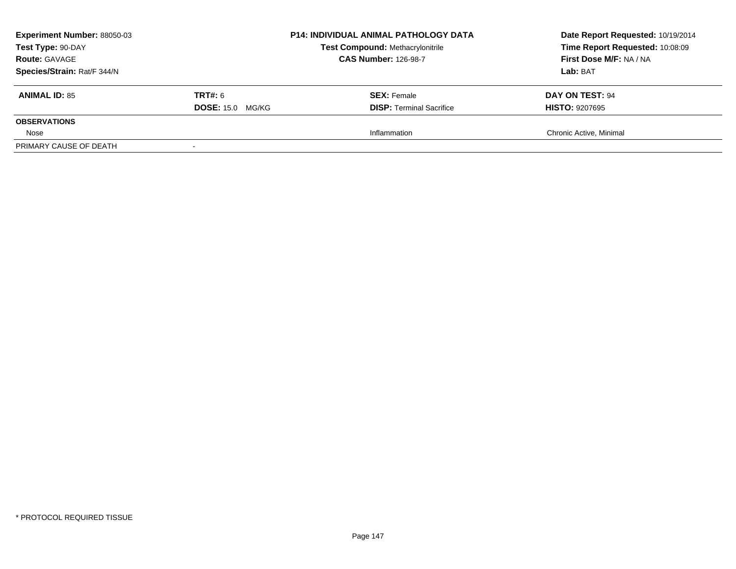| <b>Experiment Number: 88050-03</b><br>Test Type: 90-DAY<br><b>Route: GAVAGE</b><br>Species/Strain: Rat/F 344/N |                                           | <b>P14: INDIVIDUAL ANIMAL PATHOLOGY DATA</b><br><b>Test Compound: Methacrylonitrile</b><br><b>CAS Number: 126-98-7</b> | Date Report Requested: 10/19/2014<br>Time Report Requested: 10:08:09<br>First Dose M/F: NA / NA<br>Lab: BAT |
|----------------------------------------------------------------------------------------------------------------|-------------------------------------------|------------------------------------------------------------------------------------------------------------------------|-------------------------------------------------------------------------------------------------------------|
| <b>ANIMAL ID: 85</b>                                                                                           | <b>TRT#:</b> 6<br><b>DOSE: 15.0 MG/KG</b> | <b>SEX:</b> Female<br><b>DISP:</b> Terminal Sacrifice                                                                  | DAY ON TEST: 94<br><b>HISTO: 9207695</b>                                                                    |
| <b>OBSERVATIONS</b>                                                                                            |                                           |                                                                                                                        |                                                                                                             |
| Nose                                                                                                           |                                           | Inflammation                                                                                                           | Chronic Active, Minimal                                                                                     |
| PRIMARY CAUSE OF DEATH                                                                                         |                                           |                                                                                                                        |                                                                                                             |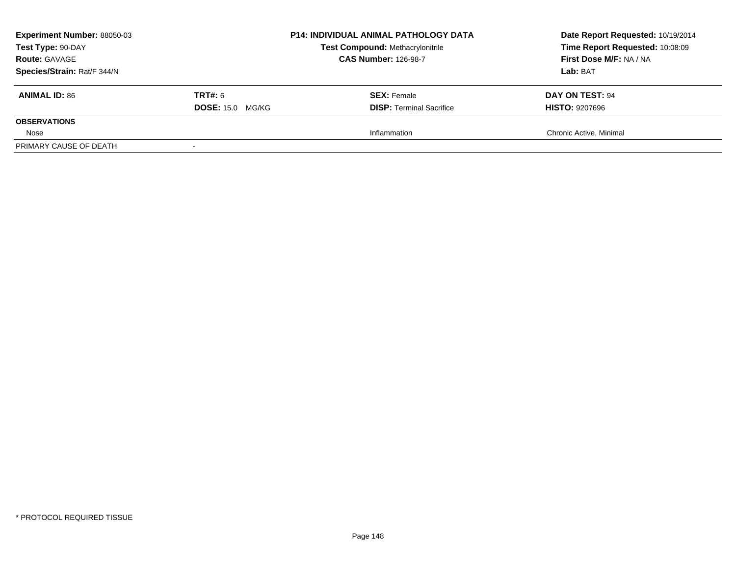| <b>Experiment Number: 88050-03</b><br>Test Type: 90-DAY<br><b>Route: GAVAGE</b><br>Species/Strain: Rat/F 344/N |                                           | <b>P14: INDIVIDUAL ANIMAL PATHOLOGY DATA</b><br><b>Test Compound: Methacrylonitrile</b><br><b>CAS Number: 126-98-7</b> | Date Report Requested: 10/19/2014<br>Time Report Requested: 10:08:09<br>First Dose M/F: NA / NA<br>Lab: BAT |
|----------------------------------------------------------------------------------------------------------------|-------------------------------------------|------------------------------------------------------------------------------------------------------------------------|-------------------------------------------------------------------------------------------------------------|
| <b>ANIMAL ID: 86</b>                                                                                           | <b>TRT#:</b> 6<br><b>DOSE: 15.0 MG/KG</b> | <b>SEX:</b> Female<br><b>DISP:</b> Terminal Sacrifice                                                                  | DAY ON TEST: 94<br><b>HISTO: 9207696</b>                                                                    |
| <b>OBSERVATIONS</b>                                                                                            |                                           |                                                                                                                        |                                                                                                             |
| Nose                                                                                                           |                                           | Inflammation                                                                                                           | Chronic Active, Minimal                                                                                     |
| PRIMARY CAUSE OF DEATH                                                                                         |                                           |                                                                                                                        |                                                                                                             |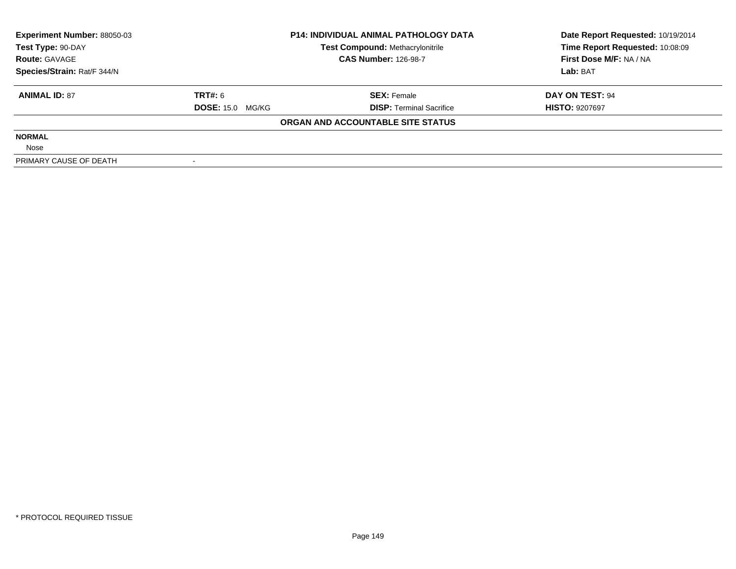| <b>Experiment Number: 88050-03</b> | <b>P14: INDIVIDUAL ANIMAL PATHOLOGY DATA</b> |                                         | Date Report Requested: 10/19/2014 |  |
|------------------------------------|----------------------------------------------|-----------------------------------------|-----------------------------------|--|
| Test Type: 90-DAY                  |                                              | <b>Test Compound: Methacrylonitrile</b> | Time Report Requested: 10:08:09   |  |
| <b>Route: GAVAGE</b>               |                                              | <b>CAS Number: 126-98-7</b>             | First Dose M/F: NA / NA           |  |
| Species/Strain: Rat/F 344/N        |                                              |                                         | Lab: BAT                          |  |
| <b>ANIMAL ID: 87</b>               | TRT#: 6                                      | <b>SEX:</b> Female                      | DAY ON TEST: 94                   |  |
|                                    | <b>DOSE: 15.0 MG/KG</b>                      | <b>DISP:</b> Terminal Sacrifice         | <b>HISTO: 9207697</b>             |  |
|                                    |                                              | ORGAN AND ACCOUNTABLE SITE STATUS       |                                   |  |
| <b>NORMAL</b>                      |                                              |                                         |                                   |  |
| Nose                               |                                              |                                         |                                   |  |
| PRIMARY CAUSE OF DEATH             |                                              |                                         |                                   |  |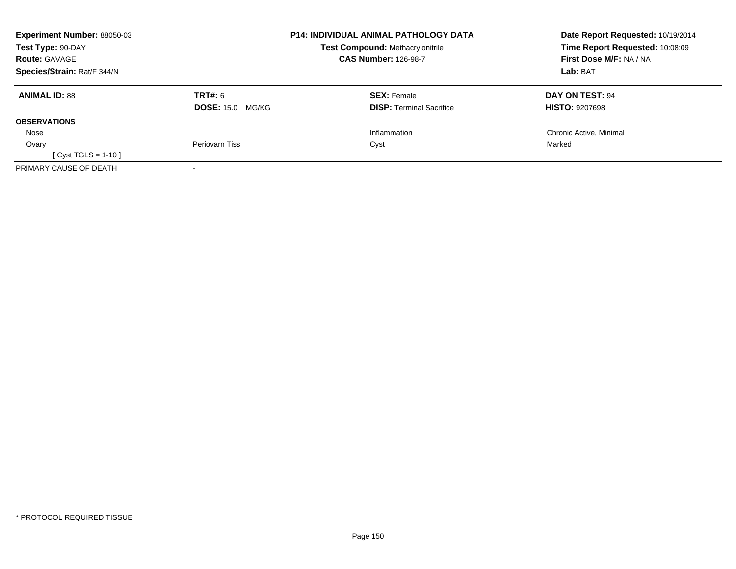| <b>Experiment Number: 88050-03</b><br>Test Type: 90-DAY |                         | <b>P14: INDIVIDUAL ANIMAL PATHOLOGY DATA</b><br><b>Test Compound: Methacrylonitrile</b> | Date Report Requested: 10/19/2014<br>Time Report Requested: 10:08:09 |
|---------------------------------------------------------|-------------------------|-----------------------------------------------------------------------------------------|----------------------------------------------------------------------|
| <b>Route: GAVAGE</b>                                    |                         | <b>CAS Number: 126-98-7</b>                                                             | First Dose M/F: NA / NA                                              |
| Species/Strain: Rat/F 344/N                             |                         |                                                                                         | Lab: BAT                                                             |
| <b>ANIMAL ID: 88</b>                                    | <b>TRT#: 6</b>          | <b>SEX: Female</b>                                                                      | DAY ON TEST: 94                                                      |
|                                                         | <b>DOSE: 15.0 MG/KG</b> | <b>DISP:</b> Terminal Sacrifice                                                         | <b>HISTO: 9207698</b>                                                |
| <b>OBSERVATIONS</b>                                     |                         |                                                                                         |                                                                      |
| Nose                                                    |                         | Inflammation                                                                            | Chronic Active, Minimal                                              |
| Ovary                                                   | Periovarn Tiss          | Cyst                                                                                    | Marked                                                               |
| [ Cyst TGLS = 1-10 ]                                    |                         |                                                                                         |                                                                      |
| PRIMARY CAUSE OF DEATH                                  |                         |                                                                                         |                                                                      |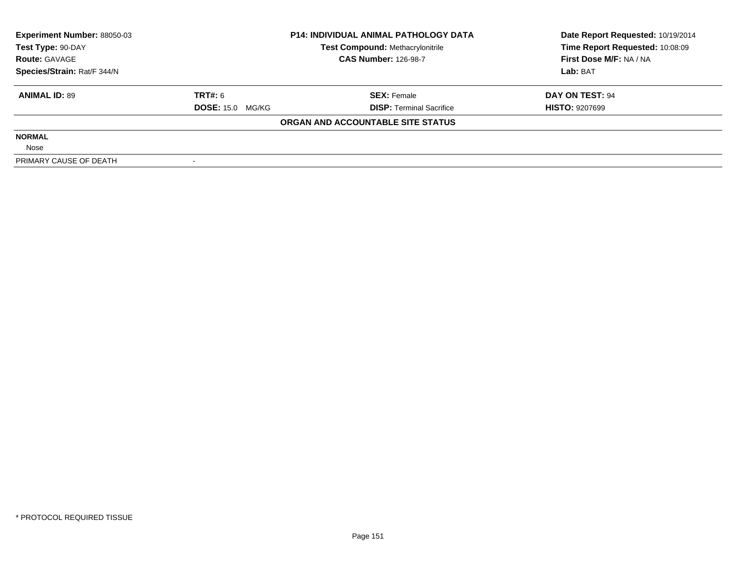| <b>Experiment Number: 88050-03</b> | <b>P14: INDIVIDUAL ANIMAL PATHOLOGY DATA</b> |                                         | Date Report Requested: 10/19/2014 |  |
|------------------------------------|----------------------------------------------|-----------------------------------------|-----------------------------------|--|
| Test Type: 90-DAY                  |                                              | <b>Test Compound: Methacrylonitrile</b> | Time Report Requested: 10:08:09   |  |
| <b>Route: GAVAGE</b>               |                                              | <b>CAS Number: 126-98-7</b>             | First Dose M/F: NA / NA           |  |
| Species/Strain: Rat/F 344/N        |                                              |                                         | Lab: BAT                          |  |
| <b>ANIMAL ID: 89</b>               | TRT#: 6                                      | <b>SEX: Female</b>                      | DAY ON TEST: 94                   |  |
|                                    | <b>DOSE: 15.0 MG/KG</b>                      | <b>DISP:</b> Terminal Sacrifice         | <b>HISTO: 9207699</b>             |  |
|                                    |                                              | ORGAN AND ACCOUNTABLE SITE STATUS       |                                   |  |
| <b>NORMAL</b>                      |                                              |                                         |                                   |  |
| Nose                               |                                              |                                         |                                   |  |
| PRIMARY CAUSE OF DEATH             |                                              |                                         |                                   |  |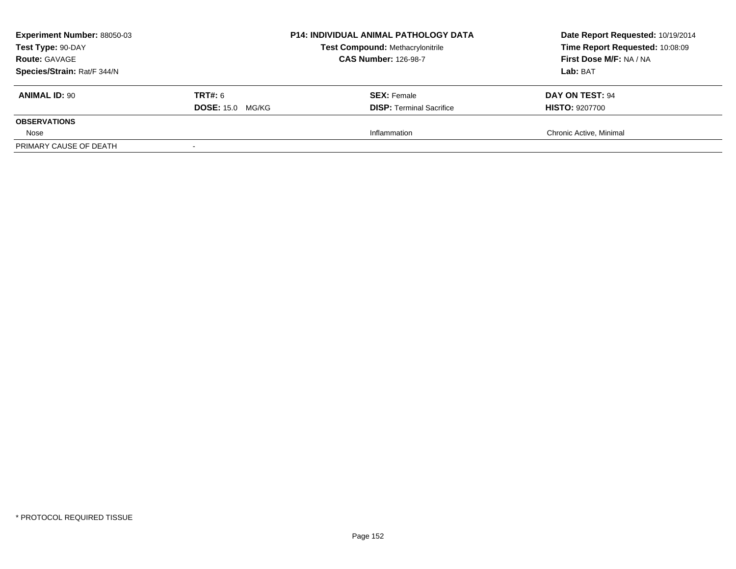| <b>Experiment Number: 88050-03</b><br>Test Type: 90-DAY<br><b>Route: GAVAGE</b><br>Species/Strain: Rat/F 344/N |                                           | <b>P14: INDIVIDUAL ANIMAL PATHOLOGY DATA</b><br><b>Test Compound: Methacrylonitrile</b><br><b>CAS Number: 126-98-7</b> | Date Report Requested: 10/19/2014<br>Time Report Requested: 10:08:09<br>First Dose M/F: NA / NA<br>Lab: BAT |
|----------------------------------------------------------------------------------------------------------------|-------------------------------------------|------------------------------------------------------------------------------------------------------------------------|-------------------------------------------------------------------------------------------------------------|
| <b>ANIMAL ID: 90</b>                                                                                           | <b>TRT#:</b> 6<br><b>DOSE: 15.0 MG/KG</b> | <b>SEX:</b> Female<br><b>DISP:</b> Terminal Sacrifice                                                                  | DAY ON TEST: 94<br><b>HISTO: 9207700</b>                                                                    |
| <b>OBSERVATIONS</b>                                                                                            |                                           |                                                                                                                        |                                                                                                             |
| Nose                                                                                                           |                                           | Inflammation                                                                                                           | Chronic Active, Minimal                                                                                     |
| PRIMARY CAUSE OF DEATH                                                                                         |                                           |                                                                                                                        |                                                                                                             |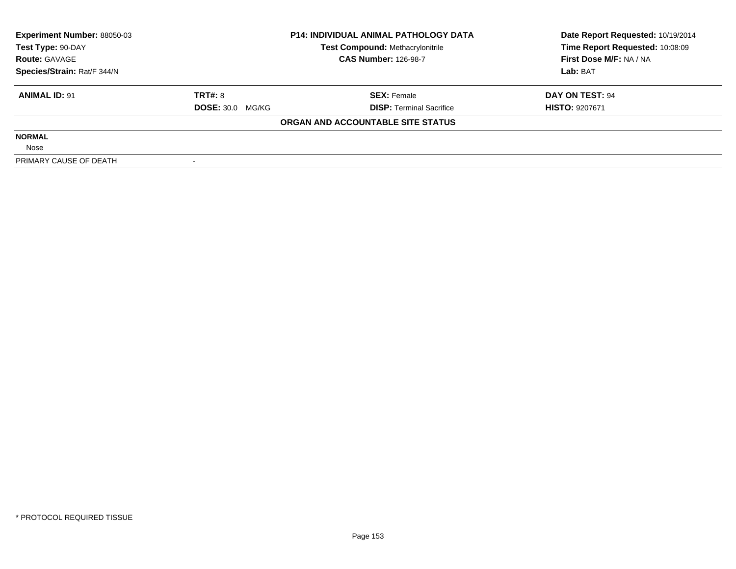| <b>Experiment Number: 88050-03</b> | <b>P14: INDIVIDUAL ANIMAL PATHOLOGY DATA</b> |                                         | Date Report Requested: 10/19/2014 |  |
|------------------------------------|----------------------------------------------|-----------------------------------------|-----------------------------------|--|
| Test Type: 90-DAY                  |                                              | <b>Test Compound: Methacrylonitrile</b> | Time Report Requested: 10:08:09   |  |
| <b>Route: GAVAGE</b>               |                                              | <b>CAS Number: 126-98-7</b>             | First Dose M/F: NA / NA           |  |
| Species/Strain: Rat/F 344/N        |                                              |                                         | Lab: BAT                          |  |
| <b>ANIMAL ID: 91</b>               | <b>TRT#: 8</b>                               | <b>SEX: Female</b>                      | DAY ON TEST: 94                   |  |
|                                    | <b>DOSE: 30.0 MG/KG</b>                      | <b>DISP:</b> Terminal Sacrifice         | <b>HISTO: 9207671</b>             |  |
|                                    |                                              | ORGAN AND ACCOUNTABLE SITE STATUS       |                                   |  |
| <b>NORMAL</b>                      |                                              |                                         |                                   |  |
| Nose                               |                                              |                                         |                                   |  |
| PRIMARY CAUSE OF DEATH             |                                              |                                         |                                   |  |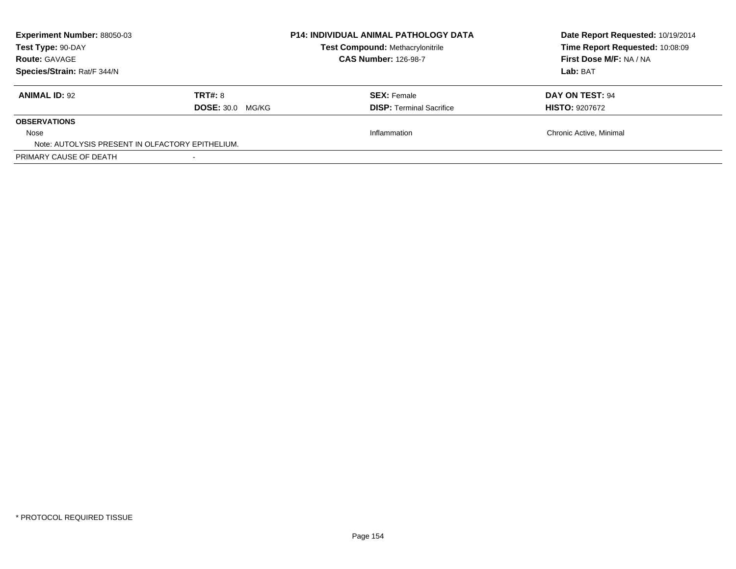| <b>Experiment Number: 88050-03</b><br>Test Type: 90-DAY<br><b>Route: GAVAGE</b><br>Species/Strain: Rat/F 344/N |                                           | <b>P14: INDIVIDUAL ANIMAL PATHOLOGY DATA</b><br>Test Compound: Methacrylonitrile<br><b>CAS Number: 126-98-7</b> | Date Report Requested: 10/19/2014<br>Time Report Requested: 10:08:09<br>First Dose M/F: NA / NA<br>Lab: BAT |
|----------------------------------------------------------------------------------------------------------------|-------------------------------------------|-----------------------------------------------------------------------------------------------------------------|-------------------------------------------------------------------------------------------------------------|
| <b>ANIMAL ID: 92</b>                                                                                           | <b>TRT#: 8</b><br><b>DOSE: 30.0 MG/KG</b> | <b>SEX: Female</b><br><b>DISP:</b> Terminal Sacrifice                                                           | DAY ON TEST: 94<br><b>HISTO: 9207672</b>                                                                    |
| <b>OBSERVATIONS</b><br>Nose                                                                                    |                                           | Inflammation                                                                                                    | Chronic Active, Minimal                                                                                     |
| Note: AUTOLYSIS PRESENT IN OLFACTORY EPITHELIUM.                                                               |                                           |                                                                                                                 |                                                                                                             |
| PRIMARY CAUSE OF DEATH                                                                                         |                                           |                                                                                                                 |                                                                                                             |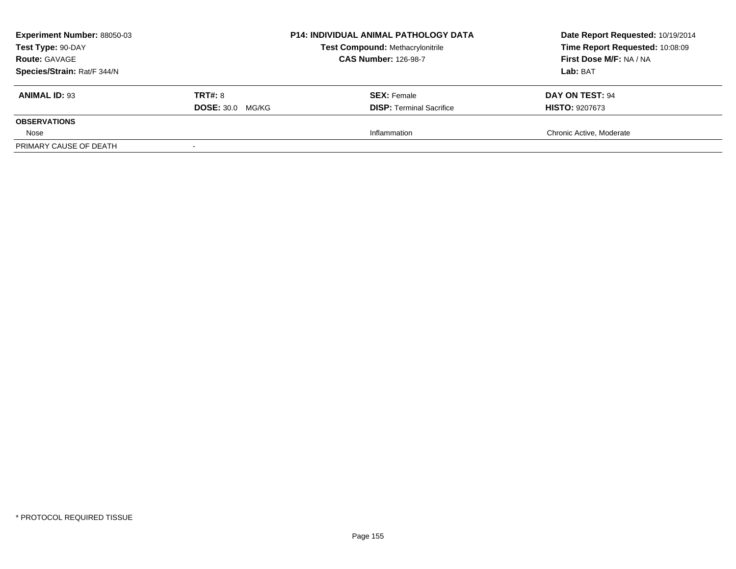| <b>Experiment Number: 88050-03</b><br>Test Type: 90-DAY<br><b>Route: GAVAGE</b><br>Species/Strain: Rat/F 344/N |                                           | <b>P14: INDIVIDUAL ANIMAL PATHOLOGY DATA</b><br><b>Test Compound: Methacrylonitrile</b><br><b>CAS Number: 126-98-7</b> | Date Report Requested: 10/19/2014<br>Time Report Requested: 10:08:09<br>First Dose M/F: NA / NA<br>Lab: BAT |
|----------------------------------------------------------------------------------------------------------------|-------------------------------------------|------------------------------------------------------------------------------------------------------------------------|-------------------------------------------------------------------------------------------------------------|
| <b>ANIMAL ID: 93</b>                                                                                           | <b>TRT#: 8</b><br><b>DOSE: 30.0 MG/KG</b> | <b>SEX:</b> Female<br><b>DISP:</b> Terminal Sacrifice                                                                  | DAY ON TEST: 94<br><b>HISTO: 9207673</b>                                                                    |
| <b>OBSERVATIONS</b>                                                                                            |                                           |                                                                                                                        |                                                                                                             |
| Nose                                                                                                           |                                           | Inflammation                                                                                                           | Chronic Active, Moderate                                                                                    |
| PRIMARY CAUSE OF DEATH                                                                                         |                                           |                                                                                                                        |                                                                                                             |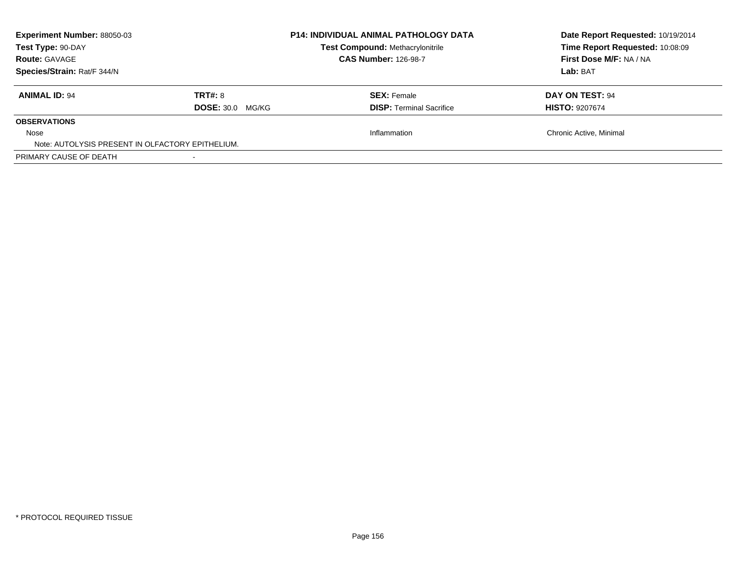| <b>Experiment Number: 88050-03</b><br>Test Type: 90-DAY<br><b>Route: GAVAGE</b><br>Species/Strain: Rat/F 344/N |                         | <b>P14: INDIVIDUAL ANIMAL PATHOLOGY DATA</b><br>Test Compound: Methacrylonitrile<br><b>CAS Number: 126-98-7</b> | Date Report Requested: 10/19/2014<br>Time Report Requested: 10:08:09<br>First Dose M/F: NA / NA<br>Lab: BAT |
|----------------------------------------------------------------------------------------------------------------|-------------------------|-----------------------------------------------------------------------------------------------------------------|-------------------------------------------------------------------------------------------------------------|
| <b>ANIMAL ID: 94</b>                                                                                           | <b>TRT#: 8</b>          | <b>SEX: Female</b>                                                                                              | DAY ON TEST: 94                                                                                             |
|                                                                                                                | <b>DOSE: 30.0 MG/KG</b> | <b>DISP:</b> Terminal Sacrifice                                                                                 | <b>HISTO: 9207674</b>                                                                                       |
| <b>OBSERVATIONS</b>                                                                                            |                         |                                                                                                                 |                                                                                                             |
| Nose<br>Note: AUTOLYSIS PRESENT IN OLFACTORY EPITHELIUM.                                                       |                         | Inflammation                                                                                                    | Chronic Active, Minimal                                                                                     |
| PRIMARY CAUSE OF DEATH                                                                                         |                         |                                                                                                                 |                                                                                                             |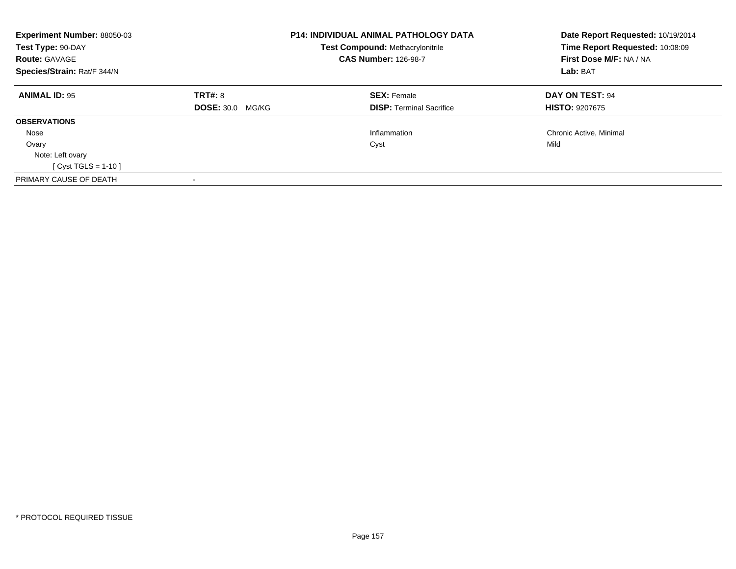| Experiment Number: 88050-03<br>Test Type: 90-DAY<br><b>Route: GAVAGE</b><br>Species/Strain: Rat/F 344/N |                                           | <b>P14: INDIVIDUAL ANIMAL PATHOLOGY DATA</b><br><b>Test Compound: Methacrylonitrile</b><br><b>CAS Number: 126-98-7</b> | Date Report Requested: 10/19/2014<br>Time Report Requested: 10:08:09<br>First Dose M/F: NA / NA<br>Lab: BAT |
|---------------------------------------------------------------------------------------------------------|-------------------------------------------|------------------------------------------------------------------------------------------------------------------------|-------------------------------------------------------------------------------------------------------------|
| <b>ANIMAL ID: 95</b>                                                                                    | <b>TRT#: 8</b><br><b>DOSE: 30.0 MG/KG</b> | <b>SEX: Female</b><br><b>DISP:</b> Terminal Sacrifice                                                                  | DAY ON TEST: 94<br><b>HISTO: 9207675</b>                                                                    |
| <b>OBSERVATIONS</b>                                                                                     |                                           |                                                                                                                        |                                                                                                             |
| Nose                                                                                                    |                                           | Inflammation                                                                                                           | Chronic Active, Minimal                                                                                     |
|                                                                                                         |                                           |                                                                                                                        | Mild                                                                                                        |
| Ovary<br>Note: Left ovary<br>[ Cyst TGLS = 1-10 ]                                                       |                                           | Cyst                                                                                                                   |                                                                                                             |
| PRIMARY CAUSE OF DEATH                                                                                  |                                           |                                                                                                                        |                                                                                                             |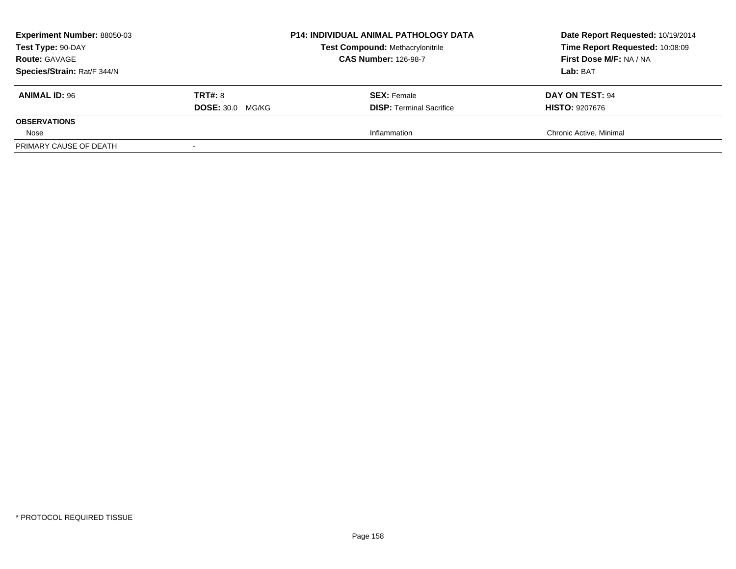| <b>Experiment Number: 88050-03</b><br>Test Type: 90-DAY<br><b>Route: GAVAGE</b><br>Species/Strain: Rat/F 344/N |                                           | <b>P14: INDIVIDUAL ANIMAL PATHOLOGY DATA</b><br><b>Test Compound: Methacrylonitrile</b><br><b>CAS Number: 126-98-7</b> | Date Report Requested: 10/19/2014<br>Time Report Requested: 10:08:09<br>First Dose M/F: NA / NA<br>Lab: BAT |
|----------------------------------------------------------------------------------------------------------------|-------------------------------------------|------------------------------------------------------------------------------------------------------------------------|-------------------------------------------------------------------------------------------------------------|
| <b>ANIMAL ID: 96</b>                                                                                           | <b>TRT#: 8</b><br><b>DOSE: 30.0 MG/KG</b> | <b>SEX:</b> Female<br><b>DISP:</b> Terminal Sacrifice                                                                  | DAY ON TEST: 94<br><b>HISTO: 9207676</b>                                                                    |
| <b>OBSERVATIONS</b>                                                                                            |                                           |                                                                                                                        |                                                                                                             |
| Nose                                                                                                           |                                           | Inflammation                                                                                                           | Chronic Active, Minimal                                                                                     |
| PRIMARY CAUSE OF DEATH                                                                                         |                                           |                                                                                                                        |                                                                                                             |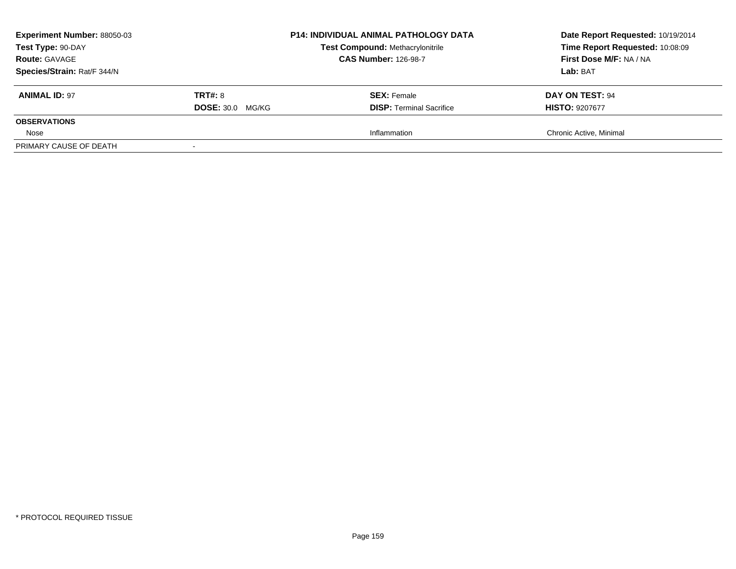| <b>Experiment Number: 88050-03</b><br>Test Type: 90-DAY<br><b>Route: GAVAGE</b><br>Species/Strain: Rat/F 344/N |                                           | <b>P14: INDIVIDUAL ANIMAL PATHOLOGY DATA</b><br><b>Test Compound: Methacrylonitrile</b><br><b>CAS Number: 126-98-7</b> | Date Report Requested: 10/19/2014<br>Time Report Requested: 10:08:09<br>First Dose M/F: NA / NA<br>Lab: BAT |
|----------------------------------------------------------------------------------------------------------------|-------------------------------------------|------------------------------------------------------------------------------------------------------------------------|-------------------------------------------------------------------------------------------------------------|
| <b>ANIMAL ID: 97</b>                                                                                           | <b>TRT#: 8</b><br><b>DOSE: 30.0 MG/KG</b> | <b>SEX:</b> Female<br><b>DISP:</b> Terminal Sacrifice                                                                  | DAY ON TEST: 94<br><b>HISTO: 9207677</b>                                                                    |
| <b>OBSERVATIONS</b>                                                                                            |                                           |                                                                                                                        |                                                                                                             |
| Nose                                                                                                           |                                           | Inflammation                                                                                                           | Chronic Active, Minimal                                                                                     |
| PRIMARY CAUSE OF DEATH                                                                                         |                                           |                                                                                                                        |                                                                                                             |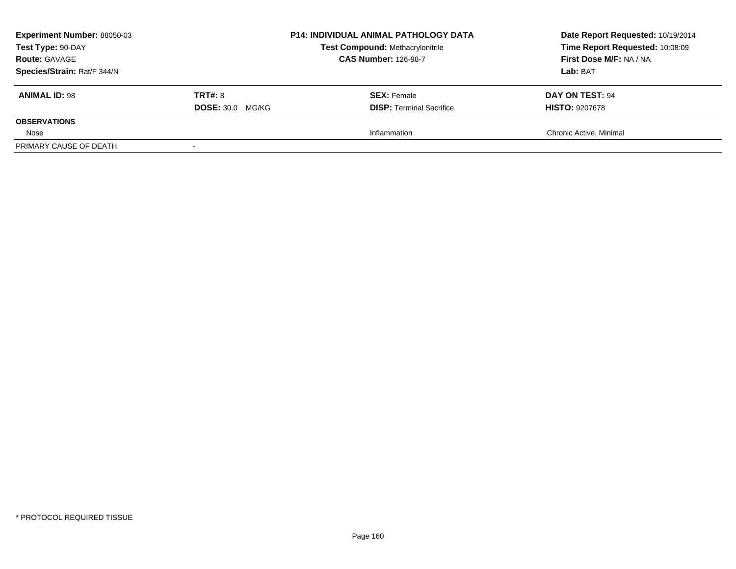| <b>Experiment Number: 88050-03</b>                  |                         | <b>P14: INDIVIDUAL ANIMAL PATHOLOGY DATA</b><br><b>Test Compound: Methacrylonitrile</b><br><b>CAS Number: 126-98-7</b> | Date Report Requested: 10/19/2014                          |
|-----------------------------------------------------|-------------------------|------------------------------------------------------------------------------------------------------------------------|------------------------------------------------------------|
| Test Type: 90-DAY                                   |                         |                                                                                                                        | Time Report Requested: 10:08:09<br>First Dose M/F: NA / NA |
| <b>Route: GAVAGE</b><br>Species/Strain: Rat/F 344/N |                         |                                                                                                                        | Lab: BAT                                                   |
| <b>ANIMAL ID: 98</b>                                | <b>TRT#: 8</b>          | <b>SEX: Female</b>                                                                                                     | DAY ON TEST: 94                                            |
|                                                     | <b>DOSE: 30.0 MG/KG</b> | <b>DISP:</b> Terminal Sacrifice                                                                                        | <b>HISTO: 9207678</b>                                      |
| <b>OBSERVATIONS</b>                                 |                         |                                                                                                                        |                                                            |
| Nose                                                |                         | Inflammation                                                                                                           | Chronic Active, Minimal                                    |
| PRIMARY CAUSE OF DEATH                              |                         |                                                                                                                        |                                                            |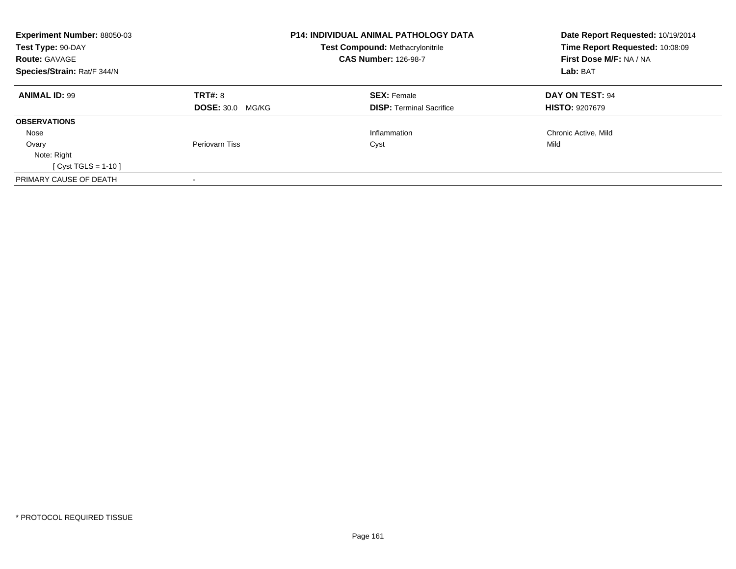| Experiment Number: 88050-03<br>Test Type: 90-DAY<br><b>Route: GAVAGE</b><br>Species/Strain: Rat/F 344/N |                         | <b>P14: INDIVIDUAL ANIMAL PATHOLOGY DATA</b><br><b>Test Compound: Methacrylonitrile</b><br><b>CAS Number: 126-98-7</b> | Date Report Requested: 10/19/2014<br>Time Report Requested: 10:08:09<br>First Dose M/F: NA / NA<br>Lab: BAT |
|---------------------------------------------------------------------------------------------------------|-------------------------|------------------------------------------------------------------------------------------------------------------------|-------------------------------------------------------------------------------------------------------------|
|                                                                                                         |                         |                                                                                                                        |                                                                                                             |
| <b>ANIMAL ID: 99</b>                                                                                    | TRT#: 8                 | <b>SEX: Female</b>                                                                                                     | DAY ON TEST: 94                                                                                             |
|                                                                                                         | <b>DOSE: 30.0 MG/KG</b> | <b>DISP:</b> Terminal Sacrifice                                                                                        | <b>HISTO: 9207679</b>                                                                                       |
| <b>OBSERVATIONS</b>                                                                                     |                         |                                                                                                                        |                                                                                                             |
| Nose                                                                                                    |                         | Inflammation                                                                                                           | Chronic Active, Mild                                                                                        |
| Ovary                                                                                                   | Periovarn Tiss          | Cyst                                                                                                                   | Mild                                                                                                        |
| Note: Right                                                                                             |                         |                                                                                                                        |                                                                                                             |
| $Cyst TGLS = 1-10$                                                                                      |                         |                                                                                                                        |                                                                                                             |
| PRIMARY CAUSE OF DEATH                                                                                  |                         |                                                                                                                        |                                                                                                             |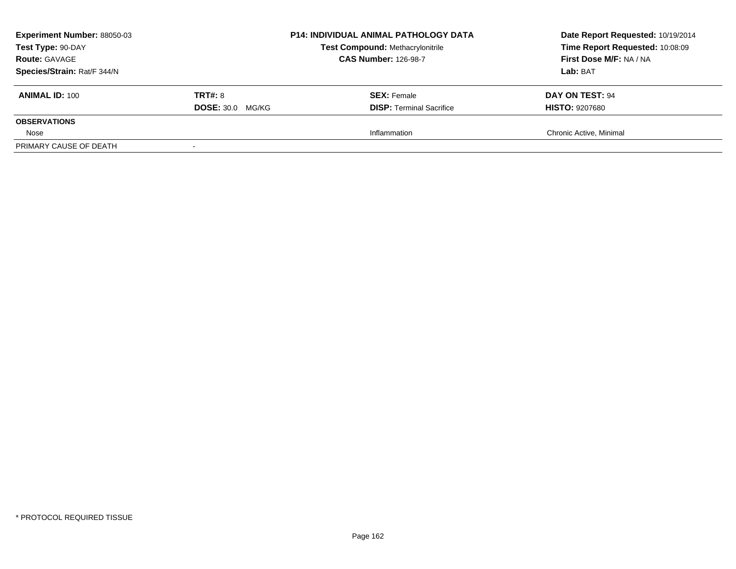| <b>Experiment Number: 88050-03</b><br>Test Type: 90-DAY<br><b>Route: GAVAGE</b><br>Species/Strain: Rat/F 344/N |                                           | <b>P14: INDIVIDUAL ANIMAL PATHOLOGY DATA</b><br><b>Test Compound: Methacrylonitrile</b><br><b>CAS Number: 126-98-7</b> | Date Report Requested: 10/19/2014<br>Time Report Requested: 10:08:09<br>First Dose M/F: NA / NA<br>Lab: BAT |
|----------------------------------------------------------------------------------------------------------------|-------------------------------------------|------------------------------------------------------------------------------------------------------------------------|-------------------------------------------------------------------------------------------------------------|
| <b>ANIMAL ID: 100</b>                                                                                          | <b>TRT#: 8</b><br><b>DOSE: 30.0 MG/KG</b> | <b>SEX:</b> Female<br><b>DISP:</b> Terminal Sacrifice                                                                  | DAY ON TEST: 94<br><b>HISTO: 9207680</b>                                                                    |
| <b>OBSERVATIONS</b>                                                                                            |                                           |                                                                                                                        |                                                                                                             |
| Nose                                                                                                           |                                           | Inflammation                                                                                                           | Chronic Active, Minimal                                                                                     |
| PRIMARY CAUSE OF DEATH                                                                                         |                                           |                                                                                                                        |                                                                                                             |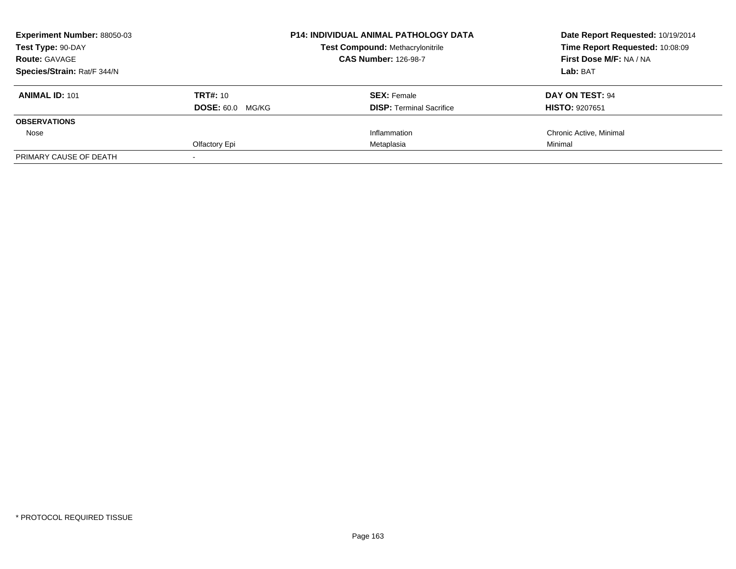| <b>Experiment Number: 88050-03</b> |                         | <b>P14: INDIVIDUAL ANIMAL PATHOLOGY DATA</b> | Date Report Requested: 10/19/2014 |
|------------------------------------|-------------------------|----------------------------------------------|-----------------------------------|
| Test Type: 90-DAY                  |                         | <b>Test Compound: Methacrylonitrile</b>      | Time Report Requested: 10:08:09   |
| <b>Route: GAVAGE</b>               |                         | <b>CAS Number: 126-98-7</b>                  | First Dose M/F: NA / NA           |
| Species/Strain: Rat/F 344/N        |                         |                                              | Lab: BAT                          |
| <b>ANIMAL ID: 101</b>              | TRT#: 10                | <b>SEX: Female</b>                           | DAY ON TEST: 94                   |
|                                    | <b>DOSE: 60.0 MG/KG</b> | <b>DISP:</b> Terminal Sacrifice              | <b>HISTO: 9207651</b>             |
| <b>OBSERVATIONS</b>                |                         |                                              |                                   |
| Nose                               |                         | Inflammation                                 | Chronic Active, Minimal           |
|                                    | Olfactory Epi           | Metaplasia                                   | Minimal                           |
| PRIMARY CAUSE OF DEATH             |                         |                                              |                                   |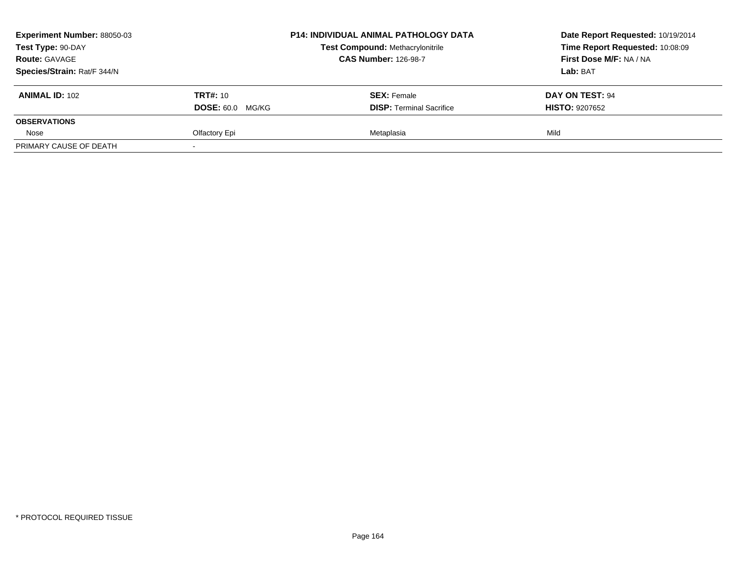| <b>Experiment Number: 88050-03</b> |                         | <b>P14: INDIVIDUAL ANIMAL PATHOLOGY DATA</b> | Date Report Requested: 10/19/2014 |  |
|------------------------------------|-------------------------|----------------------------------------------|-----------------------------------|--|
| Test Type: 90-DAY                  |                         | <b>Test Compound: Methacrylonitrile</b>      | Time Report Requested: 10:08:09   |  |
| <b>Route: GAVAGE</b>               |                         | <b>CAS Number: 126-98-7</b>                  | First Dose M/F: NA / NA           |  |
| Species/Strain: Rat/F 344/N        |                         |                                              | Lab: BAT                          |  |
| <b>ANIMAL ID: 102</b>              | <b>TRT#:</b> 10         | <b>SEX: Female</b>                           | <b>DAY ON TEST: 94</b>            |  |
|                                    | <b>DOSE: 60.0 MG/KG</b> | <b>DISP: Terminal Sacrifice</b>              | <b>HISTO: 9207652</b>             |  |
| <b>OBSERVATIONS</b>                |                         |                                              |                                   |  |
| Nose                               | Olfactory Epi           | Metaplasia                                   | Mild                              |  |
| PRIMARY CAUSE OF DEATH             |                         |                                              |                                   |  |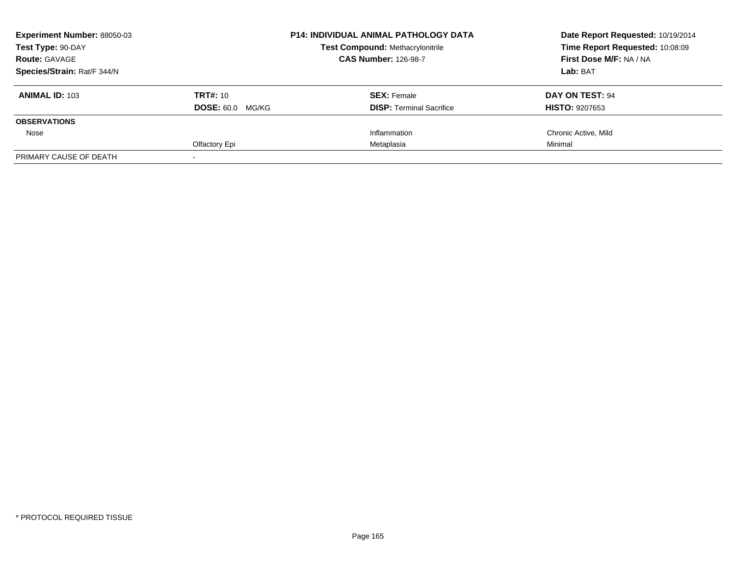| <b>Experiment Number: 88050-03</b> |                         | <b>P14: INDIVIDUAL ANIMAL PATHOLOGY DATA</b> | Date Report Requested: 10/19/2014 |
|------------------------------------|-------------------------|----------------------------------------------|-----------------------------------|
| Test Type: 90-DAY                  |                         | <b>Test Compound: Methacrylonitrile</b>      | Time Report Requested: 10:08:09   |
| <b>Route: GAVAGE</b>               |                         | <b>CAS Number: 126-98-7</b>                  | First Dose M/F: NA / NA           |
| Species/Strain: Rat/F 344/N        |                         |                                              | Lab: BAT                          |
| <b>ANIMAL ID: 103</b>              | TRT#: 10                | <b>SEX: Female</b>                           | DAY ON TEST: 94                   |
|                                    | <b>DOSE: 60.0 MG/KG</b> | <b>DISP:</b> Terminal Sacrifice              | <b>HISTO: 9207653</b>             |
| <b>OBSERVATIONS</b>                |                         |                                              |                                   |
| Nose                               |                         | Inflammation                                 | Chronic Active, Mild              |
|                                    | Olfactory Epi           | Metaplasia                                   | Minimal                           |
| PRIMARY CAUSE OF DEATH             |                         |                                              |                                   |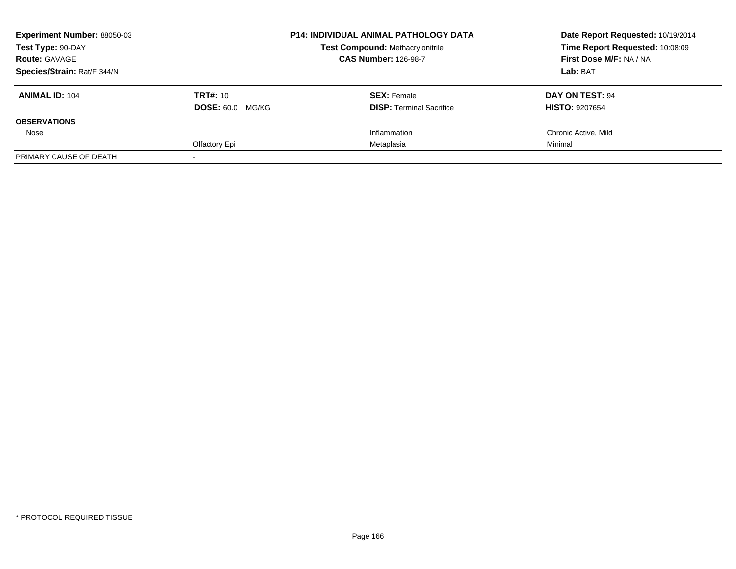| <b>Experiment Number: 88050-03</b> |                         | <b>P14: INDIVIDUAL ANIMAL PATHOLOGY DATA</b> | Date Report Requested: 10/19/2014 |
|------------------------------------|-------------------------|----------------------------------------------|-----------------------------------|
| Test Type: 90-DAY                  |                         | <b>Test Compound: Methacrylonitrile</b>      | Time Report Requested: 10:08:09   |
| <b>Route: GAVAGE</b>               |                         | <b>CAS Number: 126-98-7</b>                  | First Dose M/F: NA / NA           |
| Species/Strain: Rat/F 344/N        |                         |                                              | Lab: BAT                          |
| <b>ANIMAL ID: 104</b>              | TRT#: 10                | <b>SEX: Female</b>                           | DAY ON TEST: 94                   |
|                                    | <b>DOSE: 60.0 MG/KG</b> | <b>DISP:</b> Terminal Sacrifice              | <b>HISTO: 9207654</b>             |
| <b>OBSERVATIONS</b>                |                         |                                              |                                   |
| Nose                               |                         | Inflammation                                 | Chronic Active, Mild              |
|                                    | Olfactory Epi           | Metaplasia                                   | Minimal                           |
| PRIMARY CAUSE OF DEATH             |                         |                                              |                                   |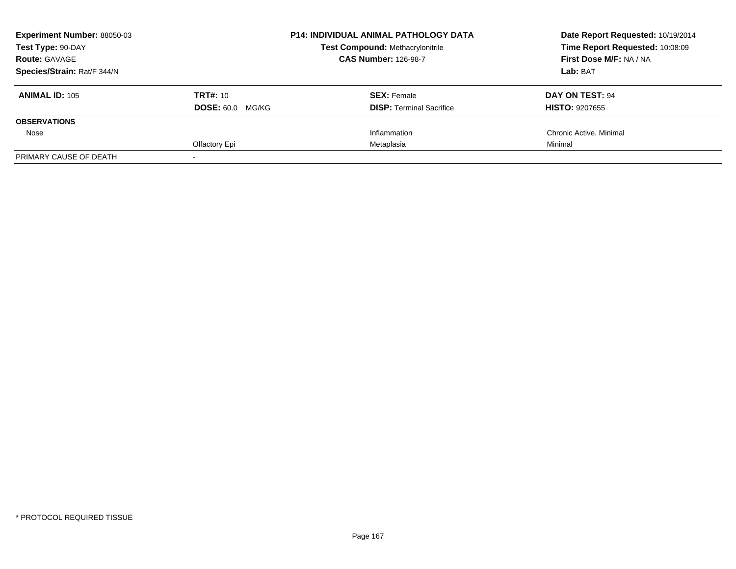| <b>Experiment Number: 88050-03</b> |                         | <b>P14: INDIVIDUAL ANIMAL PATHOLOGY DATA</b> | Date Report Requested: 10/19/2014 |
|------------------------------------|-------------------------|----------------------------------------------|-----------------------------------|
| Test Type: 90-DAY                  |                         | <b>Test Compound: Methacrylonitrile</b>      | Time Report Requested: 10:08:09   |
| <b>Route: GAVAGE</b>               |                         | <b>CAS Number: 126-98-7</b>                  | First Dose M/F: NA / NA           |
| Species/Strain: Rat/F 344/N        |                         |                                              | Lab: BAT                          |
| <b>ANIMAL ID: 105</b>              | TRT#: 10                | <b>SEX: Female</b>                           | DAY ON TEST: 94                   |
|                                    | <b>DOSE: 60.0 MG/KG</b> | <b>DISP:</b> Terminal Sacrifice              | <b>HISTO: 9207655</b>             |
| <b>OBSERVATIONS</b>                |                         |                                              |                                   |
| Nose                               |                         | Inflammation                                 | Chronic Active, Minimal           |
|                                    | Olfactory Epi           | Metaplasia                                   | Minimal                           |
| PRIMARY CAUSE OF DEATH             |                         |                                              |                                   |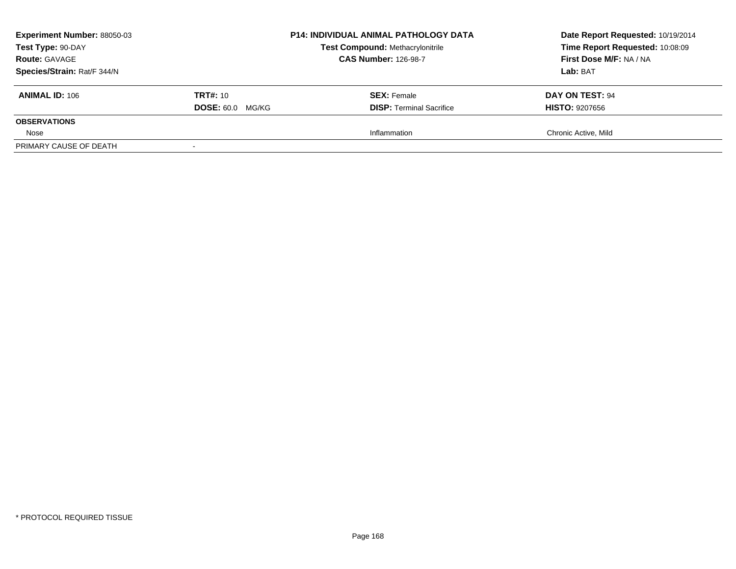| <b>Experiment Number: 88050-03</b> |                         | <b>P14: INDIVIDUAL ANIMAL PATHOLOGY DATA</b> | Date Report Requested: 10/19/2014 |
|------------------------------------|-------------------------|----------------------------------------------|-----------------------------------|
| Test Type: 90-DAY                  |                         | <b>Test Compound: Methacrylonitrile</b>      | Time Report Requested: 10:08:09   |
| <b>Route: GAVAGE</b>               |                         | <b>CAS Number: 126-98-7</b>                  | First Dose M/F: NA / NA           |
| Species/Strain: Rat/F 344/N        |                         |                                              | Lab: BAT                          |
| <b>ANIMAL ID: 106</b>              | <b>TRT#:</b> 10         | <b>SEX: Female</b>                           | DAY ON TEST: 94                   |
|                                    | <b>DOSE: 60.0 MG/KG</b> | <b>DISP:</b> Terminal Sacrifice              | <b>HISTO: 9207656</b>             |
| <b>OBSERVATIONS</b>                |                         |                                              |                                   |
| Nose                               |                         | Inflammation                                 | Chronic Active, Mild              |
| PRIMARY CAUSE OF DEATH             |                         |                                              |                                   |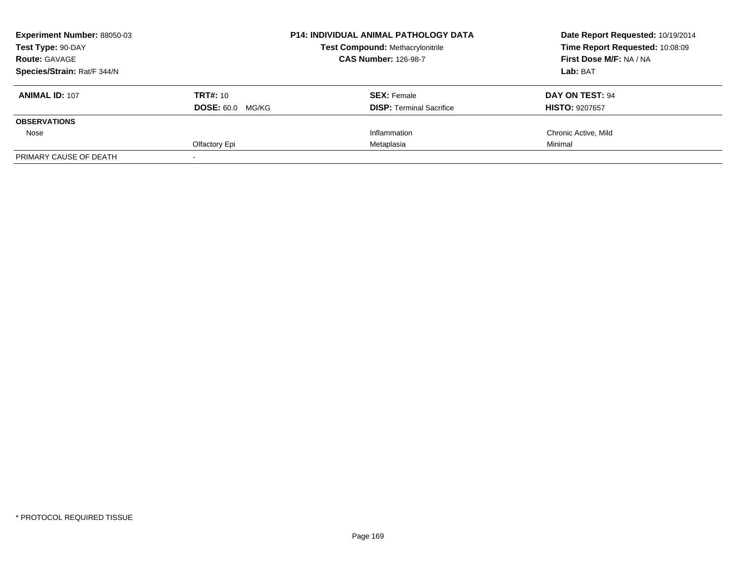| <b>Experiment Number: 88050-03</b><br>Test Type: 90-DAY<br><b>Route: GAVAGE</b><br>Species/Strain: Rat/F 344/N |                         | <b>P14: INDIVIDUAL ANIMAL PATHOLOGY DATA</b> | Date Report Requested: 10/19/2014<br>Time Report Requested: 10:08:09 |
|----------------------------------------------------------------------------------------------------------------|-------------------------|----------------------------------------------|----------------------------------------------------------------------|
|                                                                                                                |                         | <b>Test Compound: Methacrylonitrile</b>      |                                                                      |
|                                                                                                                |                         | <b>CAS Number: 126-98-7</b>                  | First Dose M/F: NA / NA                                              |
|                                                                                                                |                         |                                              | Lab: BAT                                                             |
| <b>ANIMAL ID: 107</b>                                                                                          | TRT#: 10                | <b>SEX: Female</b>                           | DAY ON TEST: 94                                                      |
|                                                                                                                | <b>DOSE: 60.0 MG/KG</b> | <b>DISP:</b> Terminal Sacrifice              | <b>HISTO: 9207657</b>                                                |
| <b>OBSERVATIONS</b>                                                                                            |                         |                                              |                                                                      |
| Nose                                                                                                           |                         | Inflammation                                 | Chronic Active, Mild                                                 |
|                                                                                                                | Olfactory Epi           | Metaplasia                                   | Minimal                                                              |
| PRIMARY CAUSE OF DEATH                                                                                         |                         |                                              |                                                                      |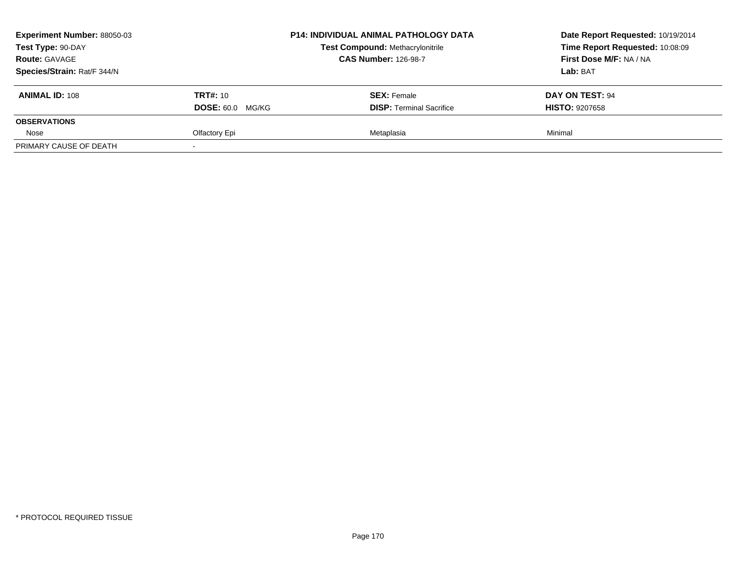| <b>Experiment Number: 88050-03</b><br><b>Test Type: 90-DAY</b> |                         | <b>P14: INDIVIDUAL ANIMAL PATHOLOGY DATA</b> | Date Report Requested: 10/19/2014<br>Time Report Requested: 10:08:09 |
|----------------------------------------------------------------|-------------------------|----------------------------------------------|----------------------------------------------------------------------|
|                                                                |                         | <b>Test Compound: Methacrylonitrile</b>      |                                                                      |
| <b>Route: GAVAGE</b>                                           |                         | <b>CAS Number: 126-98-7</b>                  | First Dose M/F: NA / NA                                              |
| Species/Strain: Rat/F 344/N                                    |                         |                                              | Lab: BAT                                                             |
| <b>ANIMAL ID: 108</b>                                          | <b>TRT#: 10</b>         | <b>SEX: Female</b>                           | DAY ON TEST: 94                                                      |
|                                                                | <b>DOSE: 60.0 MG/KG</b> | <b>DISP: Terminal Sacrifice</b>              | <b>HISTO: 9207658</b>                                                |
| <b>OBSERVATIONS</b>                                            |                         |                                              |                                                                      |
| Nose                                                           | Olfactory Epi           | Metaplasia                                   | Minimal                                                              |
| PRIMARY CAUSE OF DEATH                                         |                         |                                              |                                                                      |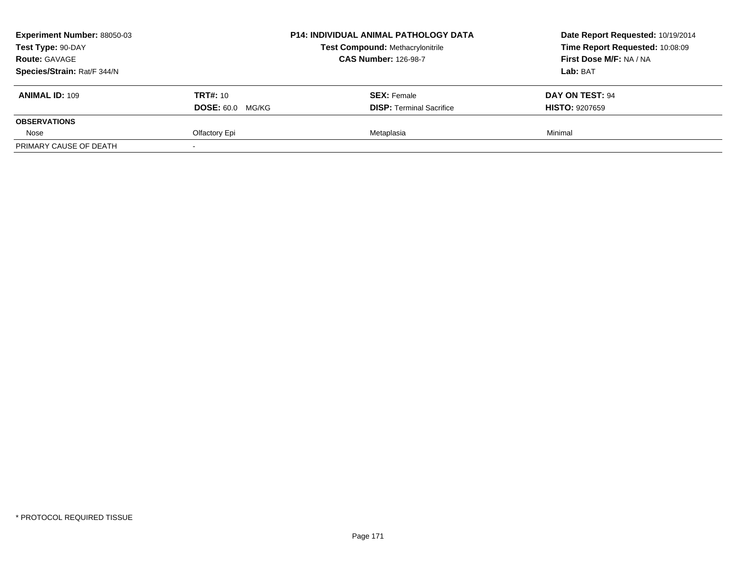| <b>Experiment Number: 88050-03</b><br>Test Type: 90-DAY |                         | <b>P14: INDIVIDUAL ANIMAL PATHOLOGY DATA</b> | Date Report Requested: 10/19/2014<br>Time Report Requested: 10:08:09 |
|---------------------------------------------------------|-------------------------|----------------------------------------------|----------------------------------------------------------------------|
|                                                         |                         | <b>Test Compound: Methacrylonitrile</b>      |                                                                      |
| <b>Route: GAVAGE</b>                                    |                         | <b>CAS Number: 126-98-7</b>                  | First Dose M/F: NA / NA                                              |
| Species/Strain: Rat/F 344/N                             |                         |                                              | Lab: BAT                                                             |
| <b>ANIMAL ID: 109</b>                                   | <b>TRT#: 10</b>         | <b>SEX:</b> Female                           | DAY ON TEST: 94                                                      |
|                                                         | <b>DOSE: 60.0 MG/KG</b> | <b>DISP: Terminal Sacrifice</b>              | <b>HISTO: 9207659</b>                                                |
| <b>OBSERVATIONS</b>                                     |                         |                                              |                                                                      |
| Nose                                                    | Olfactory Epi           | Metaplasia                                   | Minimal                                                              |
| PRIMARY CAUSE OF DEATH                                  |                         |                                              |                                                                      |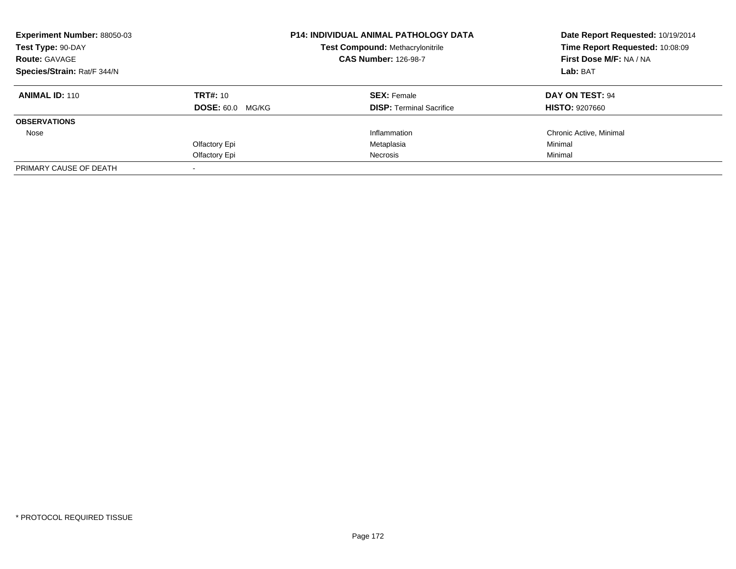| Experiment Number: 88050-03<br>Test Type: 90-DAY<br><b>Route: GAVAGE</b> |                         | <b>P14: INDIVIDUAL ANIMAL PATHOLOGY DATA</b> | Date Report Requested: 10/19/2014<br>Time Report Requested: 10:08:09 |  |
|--------------------------------------------------------------------------|-------------------------|----------------------------------------------|----------------------------------------------------------------------|--|
|                                                                          |                         | <b>Test Compound: Methacrylonitrile</b>      |                                                                      |  |
|                                                                          |                         | <b>CAS Number: 126-98-7</b>                  | First Dose M/F: NA / NA                                              |  |
| Species/Strain: Rat/F 344/N                                              |                         |                                              | Lab: BAT                                                             |  |
| <b>ANIMAL ID: 110</b>                                                    | <b>TRT#: 10</b>         | <b>SEX: Female</b>                           | DAY ON TEST: 94                                                      |  |
|                                                                          | <b>DOSE: 60.0 MG/KG</b> | <b>DISP:</b> Terminal Sacrifice              | <b>HISTO: 9207660</b>                                                |  |
| <b>OBSERVATIONS</b>                                                      |                         |                                              |                                                                      |  |
| Nose                                                                     |                         | Inflammation                                 | Chronic Active, Minimal                                              |  |
|                                                                          | Olfactory Epi           | Metaplasia                                   | Minimal                                                              |  |
|                                                                          | Olfactory Epi           | Necrosis                                     | Minimal                                                              |  |
| PRIMARY CAUSE OF DEATH                                                   |                         |                                              |                                                                      |  |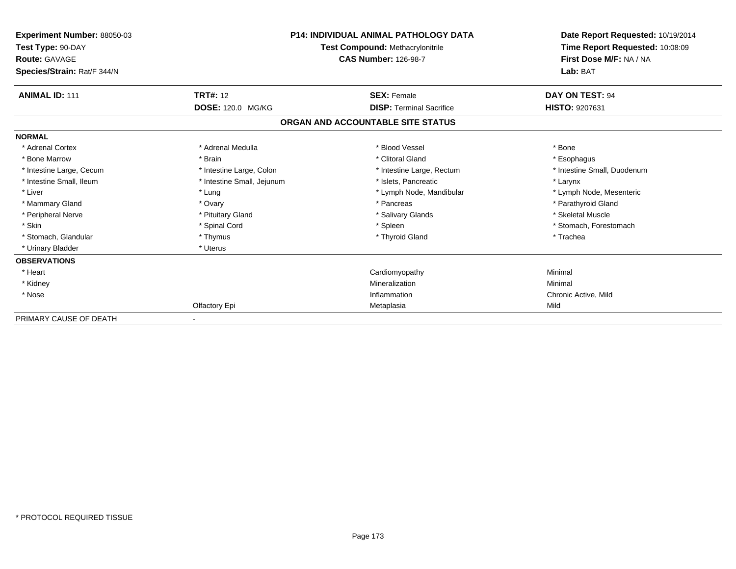| <b>Experiment Number: 88050-03</b><br>Test Type: 90-DAY<br><b>Route: GAVAGE</b><br>Species/Strain: Rat/F 344/N | <b>P14: INDIVIDUAL ANIMAL PATHOLOGY DATA</b><br>Test Compound: Methacrylonitrile<br><b>CAS Number: 126-98-7</b> |                                   | Date Report Requested: 10/19/2014<br>Time Report Requested: 10:08:09<br>First Dose M/F: NA / NA<br>Lab: BAT |
|----------------------------------------------------------------------------------------------------------------|-----------------------------------------------------------------------------------------------------------------|-----------------------------------|-------------------------------------------------------------------------------------------------------------|
| <b>ANIMAL ID: 111</b>                                                                                          | <b>TRT#: 12</b>                                                                                                 | <b>SEX: Female</b>                | <b>DAY ON TEST: 94</b>                                                                                      |
|                                                                                                                | DOSE: 120.0 MG/KG                                                                                               | <b>DISP:</b> Terminal Sacrifice   | HISTO: 9207631                                                                                              |
|                                                                                                                |                                                                                                                 | ORGAN AND ACCOUNTABLE SITE STATUS |                                                                                                             |
| <b>NORMAL</b>                                                                                                  |                                                                                                                 |                                   |                                                                                                             |
| * Adrenal Cortex                                                                                               | * Adrenal Medulla                                                                                               | * Blood Vessel                    | * Bone                                                                                                      |
| * Bone Marrow                                                                                                  | * Brain                                                                                                         | * Clitoral Gland                  | * Esophagus                                                                                                 |
| * Intestine Large, Cecum                                                                                       | * Intestine Large, Colon                                                                                        | * Intestine Large, Rectum         | * Intestine Small, Duodenum                                                                                 |
| * Intestine Small, Ileum                                                                                       | * Intestine Small, Jejunum                                                                                      | * Islets, Pancreatic              | * Larynx                                                                                                    |
| * Liver                                                                                                        | * Lung                                                                                                          | * Lymph Node, Mandibular          | * Lymph Node, Mesenteric                                                                                    |
| * Mammary Gland                                                                                                | * Ovary                                                                                                         | * Pancreas                        | * Parathyroid Gland                                                                                         |
| * Peripheral Nerve                                                                                             | * Pituitary Gland                                                                                               | * Salivary Glands                 | * Skeletal Muscle                                                                                           |
| * Skin                                                                                                         | * Spinal Cord                                                                                                   | * Spleen                          | * Stomach, Forestomach                                                                                      |
| * Stomach, Glandular                                                                                           | * Thymus                                                                                                        | * Thyroid Gland                   | * Trachea                                                                                                   |
| * Urinary Bladder                                                                                              | * Uterus                                                                                                        |                                   |                                                                                                             |
| <b>OBSERVATIONS</b>                                                                                            |                                                                                                                 |                                   |                                                                                                             |
| * Heart                                                                                                        |                                                                                                                 | Cardiomyopathy                    | Minimal                                                                                                     |
| * Kidney                                                                                                       |                                                                                                                 | Mineralization                    | Minimal                                                                                                     |
| * Nose                                                                                                         |                                                                                                                 | Inflammation                      | Chronic Active, Mild                                                                                        |
|                                                                                                                | Olfactory Epi                                                                                                   | Metaplasia                        | Mild                                                                                                        |
| PRIMARY CAUSE OF DEATH                                                                                         |                                                                                                                 |                                   |                                                                                                             |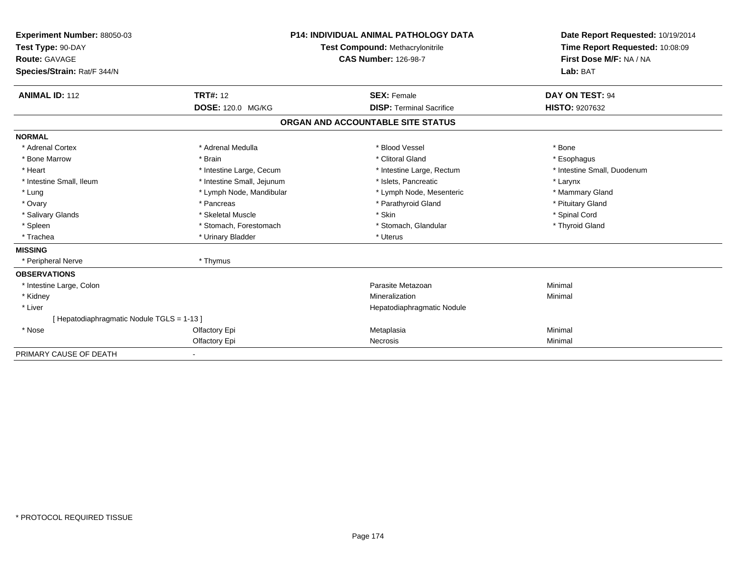| Experiment Number: 88050-03<br>Test Type: 90-DAY<br><b>Route: GAVAGE</b> |                            | <b>P14: INDIVIDUAL ANIMAL PATHOLOGY DATA</b><br><b>Test Compound: Methacrylonitrile</b><br><b>CAS Number: 126-98-7</b> | Date Report Requested: 10/19/2014<br>Time Report Requested: 10:08:09<br>First Dose M/F: NA / NA |
|--------------------------------------------------------------------------|----------------------------|------------------------------------------------------------------------------------------------------------------------|-------------------------------------------------------------------------------------------------|
| Species/Strain: Rat/F 344/N                                              |                            |                                                                                                                        | Lab: BAT                                                                                        |
| <b>ANIMAL ID: 112</b>                                                    | <b>TRT#: 12</b>            | <b>SEX: Female</b>                                                                                                     | DAY ON TEST: 94                                                                                 |
|                                                                          | DOSE: 120.0 MG/KG          | <b>DISP: Terminal Sacrifice</b>                                                                                        | <b>HISTO: 9207632</b>                                                                           |
|                                                                          |                            | ORGAN AND ACCOUNTABLE SITE STATUS                                                                                      |                                                                                                 |
| <b>NORMAL</b>                                                            |                            |                                                                                                                        |                                                                                                 |
| * Adrenal Cortex                                                         | * Adrenal Medulla          | * Blood Vessel                                                                                                         | * Bone                                                                                          |
| * Bone Marrow                                                            | * Brain                    | * Clitoral Gland                                                                                                       | * Esophagus                                                                                     |
| * Heart                                                                  | * Intestine Large, Cecum   | * Intestine Large, Rectum                                                                                              | * Intestine Small, Duodenum                                                                     |
| * Intestine Small, Ileum                                                 | * Intestine Small, Jejunum | * Islets. Pancreatic                                                                                                   | * Larynx                                                                                        |
| * Lung                                                                   | * Lymph Node, Mandibular   | * Lymph Node, Mesenteric                                                                                               | * Mammary Gland                                                                                 |
| * Ovary                                                                  | * Pancreas                 | * Parathyroid Gland                                                                                                    | * Pituitary Gland                                                                               |
| * Salivary Glands                                                        | * Skeletal Muscle          | * Skin                                                                                                                 | * Spinal Cord                                                                                   |
| * Spleen                                                                 | * Stomach, Forestomach     | * Stomach, Glandular                                                                                                   | * Thyroid Gland                                                                                 |
| * Trachea                                                                | * Urinary Bladder          | * Uterus                                                                                                               |                                                                                                 |
| <b>MISSING</b>                                                           |                            |                                                                                                                        |                                                                                                 |
| * Peripheral Nerve                                                       | * Thymus                   |                                                                                                                        |                                                                                                 |
| <b>OBSERVATIONS</b>                                                      |                            |                                                                                                                        |                                                                                                 |
| * Intestine Large, Colon                                                 |                            | Parasite Metazoan                                                                                                      | Minimal                                                                                         |
| * Kidney                                                                 |                            | Mineralization                                                                                                         | Minimal                                                                                         |
| * Liver                                                                  |                            | Hepatodiaphragmatic Nodule                                                                                             |                                                                                                 |
| [Hepatodiaphragmatic Nodule TGLS = 1-13]                                 |                            |                                                                                                                        |                                                                                                 |
| * Nose                                                                   | Olfactory Epi              | Metaplasia                                                                                                             | Minimal                                                                                         |
|                                                                          | Olfactory Epi              | Necrosis                                                                                                               | Minimal                                                                                         |
| PRIMARY CAUSE OF DEATH                                                   |                            |                                                                                                                        |                                                                                                 |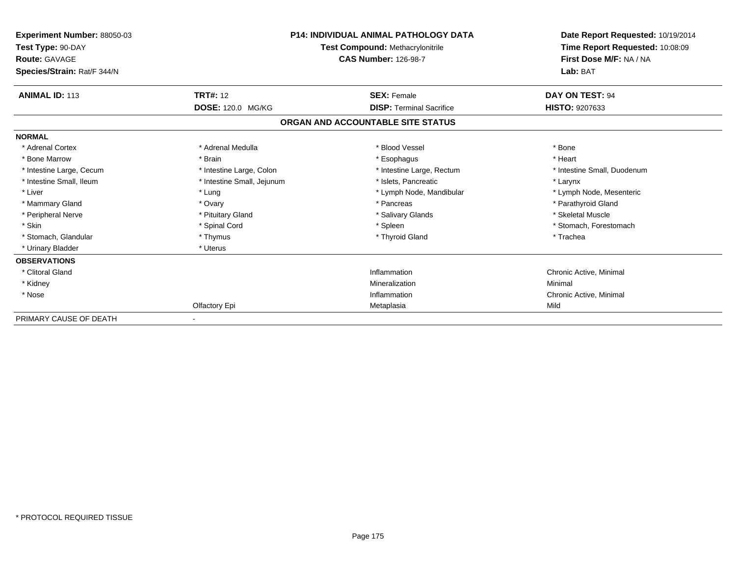| Experiment Number: 88050-03<br>Test Type: 90-DAY<br>Route: GAVAGE |                            | <b>P14: INDIVIDUAL ANIMAL PATHOLOGY DATA</b><br>Test Compound: Methacrylonitrile<br><b>CAS Number: 126-98-7</b> |                             |
|-------------------------------------------------------------------|----------------------------|-----------------------------------------------------------------------------------------------------------------|-----------------------------|
| Species/Strain: Rat/F 344/N                                       |                            |                                                                                                                 | Lab: BAT                    |
| <b>ANIMAL ID: 113</b>                                             | <b>TRT#: 12</b>            | <b>SEX: Female</b>                                                                                              | DAY ON TEST: 94             |
|                                                                   | DOSE: 120.0 MG/KG          | <b>DISP: Terminal Sacrifice</b>                                                                                 | <b>HISTO: 9207633</b>       |
|                                                                   |                            | ORGAN AND ACCOUNTABLE SITE STATUS                                                                               |                             |
| <b>NORMAL</b>                                                     |                            |                                                                                                                 |                             |
| * Adrenal Cortex                                                  | * Adrenal Medulla          | * Blood Vessel                                                                                                  | * Bone                      |
| * Bone Marrow                                                     | * Brain                    | * Esophagus                                                                                                     | * Heart                     |
| * Intestine Large, Cecum                                          | * Intestine Large, Colon   | * Intestine Large, Rectum                                                                                       | * Intestine Small, Duodenum |
| * Intestine Small, Ileum                                          | * Intestine Small, Jejunum | * Islets, Pancreatic                                                                                            | * Larynx                    |
| * Liver                                                           | * Lung                     | * Lymph Node, Mandibular                                                                                        | * Lymph Node, Mesenteric    |
| * Mammary Gland                                                   | * Ovary                    | * Pancreas                                                                                                      | * Parathyroid Gland         |
| * Peripheral Nerve                                                | * Pituitary Gland          | * Salivary Glands                                                                                               | * Skeletal Muscle           |
| * Skin                                                            | * Spinal Cord              | * Spleen                                                                                                        | * Stomach, Forestomach      |
| * Stomach, Glandular                                              | * Thymus                   | * Thyroid Gland                                                                                                 | * Trachea                   |
| * Urinary Bladder                                                 | * Uterus                   |                                                                                                                 |                             |
| <b>OBSERVATIONS</b>                                               |                            |                                                                                                                 |                             |
| * Clitoral Gland                                                  |                            | Inflammation                                                                                                    | Chronic Active, Minimal     |
| * Kidney                                                          |                            | Mineralization                                                                                                  | Minimal                     |
| * Nose                                                            |                            | Inflammation                                                                                                    | Chronic Active, Minimal     |
|                                                                   | Olfactory Epi              | Metaplasia                                                                                                      | Mild                        |
| PRIMARY CAUSE OF DEATH                                            |                            |                                                                                                                 |                             |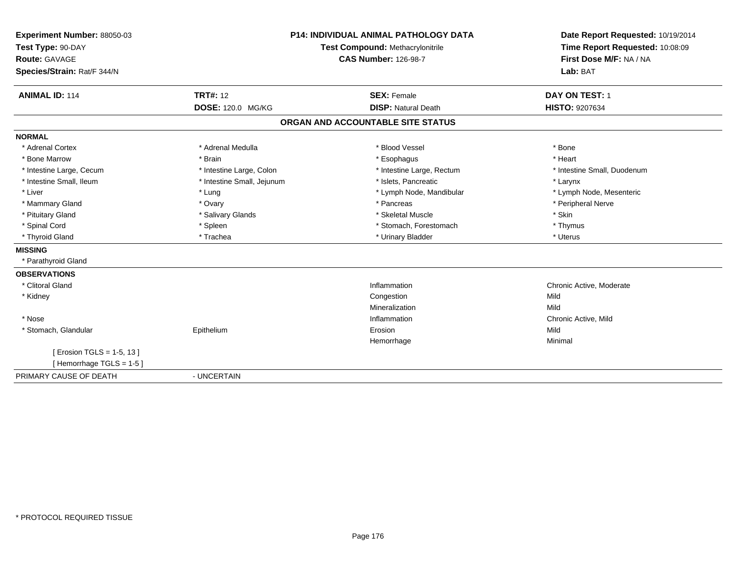| Experiment Number: 88050-03<br>Test Type: 90-DAY<br><b>Route: GAVAGE</b><br>Species/Strain: Rat/F 344/N<br><b>ANIMAL ID: 114</b> | <b>TRT#: 12</b><br><b>DOSE: 120.0 MG/KG</b> | <b>P14: INDIVIDUAL ANIMAL PATHOLOGY DATA</b><br>Test Compound: Methacrylonitrile<br><b>CAS Number: 126-98-7</b><br><b>SEX: Female</b><br><b>DISP: Natural Death</b> | Date Report Requested: 10/19/2014<br>Time Report Requested: 10:08:09<br>First Dose M/F: NA / NA<br>Lab: BAT<br>DAY ON TEST: 1<br>HISTO: 9207634 |
|----------------------------------------------------------------------------------------------------------------------------------|---------------------------------------------|---------------------------------------------------------------------------------------------------------------------------------------------------------------------|-------------------------------------------------------------------------------------------------------------------------------------------------|
|                                                                                                                                  |                                             | ORGAN AND ACCOUNTABLE SITE STATUS                                                                                                                                   |                                                                                                                                                 |
| <b>NORMAL</b>                                                                                                                    |                                             |                                                                                                                                                                     |                                                                                                                                                 |
| * Adrenal Cortex                                                                                                                 | * Adrenal Medulla                           | * Blood Vessel                                                                                                                                                      | * Bone                                                                                                                                          |
| * Bone Marrow                                                                                                                    | * Brain                                     | * Esophagus                                                                                                                                                         | * Heart                                                                                                                                         |
| * Intestine Large, Cecum                                                                                                         | * Intestine Large, Colon                    | * Intestine Large, Rectum                                                                                                                                           | * Intestine Small, Duodenum                                                                                                                     |
| * Intestine Small, Ileum                                                                                                         | * Intestine Small, Jejunum                  | * Islets, Pancreatic                                                                                                                                                | * Larynx                                                                                                                                        |
| * Liver                                                                                                                          | * Lung                                      | * Lymph Node, Mandibular                                                                                                                                            | * Lymph Node, Mesenteric                                                                                                                        |
| * Mammary Gland                                                                                                                  | * Ovary                                     | * Pancreas                                                                                                                                                          | * Peripheral Nerve                                                                                                                              |
| * Pituitary Gland                                                                                                                | * Salivary Glands                           | * Skeletal Muscle                                                                                                                                                   | * Skin                                                                                                                                          |
| * Spinal Cord                                                                                                                    | * Spleen                                    | * Stomach, Forestomach                                                                                                                                              | * Thymus                                                                                                                                        |
| * Thyroid Gland                                                                                                                  | * Trachea                                   | * Urinary Bladder                                                                                                                                                   | * Uterus                                                                                                                                        |
| <b>MISSING</b>                                                                                                                   |                                             |                                                                                                                                                                     |                                                                                                                                                 |
| * Parathyroid Gland                                                                                                              |                                             |                                                                                                                                                                     |                                                                                                                                                 |
| <b>OBSERVATIONS</b>                                                                                                              |                                             |                                                                                                                                                                     |                                                                                                                                                 |
| * Clitoral Gland                                                                                                                 |                                             | Inflammation                                                                                                                                                        | Chronic Active, Moderate                                                                                                                        |
| * Kidney                                                                                                                         |                                             | Congestion                                                                                                                                                          | Mild                                                                                                                                            |
|                                                                                                                                  |                                             | Mineralization                                                                                                                                                      | Mild                                                                                                                                            |
| * Nose                                                                                                                           |                                             | Inflammation                                                                                                                                                        | Chronic Active, Mild                                                                                                                            |
| * Stomach, Glandular                                                                                                             | Epithelium                                  | Erosion                                                                                                                                                             | Mild                                                                                                                                            |
|                                                                                                                                  |                                             | Hemorrhage                                                                                                                                                          | Minimal                                                                                                                                         |
| [ Erosion TGLS = 1-5, 13 ]                                                                                                       |                                             |                                                                                                                                                                     |                                                                                                                                                 |
| [Hemorrhage TGLS = 1-5]                                                                                                          |                                             |                                                                                                                                                                     |                                                                                                                                                 |
| PRIMARY CAUSE OF DEATH                                                                                                           | - UNCERTAIN                                 |                                                                                                                                                                     |                                                                                                                                                 |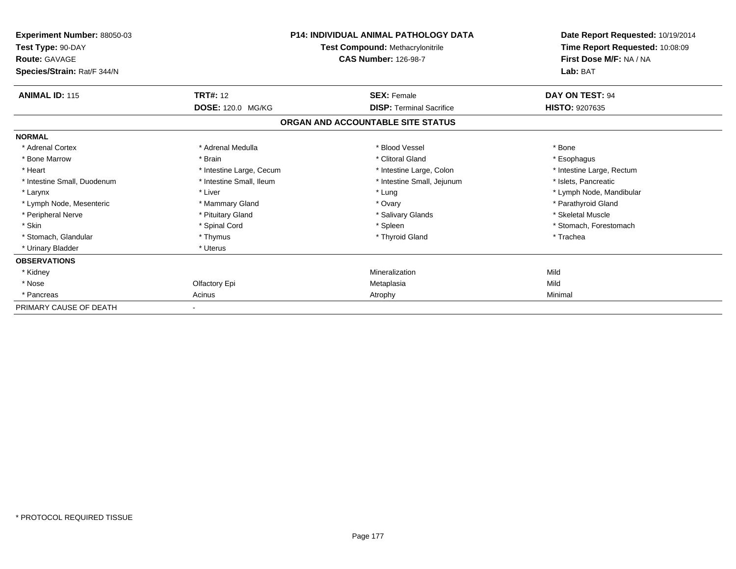| Experiment Number: 88050-03<br>Test Type: 90-DAY<br><b>Route: GAVAGE</b><br>Species/Strain: Rat/F 344/N | <b>P14: INDIVIDUAL ANIMAL PATHOLOGY DATA</b><br>Test Compound: Methacrylonitrile<br><b>CAS Number: 126-98-7</b> |                                   | Date Report Requested: 10/19/2014<br>Time Report Requested: 10:08:09<br>First Dose M/F: NA / NA<br>Lab: BAT |
|---------------------------------------------------------------------------------------------------------|-----------------------------------------------------------------------------------------------------------------|-----------------------------------|-------------------------------------------------------------------------------------------------------------|
| <b>ANIMAL ID: 115</b>                                                                                   | <b>TRT#: 12</b>                                                                                                 | <b>SEX: Female</b>                | DAY ON TEST: 94                                                                                             |
|                                                                                                         | DOSE: 120.0 MG/KG                                                                                               | <b>DISP:</b> Terminal Sacrifice   | <b>HISTO: 9207635</b>                                                                                       |
|                                                                                                         |                                                                                                                 | ORGAN AND ACCOUNTABLE SITE STATUS |                                                                                                             |
| <b>NORMAL</b>                                                                                           |                                                                                                                 |                                   |                                                                                                             |
| * Adrenal Cortex                                                                                        | * Adrenal Medulla                                                                                               | * Blood Vessel                    | * Bone                                                                                                      |
| * Bone Marrow                                                                                           | * Brain                                                                                                         | * Clitoral Gland                  | * Esophagus                                                                                                 |
| * Heart                                                                                                 | * Intestine Large, Cecum                                                                                        | * Intestine Large, Colon          | * Intestine Large, Rectum                                                                                   |
| * Intestine Small, Duodenum                                                                             | * Intestine Small, Ileum                                                                                        | * Intestine Small, Jejunum        | * Islets, Pancreatic                                                                                        |
| * Larynx                                                                                                | * Liver                                                                                                         | * Lung                            | * Lymph Node, Mandibular                                                                                    |
| * Lymph Node, Mesenteric                                                                                | * Mammary Gland                                                                                                 | * Ovary                           | * Parathyroid Gland                                                                                         |
| * Peripheral Nerve                                                                                      | * Pituitary Gland                                                                                               | * Salivary Glands                 | * Skeletal Muscle                                                                                           |
| * Skin                                                                                                  | * Spinal Cord                                                                                                   | * Spleen                          | * Stomach, Forestomach                                                                                      |
| * Stomach, Glandular                                                                                    | * Thymus                                                                                                        | * Thyroid Gland                   | * Trachea                                                                                                   |
| * Urinary Bladder                                                                                       | * Uterus                                                                                                        |                                   |                                                                                                             |
| <b>OBSERVATIONS</b>                                                                                     |                                                                                                                 |                                   |                                                                                                             |
| * Kidney                                                                                                |                                                                                                                 | Mineralization                    | Mild                                                                                                        |
| * Nose                                                                                                  | Olfactory Epi                                                                                                   | Metaplasia                        | Mild                                                                                                        |
| * Pancreas                                                                                              | Acinus                                                                                                          | Atrophy                           | Minimal                                                                                                     |
| PRIMARY CAUSE OF DEATH                                                                                  |                                                                                                                 |                                   |                                                                                                             |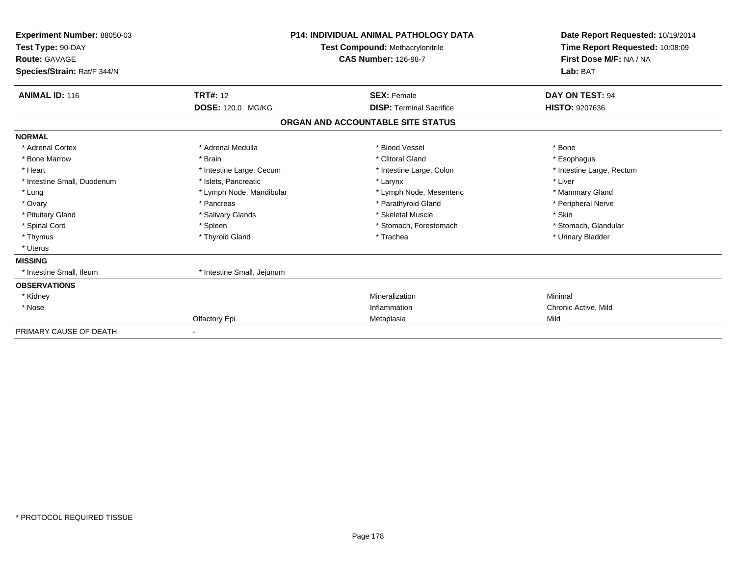| Experiment Number: 88050-03<br>Test Type: 90-DAY<br><b>Route: GAVAGE</b><br>Species/Strain: Rat/F 344/N | <b>P14: INDIVIDUAL ANIMAL PATHOLOGY DATA</b><br>Test Compound: Methacrylonitrile<br><b>CAS Number: 126-98-7</b> |                                   | Date Report Requested: 10/19/2014<br>Time Report Requested: 10:08:09<br>First Dose M/F: NA / NA<br>Lab: BAT |
|---------------------------------------------------------------------------------------------------------|-----------------------------------------------------------------------------------------------------------------|-----------------------------------|-------------------------------------------------------------------------------------------------------------|
| <b>ANIMAL ID: 116</b>                                                                                   | <b>TRT#: 12</b>                                                                                                 | <b>SEX: Female</b>                | DAY ON TEST: 94                                                                                             |
|                                                                                                         | DOSE: 120.0 MG/KG                                                                                               | <b>DISP: Terminal Sacrifice</b>   | HISTO: 9207636                                                                                              |
|                                                                                                         |                                                                                                                 | ORGAN AND ACCOUNTABLE SITE STATUS |                                                                                                             |
| <b>NORMAL</b>                                                                                           |                                                                                                                 |                                   |                                                                                                             |
| * Adrenal Cortex                                                                                        | * Adrenal Medulla                                                                                               | * Blood Vessel                    | * Bone                                                                                                      |
| * Bone Marrow                                                                                           | * Brain                                                                                                         | * Clitoral Gland                  | * Esophagus                                                                                                 |
| * Heart                                                                                                 | * Intestine Large, Cecum                                                                                        | * Intestine Large, Colon          | * Intestine Large, Rectum                                                                                   |
| * Intestine Small, Duodenum                                                                             | * Islets, Pancreatic                                                                                            | * Larynx                          | * Liver                                                                                                     |
| * Lung                                                                                                  | * Lymph Node, Mandibular                                                                                        | * Lymph Node, Mesenteric          | * Mammary Gland                                                                                             |
| * Ovary                                                                                                 | * Pancreas                                                                                                      | * Parathyroid Gland               | * Peripheral Nerve                                                                                          |
| * Pituitary Gland                                                                                       | * Salivary Glands                                                                                               | * Skeletal Muscle                 | * Skin                                                                                                      |
| * Spinal Cord                                                                                           | * Spleen                                                                                                        | * Stomach, Forestomach            | * Stomach, Glandular                                                                                        |
| * Thymus                                                                                                | * Thyroid Gland                                                                                                 | * Trachea                         | * Urinary Bladder                                                                                           |
| * Uterus                                                                                                |                                                                                                                 |                                   |                                                                                                             |
| <b>MISSING</b>                                                                                          |                                                                                                                 |                                   |                                                                                                             |
| * Intestine Small, Ileum                                                                                | * Intestine Small, Jejunum                                                                                      |                                   |                                                                                                             |
| <b>OBSERVATIONS</b>                                                                                     |                                                                                                                 |                                   |                                                                                                             |
| * Kidney                                                                                                |                                                                                                                 | Mineralization                    | Minimal                                                                                                     |
| * Nose                                                                                                  |                                                                                                                 | Inflammation                      | Chronic Active, Mild                                                                                        |
|                                                                                                         | Olfactory Epi                                                                                                   | Metaplasia                        | Mild                                                                                                        |
| PRIMARY CAUSE OF DEATH                                                                                  |                                                                                                                 |                                   |                                                                                                             |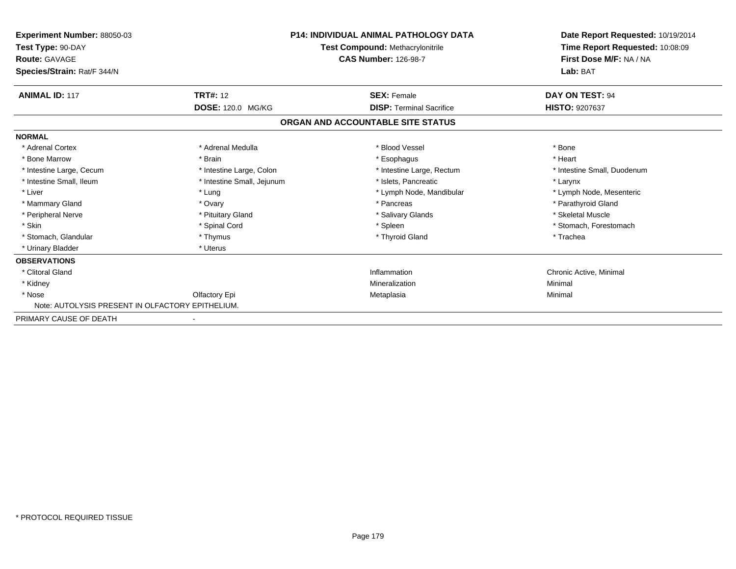| <b>Experiment Number: 88050-03</b><br>Test Type: 90-DAY<br><b>Route: GAVAGE</b> | <b>P14: INDIVIDUAL ANIMAL PATHOLOGY DATA</b><br><b>Test Compound: Methacrylonitrile</b><br><b>CAS Number: 126-98-7</b> |                                   | Date Report Requested: 10/19/2014<br>Time Report Requested: 10:08:09<br>First Dose M/F: NA / NA |
|---------------------------------------------------------------------------------|------------------------------------------------------------------------------------------------------------------------|-----------------------------------|-------------------------------------------------------------------------------------------------|
| Species/Strain: Rat/F 344/N                                                     |                                                                                                                        |                                   | Lab: BAT                                                                                        |
| <b>ANIMAL ID: 117</b>                                                           | <b>TRT#: 12</b>                                                                                                        | <b>SEX: Female</b>                | DAY ON TEST: 94                                                                                 |
|                                                                                 | DOSE: 120.0 MG/KG                                                                                                      | <b>DISP: Terminal Sacrifice</b>   | <b>HISTO: 9207637</b>                                                                           |
|                                                                                 |                                                                                                                        | ORGAN AND ACCOUNTABLE SITE STATUS |                                                                                                 |
| <b>NORMAL</b>                                                                   |                                                                                                                        |                                   |                                                                                                 |
| * Adrenal Cortex                                                                | * Adrenal Medulla                                                                                                      | * Blood Vessel                    | * Bone                                                                                          |
| * Bone Marrow                                                                   | * Brain                                                                                                                | * Esophagus                       | * Heart                                                                                         |
| * Intestine Large, Cecum                                                        | * Intestine Large, Colon                                                                                               | * Intestine Large, Rectum         | * Intestine Small, Duodenum                                                                     |
| * Intestine Small, Ileum                                                        | * Intestine Small, Jejunum                                                                                             | * Islets, Pancreatic              | * Larynx                                                                                        |
| * Liver                                                                         | * Lung                                                                                                                 | * Lymph Node, Mandibular          | * Lymph Node, Mesenteric                                                                        |
| * Mammary Gland                                                                 | * Ovary                                                                                                                | * Pancreas                        | * Parathyroid Gland                                                                             |
| * Peripheral Nerve                                                              | * Pituitary Gland                                                                                                      | * Salivary Glands                 | * Skeletal Muscle                                                                               |
| * Skin                                                                          | * Spinal Cord                                                                                                          | * Spleen                          | * Stomach, Forestomach                                                                          |
| * Stomach, Glandular                                                            | * Thymus                                                                                                               | * Thyroid Gland                   | * Trachea                                                                                       |
| * Urinary Bladder                                                               | * Uterus                                                                                                               |                                   |                                                                                                 |
| <b>OBSERVATIONS</b>                                                             |                                                                                                                        |                                   |                                                                                                 |
| * Clitoral Gland                                                                |                                                                                                                        | Inflammation                      | Chronic Active, Minimal                                                                         |
| * Kidney                                                                        |                                                                                                                        | Mineralization                    | Minimal                                                                                         |
| * Nose                                                                          | Olfactory Epi                                                                                                          | Metaplasia                        | Minimal                                                                                         |
| Note: AUTOLYSIS PRESENT IN OLFACTORY EPITHELIUM.                                |                                                                                                                        |                                   |                                                                                                 |
| PRIMARY CAUSE OF DEATH                                                          |                                                                                                                        |                                   |                                                                                                 |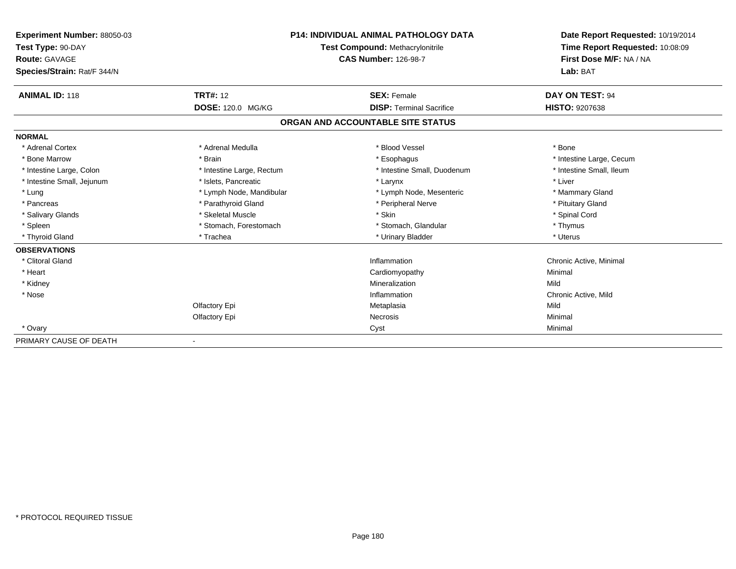| Experiment Number: 88050-03 | <b>P14: INDIVIDUAL ANIMAL PATHOLOGY DATA</b><br>Test Compound: Methacrylonitrile |                                   | Date Report Requested: 10/19/2014 |
|-----------------------------|----------------------------------------------------------------------------------|-----------------------------------|-----------------------------------|
| Test Type: 90-DAY           |                                                                                  |                                   | Time Report Requested: 10:08:09   |
| Route: GAVAGE               |                                                                                  | <b>CAS Number: 126-98-7</b>       | First Dose M/F: NA / NA           |
| Species/Strain: Rat/F 344/N |                                                                                  |                                   | Lab: BAT                          |
| <b>ANIMAL ID: 118</b>       | <b>TRT#: 12</b>                                                                  | <b>SEX: Female</b>                | DAY ON TEST: 94                   |
|                             | DOSE: 120.0 MG/KG                                                                | <b>DISP: Terminal Sacrifice</b>   | <b>HISTO: 9207638</b>             |
|                             |                                                                                  | ORGAN AND ACCOUNTABLE SITE STATUS |                                   |
| <b>NORMAL</b>               |                                                                                  |                                   |                                   |
| * Adrenal Cortex            | * Adrenal Medulla                                                                | * Blood Vessel                    | * Bone                            |
| * Bone Marrow               | * Brain                                                                          | * Esophagus                       | * Intestine Large, Cecum          |
| * Intestine Large, Colon    | * Intestine Large, Rectum                                                        | * Intestine Small, Duodenum       | * Intestine Small, Ileum          |
| * Intestine Small, Jejunum  | * Islets, Pancreatic                                                             | * Larynx                          | * Liver                           |
| * Lung                      | * Lymph Node, Mandibular                                                         | * Lymph Node, Mesenteric          | * Mammary Gland                   |
| * Pancreas                  | * Parathyroid Gland                                                              | * Peripheral Nerve                | * Pituitary Gland                 |
| * Salivary Glands           | * Skeletal Muscle                                                                | * Skin                            | * Spinal Cord                     |
| * Spleen                    | * Stomach, Forestomach                                                           | * Stomach, Glandular              | * Thymus                          |
| * Thyroid Gland             | * Trachea                                                                        | * Urinary Bladder                 | * Uterus                          |
| <b>OBSERVATIONS</b>         |                                                                                  |                                   |                                   |
| * Clitoral Gland            |                                                                                  | Inflammation                      | Chronic Active, Minimal           |
| * Heart                     |                                                                                  | Cardiomyopathy                    | Minimal                           |
| * Kidney                    |                                                                                  | Mineralization                    | Mild                              |
| * Nose                      |                                                                                  | Inflammation                      | Chronic Active, Mild              |
|                             | Olfactory Epi                                                                    | Metaplasia                        | Mild                              |
|                             | Olfactory Epi                                                                    | Necrosis                          | Minimal                           |
| * Ovary                     |                                                                                  | Cyst                              | Minimal                           |
| PRIMARY CAUSE OF DEATH      |                                                                                  |                                   |                                   |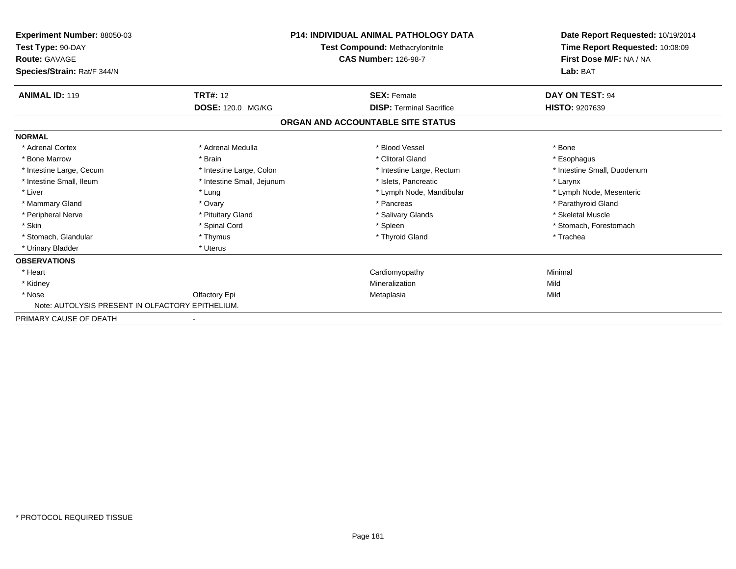| <b>Experiment Number: 88050-03</b><br>Test Type: 90-DAY<br><b>Route: GAVAGE</b><br>Species/Strain: Rat/F 344/N | <b>P14: INDIVIDUAL ANIMAL PATHOLOGY DATA</b><br>Test Compound: Methacrylonitrile<br><b>CAS Number: 126-98-7</b> |                                   | Date Report Requested: 10/19/2014<br>Time Report Requested: 10:08:09<br>First Dose M/F: NA / NA<br>Lab: BAT |
|----------------------------------------------------------------------------------------------------------------|-----------------------------------------------------------------------------------------------------------------|-----------------------------------|-------------------------------------------------------------------------------------------------------------|
| <b>ANIMAL ID: 119</b>                                                                                          | <b>TRT#: 12</b>                                                                                                 | <b>SEX: Female</b>                | DAY ON TEST: 94                                                                                             |
|                                                                                                                | DOSE: 120.0 MG/KG                                                                                               | <b>DISP: Terminal Sacrifice</b>   | <b>HISTO: 9207639</b>                                                                                       |
|                                                                                                                |                                                                                                                 | ORGAN AND ACCOUNTABLE SITE STATUS |                                                                                                             |
| <b>NORMAL</b>                                                                                                  |                                                                                                                 |                                   |                                                                                                             |
| * Adrenal Cortex                                                                                               | * Adrenal Medulla                                                                                               | * Blood Vessel                    | * Bone                                                                                                      |
| * Bone Marrow                                                                                                  | * Brain                                                                                                         | * Clitoral Gland                  | * Esophagus                                                                                                 |
| * Intestine Large, Cecum                                                                                       | * Intestine Large, Colon                                                                                        | * Intestine Large, Rectum         | * Intestine Small, Duodenum                                                                                 |
| * Intestine Small, Ileum                                                                                       | * Intestine Small, Jejunum                                                                                      | * Islets, Pancreatic              | * Larynx                                                                                                    |
| * Liver                                                                                                        | * Lung                                                                                                          | * Lymph Node, Mandibular          | * Lymph Node, Mesenteric                                                                                    |
| * Mammary Gland                                                                                                | * Ovary                                                                                                         | * Pancreas                        | * Parathyroid Gland                                                                                         |
| * Peripheral Nerve                                                                                             | * Pituitary Gland                                                                                               | * Salivary Glands                 | * Skeletal Muscle                                                                                           |
| * Skin                                                                                                         | * Spinal Cord                                                                                                   | * Spleen                          | * Stomach, Forestomach                                                                                      |
| * Stomach, Glandular                                                                                           | * Thymus                                                                                                        | * Thyroid Gland                   | * Trachea                                                                                                   |
| * Urinary Bladder                                                                                              | * Uterus                                                                                                        |                                   |                                                                                                             |
| <b>OBSERVATIONS</b>                                                                                            |                                                                                                                 |                                   |                                                                                                             |
| * Heart                                                                                                        |                                                                                                                 | Cardiomyopathy                    | Minimal                                                                                                     |
| * Kidney                                                                                                       |                                                                                                                 | Mineralization                    | Mild                                                                                                        |
| * Nose                                                                                                         | Olfactory Epi                                                                                                   | Metaplasia                        | Mild                                                                                                        |
| Note: AUTOLYSIS PRESENT IN OLFACTORY EPITHELIUM.                                                               |                                                                                                                 |                                   |                                                                                                             |
| PRIMARY CAUSE OF DEATH                                                                                         |                                                                                                                 |                                   |                                                                                                             |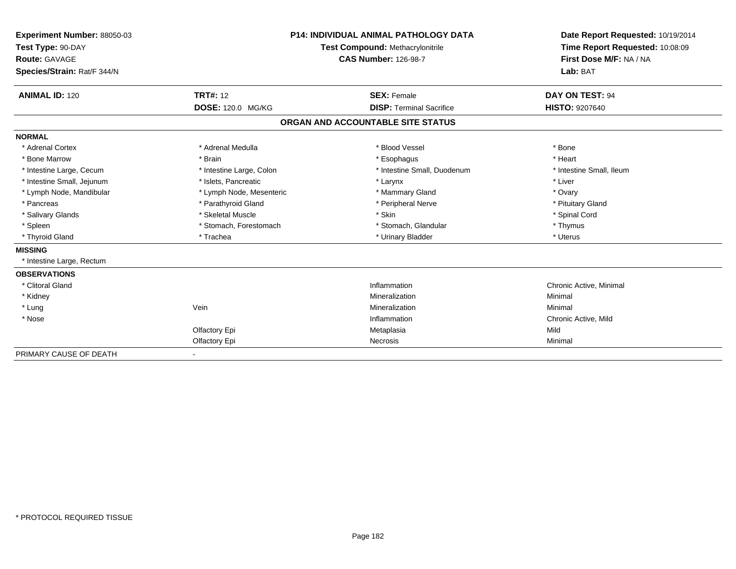| Experiment Number: 88050-03<br>Test Type: 90-DAY<br><b>Route: GAVAGE</b><br>Species/Strain: Rat/F 344/N |                                      | <b>P14: INDIVIDUAL ANIMAL PATHOLOGY DATA</b><br>Test Compound: Methacrylonitrile<br><b>CAS Number: 126-98-7</b> | Date Report Requested: 10/19/2014<br>Time Report Requested: 10:08:09<br>First Dose M/F: NA / NA<br>Lab: BAT |  |
|---------------------------------------------------------------------------------------------------------|--------------------------------------|-----------------------------------------------------------------------------------------------------------------|-------------------------------------------------------------------------------------------------------------|--|
| <b>ANIMAL ID: 120</b>                                                                                   | <b>TRT#: 12</b><br>DOSE: 120.0 MG/KG | <b>SEX: Female</b><br><b>DISP: Terminal Sacrifice</b>                                                           | DAY ON TEST: 94<br><b>HISTO: 9207640</b>                                                                    |  |
|                                                                                                         |                                      | ORGAN AND ACCOUNTABLE SITE STATUS                                                                               |                                                                                                             |  |
| <b>NORMAL</b>                                                                                           |                                      |                                                                                                                 |                                                                                                             |  |
| * Adrenal Cortex                                                                                        | * Adrenal Medulla                    | * Blood Vessel                                                                                                  | * Bone                                                                                                      |  |
| * Bone Marrow                                                                                           | * Brain                              | * Esophagus                                                                                                     | * Heart                                                                                                     |  |
| * Intestine Large, Cecum                                                                                | * Intestine Large, Colon             | * Intestine Small, Duodenum                                                                                     | * Intestine Small, Ileum                                                                                    |  |
| * Intestine Small, Jejunum                                                                              | * Islets, Pancreatic                 | * Larynx                                                                                                        | * Liver                                                                                                     |  |
| * Lymph Node, Mandibular                                                                                | * Lymph Node, Mesenteric             | * Mammary Gland                                                                                                 | * Ovary                                                                                                     |  |
| * Pancreas                                                                                              | * Parathyroid Gland                  | * Peripheral Nerve                                                                                              | * Pituitary Gland                                                                                           |  |
| * Salivary Glands                                                                                       | * Skeletal Muscle                    | * Skin                                                                                                          | * Spinal Cord                                                                                               |  |
| * Spleen                                                                                                | * Stomach. Forestomach               | * Stomach, Glandular                                                                                            | * Thymus                                                                                                    |  |
| * Thyroid Gland                                                                                         | * Trachea                            | * Urinary Bladder                                                                                               | * Uterus                                                                                                    |  |
| <b>MISSING</b>                                                                                          |                                      |                                                                                                                 |                                                                                                             |  |
| * Intestine Large, Rectum                                                                               |                                      |                                                                                                                 |                                                                                                             |  |
| <b>OBSERVATIONS</b>                                                                                     |                                      |                                                                                                                 |                                                                                                             |  |
| * Clitoral Gland                                                                                        |                                      | Inflammation                                                                                                    | Chronic Active, Minimal                                                                                     |  |
| * Kidney                                                                                                |                                      | Mineralization                                                                                                  | Minimal                                                                                                     |  |
| * Lung                                                                                                  | Vein                                 | Mineralization                                                                                                  | Minimal                                                                                                     |  |
| * Nose                                                                                                  |                                      | Inflammation                                                                                                    | Chronic Active, Mild                                                                                        |  |
|                                                                                                         | Olfactory Epi                        | Metaplasia                                                                                                      | Mild                                                                                                        |  |
|                                                                                                         | Olfactory Epi                        | Necrosis                                                                                                        | Minimal                                                                                                     |  |
| PRIMARY CAUSE OF DEATH                                                                                  |                                      |                                                                                                                 |                                                                                                             |  |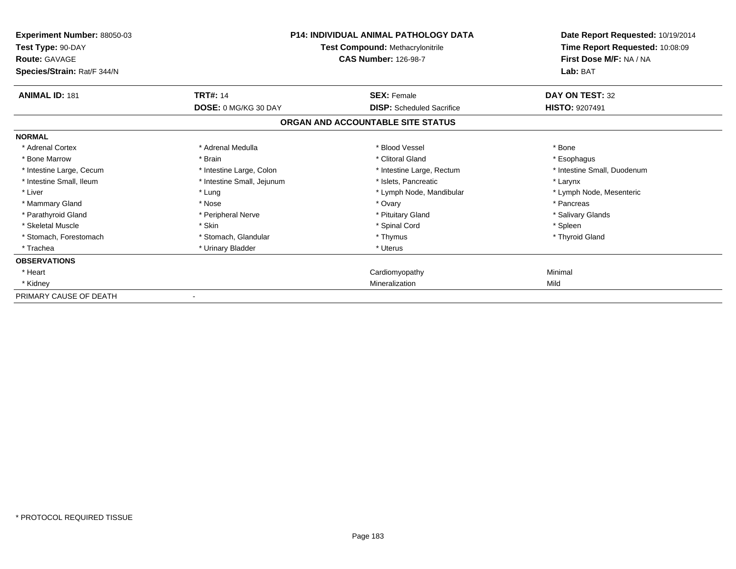| Experiment Number: 88050-03<br>Test Type: 90-DAY<br><b>Route: GAVAGE</b><br>Species/Strain: Rat/F 344/N | <b>P14: INDIVIDUAL ANIMAL PATHOLOGY DATA</b><br>Test Compound: Methacrylonitrile<br><b>CAS Number: 126-98-7</b> |                                   | Date Report Requested: 10/19/2014<br>Time Report Requested: 10:08:09<br>First Dose M/F: NA / NA<br>Lab: BAT |
|---------------------------------------------------------------------------------------------------------|-----------------------------------------------------------------------------------------------------------------|-----------------------------------|-------------------------------------------------------------------------------------------------------------|
| <b>ANIMAL ID: 181</b>                                                                                   | <b>TRT#: 14</b>                                                                                                 | <b>SEX: Female</b>                | DAY ON TEST: 32                                                                                             |
|                                                                                                         | DOSE: 0 MG/KG 30 DAY                                                                                            | <b>DISP:</b> Scheduled Sacrifice  | <b>HISTO: 9207491</b>                                                                                       |
|                                                                                                         |                                                                                                                 | ORGAN AND ACCOUNTABLE SITE STATUS |                                                                                                             |
| <b>NORMAL</b>                                                                                           |                                                                                                                 |                                   |                                                                                                             |
| * Adrenal Cortex                                                                                        | * Adrenal Medulla                                                                                               | * Blood Vessel                    | * Bone                                                                                                      |
| * Bone Marrow                                                                                           | * Brain                                                                                                         | * Clitoral Gland                  | * Esophagus                                                                                                 |
| * Intestine Large, Cecum                                                                                | * Intestine Large, Colon                                                                                        | * Intestine Large, Rectum         | * Intestine Small, Duodenum                                                                                 |
| * Intestine Small, Ileum                                                                                | * Intestine Small, Jejunum                                                                                      | * Islets. Pancreatic              | * Larynx                                                                                                    |
| * Liver                                                                                                 | * Lung                                                                                                          | * Lymph Node, Mandibular          | * Lymph Node, Mesenteric                                                                                    |
| * Mammary Gland                                                                                         | * Nose                                                                                                          | * Ovary                           | * Pancreas                                                                                                  |
| * Parathyroid Gland                                                                                     | * Peripheral Nerve                                                                                              | * Pituitary Gland                 | * Salivary Glands                                                                                           |
| * Skeletal Muscle                                                                                       | * Skin                                                                                                          | * Spinal Cord                     | * Spleen                                                                                                    |
| * Stomach, Forestomach                                                                                  | * Stomach, Glandular                                                                                            | * Thymus                          | * Thyroid Gland                                                                                             |
| * Trachea                                                                                               | * Urinary Bladder                                                                                               | * Uterus                          |                                                                                                             |
| <b>OBSERVATIONS</b>                                                                                     |                                                                                                                 |                                   |                                                                                                             |
| * Heart                                                                                                 |                                                                                                                 | Cardiomyopathy                    | Minimal                                                                                                     |
| * Kidney                                                                                                |                                                                                                                 | Mineralization                    | Mild                                                                                                        |
| PRIMARY CAUSE OF DEATH                                                                                  |                                                                                                                 |                                   |                                                                                                             |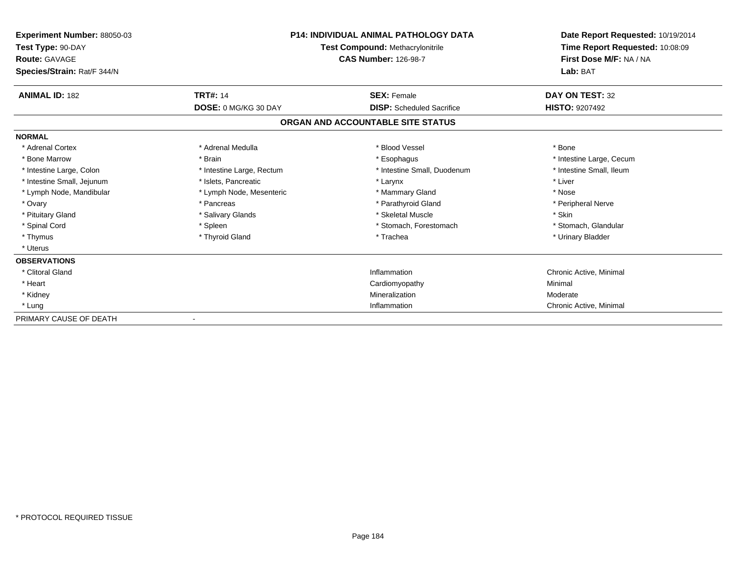| <b>Experiment Number: 88050-03</b><br>Test Type: 90-DAY<br><b>Route: GAVAGE</b><br>Species/Strain: Rat/F 344/N | <b>P14: INDIVIDUAL ANIMAL PATHOLOGY DATA</b><br>Test Compound: Methacrylonitrile<br><b>CAS Number: 126-98-7</b> |                                   | Date Report Requested: 10/19/2014<br>Time Report Requested: 10:08:09<br>First Dose M/F: NA / NA<br>Lab: BAT |
|----------------------------------------------------------------------------------------------------------------|-----------------------------------------------------------------------------------------------------------------|-----------------------------------|-------------------------------------------------------------------------------------------------------------|
| <b>ANIMAL ID: 182</b>                                                                                          | <b>TRT#: 14</b>                                                                                                 | <b>SEX: Female</b>                | DAY ON TEST: 32                                                                                             |
|                                                                                                                | DOSE: 0 MG/KG 30 DAY                                                                                            | <b>DISP:</b> Scheduled Sacrifice  | <b>HISTO: 9207492</b>                                                                                       |
|                                                                                                                |                                                                                                                 | ORGAN AND ACCOUNTABLE SITE STATUS |                                                                                                             |
| <b>NORMAL</b>                                                                                                  |                                                                                                                 |                                   |                                                                                                             |
| * Adrenal Cortex                                                                                               | * Adrenal Medulla                                                                                               | * Blood Vessel                    | * Bone                                                                                                      |
| * Bone Marrow                                                                                                  | * Brain                                                                                                         | * Esophagus                       | * Intestine Large, Cecum                                                                                    |
| * Intestine Large, Colon                                                                                       | * Intestine Large, Rectum                                                                                       | * Intestine Small, Duodenum       | * Intestine Small, Ileum                                                                                    |
| * Intestine Small, Jejunum                                                                                     | * Islets, Pancreatic                                                                                            | * Larynx                          | * Liver                                                                                                     |
| * Lymph Node, Mandibular                                                                                       | * Lymph Node, Mesenteric                                                                                        | * Mammary Gland                   | * Nose                                                                                                      |
| * Ovary                                                                                                        | * Pancreas                                                                                                      | * Parathyroid Gland               | * Peripheral Nerve                                                                                          |
| * Pituitary Gland                                                                                              | * Salivary Glands                                                                                               | * Skeletal Muscle                 | * Skin                                                                                                      |
| * Spinal Cord                                                                                                  | * Spleen                                                                                                        | * Stomach, Forestomach            | * Stomach, Glandular                                                                                        |
| * Thymus                                                                                                       | * Thyroid Gland                                                                                                 | * Trachea                         | * Urinary Bladder                                                                                           |
| * Uterus                                                                                                       |                                                                                                                 |                                   |                                                                                                             |
| <b>OBSERVATIONS</b>                                                                                            |                                                                                                                 |                                   |                                                                                                             |
| * Clitoral Gland                                                                                               |                                                                                                                 | Inflammation                      | Chronic Active, Minimal                                                                                     |
| * Heart                                                                                                        |                                                                                                                 | Cardiomyopathy                    | Minimal                                                                                                     |
| * Kidney                                                                                                       |                                                                                                                 | Mineralization                    | Moderate                                                                                                    |
| * Lung                                                                                                         |                                                                                                                 | Inflammation                      | Chronic Active, Minimal                                                                                     |
| PRIMARY CAUSE OF DEATH                                                                                         |                                                                                                                 |                                   |                                                                                                             |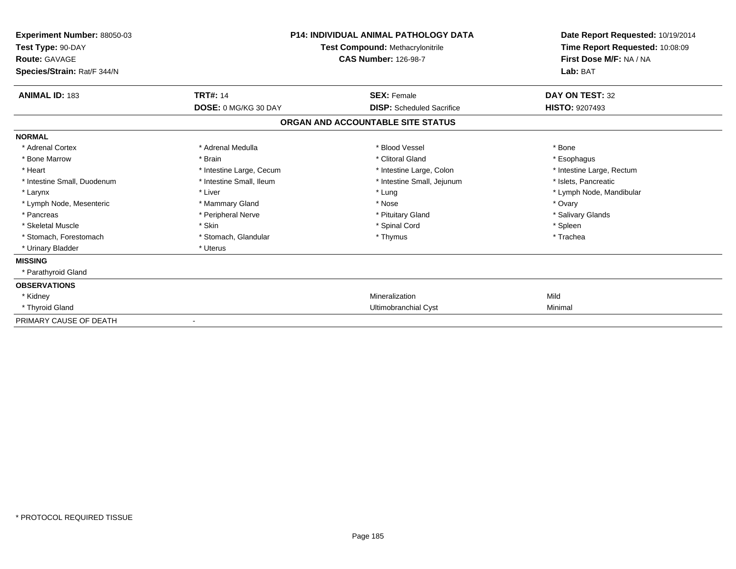| Experiment Number: 88050-03<br>Test Type: 90-DAY<br>Route: GAVAGE<br>Species/Strain: Rat/F 344/N | <b>P14: INDIVIDUAL ANIMAL PATHOLOGY DATA</b><br>Test Compound: Methacrylonitrile<br><b>CAS Number: 126-98-7</b> |                                   | Date Report Requested: 10/19/2014<br>Time Report Requested: 10:08:09<br>First Dose M/F: NA / NA<br>Lab: BAT |
|--------------------------------------------------------------------------------------------------|-----------------------------------------------------------------------------------------------------------------|-----------------------------------|-------------------------------------------------------------------------------------------------------------|
| <b>ANIMAL ID: 183</b>                                                                            | <b>TRT#: 14</b>                                                                                                 | <b>SEX: Female</b>                | <b>DAY ON TEST: 32</b>                                                                                      |
|                                                                                                  | DOSE: 0 MG/KG 30 DAY                                                                                            | <b>DISP:</b> Scheduled Sacrifice  | <b>HISTO: 9207493</b>                                                                                       |
|                                                                                                  |                                                                                                                 | ORGAN AND ACCOUNTABLE SITE STATUS |                                                                                                             |
| <b>NORMAL</b>                                                                                    |                                                                                                                 |                                   |                                                                                                             |
| * Adrenal Cortex                                                                                 | * Adrenal Medulla                                                                                               | * Blood Vessel                    | * Bone                                                                                                      |
| * Bone Marrow                                                                                    | * Brain                                                                                                         | * Clitoral Gland                  | * Esophagus                                                                                                 |
| * Heart                                                                                          | * Intestine Large, Cecum                                                                                        | * Intestine Large, Colon          | * Intestine Large, Rectum                                                                                   |
| * Intestine Small, Duodenum                                                                      | * Intestine Small, Ileum                                                                                        | * Intestine Small, Jejunum        | * Islets, Pancreatic                                                                                        |
| * Larynx                                                                                         | * Liver                                                                                                         | * Lung                            | * Lymph Node, Mandibular                                                                                    |
| * Lymph Node, Mesenteric                                                                         | * Mammary Gland                                                                                                 | * Nose                            | * Ovary                                                                                                     |
| * Pancreas                                                                                       | * Peripheral Nerve                                                                                              | * Pituitary Gland                 | * Salivary Glands                                                                                           |
| * Skeletal Muscle                                                                                | * Skin                                                                                                          | * Spinal Cord                     | * Spleen                                                                                                    |
| * Stomach. Forestomach                                                                           | * Stomach, Glandular                                                                                            | * Thymus                          | * Trachea                                                                                                   |
| * Urinary Bladder                                                                                | * Uterus                                                                                                        |                                   |                                                                                                             |
| <b>MISSING</b>                                                                                   |                                                                                                                 |                                   |                                                                                                             |
| * Parathyroid Gland                                                                              |                                                                                                                 |                                   |                                                                                                             |
| <b>OBSERVATIONS</b>                                                                              |                                                                                                                 |                                   |                                                                                                             |
| * Kidney                                                                                         |                                                                                                                 | Mineralization                    | Mild                                                                                                        |
| * Thyroid Gland                                                                                  |                                                                                                                 | Ultimobranchial Cyst              | Minimal                                                                                                     |
| PRIMARY CAUSE OF DEATH                                                                           |                                                                                                                 |                                   |                                                                                                             |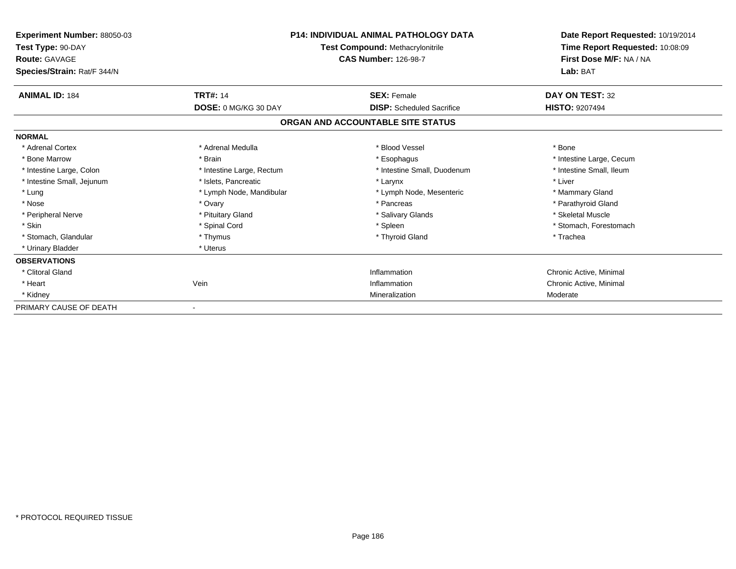| <b>Experiment Number: 88050-03</b><br>Test Type: 90-DAY<br><b>Route: GAVAGE</b><br>Species/Strain: Rat/F 344/N | <b>P14: INDIVIDUAL ANIMAL PATHOLOGY DATA</b><br><b>Test Compound: Methacrylonitrile</b><br><b>CAS Number: 126-98-7</b> |                                   | Date Report Requested: 10/19/2014<br>Time Report Requested: 10:08:09<br>First Dose M/F: NA / NA<br>Lab: BAT |
|----------------------------------------------------------------------------------------------------------------|------------------------------------------------------------------------------------------------------------------------|-----------------------------------|-------------------------------------------------------------------------------------------------------------|
| <b>ANIMAL ID: 184</b>                                                                                          | <b>TRT#: 14</b>                                                                                                        | <b>SEX: Female</b>                | DAY ON TEST: 32                                                                                             |
|                                                                                                                | <b>DOSE: 0 MG/KG 30 DAY</b>                                                                                            | <b>DISP:</b> Scheduled Sacrifice  | <b>HISTO: 9207494</b>                                                                                       |
|                                                                                                                |                                                                                                                        | ORGAN AND ACCOUNTABLE SITE STATUS |                                                                                                             |
| <b>NORMAL</b>                                                                                                  |                                                                                                                        |                                   |                                                                                                             |
| * Adrenal Cortex                                                                                               | * Adrenal Medulla                                                                                                      | * Blood Vessel                    | * Bone                                                                                                      |
| * Bone Marrow                                                                                                  | * Brain                                                                                                                | * Esophagus                       | * Intestine Large, Cecum                                                                                    |
| * Intestine Large, Colon                                                                                       | * Intestine Large, Rectum                                                                                              | * Intestine Small, Duodenum       | * Intestine Small, Ileum                                                                                    |
| * Intestine Small, Jejunum                                                                                     | * Islets. Pancreatic                                                                                                   | * Larynx                          | * Liver                                                                                                     |
| * Lung                                                                                                         | * Lymph Node, Mandibular                                                                                               | * Lymph Node, Mesenteric          | * Mammary Gland                                                                                             |
| * Nose                                                                                                         | * Ovary                                                                                                                | * Pancreas                        | * Parathyroid Gland                                                                                         |
| * Peripheral Nerve                                                                                             | * Pituitary Gland                                                                                                      | * Salivary Glands                 | * Skeletal Muscle                                                                                           |
| * Skin                                                                                                         | * Spinal Cord                                                                                                          | * Spleen                          | * Stomach, Forestomach                                                                                      |
| * Stomach, Glandular                                                                                           | * Thymus                                                                                                               | * Thyroid Gland                   | * Trachea                                                                                                   |
| * Urinary Bladder                                                                                              | * Uterus                                                                                                               |                                   |                                                                                                             |
| <b>OBSERVATIONS</b>                                                                                            |                                                                                                                        |                                   |                                                                                                             |
| * Clitoral Gland                                                                                               |                                                                                                                        | Inflammation                      | Chronic Active, Minimal                                                                                     |
| * Heart                                                                                                        | Vein                                                                                                                   | Inflammation                      | Chronic Active, Minimal                                                                                     |
| * Kidney                                                                                                       |                                                                                                                        | Mineralization                    | Moderate                                                                                                    |
| PRIMARY CAUSE OF DEATH                                                                                         |                                                                                                                        |                                   |                                                                                                             |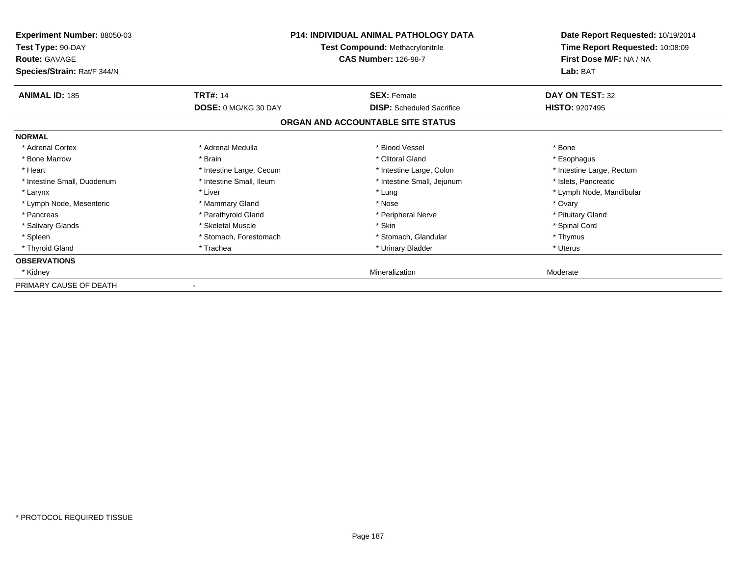| Experiment Number: 88050-03<br>Test Type: 90-DAY<br><b>Route: GAVAGE</b><br>Species/Strain: Rat/F 344/N | <b>P14: INDIVIDUAL ANIMAL PATHOLOGY DATA</b><br>Test Compound: Methacrylonitrile<br><b>CAS Number: 126-98-7</b> |                                   | Date Report Requested: 10/19/2014<br>Time Report Requested: 10:08:09<br>First Dose M/F: NA / NA<br>Lab: BAT |
|---------------------------------------------------------------------------------------------------------|-----------------------------------------------------------------------------------------------------------------|-----------------------------------|-------------------------------------------------------------------------------------------------------------|
| <b>ANIMAL ID: 185</b>                                                                                   | <b>TRT#: 14</b>                                                                                                 | <b>SEX: Female</b>                | DAY ON TEST: 32                                                                                             |
|                                                                                                         | <b>DOSE: 0 MG/KG 30 DAY</b>                                                                                     | <b>DISP:</b> Scheduled Sacrifice  | <b>HISTO: 9207495</b>                                                                                       |
|                                                                                                         |                                                                                                                 | ORGAN AND ACCOUNTABLE SITE STATUS |                                                                                                             |
| <b>NORMAL</b>                                                                                           |                                                                                                                 |                                   |                                                                                                             |
| * Adrenal Cortex                                                                                        | * Adrenal Medulla                                                                                               | * Blood Vessel                    | * Bone                                                                                                      |
| * Bone Marrow                                                                                           | * Brain                                                                                                         | * Clitoral Gland                  | * Esophagus                                                                                                 |
| * Heart                                                                                                 | * Intestine Large, Cecum                                                                                        | * Intestine Large, Colon          | * Intestine Large, Rectum                                                                                   |
| * Intestine Small, Duodenum                                                                             | * Intestine Small, Ileum                                                                                        | * Intestine Small, Jejunum        | * Islets, Pancreatic                                                                                        |
| * Larynx                                                                                                | * Liver                                                                                                         | * Lung                            | * Lymph Node, Mandibular                                                                                    |
| * Lymph Node, Mesenteric                                                                                | * Mammary Gland                                                                                                 | * Nose                            | * Ovary                                                                                                     |
| * Pancreas                                                                                              | * Parathyroid Gland                                                                                             | * Peripheral Nerve                | * Pituitary Gland                                                                                           |
| * Salivary Glands                                                                                       | * Skeletal Muscle                                                                                               | * Skin                            | * Spinal Cord                                                                                               |
| * Spleen                                                                                                | * Stomach, Forestomach                                                                                          | * Stomach, Glandular              | * Thymus                                                                                                    |
| * Thyroid Gland                                                                                         | * Trachea                                                                                                       | * Urinary Bladder                 | * Uterus                                                                                                    |
| <b>OBSERVATIONS</b>                                                                                     |                                                                                                                 |                                   |                                                                                                             |
| * Kidney                                                                                                |                                                                                                                 | Mineralization                    | Moderate                                                                                                    |
| PRIMARY CAUSE OF DEATH                                                                                  |                                                                                                                 |                                   |                                                                                                             |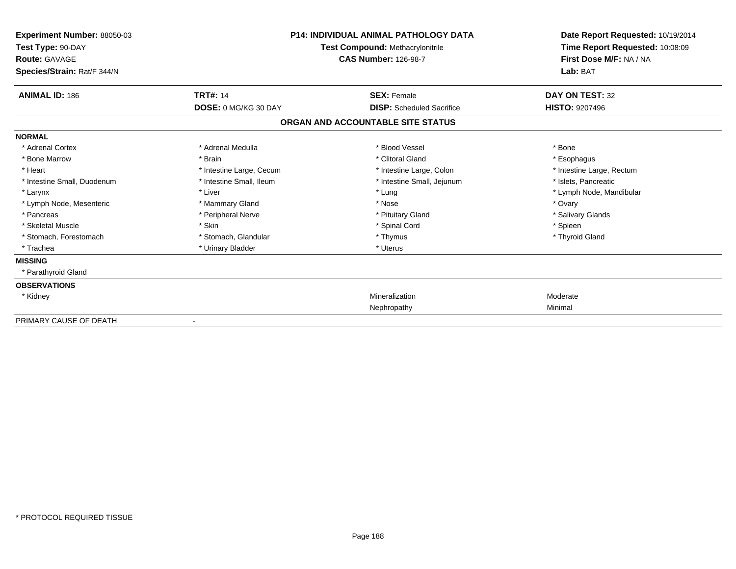| <b>Experiment Number: 88050-03</b><br>Test Type: 90-DAY<br><b>Route: GAVAGE</b> |                             | <b>P14: INDIVIDUAL ANIMAL PATHOLOGY DATA</b><br>Test Compound: Methacrylonitrile<br><b>CAS Number: 126-98-7</b> | Date Report Requested: 10/19/2014<br>Time Report Requested: 10:08:09<br>First Dose M/F: NA / NA |
|---------------------------------------------------------------------------------|-----------------------------|-----------------------------------------------------------------------------------------------------------------|-------------------------------------------------------------------------------------------------|
| Species/Strain: Rat/F 344/N                                                     |                             |                                                                                                                 | Lab: BAT                                                                                        |
| <b>ANIMAL ID: 186</b>                                                           | <b>TRT#: 14</b>             | <b>SEX: Female</b>                                                                                              | DAY ON TEST: 32                                                                                 |
|                                                                                 | <b>DOSE: 0 MG/KG 30 DAY</b> | <b>DISP:</b> Scheduled Sacrifice                                                                                | <b>HISTO: 9207496</b>                                                                           |
|                                                                                 |                             | ORGAN AND ACCOUNTABLE SITE STATUS                                                                               |                                                                                                 |
| <b>NORMAL</b>                                                                   |                             |                                                                                                                 |                                                                                                 |
| * Adrenal Cortex                                                                | * Adrenal Medulla           | * Blood Vessel                                                                                                  | * Bone                                                                                          |
| * Bone Marrow                                                                   | * Brain                     | * Clitoral Gland                                                                                                | * Esophagus                                                                                     |
| * Heart                                                                         | * Intestine Large, Cecum    | * Intestine Large, Colon                                                                                        | * Intestine Large, Rectum                                                                       |
| * Intestine Small, Duodenum                                                     | * Intestine Small, Ileum    | * Intestine Small, Jejunum                                                                                      | * Islets, Pancreatic                                                                            |
| * Larynx                                                                        | * Liver                     | * Lung                                                                                                          | * Lymph Node, Mandibular                                                                        |
| * Lymph Node, Mesenteric                                                        | * Mammary Gland             | * Nose                                                                                                          | * Ovary                                                                                         |
| * Pancreas                                                                      | * Peripheral Nerve          | * Pituitary Gland                                                                                               | * Salivary Glands                                                                               |
| * Skeletal Muscle                                                               | * Skin                      | * Spinal Cord                                                                                                   | * Spleen                                                                                        |
| * Stomach, Forestomach                                                          | * Stomach, Glandular        | * Thymus                                                                                                        | * Thyroid Gland                                                                                 |
| * Trachea                                                                       | * Urinary Bladder           | * Uterus                                                                                                        |                                                                                                 |
| <b>MISSING</b>                                                                  |                             |                                                                                                                 |                                                                                                 |
| * Parathyroid Gland                                                             |                             |                                                                                                                 |                                                                                                 |
| <b>OBSERVATIONS</b>                                                             |                             |                                                                                                                 |                                                                                                 |
| * Kidney                                                                        |                             | Mineralization                                                                                                  | Moderate                                                                                        |
|                                                                                 |                             | Nephropathy                                                                                                     | Minimal                                                                                         |
| PRIMARY CAUSE OF DEATH                                                          |                             |                                                                                                                 |                                                                                                 |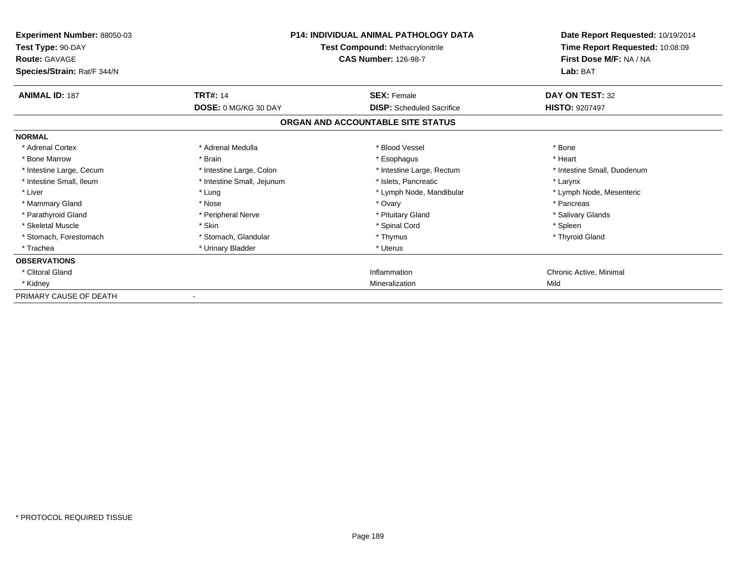| Experiment Number: 88050-03<br>Test Type: 90-DAY<br><b>Route: GAVAGE</b><br>Species/Strain: Rat/F 344/N | <b>P14: INDIVIDUAL ANIMAL PATHOLOGY DATA</b><br>Test Compound: Methacrylonitrile<br><b>CAS Number: 126-98-7</b> |                                   | Date Report Requested: 10/19/2014<br>Time Report Requested: 10:08:09<br>First Dose M/F: NA / NA<br>Lab: BAT |
|---------------------------------------------------------------------------------------------------------|-----------------------------------------------------------------------------------------------------------------|-----------------------------------|-------------------------------------------------------------------------------------------------------------|
| <b>ANIMAL ID: 187</b>                                                                                   | <b>TRT#: 14</b>                                                                                                 | <b>SEX: Female</b>                | DAY ON TEST: 32                                                                                             |
|                                                                                                         | DOSE: 0 MG/KG 30 DAY                                                                                            | <b>DISP:</b> Scheduled Sacrifice  | <b>HISTO: 9207497</b>                                                                                       |
|                                                                                                         |                                                                                                                 | ORGAN AND ACCOUNTABLE SITE STATUS |                                                                                                             |
| <b>NORMAL</b>                                                                                           |                                                                                                                 |                                   |                                                                                                             |
| * Adrenal Cortex                                                                                        | * Adrenal Medulla                                                                                               | * Blood Vessel                    | * Bone                                                                                                      |
| * Bone Marrow                                                                                           | * Brain                                                                                                         | * Esophagus                       | * Heart                                                                                                     |
| * Intestine Large, Cecum                                                                                | * Intestine Large, Colon                                                                                        | * Intestine Large, Rectum         | * Intestine Small, Duodenum                                                                                 |
| * Intestine Small, Ileum                                                                                | * Intestine Small, Jejunum                                                                                      | * Islets. Pancreatic              | * Larynx                                                                                                    |
| * Liver                                                                                                 | * Lung                                                                                                          | * Lymph Node, Mandibular          | * Lymph Node, Mesenteric                                                                                    |
| * Mammary Gland                                                                                         | * Nose                                                                                                          | * Ovary                           | * Pancreas                                                                                                  |
| * Parathyroid Gland                                                                                     | * Peripheral Nerve                                                                                              | * Pituitary Gland                 | * Salivary Glands                                                                                           |
| * Skeletal Muscle                                                                                       | * Skin                                                                                                          | * Spinal Cord                     | * Spleen                                                                                                    |
| * Stomach, Forestomach                                                                                  | * Stomach, Glandular                                                                                            | * Thymus                          | * Thyroid Gland                                                                                             |
| * Trachea                                                                                               | * Urinary Bladder                                                                                               | * Uterus                          |                                                                                                             |
| <b>OBSERVATIONS</b>                                                                                     |                                                                                                                 |                                   |                                                                                                             |
| * Clitoral Gland                                                                                        |                                                                                                                 | Inflammation                      | Chronic Active, Minimal                                                                                     |
| * Kidney                                                                                                |                                                                                                                 | Mineralization                    | Mild                                                                                                        |
| PRIMARY CAUSE OF DEATH                                                                                  |                                                                                                                 |                                   |                                                                                                             |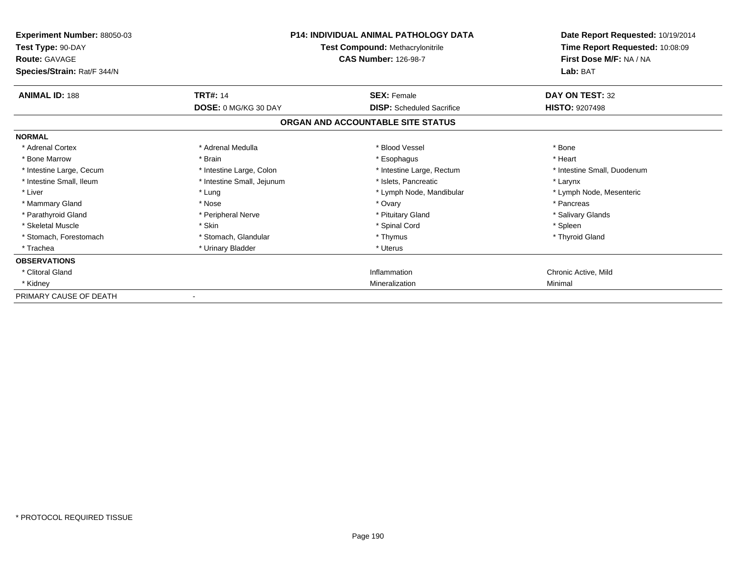| Experiment Number: 88050-03<br>Test Type: 90-DAY<br><b>Route: GAVAGE</b><br>Species/Strain: Rat/F 344/N |                            | <b>P14: INDIVIDUAL ANIMAL PATHOLOGY DATA</b><br>Test Compound: Methacrylonitrile<br><b>CAS Number: 126-98-7</b> | Date Report Requested: 10/19/2014<br>Time Report Requested: 10:08:09<br>First Dose M/F: NA / NA<br>Lab: BAT |
|---------------------------------------------------------------------------------------------------------|----------------------------|-----------------------------------------------------------------------------------------------------------------|-------------------------------------------------------------------------------------------------------------|
| <b>ANIMAL ID: 188</b>                                                                                   | <b>TRT#: 14</b>            | <b>SEX: Female</b>                                                                                              | DAY ON TEST: 32                                                                                             |
|                                                                                                         | DOSE: 0 MG/KG 30 DAY       | <b>DISP:</b> Scheduled Sacrifice                                                                                | <b>HISTO: 9207498</b>                                                                                       |
|                                                                                                         |                            | ORGAN AND ACCOUNTABLE SITE STATUS                                                                               |                                                                                                             |
| <b>NORMAL</b>                                                                                           |                            |                                                                                                                 |                                                                                                             |
| * Adrenal Cortex                                                                                        | * Adrenal Medulla          | * Blood Vessel                                                                                                  | * Bone                                                                                                      |
| * Bone Marrow                                                                                           | * Brain                    | * Esophagus                                                                                                     | * Heart                                                                                                     |
| * Intestine Large, Cecum                                                                                | * Intestine Large, Colon   | * Intestine Large, Rectum                                                                                       | * Intestine Small, Duodenum                                                                                 |
| * Intestine Small. Ileum                                                                                | * Intestine Small, Jejunum | * Islets, Pancreatic                                                                                            | * Larynx                                                                                                    |
| * Liver                                                                                                 | * Lung                     | * Lymph Node, Mandibular                                                                                        | * Lymph Node, Mesenteric                                                                                    |
| * Mammary Gland                                                                                         | * Nose                     | * Ovary                                                                                                         | * Pancreas                                                                                                  |
| * Parathyroid Gland                                                                                     | * Peripheral Nerve         | * Pituitary Gland                                                                                               | * Salivary Glands                                                                                           |
| * Skeletal Muscle                                                                                       | * Skin                     | * Spinal Cord                                                                                                   | * Spleen                                                                                                    |
| * Stomach, Forestomach                                                                                  | * Stomach, Glandular       | * Thymus                                                                                                        | * Thyroid Gland                                                                                             |
| * Trachea                                                                                               | * Urinary Bladder          | * Uterus                                                                                                        |                                                                                                             |
| <b>OBSERVATIONS</b>                                                                                     |                            |                                                                                                                 |                                                                                                             |
| * Clitoral Gland                                                                                        |                            | Inflammation                                                                                                    | Chronic Active, Mild                                                                                        |
| * Kidney                                                                                                |                            | Mineralization                                                                                                  | Minimal                                                                                                     |
| PRIMARY CAUSE OF DEATH                                                                                  |                            |                                                                                                                 |                                                                                                             |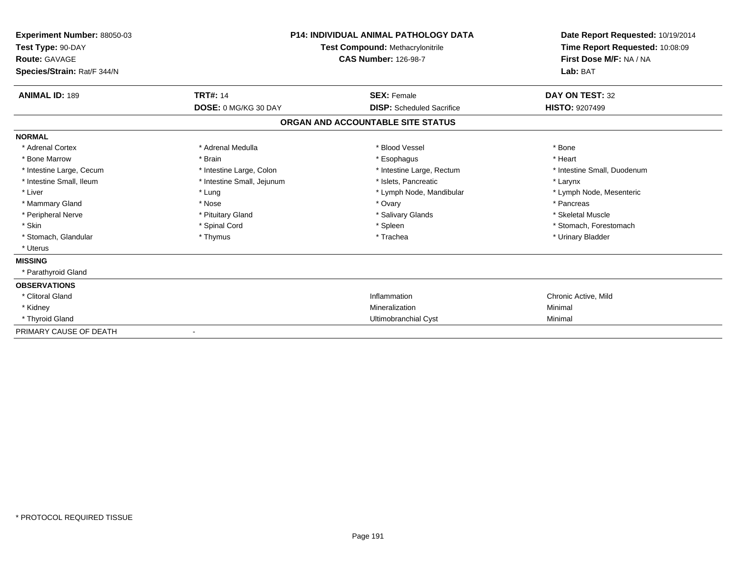| <b>Experiment Number: 88050-03</b><br>Test Type: 90-DAY<br><b>Route: GAVAGE</b><br>Species/Strain: Rat/F 344/N |                            | P14: INDIVIDUAL ANIMAL PATHOLOGY DATA<br>Test Compound: Methacrylonitrile<br><b>CAS Number: 126-98-7</b> | Date Report Requested: 10/19/2014<br>Time Report Requested: 10:08:09<br>First Dose M/F: NA / NA<br>Lab: BAT |
|----------------------------------------------------------------------------------------------------------------|----------------------------|----------------------------------------------------------------------------------------------------------|-------------------------------------------------------------------------------------------------------------|
| <b>ANIMAL ID: 189</b>                                                                                          | <b>TRT#: 14</b>            | <b>SEX: Female</b>                                                                                       | DAY ON TEST: 32                                                                                             |
|                                                                                                                | DOSE: 0 MG/KG 30 DAY       | <b>DISP:</b> Scheduled Sacrifice                                                                         | <b>HISTO: 9207499</b>                                                                                       |
|                                                                                                                |                            | ORGAN AND ACCOUNTABLE SITE STATUS                                                                        |                                                                                                             |
| <b>NORMAL</b>                                                                                                  |                            |                                                                                                          |                                                                                                             |
| * Adrenal Cortex                                                                                               | * Adrenal Medulla          | * Blood Vessel                                                                                           | * Bone                                                                                                      |
| * Bone Marrow                                                                                                  | * Brain                    | * Esophagus                                                                                              | * Heart                                                                                                     |
| * Intestine Large, Cecum                                                                                       | * Intestine Large, Colon   | * Intestine Large, Rectum                                                                                | * Intestine Small, Duodenum                                                                                 |
| * Intestine Small, Ileum                                                                                       | * Intestine Small, Jejunum | * Islets, Pancreatic                                                                                     | * Larynx                                                                                                    |
| * Liver                                                                                                        | * Lung                     | * Lymph Node, Mandibular                                                                                 | * Lymph Node, Mesenteric                                                                                    |
| * Mammary Gland                                                                                                | * Nose                     | * Ovary                                                                                                  | * Pancreas                                                                                                  |
| * Peripheral Nerve                                                                                             | * Pituitary Gland          | * Salivary Glands                                                                                        | * Skeletal Muscle                                                                                           |
| * Skin                                                                                                         | * Spinal Cord              | * Spleen                                                                                                 | * Stomach, Forestomach                                                                                      |
| * Stomach, Glandular                                                                                           | * Thymus                   | * Trachea                                                                                                | * Urinary Bladder                                                                                           |
| * Uterus                                                                                                       |                            |                                                                                                          |                                                                                                             |
| <b>MISSING</b>                                                                                                 |                            |                                                                                                          |                                                                                                             |
| * Parathyroid Gland                                                                                            |                            |                                                                                                          |                                                                                                             |
| <b>OBSERVATIONS</b>                                                                                            |                            |                                                                                                          |                                                                                                             |
| * Clitoral Gland                                                                                               |                            | Inflammation                                                                                             | Chronic Active, Mild                                                                                        |
| * Kidney                                                                                                       |                            | Mineralization                                                                                           | Minimal                                                                                                     |
| * Thyroid Gland                                                                                                |                            | Ultimobranchial Cyst                                                                                     | Minimal                                                                                                     |
| PRIMARY CAUSE OF DEATH                                                                                         |                            |                                                                                                          |                                                                                                             |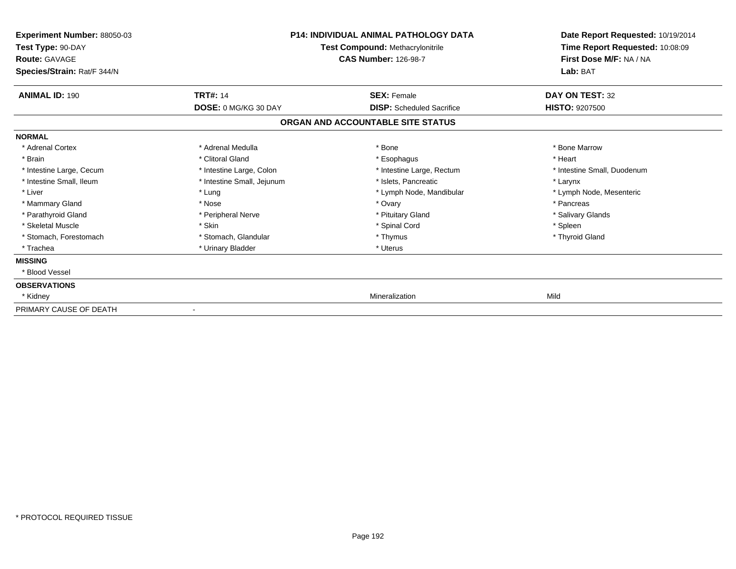| Experiment Number: 88050-03<br>Test Type: 90-DAY<br><b>Route: GAVAGE</b><br>Species/Strain: Rat/F 344/N | <b>P14: INDIVIDUAL ANIMAL PATHOLOGY DATA</b><br>Test Compound: Methacrylonitrile<br><b>CAS Number: 126-98-7</b> |                                   | Date Report Requested: 10/19/2014<br>Time Report Requested: 10:08:09<br>First Dose M/F: NA / NA<br>Lab: BAT |
|---------------------------------------------------------------------------------------------------------|-----------------------------------------------------------------------------------------------------------------|-----------------------------------|-------------------------------------------------------------------------------------------------------------|
| <b>ANIMAL ID: 190</b>                                                                                   | <b>TRT#: 14</b>                                                                                                 | <b>SEX: Female</b>                | DAY ON TEST: 32                                                                                             |
|                                                                                                         | <b>DOSE: 0 MG/KG 30 DAY</b>                                                                                     | <b>DISP:</b> Scheduled Sacrifice  | <b>HISTO: 9207500</b>                                                                                       |
|                                                                                                         |                                                                                                                 | ORGAN AND ACCOUNTABLE SITE STATUS |                                                                                                             |
| <b>NORMAL</b>                                                                                           |                                                                                                                 |                                   |                                                                                                             |
| * Adrenal Cortex                                                                                        | * Adrenal Medulla                                                                                               | * Bone                            | * Bone Marrow                                                                                               |
| * Brain                                                                                                 | * Clitoral Gland                                                                                                | * Esophagus                       | * Heart                                                                                                     |
| * Intestine Large, Cecum                                                                                | * Intestine Large, Colon                                                                                        | * Intestine Large, Rectum         | * Intestine Small, Duodenum                                                                                 |
| * Intestine Small, Ileum                                                                                | * Intestine Small, Jejunum                                                                                      | * Islets. Pancreatic              | * Larynx                                                                                                    |
| * Liver                                                                                                 | * Lung                                                                                                          | * Lymph Node, Mandibular          | * Lymph Node, Mesenteric                                                                                    |
| * Mammary Gland                                                                                         | * Nose                                                                                                          | * Ovary                           | * Pancreas                                                                                                  |
| * Parathyroid Gland                                                                                     | * Peripheral Nerve                                                                                              | * Pituitary Gland                 | * Salivary Glands                                                                                           |
| * Skeletal Muscle                                                                                       | * Skin                                                                                                          | * Spinal Cord                     | * Spleen                                                                                                    |
| * Stomach, Forestomach                                                                                  | * Stomach, Glandular                                                                                            | * Thymus                          | * Thyroid Gland                                                                                             |
| * Trachea                                                                                               | * Urinary Bladder                                                                                               | * Uterus                          |                                                                                                             |
| <b>MISSING</b>                                                                                          |                                                                                                                 |                                   |                                                                                                             |
| * Blood Vessel                                                                                          |                                                                                                                 |                                   |                                                                                                             |
| <b>OBSERVATIONS</b>                                                                                     |                                                                                                                 |                                   |                                                                                                             |
| * Kidney                                                                                                |                                                                                                                 | Mineralization                    | Mild                                                                                                        |
| PRIMARY CAUSE OF DEATH                                                                                  | $\overline{\phantom{a}}$                                                                                        |                                   |                                                                                                             |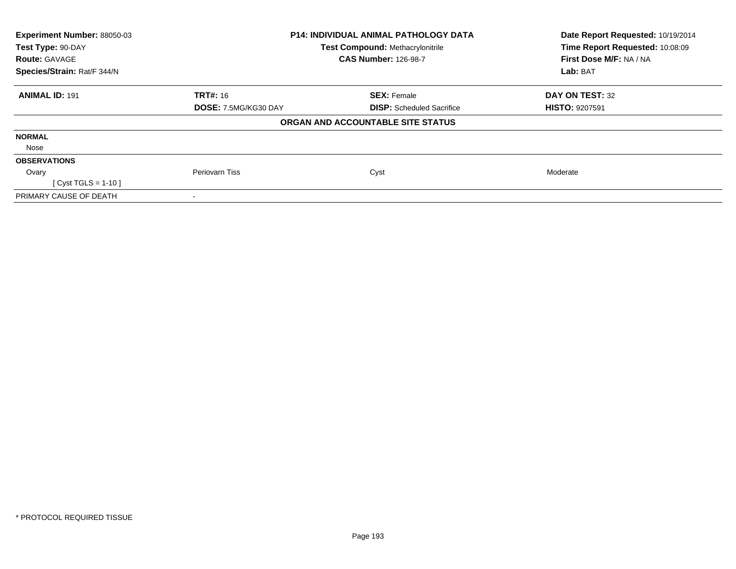| Experiment Number: 88050-03 |                      | <b>P14: INDIVIDUAL ANIMAL PATHOLOGY DATA</b> | Date Report Requested: 10/19/2014<br>Time Report Requested: 10:08:09 |
|-----------------------------|----------------------|----------------------------------------------|----------------------------------------------------------------------|
| Test Type: 90-DAY           |                      | <b>Test Compound: Methacrylonitrile</b>      |                                                                      |
| <b>Route: GAVAGE</b>        |                      | <b>CAS Number: 126-98-7</b>                  | First Dose M/F: NA / NA                                              |
| Species/Strain: Rat/F 344/N |                      |                                              |                                                                      |
| <b>ANIMAL ID: 191</b>       | <b>TRT#: 16</b>      | <b>SEX: Female</b>                           | DAY ON TEST: 32                                                      |
|                             | DOSE: 7.5MG/KG30 DAY | <b>DISP:</b> Scheduled Sacrifice             | <b>HISTO: 9207591</b>                                                |
|                             |                      | ORGAN AND ACCOUNTABLE SITE STATUS            |                                                                      |
| <b>NORMAL</b>               |                      |                                              |                                                                      |
| Nose                        |                      |                                              |                                                                      |
| <b>OBSERVATIONS</b>         |                      |                                              |                                                                      |
| Ovary                       | Periovarn Tiss       | Cyst                                         | Moderate                                                             |
| [ Cyst TGLS = $1-10$ ]      |                      |                                              |                                                                      |
| PRIMARY CAUSE OF DEATH      |                      |                                              |                                                                      |
|                             |                      |                                              |                                                                      |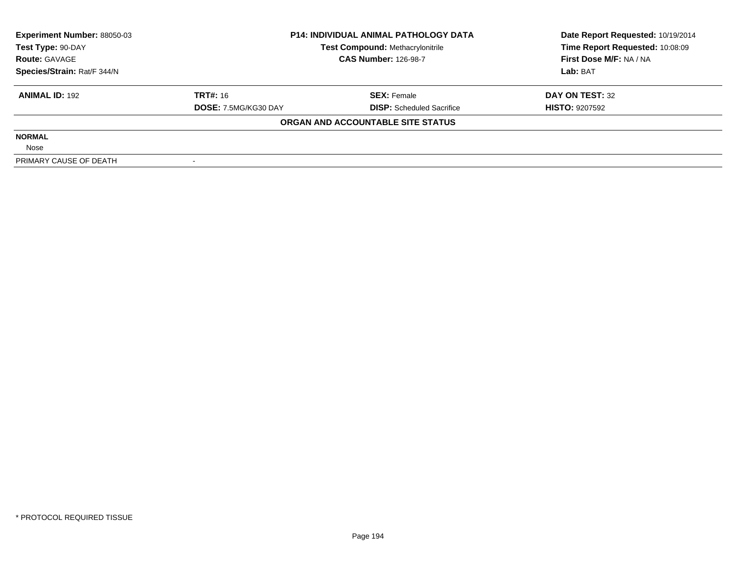| <b>Experiment Number: 88050-03</b> | <b>P14: INDIVIDUAL ANIMAL PATHOLOGY DATA</b> |                                         | Date Report Requested: 10/19/2014 |  |
|------------------------------------|----------------------------------------------|-----------------------------------------|-----------------------------------|--|
| Test Type: 90-DAY                  |                                              | <b>Test Compound: Methacrylonitrile</b> | Time Report Requested: 10:08:09   |  |
| <b>Route: GAVAGE</b>               |                                              | <b>CAS Number: 126-98-7</b>             | First Dose M/F: NA / NA           |  |
| Species/Strain: Rat/F 344/N        |                                              |                                         | Lab: BAT                          |  |
| <b>ANIMAL ID: 192</b>              | <b>TRT#: 16</b>                              | <b>SEX: Female</b>                      | DAY ON TEST: 32                   |  |
|                                    | DOSE: 7.5MG/KG30 DAY                         | <b>DISP:</b> Scheduled Sacrifice        | <b>HISTO: 9207592</b>             |  |
|                                    |                                              | ORGAN AND ACCOUNTABLE SITE STATUS       |                                   |  |
| <b>NORMAL</b>                      |                                              |                                         |                                   |  |
| Nose                               |                                              |                                         |                                   |  |
| PRIMARY CAUSE OF DEATH             |                                              |                                         |                                   |  |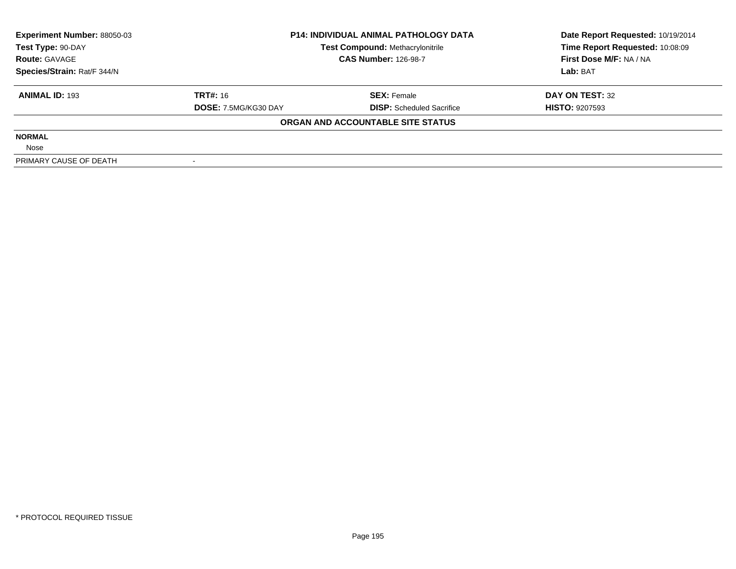| <b>Experiment Number: 88050-03</b> |                                         | <b>P14: INDIVIDUAL ANIMAL PATHOLOGY DATA</b> | Date Report Requested: 10/19/2014 |  |
|------------------------------------|-----------------------------------------|----------------------------------------------|-----------------------------------|--|
| Test Type: 90-DAY                  | <b>Test Compound: Methacrylonitrile</b> |                                              | Time Report Requested: 10:08:09   |  |
| <b>Route: GAVAGE</b>               |                                         | <b>CAS Number: 126-98-7</b>                  | First Dose M/F: NA / NA           |  |
| Species/Strain: Rat/F 344/N        |                                         |                                              | Lab: BAT                          |  |
| <b>ANIMAL ID: 193</b>              | <b>TRT#: 16</b>                         | <b>SEX: Female</b>                           | DAY ON TEST: 32                   |  |
|                                    | DOSE: 7.5MG/KG30 DAY                    | <b>DISP:</b> Scheduled Sacrifice             | <b>HISTO: 9207593</b>             |  |
|                                    |                                         | ORGAN AND ACCOUNTABLE SITE STATUS            |                                   |  |
| <b>NORMAL</b>                      |                                         |                                              |                                   |  |
| Nose                               |                                         |                                              |                                   |  |
| PRIMARY CAUSE OF DEATH             |                                         |                                              |                                   |  |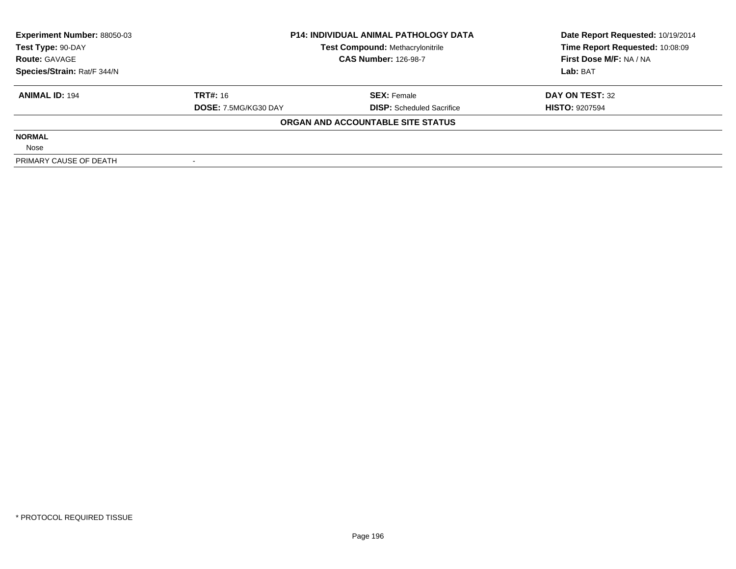| <b>Experiment Number: 88050-03</b> | <b>P14: INDIVIDUAL ANIMAL PATHOLOGY DATA</b> |                                         | Date Report Requested: 10/19/2014 |  |
|------------------------------------|----------------------------------------------|-----------------------------------------|-----------------------------------|--|
| Test Type: 90-DAY                  |                                              | <b>Test Compound: Methacrylonitrile</b> | Time Report Requested: 10:08:09   |  |
| <b>Route: GAVAGE</b>               |                                              | <b>CAS Number: 126-98-7</b>             | First Dose M/F: NA / NA           |  |
| Species/Strain: Rat/F 344/N        |                                              |                                         | Lab: BAT                          |  |
| <b>ANIMAL ID: 194</b>              | <b>TRT#: 16</b>                              | <b>SEX: Female</b>                      | DAY ON TEST: 32                   |  |
|                                    | DOSE: 7.5MG/KG30 DAY                         | <b>DISP:</b> Scheduled Sacrifice        | <b>HISTO: 9207594</b>             |  |
|                                    |                                              | ORGAN AND ACCOUNTABLE SITE STATUS       |                                   |  |
| <b>NORMAL</b>                      |                                              |                                         |                                   |  |
| Nose                               |                                              |                                         |                                   |  |
| PRIMARY CAUSE OF DEATH             |                                              |                                         |                                   |  |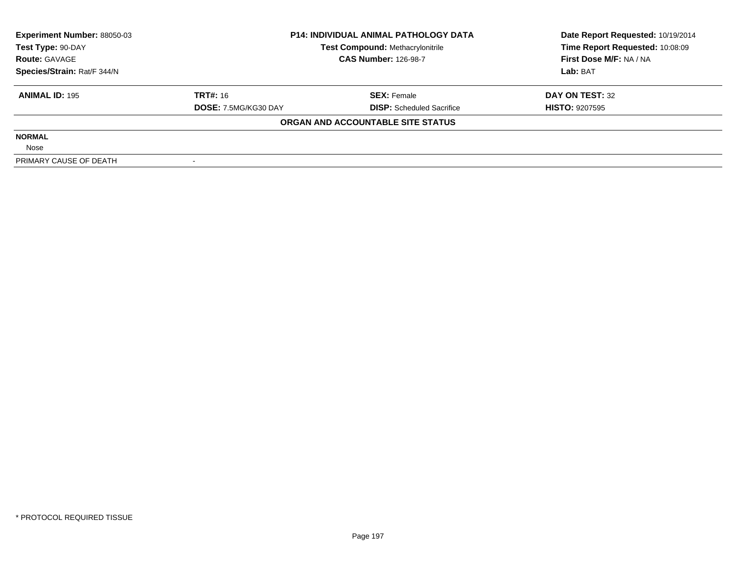| <b>Experiment Number: 88050-03</b> | <b>P14: INDIVIDUAL ANIMAL PATHOLOGY DATA</b> |                                         | Date Report Requested: 10/19/2014 |  |
|------------------------------------|----------------------------------------------|-----------------------------------------|-----------------------------------|--|
| Test Type: 90-DAY                  |                                              | <b>Test Compound: Methacrylonitrile</b> | Time Report Requested: 10:08:09   |  |
| <b>Route: GAVAGE</b>               |                                              | <b>CAS Number: 126-98-7</b>             | First Dose M/F: NA / NA           |  |
| Species/Strain: Rat/F 344/N        |                                              |                                         | Lab: BAT                          |  |
| <b>ANIMAL ID: 195</b>              | <b>TRT#: 16</b>                              | <b>SEX: Female</b>                      | DAY ON TEST: 32                   |  |
|                                    | DOSE: 7.5MG/KG30 DAY                         | <b>DISP:</b> Scheduled Sacrifice        | <b>HISTO: 9207595</b>             |  |
|                                    |                                              | ORGAN AND ACCOUNTABLE SITE STATUS       |                                   |  |
| <b>NORMAL</b>                      |                                              |                                         |                                   |  |
| Nose                               |                                              |                                         |                                   |  |
| PRIMARY CAUSE OF DEATH             |                                              |                                         |                                   |  |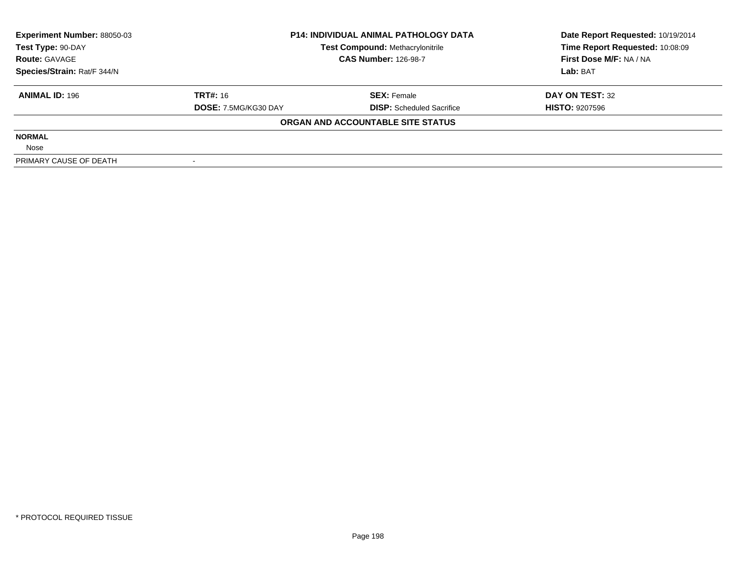| <b>Experiment Number: 88050-03</b> | <b>P14: INDIVIDUAL ANIMAL PATHOLOGY DATA</b> |                                         | Date Report Requested: 10/19/2014 |  |
|------------------------------------|----------------------------------------------|-----------------------------------------|-----------------------------------|--|
| Test Type: 90-DAY                  |                                              | <b>Test Compound: Methacrylonitrile</b> | Time Report Requested: 10:08:09   |  |
| <b>Route: GAVAGE</b>               |                                              | <b>CAS Number: 126-98-7</b>             | First Dose M/F: NA / NA           |  |
| Species/Strain: Rat/F 344/N        |                                              |                                         | Lab: BAT                          |  |
| <b>ANIMAL ID: 196</b>              | <b>TRT#: 16</b>                              | <b>SEX: Female</b>                      | DAY ON TEST: 32                   |  |
|                                    | DOSE: 7.5MG/KG30 DAY                         | <b>DISP:</b> Scheduled Sacrifice        | <b>HISTO: 9207596</b>             |  |
|                                    |                                              | ORGAN AND ACCOUNTABLE SITE STATUS       |                                   |  |
| <b>NORMAL</b>                      |                                              |                                         |                                   |  |
| Nose                               |                                              |                                         |                                   |  |
| PRIMARY CAUSE OF DEATH             |                                              |                                         |                                   |  |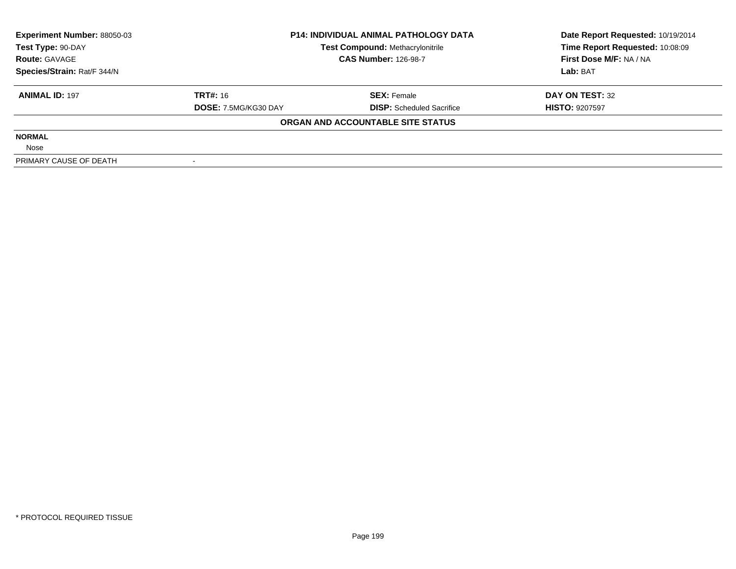| <b>Experiment Number: 88050-03</b> | <b>P14: INDIVIDUAL ANIMAL PATHOLOGY DATA</b> |                                         | Date Report Requested: 10/19/2014 |  |
|------------------------------------|----------------------------------------------|-----------------------------------------|-----------------------------------|--|
| Test Type: 90-DAY                  |                                              | <b>Test Compound: Methacrylonitrile</b> | Time Report Requested: 10:08:09   |  |
| <b>Route: GAVAGE</b>               |                                              | <b>CAS Number: 126-98-7</b>             | First Dose M/F: NA / NA           |  |
| Species/Strain: Rat/F 344/N        |                                              |                                         | Lab: BAT                          |  |
| <b>ANIMAL ID: 197</b>              | <b>TRT#: 16</b>                              | <b>SEX: Female</b>                      | DAY ON TEST: 32                   |  |
|                                    | DOSE: 7.5MG/KG30 DAY                         | <b>DISP:</b> Scheduled Sacrifice        | <b>HISTO: 9207597</b>             |  |
|                                    |                                              | ORGAN AND ACCOUNTABLE SITE STATUS       |                                   |  |
| <b>NORMAL</b>                      |                                              |                                         |                                   |  |
| Nose                               |                                              |                                         |                                   |  |
| PRIMARY CAUSE OF DEATH             |                                              |                                         |                                   |  |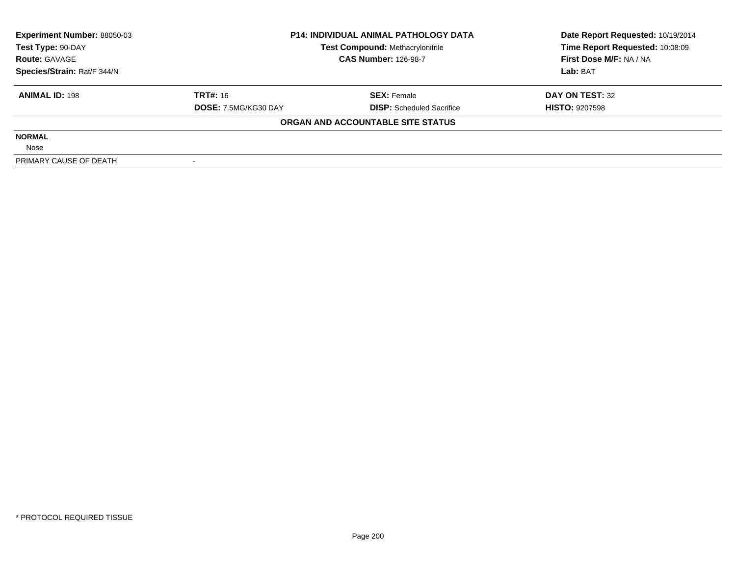| <b>Experiment Number: 88050-03</b> | <b>P14: INDIVIDUAL ANIMAL PATHOLOGY DATA</b> |                                         | Date Report Requested: 10/19/2014 |  |
|------------------------------------|----------------------------------------------|-----------------------------------------|-----------------------------------|--|
| Test Type: 90-DAY                  |                                              | <b>Test Compound: Methacrylonitrile</b> | Time Report Requested: 10:08:09   |  |
| <b>Route: GAVAGE</b>               |                                              | <b>CAS Number: 126-98-7</b>             | First Dose M/F: NA / NA           |  |
| Species/Strain: Rat/F 344/N        |                                              |                                         | Lab: BAT                          |  |
| <b>ANIMAL ID: 198</b>              | <b>TRT#: 16</b>                              | <b>SEX: Female</b>                      | DAY ON TEST: 32                   |  |
|                                    | DOSE: 7.5MG/KG30 DAY                         | <b>DISP:</b> Scheduled Sacrifice        | <b>HISTO: 9207598</b>             |  |
|                                    |                                              | ORGAN AND ACCOUNTABLE SITE STATUS       |                                   |  |
| <b>NORMAL</b>                      |                                              |                                         |                                   |  |
| Nose                               |                                              |                                         |                                   |  |
| PRIMARY CAUSE OF DEATH             |                                              |                                         |                                   |  |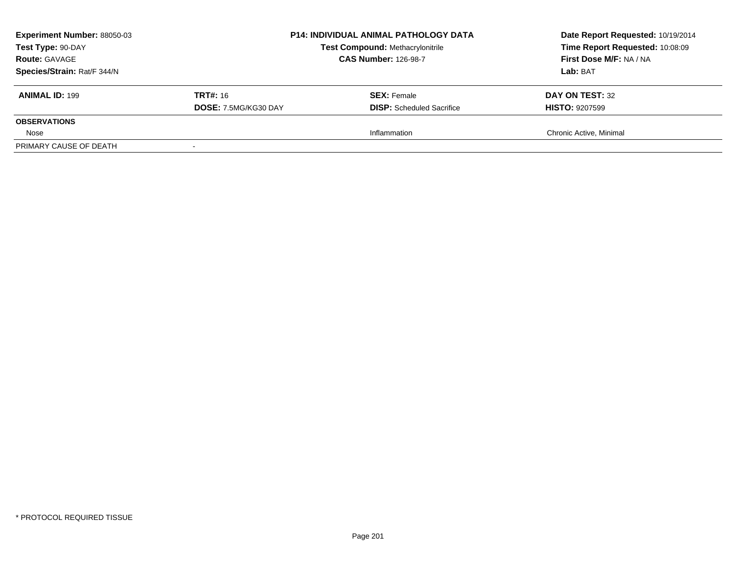| <b>Experiment Number: 88050-03</b><br>Test Type: 90-DAY<br><b>Route: GAVAGE</b><br>Species/Strain: Rat/F 344/N |                                         | <b>P14: INDIVIDUAL ANIMAL PATHOLOGY DATA</b><br><b>Test Compound: Methacrylonitrile</b><br><b>CAS Number: 126-98-7</b> | Date Report Requested: 10/19/2014<br>Time Report Requested: 10:08:09<br>First Dose M/F: NA / NA<br>Lab: BAT |
|----------------------------------------------------------------------------------------------------------------|-----------------------------------------|------------------------------------------------------------------------------------------------------------------------|-------------------------------------------------------------------------------------------------------------|
| <b>ANIMAL ID: 199</b>                                                                                          | <b>TRT#: 16</b><br>DOSE: 7.5MG/KG30 DAY | <b>SEX:</b> Female<br><b>DISP:</b> Scheduled Sacrifice                                                                 | DAY ON TEST: 32<br><b>HISTO: 9207599</b>                                                                    |
| <b>OBSERVATIONS</b>                                                                                            |                                         |                                                                                                                        |                                                                                                             |
| Nose                                                                                                           |                                         | Inflammation                                                                                                           | Chronic Active, Minimal                                                                                     |
| PRIMARY CAUSE OF DEATH                                                                                         |                                         |                                                                                                                        |                                                                                                             |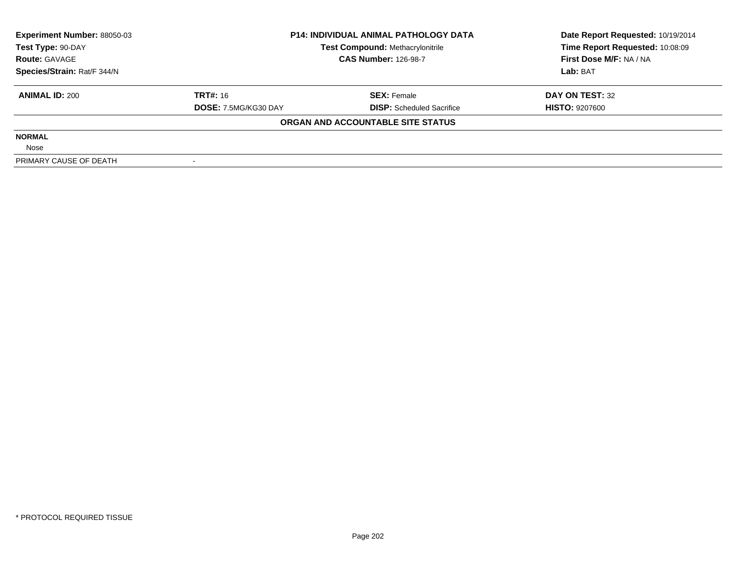| <b>Experiment Number: 88050-03</b> | <b>P14: INDIVIDUAL ANIMAL PATHOLOGY DATA</b> |                                         | Date Report Requested: 10/19/2014 |  |
|------------------------------------|----------------------------------------------|-----------------------------------------|-----------------------------------|--|
| Test Type: 90-DAY                  |                                              | <b>Test Compound: Methacrylonitrile</b> | Time Report Requested: 10:08:09   |  |
| <b>Route: GAVAGE</b>               |                                              | <b>CAS Number: 126-98-7</b>             | First Dose M/F: NA / NA           |  |
| Species/Strain: Rat/F 344/N        |                                              |                                         | Lab: BAT                          |  |
| <b>ANIMAL ID: 200</b>              | <b>TRT#: 16</b>                              | <b>SEX: Female</b>                      | DAY ON TEST: 32                   |  |
|                                    | DOSE: 7.5MG/KG30 DAY                         | <b>DISP:</b> Scheduled Sacrifice        | <b>HISTO: 9207600</b>             |  |
|                                    |                                              | ORGAN AND ACCOUNTABLE SITE STATUS       |                                   |  |
| <b>NORMAL</b>                      |                                              |                                         |                                   |  |
| Nose                               |                                              |                                         |                                   |  |
| PRIMARY CAUSE OF DEATH             |                                              |                                         |                                   |  |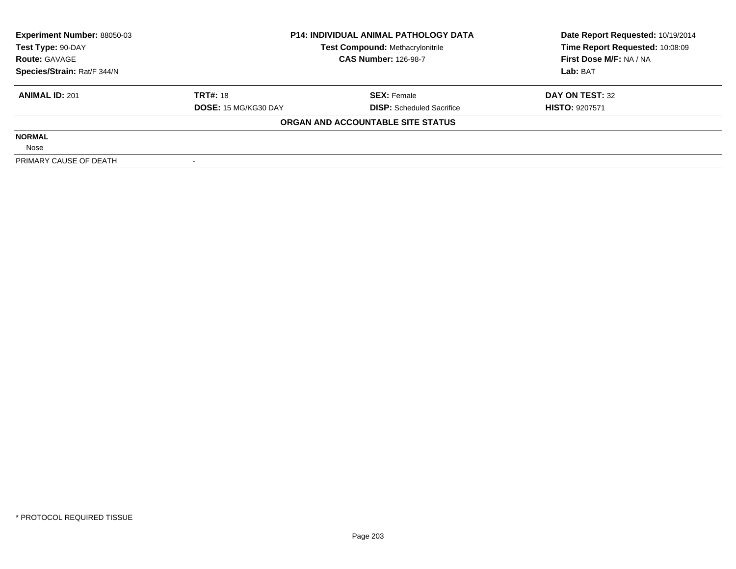| <b>Experiment Number: 88050-03</b> |                             | <b>P14: INDIVIDUAL ANIMAL PATHOLOGY DATA</b> | Date Report Requested: 10/19/2014 |  |
|------------------------------------|-----------------------------|----------------------------------------------|-----------------------------------|--|
| Test Type: 90-DAY                  |                             | <b>Test Compound: Methacrylonitrile</b>      | Time Report Requested: 10:08:09   |  |
| <b>Route: GAVAGE</b>               |                             | <b>CAS Number: 126-98-7</b>                  | First Dose M/F: NA / NA           |  |
| Species/Strain: Rat/F 344/N        |                             |                                              | Lab: BAT                          |  |
| <b>ANIMAL ID: 201</b>              | <b>TRT#: 18</b>             | <b>SEX: Female</b>                           | DAY ON TEST: 32                   |  |
|                                    | <b>DOSE: 15 MG/KG30 DAY</b> | <b>DISP:</b> Scheduled Sacrifice             | <b>HISTO: 9207571</b>             |  |
|                                    |                             | ORGAN AND ACCOUNTABLE SITE STATUS            |                                   |  |
| <b>NORMAL</b>                      |                             |                                              |                                   |  |
| Nose                               |                             |                                              |                                   |  |
| PRIMARY CAUSE OF DEATH             |                             |                                              |                                   |  |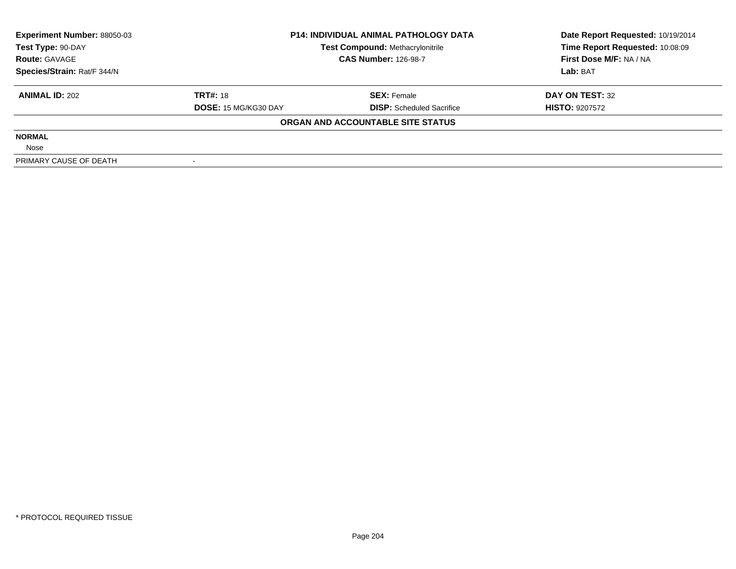| <b>Experiment Number: 88050-03</b> | <b>P14: INDIVIDUAL ANIMAL PATHOLOGY DATA</b> |                                         | Date Report Requested: 10/19/2014 |  |
|------------------------------------|----------------------------------------------|-----------------------------------------|-----------------------------------|--|
| Test Type: 90-DAY                  |                                              | <b>Test Compound: Methacrylonitrile</b> | Time Report Requested: 10:08:09   |  |
| <b>Route: GAVAGE</b>               |                                              | <b>CAS Number: 126-98-7</b>             | First Dose M/F: NA / NA           |  |
| Species/Strain: Rat/F 344/N        |                                              |                                         | Lab: BAT                          |  |
| <b>ANIMAL ID: 202</b>              | <b>TRT#: 18</b>                              | <b>SEX: Female</b>                      | DAY ON TEST: 32                   |  |
|                                    | <b>DOSE: 15 MG/KG30 DAY</b>                  | <b>DISP:</b> Scheduled Sacrifice        | <b>HISTO: 9207572</b>             |  |
|                                    |                                              | ORGAN AND ACCOUNTABLE SITE STATUS       |                                   |  |
| <b>NORMAL</b>                      |                                              |                                         |                                   |  |
| Nose                               |                                              |                                         |                                   |  |
| PRIMARY CAUSE OF DEATH             |                                              |                                         |                                   |  |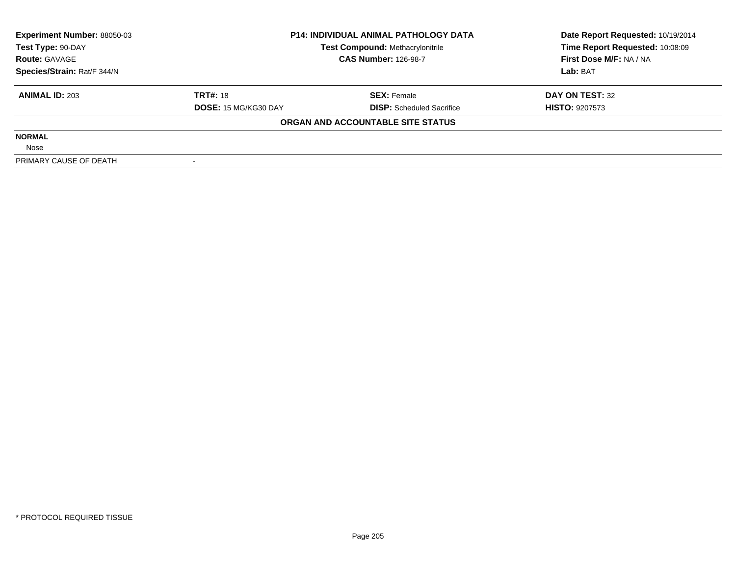| <b>Experiment Number: 88050-03</b> | <b>P14: INDIVIDUAL ANIMAL PATHOLOGY DATA</b> |                                         | Date Report Requested: 10/19/2014 |  |
|------------------------------------|----------------------------------------------|-----------------------------------------|-----------------------------------|--|
| Test Type: 90-DAY                  |                                              | <b>Test Compound: Methacrylonitrile</b> | Time Report Requested: 10:08:09   |  |
| <b>Route: GAVAGE</b>               |                                              | <b>CAS Number: 126-98-7</b>             | First Dose M/F: NA / NA           |  |
| Species/Strain: Rat/F 344/N        |                                              |                                         | Lab: BAT                          |  |
| <b>ANIMAL ID: 203</b>              | <b>TRT#: 18</b>                              | <b>SEX: Female</b>                      | DAY ON TEST: 32                   |  |
|                                    | <b>DOSE: 15 MG/KG30 DAY</b>                  | <b>DISP:</b> Scheduled Sacrifice        | <b>HISTO: 9207573</b>             |  |
|                                    |                                              | ORGAN AND ACCOUNTABLE SITE STATUS       |                                   |  |
| <b>NORMAL</b>                      |                                              |                                         |                                   |  |
| Nose                               |                                              |                                         |                                   |  |
| PRIMARY CAUSE OF DEATH             |                                              |                                         |                                   |  |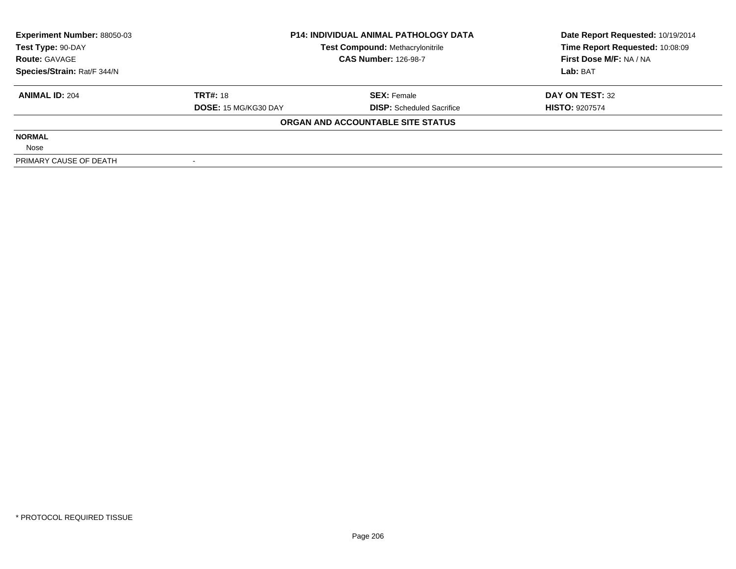| <b>Experiment Number: 88050-03</b> | <b>P14: INDIVIDUAL ANIMAL PATHOLOGY DATA</b> |                                         | Date Report Requested: 10/19/2014 |  |
|------------------------------------|----------------------------------------------|-----------------------------------------|-----------------------------------|--|
| Test Type: 90-DAY                  |                                              | <b>Test Compound: Methacrylonitrile</b> | Time Report Requested: 10:08:09   |  |
| <b>Route: GAVAGE</b>               |                                              | <b>CAS Number: 126-98-7</b>             | First Dose M/F: NA / NA           |  |
| Species/Strain: Rat/F 344/N        |                                              |                                         | Lab: BAT                          |  |
| <b>ANIMAL ID: 204</b>              | <b>TRT#: 18</b>                              | <b>SEX: Female</b>                      | DAY ON TEST: 32                   |  |
|                                    | <b>DOSE: 15 MG/KG30 DAY</b>                  | <b>DISP:</b> Scheduled Sacrifice        | <b>HISTO: 9207574</b>             |  |
|                                    |                                              | ORGAN AND ACCOUNTABLE SITE STATUS       |                                   |  |
| <b>NORMAL</b>                      |                                              |                                         |                                   |  |
| Nose                               |                                              |                                         |                                   |  |
| PRIMARY CAUSE OF DEATH             |                                              |                                         |                                   |  |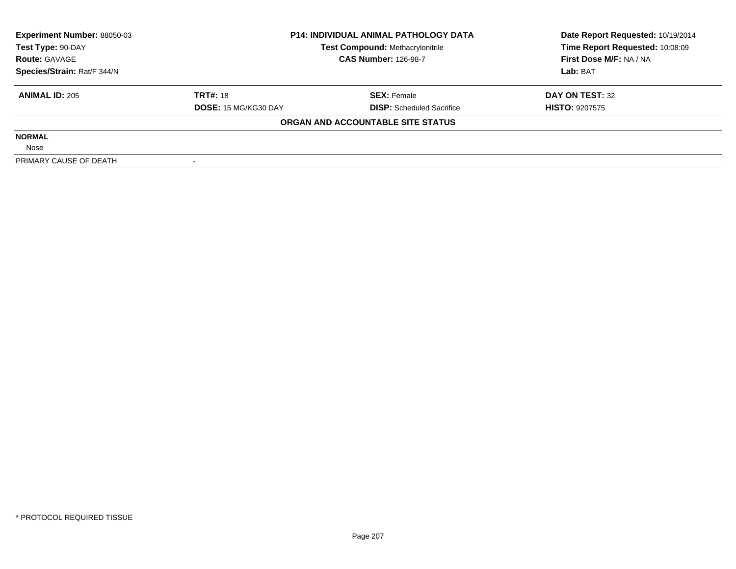| <b>Experiment Number: 88050-03</b> | <b>P14: INDIVIDUAL ANIMAL PATHOLOGY DATA</b> |                                         | Date Report Requested: 10/19/2014 |  |
|------------------------------------|----------------------------------------------|-----------------------------------------|-----------------------------------|--|
| Test Type: 90-DAY                  |                                              | <b>Test Compound: Methacrylonitrile</b> | Time Report Requested: 10:08:09   |  |
| <b>Route: GAVAGE</b>               |                                              | <b>CAS Number: 126-98-7</b>             | First Dose M/F: NA / NA           |  |
| Species/Strain: Rat/F 344/N        |                                              |                                         | Lab: BAT                          |  |
| <b>ANIMAL ID: 205</b>              | <b>TRT#: 18</b>                              | <b>SEX: Female</b>                      | DAY ON TEST: 32                   |  |
|                                    | <b>DOSE: 15 MG/KG30 DAY</b>                  | <b>DISP:</b> Scheduled Sacrifice        | <b>HISTO: 9207575</b>             |  |
|                                    |                                              | ORGAN AND ACCOUNTABLE SITE STATUS       |                                   |  |
| <b>NORMAL</b>                      |                                              |                                         |                                   |  |
| Nose                               |                                              |                                         |                                   |  |
| PRIMARY CAUSE OF DEATH             |                                              |                                         |                                   |  |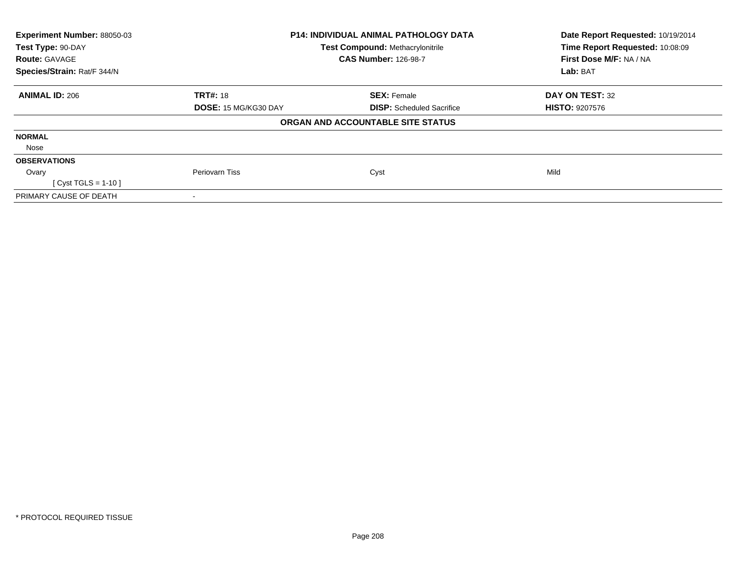| Experiment Number: 88050-03 | <b>P14: INDIVIDUAL ANIMAL PATHOLOGY DATA</b><br><b>Test Compound: Methacrylonitrile</b> |                                   | Date Report Requested: 10/19/2014 |
|-----------------------------|-----------------------------------------------------------------------------------------|-----------------------------------|-----------------------------------|
| Test Type: 90-DAY           |                                                                                         |                                   | Time Report Requested: 10:08:09   |
| <b>Route: GAVAGE</b>        |                                                                                         | <b>CAS Number: 126-98-7</b>       | First Dose M/F: NA / NA           |
| Species/Strain: Rat/F 344/N |                                                                                         |                                   |                                   |
| <b>ANIMAL ID: 206</b>       | <b>TRT#: 18</b>                                                                         | <b>SEX: Female</b>                | DAY ON TEST: 32                   |
|                             | DOSE: 15 MG/KG30 DAY                                                                    | <b>DISP:</b> Scheduled Sacrifice  | <b>HISTO: 9207576</b>             |
|                             |                                                                                         | ORGAN AND ACCOUNTABLE SITE STATUS |                                   |
| <b>NORMAL</b>               |                                                                                         |                                   |                                   |
| Nose                        |                                                                                         |                                   |                                   |
| <b>OBSERVATIONS</b>         |                                                                                         |                                   |                                   |
| Ovary                       | Periovarn Tiss                                                                          | Cyst                              | Mild                              |
| [ Cyst TGLS = $1-10$ ]      |                                                                                         |                                   |                                   |
| PRIMARY CAUSE OF DEATH      |                                                                                         |                                   |                                   |
|                             |                                                                                         |                                   |                                   |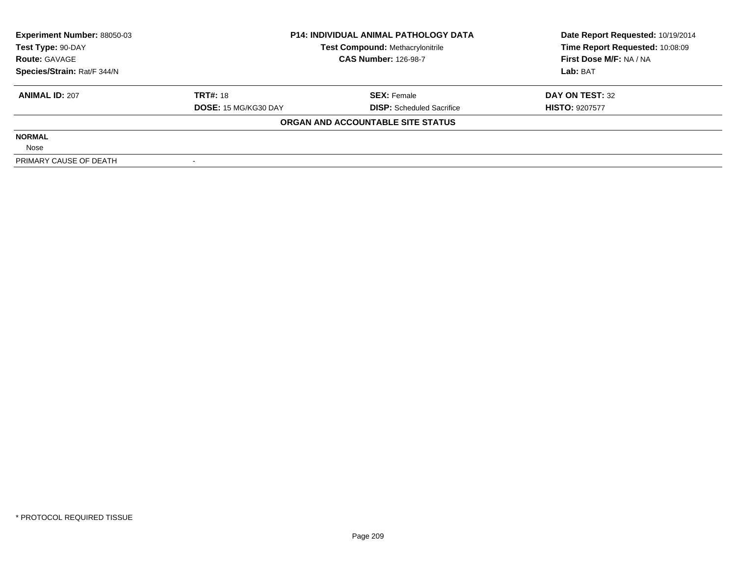| <b>P14: INDIVIDUAL ANIMAL PATHOLOGY DATA</b><br><b>Experiment Number: 88050-03</b> |                             |                                         | Date Report Requested: 10/19/2014 |  |
|------------------------------------------------------------------------------------|-----------------------------|-----------------------------------------|-----------------------------------|--|
| Test Type: 90-DAY                                                                  |                             | <b>Test Compound: Methacrylonitrile</b> | Time Report Requested: 10:08:09   |  |
| <b>Route: GAVAGE</b>                                                               |                             | <b>CAS Number: 126-98-7</b>             | First Dose M/F: NA / NA           |  |
| Species/Strain: Rat/F 344/N                                                        |                             |                                         | Lab: BAT                          |  |
| <b>ANIMAL ID: 207</b>                                                              | <b>TRT#: 18</b>             | <b>SEX: Female</b>                      | DAY ON TEST: 32                   |  |
|                                                                                    | <b>DOSE: 15 MG/KG30 DAY</b> | <b>DISP:</b> Scheduled Sacrifice        | <b>HISTO: 9207577</b>             |  |
|                                                                                    |                             | ORGAN AND ACCOUNTABLE SITE STATUS       |                                   |  |
| <b>NORMAL</b>                                                                      |                             |                                         |                                   |  |
| Nose                                                                               |                             |                                         |                                   |  |
| PRIMARY CAUSE OF DEATH                                                             |                             |                                         |                                   |  |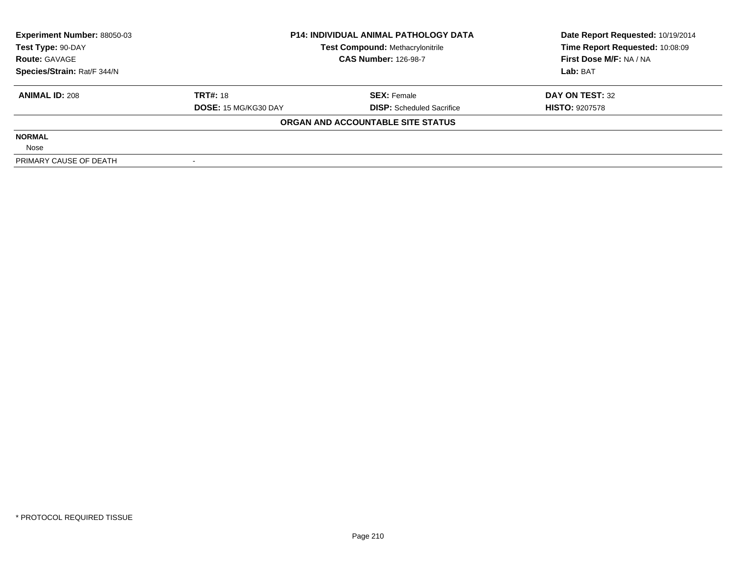| <b>Experiment Number: 88050-03</b> |                             | <b>P14: INDIVIDUAL ANIMAL PATHOLOGY DATA</b> | Date Report Requested: 10/19/2014 |
|------------------------------------|-----------------------------|----------------------------------------------|-----------------------------------|
| Test Type: 90-DAY                  |                             | <b>Test Compound: Methacrylonitrile</b>      | Time Report Requested: 10:08:09   |
| <b>Route: GAVAGE</b>               |                             | <b>CAS Number: 126-98-7</b>                  | First Dose M/F: NA / NA           |
| Species/Strain: Rat/F 344/N        |                             |                                              | Lab: BAT                          |
| <b>ANIMAL ID: 208</b>              | <b>TRT#: 18</b>             | <b>SEX: Female</b>                           | DAY ON TEST: 32                   |
|                                    | <b>DOSE: 15 MG/KG30 DAY</b> | <b>DISP:</b> Scheduled Sacrifice             | <b>HISTO: 9207578</b>             |
|                                    |                             | ORGAN AND ACCOUNTABLE SITE STATUS            |                                   |
| <b>NORMAL</b>                      |                             |                                              |                                   |
| Nose                               |                             |                                              |                                   |
| PRIMARY CAUSE OF DEATH             |                             |                                              |                                   |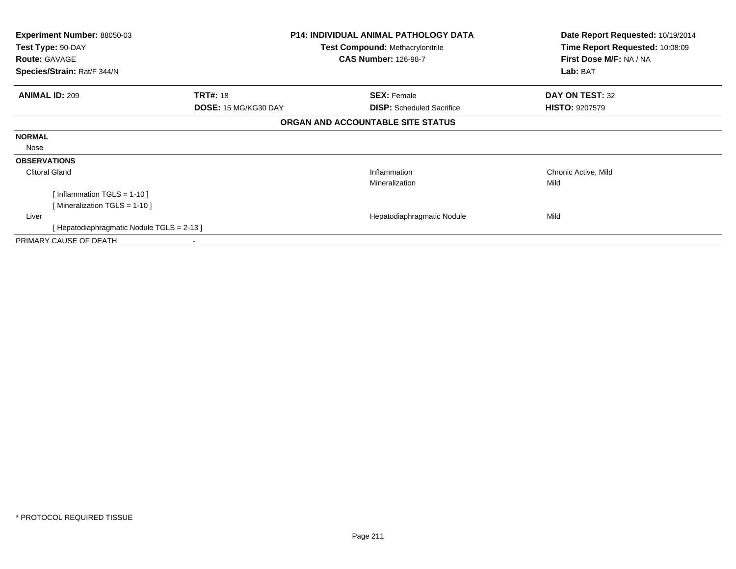| Experiment Number: 88050-03               |                                         | <b>P14: INDIVIDUAL ANIMAL PATHOLOGY DATA</b> |                                 |
|-------------------------------------------|-----------------------------------------|----------------------------------------------|---------------------------------|
| Test Type: 90-DAY                         | <b>Test Compound: Methacrylonitrile</b> |                                              | Time Report Requested: 10:08:09 |
| <b>Route: GAVAGE</b>                      |                                         | <b>CAS Number: 126-98-7</b>                  | First Dose M/F: NA / NA         |
| Species/Strain: Rat/F 344/N               |                                         |                                              | Lab: BAT                        |
| <b>ANIMAL ID: 209</b>                     | <b>TRT#: 18</b>                         | <b>SEX: Female</b>                           | DAY ON TEST: 32                 |
|                                           | DOSE: 15 MG/KG30 DAY                    | <b>DISP:</b> Scheduled Sacrifice             | <b>HISTO: 9207579</b>           |
|                                           |                                         | ORGAN AND ACCOUNTABLE SITE STATUS            |                                 |
| <b>NORMAL</b>                             |                                         |                                              |                                 |
| Nose                                      |                                         |                                              |                                 |
| <b>OBSERVATIONS</b>                       |                                         |                                              |                                 |
| <b>Clitoral Gland</b>                     |                                         | Inflammation                                 | Chronic Active, Mild            |
|                                           |                                         | Mineralization                               | Mild                            |
| [Inflammation TGLS = $1-10$ ]             |                                         |                                              |                                 |
| [Mineralization TGLS = 1-10]              |                                         |                                              |                                 |
| Liver                                     |                                         | Hepatodiaphragmatic Nodule                   | Mild                            |
| [Hepatodiaphragmatic Nodule TGLS = 2-13 ] |                                         |                                              |                                 |
| PRIMARY CAUSE OF DEATH                    |                                         |                                              |                                 |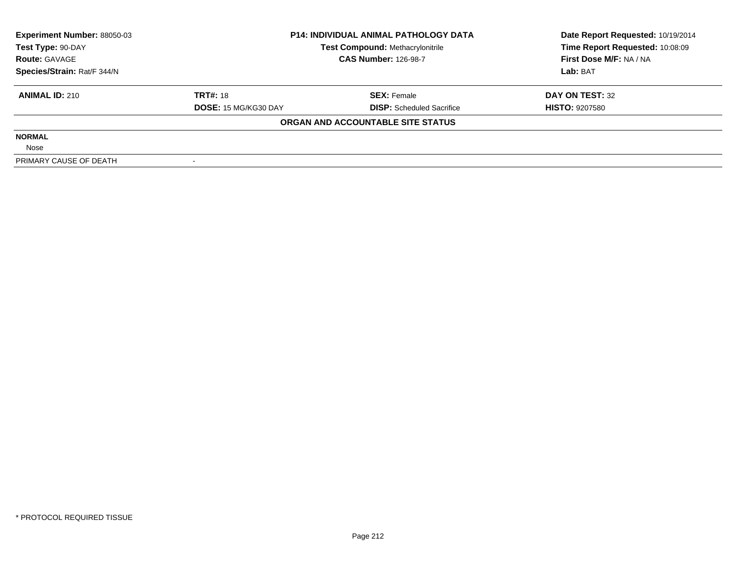| <b>Experiment Number: 88050-03</b> | <b>P14: INDIVIDUAL ANIMAL PATHOLOGY DATA</b> |                                         | Date Report Requested: 10/19/2014 |  |
|------------------------------------|----------------------------------------------|-----------------------------------------|-----------------------------------|--|
| Test Type: 90-DAY                  |                                              | <b>Test Compound: Methacrylonitrile</b> | Time Report Requested: 10:08:09   |  |
| <b>Route: GAVAGE</b>               |                                              | <b>CAS Number: 126-98-7</b>             | First Dose M/F: NA / NA           |  |
| Species/Strain: Rat/F 344/N        |                                              |                                         | Lab: BAT                          |  |
| <b>ANIMAL ID: 210</b>              | <b>TRT#: 18</b>                              | <b>SEX: Female</b>                      | DAY ON TEST: 32                   |  |
|                                    | <b>DOSE: 15 MG/KG30 DAY</b>                  | <b>DISP:</b> Scheduled Sacrifice        | <b>HISTO: 9207580</b>             |  |
|                                    |                                              | ORGAN AND ACCOUNTABLE SITE STATUS       |                                   |  |
| <b>NORMAL</b>                      |                                              |                                         |                                   |  |
| Nose                               |                                              |                                         |                                   |  |
| PRIMARY CAUSE OF DEATH             |                                              |                                         |                                   |  |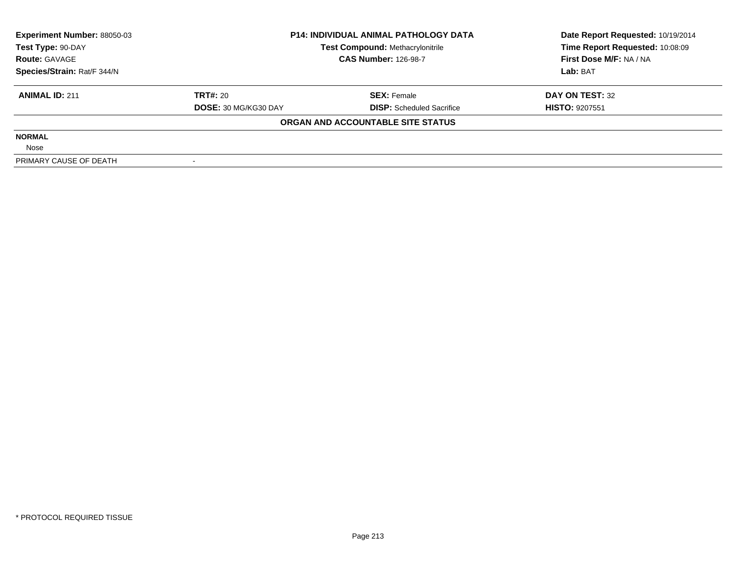| <b>Experiment Number: 88050-03</b> | <b>P14: INDIVIDUAL ANIMAL PATHOLOGY DATA</b> |                                         | Date Report Requested: 10/19/2014 |  |
|------------------------------------|----------------------------------------------|-----------------------------------------|-----------------------------------|--|
| Test Type: 90-DAY                  |                                              | <b>Test Compound: Methacrylonitrile</b> | Time Report Requested: 10:08:09   |  |
| <b>Route: GAVAGE</b>               |                                              | <b>CAS Number: 126-98-7</b>             | First Dose M/F: NA / NA           |  |
| Species/Strain: Rat/F 344/N        |                                              |                                         | Lab: BAT                          |  |
| <b>ANIMAL ID: 211</b>              | <b>TRT#: 20</b>                              | <b>SEX: Female</b>                      | DAY ON TEST: 32                   |  |
|                                    | <b>DOSE: 30 MG/KG30 DAY</b>                  | <b>DISP:</b> Scheduled Sacrifice        | <b>HISTO: 9207551</b>             |  |
|                                    |                                              | ORGAN AND ACCOUNTABLE SITE STATUS       |                                   |  |
| <b>NORMAL</b>                      |                                              |                                         |                                   |  |
| Nose                               |                                              |                                         |                                   |  |
| PRIMARY CAUSE OF DEATH             |                                              |                                         |                                   |  |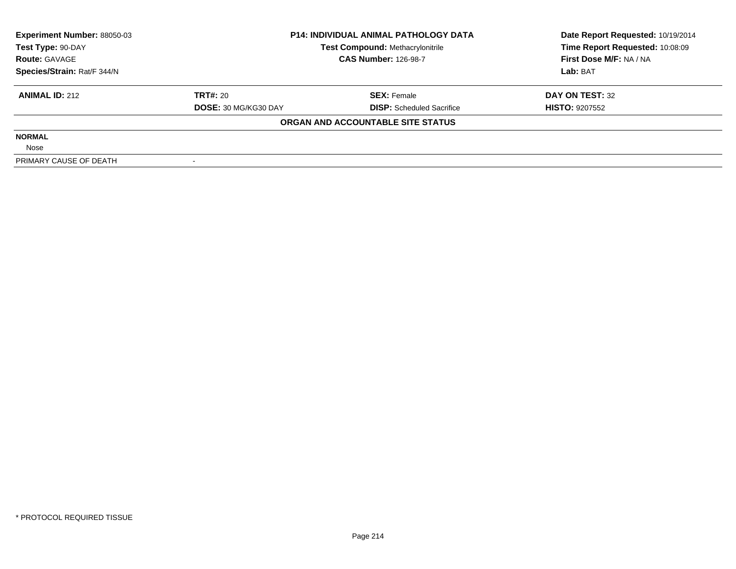| <b>Experiment Number: 88050-03</b> | <b>P14: INDIVIDUAL ANIMAL PATHOLOGY DATA</b> |                                         | Date Report Requested: 10/19/2014 |  |
|------------------------------------|----------------------------------------------|-----------------------------------------|-----------------------------------|--|
| Test Type: 90-DAY                  |                                              | <b>Test Compound: Methacrylonitrile</b> | Time Report Requested: 10:08:09   |  |
| <b>Route: GAVAGE</b>               |                                              | <b>CAS Number: 126-98-7</b>             | First Dose M/F: NA / NA           |  |
| Species/Strain: Rat/F 344/N        |                                              |                                         | Lab: BAT                          |  |
| <b>ANIMAL ID: 212</b>              | <b>TRT#: 20</b>                              | <b>SEX: Female</b>                      | DAY ON TEST: 32                   |  |
|                                    | <b>DOSE: 30 MG/KG30 DAY</b>                  | <b>DISP:</b> Scheduled Sacrifice        | <b>HISTO: 9207552</b>             |  |
|                                    |                                              | ORGAN AND ACCOUNTABLE SITE STATUS       |                                   |  |
| <b>NORMAL</b>                      |                                              |                                         |                                   |  |
| Nose                               |                                              |                                         |                                   |  |
| PRIMARY CAUSE OF DEATH             |                                              |                                         |                                   |  |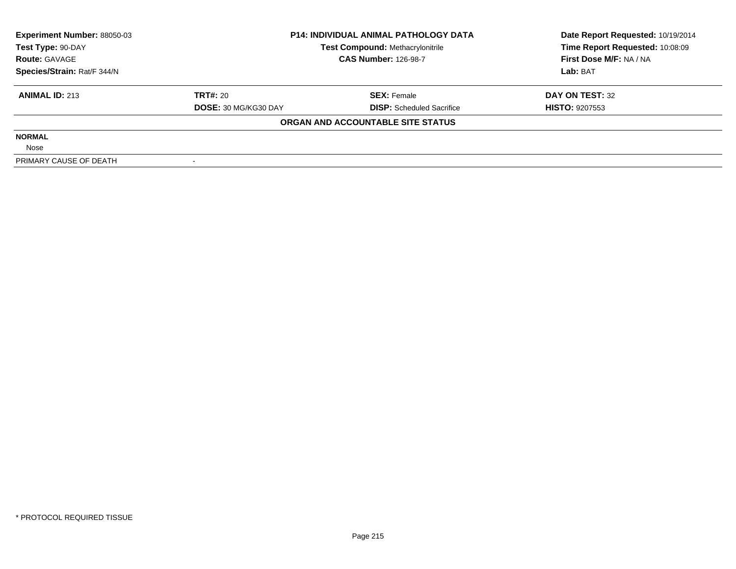| <b>Experiment Number: 88050-03</b> | <b>P14: INDIVIDUAL ANIMAL PATHOLOGY DATA</b> |                                         | Date Report Requested: 10/19/2014 |
|------------------------------------|----------------------------------------------|-----------------------------------------|-----------------------------------|
| Test Type: 90-DAY                  |                                              | <b>Test Compound: Methacrylonitrile</b> | Time Report Requested: 10:08:09   |
| <b>Route: GAVAGE</b>               |                                              | <b>CAS Number: 126-98-7</b>             | First Dose M/F: NA / NA           |
| Species/Strain: Rat/F 344/N        |                                              |                                         | Lab: BAT                          |
| <b>ANIMAL ID: 213</b>              | TRT#: 20                                     | <b>SEX: Female</b>                      | DAY ON TEST: 32                   |
|                                    | DOSE: 30 MG/KG30 DAY                         | <b>DISP:</b> Scheduled Sacrifice        | <b>HISTO: 9207553</b>             |
|                                    |                                              | ORGAN AND ACCOUNTABLE SITE STATUS       |                                   |
| <b>NORMAL</b>                      |                                              |                                         |                                   |
| Nose                               |                                              |                                         |                                   |
| PRIMARY CAUSE OF DEATH             |                                              |                                         |                                   |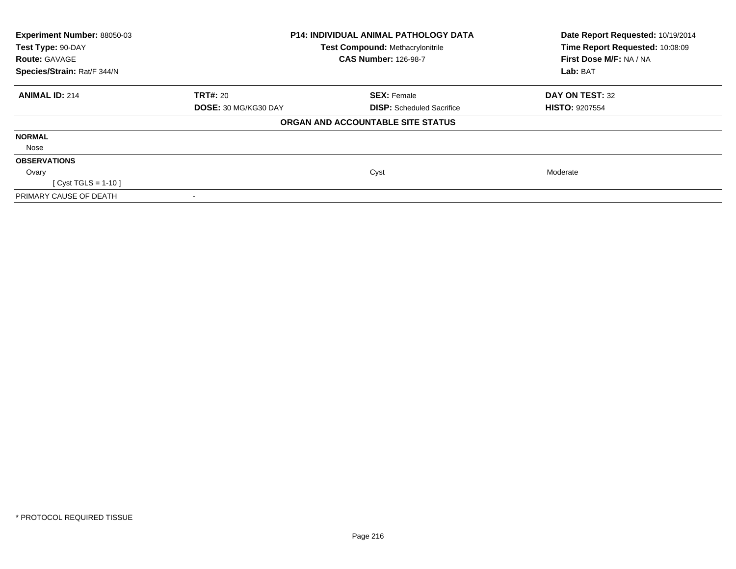| Experiment Number: 88050-03 | <b>P14: INDIVIDUAL ANIMAL PATHOLOGY DATA</b> |                                         | Date Report Requested: 10/19/2014 |
|-----------------------------|----------------------------------------------|-----------------------------------------|-----------------------------------|
| Test Type: 90-DAY           |                                              | <b>Test Compound: Methacrylonitrile</b> | Time Report Requested: 10:08:09   |
| <b>Route: GAVAGE</b>        |                                              | <b>CAS Number: 126-98-7</b>             | First Dose M/F: NA / NA           |
| Species/Strain: Rat/F 344/N |                                              |                                         | Lab: BAT                          |
| <b>ANIMAL ID: 214</b>       | <b>TRT#: 20</b>                              | <b>SEX: Female</b>                      | DAY ON TEST: 32                   |
|                             | DOSE: 30 MG/KG30 DAY                         | <b>DISP:</b> Scheduled Sacrifice        | <b>HISTO: 9207554</b>             |
|                             |                                              | ORGAN AND ACCOUNTABLE SITE STATUS       |                                   |
| <b>NORMAL</b>               |                                              |                                         |                                   |
| Nose                        |                                              |                                         |                                   |
| <b>OBSERVATIONS</b>         |                                              |                                         |                                   |
| Ovary                       |                                              | Cyst                                    | Moderate                          |
| [ Cyst TGLS = 1-10 ]        |                                              |                                         |                                   |
| PRIMARY CAUSE OF DEATH      |                                              |                                         |                                   |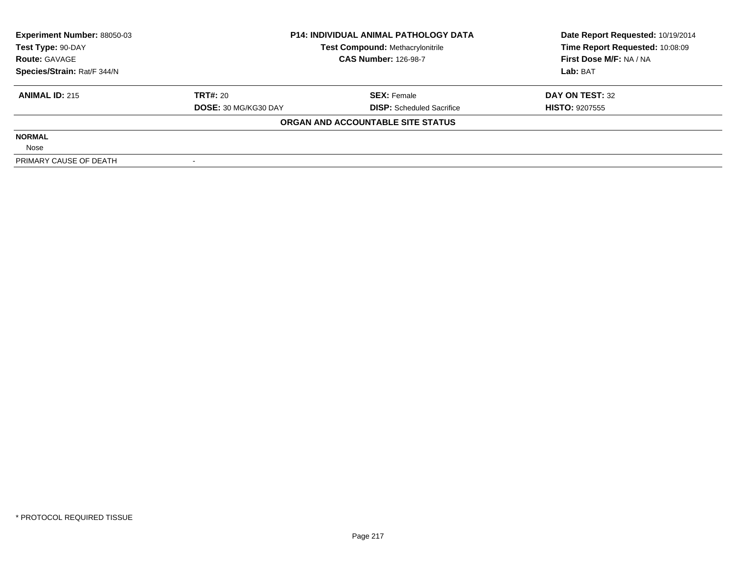| <b>Experiment Number: 88050-03</b> | <b>P14: INDIVIDUAL ANIMAL PATHOLOGY DATA</b> |                                         | Date Report Requested: 10/19/2014 |  |
|------------------------------------|----------------------------------------------|-----------------------------------------|-----------------------------------|--|
| Test Type: 90-DAY                  |                                              | <b>Test Compound: Methacrylonitrile</b> | Time Report Requested: 10:08:09   |  |
| <b>Route: GAVAGE</b>               |                                              | <b>CAS Number: 126-98-7</b>             | First Dose M/F: NA / NA           |  |
| Species/Strain: Rat/F 344/N        |                                              |                                         | Lab: BAT                          |  |
| <b>ANIMAL ID: 215</b>              | <b>TRT#: 20</b>                              | <b>SEX: Female</b>                      | DAY ON TEST: 32                   |  |
|                                    | <b>DOSE: 30 MG/KG30 DAY</b>                  | <b>DISP:</b> Scheduled Sacrifice        | <b>HISTO: 9207555</b>             |  |
|                                    |                                              | ORGAN AND ACCOUNTABLE SITE STATUS       |                                   |  |
| <b>NORMAL</b>                      |                                              |                                         |                                   |  |
| Nose                               |                                              |                                         |                                   |  |
| PRIMARY CAUSE OF DEATH             |                                              |                                         |                                   |  |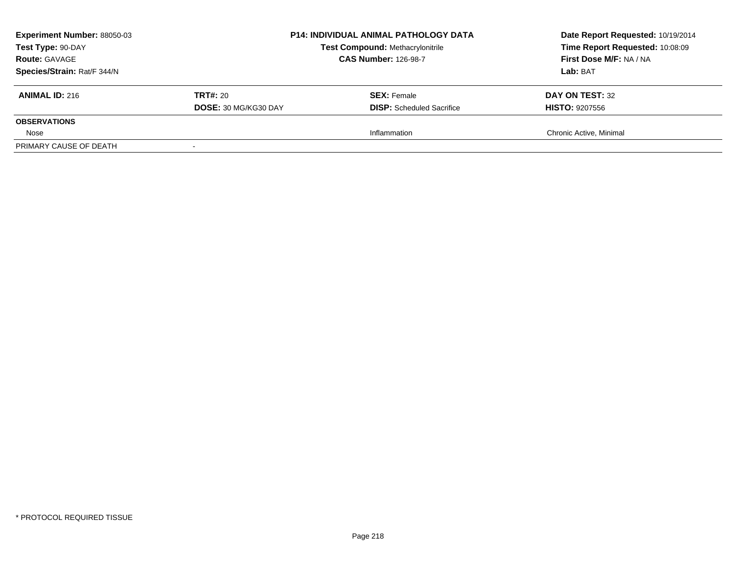| <b>Experiment Number: 88050-03</b><br>Test Type: 90-DAY<br><b>Route: GAVAGE</b><br>Species/Strain: Rat/F 344/N |                                         | <b>P14: INDIVIDUAL ANIMAL PATHOLOGY DATA</b><br><b>Test Compound: Methacrylonitrile</b><br><b>CAS Number: 126-98-7</b> | Date Report Requested: 10/19/2014<br>Time Report Requested: 10:08:09<br>First Dose M/F: NA / NA<br>Lab: BAT |
|----------------------------------------------------------------------------------------------------------------|-----------------------------------------|------------------------------------------------------------------------------------------------------------------------|-------------------------------------------------------------------------------------------------------------|
| <b>ANIMAL ID: 216</b>                                                                                          | <b>TRT#:</b> 20<br>DOSE: 30 MG/KG30 DAY | <b>SEX:</b> Female<br><b>DISP:</b> Scheduled Sacrifice                                                                 | DAY ON TEST: 32<br><b>HISTO: 9207556</b>                                                                    |
| <b>OBSERVATIONS</b>                                                                                            |                                         |                                                                                                                        |                                                                                                             |
| Nose                                                                                                           |                                         | Inflammation                                                                                                           | Chronic Active, Minimal                                                                                     |
| PRIMARY CAUSE OF DEATH                                                                                         |                                         |                                                                                                                        |                                                                                                             |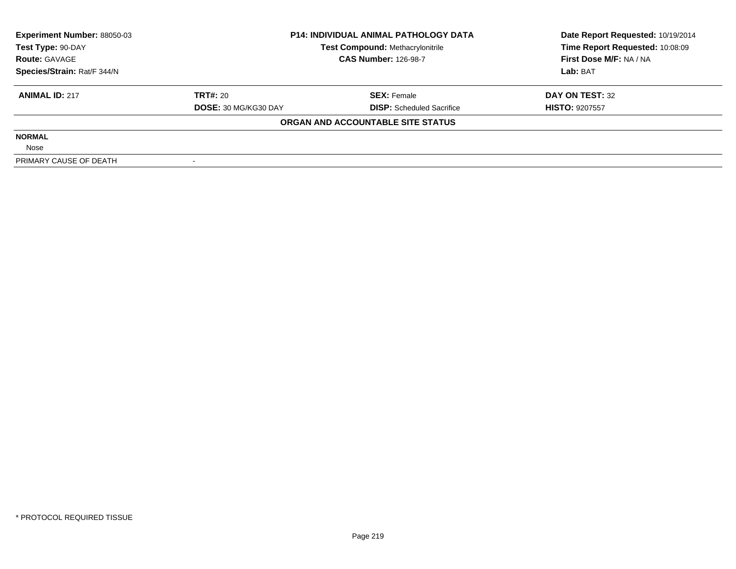| <b>Experiment Number: 88050-03</b> | <b>P14: INDIVIDUAL ANIMAL PATHOLOGY DATA</b> |                                         | Date Report Requested: 10/19/2014 |
|------------------------------------|----------------------------------------------|-----------------------------------------|-----------------------------------|
| Test Type: 90-DAY                  |                                              | <b>Test Compound: Methacrylonitrile</b> | Time Report Requested: 10:08:09   |
| <b>Route: GAVAGE</b>               |                                              | <b>CAS Number: 126-98-7</b>             | First Dose M/F: NA / NA           |
| Species/Strain: Rat/F 344/N        |                                              |                                         | Lab: BAT                          |
| <b>ANIMAL ID: 217</b>              | TRT#: 20                                     | <b>SEX: Female</b>                      | DAY ON TEST: 32                   |
|                                    | DOSE: 30 MG/KG30 DAY                         | <b>DISP:</b> Scheduled Sacrifice        | <b>HISTO: 9207557</b>             |
|                                    |                                              | ORGAN AND ACCOUNTABLE SITE STATUS       |                                   |
| <b>NORMAL</b>                      |                                              |                                         |                                   |
| Nose                               |                                              |                                         |                                   |
| PRIMARY CAUSE OF DEATH             |                                              |                                         |                                   |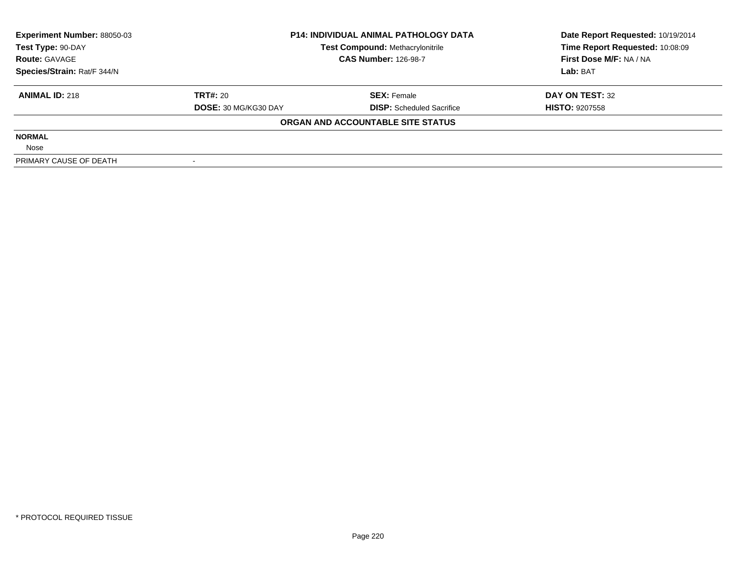| <b>Experiment Number: 88050-03</b> | <b>P14: INDIVIDUAL ANIMAL PATHOLOGY DATA</b><br><b>Test Compound: Methacrylonitrile</b> |                                   | Date Report Requested: 10/19/2014 |
|------------------------------------|-----------------------------------------------------------------------------------------|-----------------------------------|-----------------------------------|
| Test Type: 90-DAY                  |                                                                                         |                                   | Time Report Requested: 10:08:09   |
| <b>Route: GAVAGE</b>               |                                                                                         | <b>CAS Number: 126-98-7</b>       | First Dose M/F: NA / NA           |
| Species/Strain: Rat/F 344/N        |                                                                                         |                                   | Lab: BAT                          |
| <b>ANIMAL ID: 218</b>              | <b>TRT#: 20</b>                                                                         | <b>SEX: Female</b>                | DAY ON TEST: 32                   |
|                                    | <b>DOSE: 30 MG/KG30 DAY</b>                                                             | <b>DISP:</b> Scheduled Sacrifice  | <b>HISTO: 9207558</b>             |
|                                    |                                                                                         | ORGAN AND ACCOUNTABLE SITE STATUS |                                   |
| <b>NORMAL</b>                      |                                                                                         |                                   |                                   |
| Nose                               |                                                                                         |                                   |                                   |
| PRIMARY CAUSE OF DEATH             |                                                                                         |                                   |                                   |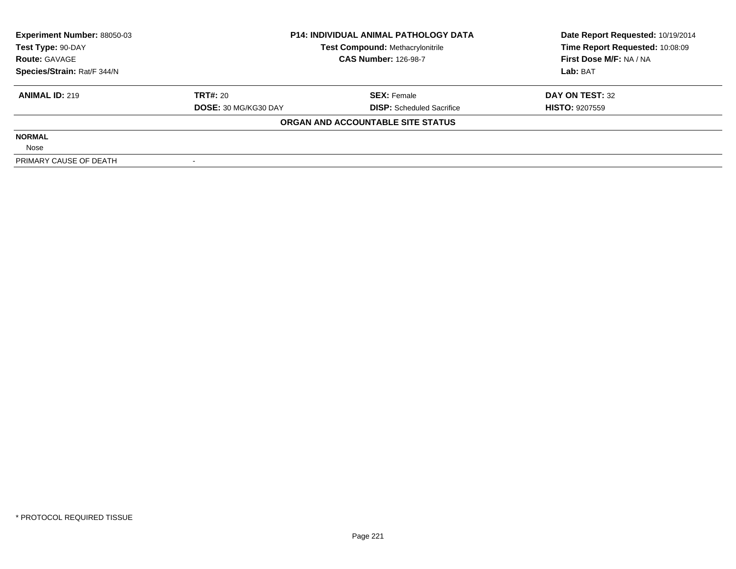| <b>Experiment Number: 88050-03</b> | <b>P14: INDIVIDUAL ANIMAL PATHOLOGY DATA</b> |                                         | Date Report Requested: 10/19/2014 |  |
|------------------------------------|----------------------------------------------|-----------------------------------------|-----------------------------------|--|
| Test Type: 90-DAY                  |                                              | <b>Test Compound: Methacrylonitrile</b> | Time Report Requested: 10:08:09   |  |
| <b>Route: GAVAGE</b>               |                                              | <b>CAS Number: 126-98-7</b>             | First Dose M/F: NA / NA           |  |
| Species/Strain: Rat/F 344/N        |                                              |                                         | Lab: BAT                          |  |
| <b>ANIMAL ID: 219</b>              | <b>TRT#: 20</b>                              | <b>SEX: Female</b>                      | DAY ON TEST: 32                   |  |
|                                    | <b>DOSE: 30 MG/KG30 DAY</b>                  | <b>DISP:</b> Scheduled Sacrifice        | <b>HISTO: 9207559</b>             |  |
|                                    |                                              | ORGAN AND ACCOUNTABLE SITE STATUS       |                                   |  |
| <b>NORMAL</b>                      |                                              |                                         |                                   |  |
| Nose                               |                                              |                                         |                                   |  |
| PRIMARY CAUSE OF DEATH             |                                              |                                         |                                   |  |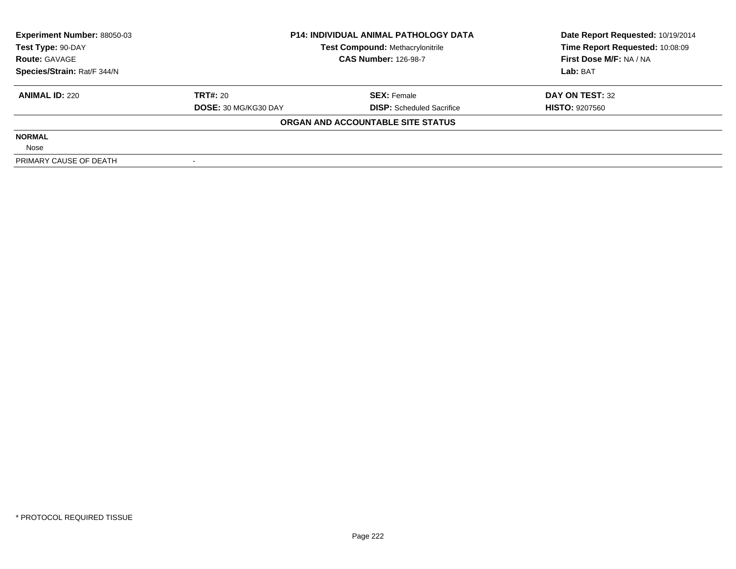| <b>Experiment Number: 88050-03</b> | <b>P14: INDIVIDUAL ANIMAL PATHOLOGY DATA</b> |                                         | Date Report Requested: 10/19/2014 |
|------------------------------------|----------------------------------------------|-----------------------------------------|-----------------------------------|
| Test Type: 90-DAY                  |                                              | <b>Test Compound: Methacrylonitrile</b> | Time Report Requested: 10:08:09   |
| <b>Route: GAVAGE</b>               |                                              | <b>CAS Number: 126-98-7</b>             | First Dose M/F: NA / NA           |
| Species/Strain: Rat/F 344/N        |                                              |                                         | Lab: BAT                          |
| <b>ANIMAL ID: 220</b>              | TRT#: 20                                     | <b>SEX: Female</b>                      | DAY ON TEST: 32                   |
|                                    | DOSE: 30 MG/KG30 DAY                         | <b>DISP:</b> Scheduled Sacrifice        | <b>HISTO: 9207560</b>             |
|                                    |                                              | ORGAN AND ACCOUNTABLE SITE STATUS       |                                   |
| <b>NORMAL</b>                      |                                              |                                         |                                   |
| Nose                               |                                              |                                         |                                   |
| PRIMARY CAUSE OF DEATH             |                                              |                                         |                                   |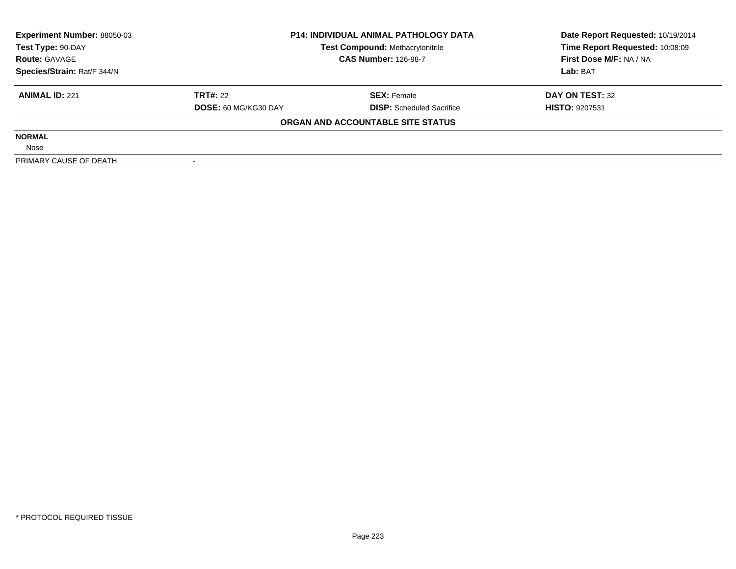| <b>Experiment Number: 88050-03</b> | <b>P14: INDIVIDUAL ANIMAL PATHOLOGY DATA</b> |                                         | Date Report Requested: 10/19/2014 |  |
|------------------------------------|----------------------------------------------|-----------------------------------------|-----------------------------------|--|
| Test Type: 90-DAY                  |                                              | <b>Test Compound: Methacrylonitrile</b> | Time Report Requested: 10:08:09   |  |
| <b>Route: GAVAGE</b>               |                                              | <b>CAS Number: 126-98-7</b>             | First Dose M/F: NA / NA           |  |
| Species/Strain: Rat/F 344/N        |                                              |                                         | Lab: BAT                          |  |
| <b>ANIMAL ID: 221</b>              | <b>TRT#: 22</b>                              | <b>SEX: Female</b>                      | DAY ON TEST: 32                   |  |
|                                    | <b>DOSE: 60 MG/KG30 DAY</b>                  | <b>DISP:</b> Scheduled Sacrifice        | <b>HISTO: 9207531</b>             |  |
|                                    |                                              | ORGAN AND ACCOUNTABLE SITE STATUS       |                                   |  |
| <b>NORMAL</b>                      |                                              |                                         |                                   |  |
| Nose                               |                                              |                                         |                                   |  |
| PRIMARY CAUSE OF DEATH             |                                              |                                         |                                   |  |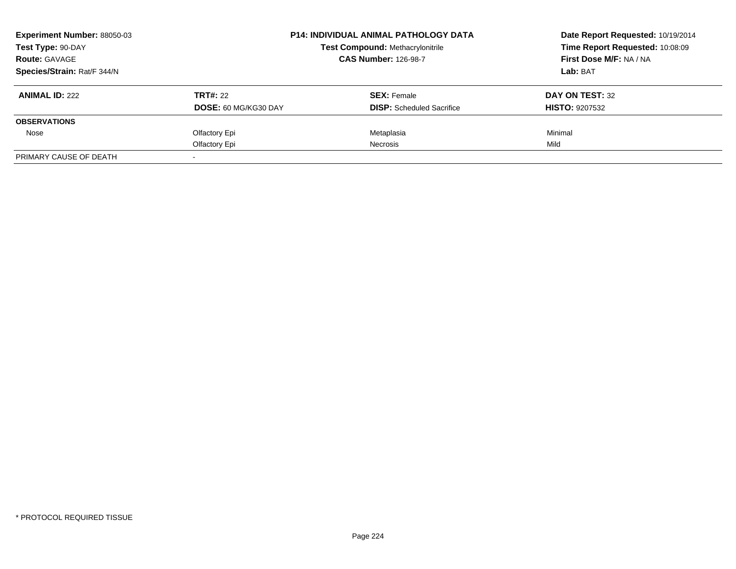| <b>Experiment Number: 88050-03</b> |                             | <b>P14: INDIVIDUAL ANIMAL PATHOLOGY DATA</b> | Date Report Requested: 10/19/2014<br>Time Report Requested: 10:08:09 |
|------------------------------------|-----------------------------|----------------------------------------------|----------------------------------------------------------------------|
| Test Type: 90-DAY                  |                             | <b>Test Compound: Methacrylonitrile</b>      |                                                                      |
| <b>Route: GAVAGE</b>               |                             | <b>CAS Number: 126-98-7</b>                  | First Dose M/F: NA / NA                                              |
| Species/Strain: Rat/F 344/N        |                             |                                              | Lab: BAT                                                             |
| <b>ANIMAL ID: 222</b>              | <b>TRT#: 22</b>             | <b>SEX: Female</b>                           | DAY ON TEST: 32                                                      |
|                                    | <b>DOSE: 60 MG/KG30 DAY</b> | <b>DISP:</b> Scheduled Sacrifice             | <b>HISTO: 9207532</b>                                                |
| <b>OBSERVATIONS</b>                |                             |                                              |                                                                      |
| Nose                               | Olfactory Epi               | Metaplasia                                   | Minimal                                                              |
|                                    | Olfactory Epi               | <b>Necrosis</b>                              | Mild                                                                 |
| PRIMARY CAUSE OF DEATH             |                             |                                              |                                                                      |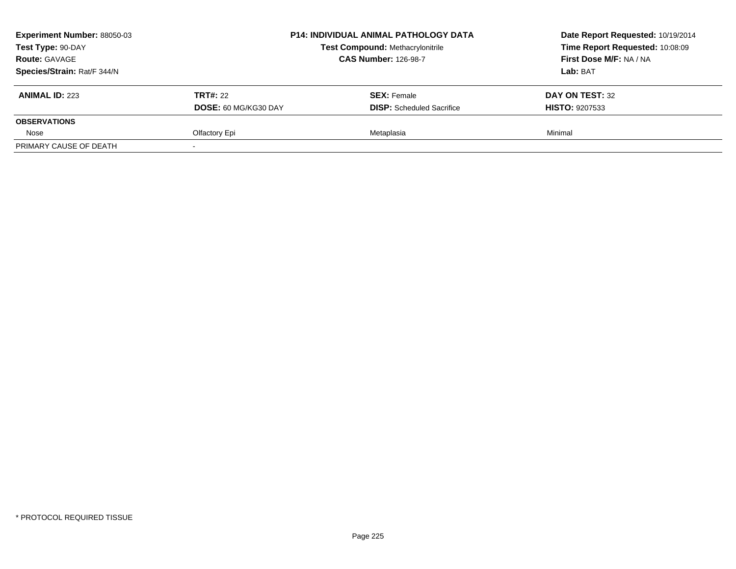| <b>Experiment Number: 88050-03</b> |                      | <b>P14: INDIVIDUAL ANIMAL PATHOLOGY DATA</b> | Date Report Requested: 10/19/2014<br>Time Report Requested: 10:08:09 |
|------------------------------------|----------------------|----------------------------------------------|----------------------------------------------------------------------|
| Test Type: 90-DAY                  |                      | <b>Test Compound: Methacrylonitrile</b>      |                                                                      |
| <b>Route: GAVAGE</b>               |                      | <b>CAS Number: 126-98-7</b>                  | First Dose M/F: NA / NA                                              |
| Species/Strain: Rat/F 344/N        |                      |                                              | <b>Lab:</b> BAT                                                      |
| <b>ANIMAL ID: 223</b>              | <b>TRT#: 22</b>      | <b>SEX: Female</b>                           | DAY ON TEST: 32                                                      |
|                                    | DOSE: 60 MG/KG30 DAY | <b>DISP:</b> Scheduled Sacrifice             | <b>HISTO: 9207533</b>                                                |
| <b>OBSERVATIONS</b>                |                      |                                              |                                                                      |
| Nose                               | Olfactory Epi        | Metaplasia                                   | Minimal                                                              |
| PRIMARY CAUSE OF DEATH             |                      |                                              |                                                                      |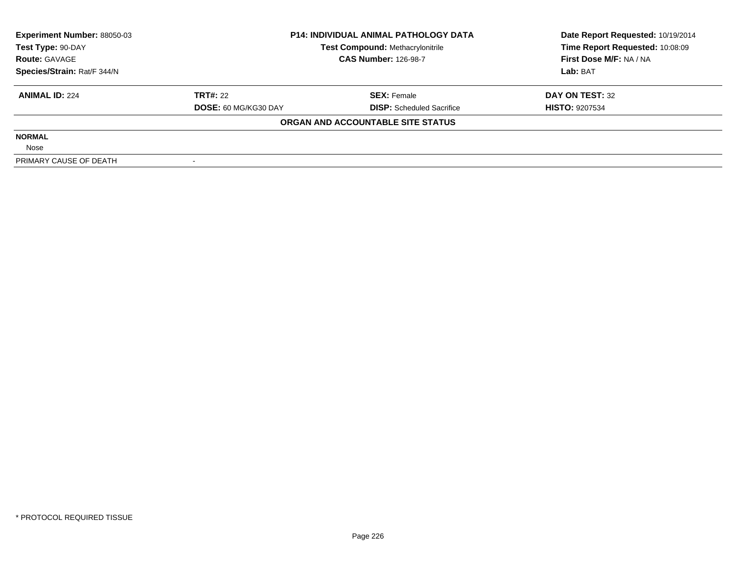| <b>Experiment Number: 88050-03</b> |                             | <b>P14: INDIVIDUAL ANIMAL PATHOLOGY DATA</b> | Date Report Requested: 10/19/2014 |  |
|------------------------------------|-----------------------------|----------------------------------------------|-----------------------------------|--|
| Test Type: 90-DAY                  |                             | <b>Test Compound: Methacrylonitrile</b>      | Time Report Requested: 10:08:09   |  |
| <b>Route: GAVAGE</b>               |                             | <b>CAS Number: 126-98-7</b>                  | First Dose M/F: NA / NA           |  |
| Species/Strain: Rat/F 344/N        |                             |                                              | Lab: BAT                          |  |
| <b>ANIMAL ID: 224</b>              | <b>TRT#: 22</b>             | <b>SEX: Female</b>                           | DAY ON TEST: 32                   |  |
|                                    | <b>DOSE: 60 MG/KG30 DAY</b> | <b>DISP:</b> Scheduled Sacrifice             | <b>HISTO: 9207534</b>             |  |
|                                    |                             | ORGAN AND ACCOUNTABLE SITE STATUS            |                                   |  |
| <b>NORMAL</b>                      |                             |                                              |                                   |  |
| Nose                               |                             |                                              |                                   |  |
| PRIMARY CAUSE OF DEATH             |                             |                                              |                                   |  |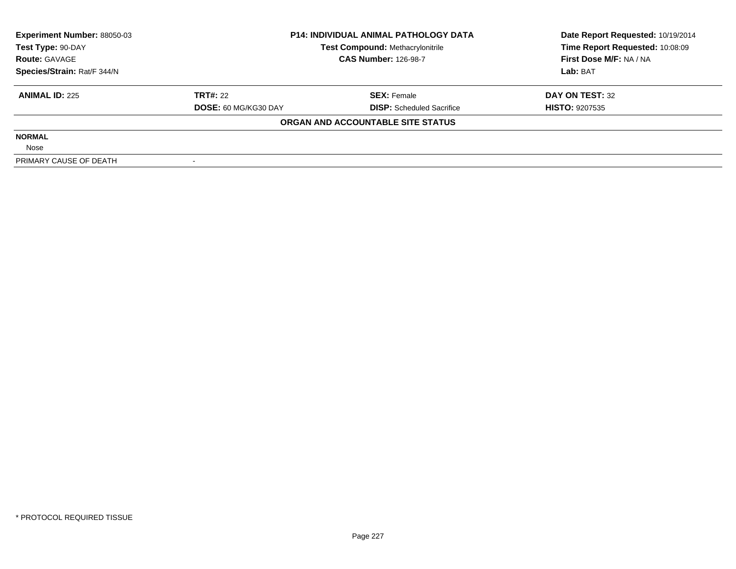| <b>Experiment Number: 88050-03</b> | <b>P14: INDIVIDUAL ANIMAL PATHOLOGY DATA</b> |                                         | Date Report Requested: 10/19/2014 |  |
|------------------------------------|----------------------------------------------|-----------------------------------------|-----------------------------------|--|
| Test Type: 90-DAY                  |                                              | <b>Test Compound: Methacrylonitrile</b> | Time Report Requested: 10:08:09   |  |
| <b>Route: GAVAGE</b>               |                                              | <b>CAS Number: 126-98-7</b>             | First Dose M/F: NA / NA           |  |
| Species/Strain: Rat/F 344/N        |                                              |                                         | Lab: BAT                          |  |
| <b>ANIMAL ID: 225</b>              | <b>TRT#: 22</b>                              | <b>SEX: Female</b>                      | DAY ON TEST: 32                   |  |
|                                    | <b>DOSE: 60 MG/KG30 DAY</b>                  | <b>DISP:</b> Scheduled Sacrifice        | <b>HISTO: 9207535</b>             |  |
|                                    |                                              | ORGAN AND ACCOUNTABLE SITE STATUS       |                                   |  |
| <b>NORMAL</b>                      |                                              |                                         |                                   |  |
| Nose                               |                                              |                                         |                                   |  |
| PRIMARY CAUSE OF DEATH             |                                              |                                         |                                   |  |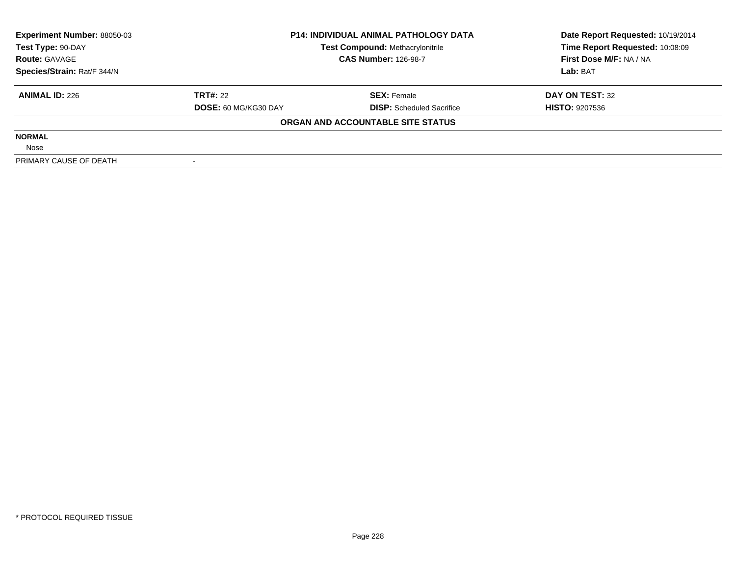| <b>Experiment Number: 88050-03</b><br><b>P14: INDIVIDUAL ANIMAL PATHOLOGY DATA</b> |                             | Date Report Requested: 10/19/2014       |                                 |
|------------------------------------------------------------------------------------|-----------------------------|-----------------------------------------|---------------------------------|
| Test Type: 90-DAY                                                                  |                             | <b>Test Compound: Methacrylonitrile</b> | Time Report Requested: 10:08:09 |
| <b>Route: GAVAGE</b>                                                               |                             | <b>CAS Number: 126-98-7</b>             | First Dose M/F: NA / NA         |
| Species/Strain: Rat/F 344/N                                                        |                             |                                         | Lab: BAT                        |
| <b>ANIMAL ID: 226</b>                                                              | <b>TRT#: 22</b>             | <b>SEX: Female</b>                      | DAY ON TEST: 32                 |
|                                                                                    | <b>DOSE: 60 MG/KG30 DAY</b> | <b>DISP:</b> Scheduled Sacrifice        | <b>HISTO: 9207536</b>           |
|                                                                                    |                             | ORGAN AND ACCOUNTABLE SITE STATUS       |                                 |
| <b>NORMAL</b>                                                                      |                             |                                         |                                 |
| Nose                                                                               |                             |                                         |                                 |
| PRIMARY CAUSE OF DEATH                                                             |                             |                                         |                                 |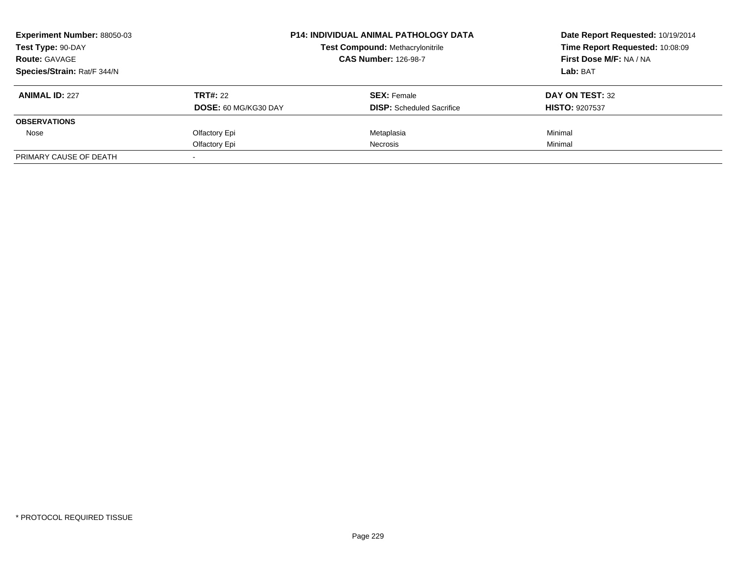| <b>Experiment Number: 88050-03</b> |                             | <b>P14: INDIVIDUAL ANIMAL PATHOLOGY DATA</b> | Date Report Requested: 10/19/2014<br>Time Report Requested: 10:08:09 |
|------------------------------------|-----------------------------|----------------------------------------------|----------------------------------------------------------------------|
| Test Type: 90-DAY                  |                             | <b>Test Compound: Methacrylonitrile</b>      |                                                                      |
| <b>Route: GAVAGE</b>               |                             | <b>CAS Number: 126-98-7</b>                  | First Dose M/F: NA / NA                                              |
| Species/Strain: Rat/F 344/N        |                             |                                              | <b>Lab: BAT</b>                                                      |
| <b>ANIMAL ID: 227</b>              | <b>TRT#: 22</b>             | <b>SEX: Female</b>                           | DAY ON TEST: 32                                                      |
|                                    | <b>DOSE: 60 MG/KG30 DAY</b> | <b>DISP:</b> Scheduled Sacrifice             | <b>HISTO: 9207537</b>                                                |
| <b>OBSERVATIONS</b>                |                             |                                              |                                                                      |
| Nose                               | Olfactory Epi               | Metaplasia                                   | Minimal                                                              |
|                                    | Olfactory Epi               | <b>Necrosis</b>                              | Minimal                                                              |
| PRIMARY CAUSE OF DEATH             |                             |                                              |                                                                      |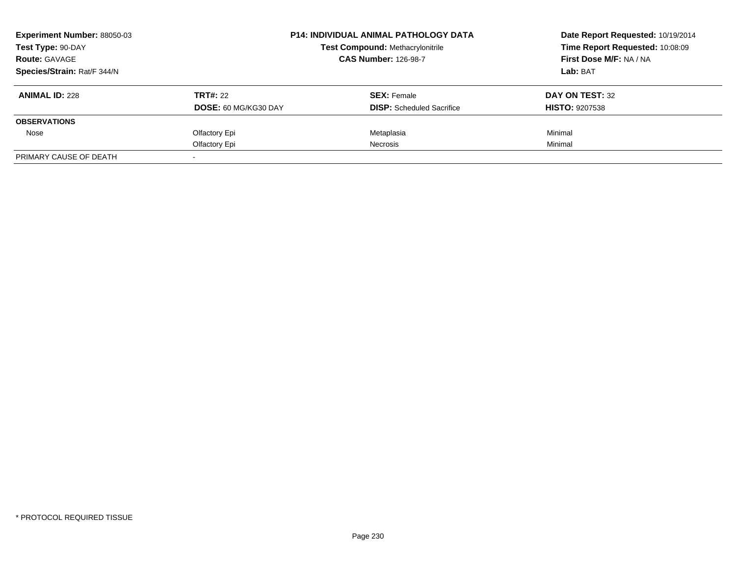| <b>Experiment Number: 88050-03</b> |                             | <b>P14: INDIVIDUAL ANIMAL PATHOLOGY DATA</b> | Date Report Requested: 10/19/2014<br>Time Report Requested: 10:08:09 |
|------------------------------------|-----------------------------|----------------------------------------------|----------------------------------------------------------------------|
| Test Type: 90-DAY                  |                             | <b>Test Compound: Methacrylonitrile</b>      |                                                                      |
| <b>Route: GAVAGE</b>               |                             | <b>CAS Number: 126-98-7</b>                  | First Dose M/F: NA / NA                                              |
| Species/Strain: Rat/F 344/N        |                             |                                              | <b>Lab: BAT</b>                                                      |
| <b>ANIMAL ID: 228</b>              | <b>TRT#: 22</b>             | <b>SEX: Female</b>                           | DAY ON TEST: 32                                                      |
|                                    | <b>DOSE: 60 MG/KG30 DAY</b> | <b>DISP:</b> Scheduled Sacrifice             | <b>HISTO: 9207538</b>                                                |
| <b>OBSERVATIONS</b>                |                             |                                              |                                                                      |
| Nose                               | Olfactory Epi               | Metaplasia                                   | Minimal                                                              |
|                                    | Olfactory Epi               | Necrosis                                     | Minimal                                                              |
| PRIMARY CAUSE OF DEATH             |                             |                                              |                                                                      |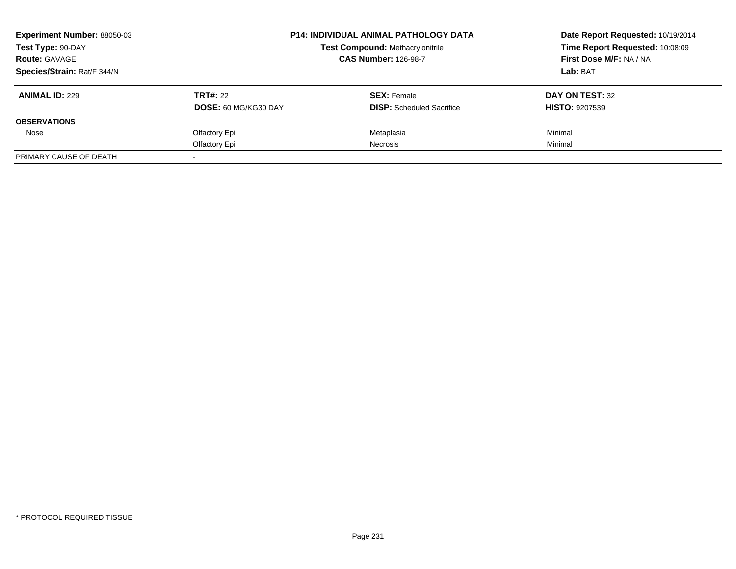| <b>Experiment Number: 88050-03</b> |                             | <b>P14: INDIVIDUAL ANIMAL PATHOLOGY DATA</b> | Date Report Requested: 10/19/2014<br>Time Report Requested: 10:08:09 |
|------------------------------------|-----------------------------|----------------------------------------------|----------------------------------------------------------------------|
| Test Type: 90-DAY                  |                             | <b>Test Compound: Methacrylonitrile</b>      |                                                                      |
| <b>Route: GAVAGE</b>               |                             | <b>CAS Number: 126-98-7</b>                  | First Dose M/F: NA / NA                                              |
| Species/Strain: Rat/F 344/N        |                             |                                              | <b>Lab: BAT</b>                                                      |
| <b>ANIMAL ID: 229</b>              | <b>TRT#: 22</b>             | <b>SEX: Female</b>                           | DAY ON TEST: 32                                                      |
|                                    | <b>DOSE: 60 MG/KG30 DAY</b> | <b>DISP:</b> Scheduled Sacrifice             | <b>HISTO: 9207539</b>                                                |
| <b>OBSERVATIONS</b>                |                             |                                              |                                                                      |
| Nose                               | Olfactory Epi               | Metaplasia                                   | Minimal                                                              |
|                                    | Olfactory Epi               | <b>Necrosis</b>                              | Minimal                                                              |
| PRIMARY CAUSE OF DEATH             |                             |                                              |                                                                      |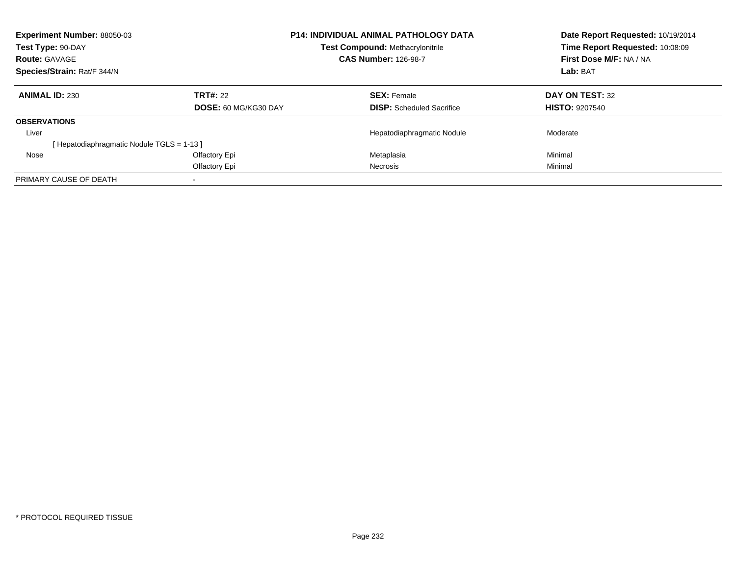| <b>Experiment Number: 88050-03</b><br>Test Type: 90-DAY |                             | <b>P14: INDIVIDUAL ANIMAL PATHOLOGY DATA</b><br><b>Test Compound: Methacrylonitrile</b> | Date Report Requested: 10/19/2014<br>Time Report Requested: 10:08:09 |  |
|---------------------------------------------------------|-----------------------------|-----------------------------------------------------------------------------------------|----------------------------------------------------------------------|--|
| <b>Route: GAVAGE</b>                                    |                             | <b>CAS Number: 126-98-7</b>                                                             | First Dose M/F: NA / NA                                              |  |
| Species/Strain: Rat/F 344/N                             |                             |                                                                                         | Lab: BAT                                                             |  |
| <b>ANIMAL ID: 230</b>                                   | <b>TRT#: 22</b>             | <b>SEX: Female</b>                                                                      | DAY ON TEST: 32                                                      |  |
|                                                         | <b>DOSE: 60 MG/KG30 DAY</b> | <b>DISP:</b> Scheduled Sacrifice                                                        | <b>HISTO: 9207540</b>                                                |  |
| <b>OBSERVATIONS</b>                                     |                             |                                                                                         |                                                                      |  |
| Liver                                                   |                             | Hepatodiaphragmatic Nodule                                                              | Moderate                                                             |  |
| [Hepatodiaphragmatic Nodule TGLS = 1-13]                |                             |                                                                                         |                                                                      |  |
| Nose                                                    | Olfactory Epi               | Metaplasia                                                                              | Minimal                                                              |  |
|                                                         | Olfactory Epi               | <b>Necrosis</b>                                                                         | Minimal                                                              |  |
| PRIMARY CAUSE OF DEATH                                  |                             |                                                                                         |                                                                      |  |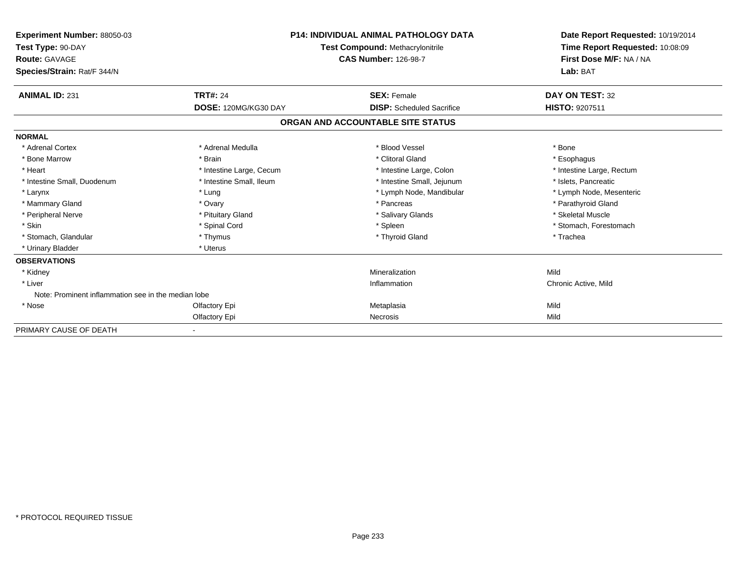| Experiment Number: 88050-03<br>Test Type: 90-DAY<br>Route: GAVAGE<br>Species/Strain: Rat/F 344/N | <b>P14: INDIVIDUAL ANIMAL PATHOLOGY DATA</b><br>Test Compound: Methacrylonitrile<br><b>CAS Number: 126-98-7</b> |                                   | Date Report Requested: 10/19/2014<br>Time Report Requested: 10:08:09<br>First Dose M/F: NA / NA<br>Lab: BAT |
|--------------------------------------------------------------------------------------------------|-----------------------------------------------------------------------------------------------------------------|-----------------------------------|-------------------------------------------------------------------------------------------------------------|
| <b>ANIMAL ID: 231</b>                                                                            | <b>TRT#: 24</b>                                                                                                 | <b>SEX: Female</b>                | DAY ON TEST: 32                                                                                             |
|                                                                                                  | DOSE: 120MG/KG30 DAY                                                                                            | <b>DISP:</b> Scheduled Sacrifice  | HISTO: 9207511                                                                                              |
|                                                                                                  |                                                                                                                 | ORGAN AND ACCOUNTABLE SITE STATUS |                                                                                                             |
| <b>NORMAL</b>                                                                                    |                                                                                                                 |                                   |                                                                                                             |
| * Adrenal Cortex                                                                                 | * Adrenal Medulla                                                                                               | * Blood Vessel                    | * Bone                                                                                                      |
| * Bone Marrow                                                                                    | * Brain                                                                                                         | * Clitoral Gland                  | * Esophagus                                                                                                 |
| * Heart                                                                                          | * Intestine Large, Cecum                                                                                        | * Intestine Large, Colon          | * Intestine Large, Rectum                                                                                   |
| * Intestine Small, Duodenum                                                                      | * Intestine Small, Ileum                                                                                        | * Intestine Small, Jejunum        | * Islets, Pancreatic                                                                                        |
| * Larynx                                                                                         | * Lung                                                                                                          | * Lymph Node, Mandibular          | * Lymph Node, Mesenteric                                                                                    |
| * Mammary Gland                                                                                  | * Ovary                                                                                                         | * Pancreas                        | * Parathyroid Gland                                                                                         |
| * Peripheral Nerve                                                                               | * Pituitary Gland                                                                                               | * Salivary Glands                 | * Skeletal Muscle                                                                                           |
| * Skin                                                                                           | * Spinal Cord                                                                                                   | * Spleen                          | * Stomach, Forestomach                                                                                      |
| * Stomach, Glandular                                                                             | * Thymus                                                                                                        | * Thyroid Gland                   | * Trachea                                                                                                   |
| * Urinary Bladder                                                                                | * Uterus                                                                                                        |                                   |                                                                                                             |
| <b>OBSERVATIONS</b>                                                                              |                                                                                                                 |                                   |                                                                                                             |
| * Kidney                                                                                         |                                                                                                                 | Mineralization                    | Mild                                                                                                        |
| * Liver                                                                                          |                                                                                                                 | Inflammation                      | Chronic Active, Mild                                                                                        |
| Note: Prominent inflammation see in the median lobe                                              |                                                                                                                 |                                   |                                                                                                             |
| * Nose                                                                                           | Olfactory Epi                                                                                                   | Metaplasia                        | Mild                                                                                                        |
|                                                                                                  | Olfactory Epi                                                                                                   | <b>Necrosis</b>                   | Mild                                                                                                        |
| PRIMARY CAUSE OF DEATH                                                                           |                                                                                                                 |                                   |                                                                                                             |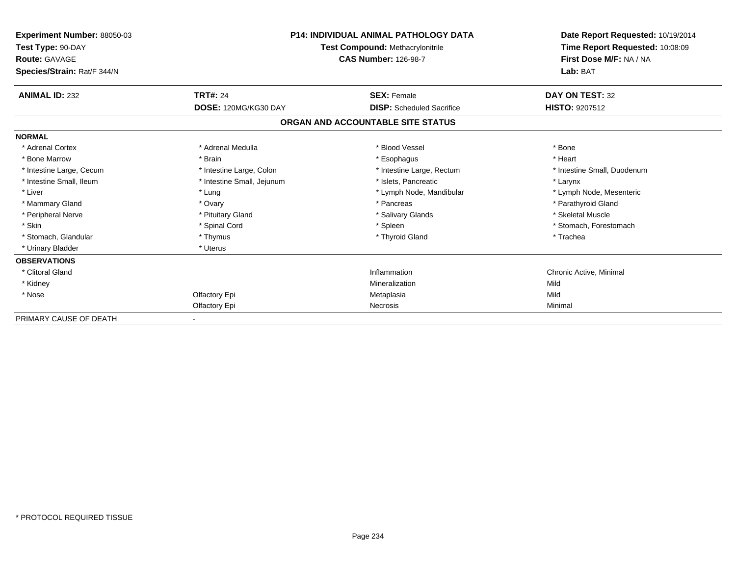| Experiment Number: 88050-03<br>Test Type: 90-DAY<br>Route: GAVAGE |                            | <b>P14: INDIVIDUAL ANIMAL PATHOLOGY DATA</b><br>Test Compound: Methacrylonitrile<br><b>CAS Number: 126-98-7</b> |                             |
|-------------------------------------------------------------------|----------------------------|-----------------------------------------------------------------------------------------------------------------|-----------------------------|
| Species/Strain: Rat/F 344/N                                       |                            |                                                                                                                 | Lab: BAT                    |
| <b>ANIMAL ID: 232</b>                                             | <b>TRT#: 24</b>            | <b>SEX: Female</b>                                                                                              | DAY ON TEST: 32             |
|                                                                   | DOSE: 120MG/KG30 DAY       | <b>DISP:</b> Scheduled Sacrifice                                                                                | <b>HISTO: 9207512</b>       |
|                                                                   |                            | ORGAN AND ACCOUNTABLE SITE STATUS                                                                               |                             |
| <b>NORMAL</b>                                                     |                            |                                                                                                                 |                             |
| * Adrenal Cortex                                                  | * Adrenal Medulla          | * Blood Vessel                                                                                                  | * Bone                      |
| * Bone Marrow                                                     | * Brain                    | * Esophagus                                                                                                     | * Heart                     |
| * Intestine Large, Cecum                                          | * Intestine Large, Colon   | * Intestine Large, Rectum                                                                                       | * Intestine Small, Duodenum |
| * Intestine Small, Ileum                                          | * Intestine Small, Jejunum | * Islets, Pancreatic                                                                                            | * Larynx                    |
| * Liver                                                           | * Lung                     | * Lymph Node, Mandibular                                                                                        | * Lymph Node, Mesenteric    |
| * Mammary Gland                                                   | * Ovary                    | * Pancreas                                                                                                      | * Parathyroid Gland         |
| * Peripheral Nerve                                                | * Pituitary Gland          | * Salivary Glands                                                                                               | * Skeletal Muscle           |
| * Skin                                                            | * Spinal Cord              | * Spleen                                                                                                        | * Stomach, Forestomach      |
| * Stomach, Glandular                                              | * Thymus                   | * Thyroid Gland                                                                                                 | * Trachea                   |
| * Urinary Bladder                                                 | * Uterus                   |                                                                                                                 |                             |
| <b>OBSERVATIONS</b>                                               |                            |                                                                                                                 |                             |
| * Clitoral Gland                                                  |                            | Inflammation                                                                                                    | Chronic Active, Minimal     |
| * Kidney                                                          |                            | Mineralization                                                                                                  | Mild                        |
| * Nose                                                            | Olfactory Epi              | Metaplasia                                                                                                      | Mild                        |
|                                                                   | Olfactory Epi              | Necrosis                                                                                                        | Minimal                     |
| PRIMARY CAUSE OF DEATH                                            |                            |                                                                                                                 |                             |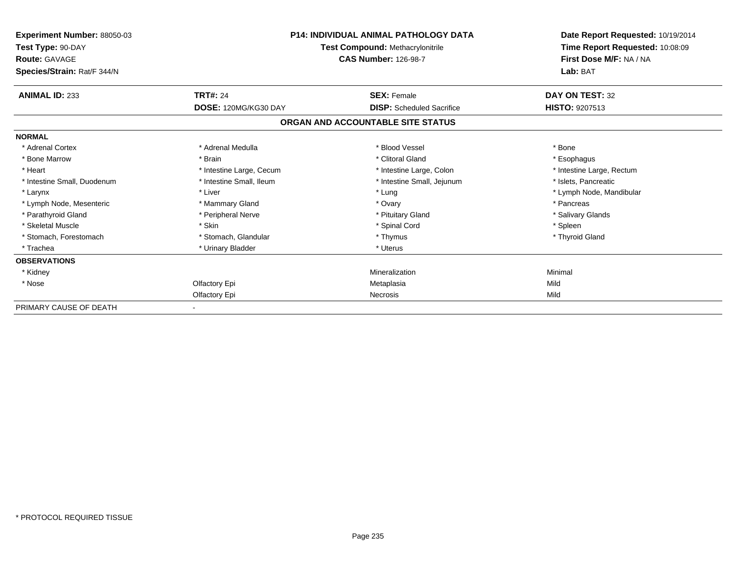| <b>Experiment Number: 88050-03</b><br>Test Type: 90-DAY<br>Route: GAVAGE<br>Species/Strain: Rat/F 344/N | <b>P14: INDIVIDUAL ANIMAL PATHOLOGY DATA</b><br>Test Compound: Methacrylonitrile<br><b>CAS Number: 126-98-7</b> |                                   | Date Report Requested: 10/19/2014<br>Time Report Requested: 10:08:09<br>First Dose M/F: NA / NA<br>Lab: BAT |  |
|---------------------------------------------------------------------------------------------------------|-----------------------------------------------------------------------------------------------------------------|-----------------------------------|-------------------------------------------------------------------------------------------------------------|--|
|                                                                                                         |                                                                                                                 |                                   |                                                                                                             |  |
| <b>ANIMAL ID: 233</b>                                                                                   | <b>TRT#: 24</b>                                                                                                 | <b>SEX: Female</b>                | DAY ON TEST: 32                                                                                             |  |
|                                                                                                         | DOSE: 120MG/KG30 DAY                                                                                            | <b>DISP:</b> Scheduled Sacrifice  | <b>HISTO: 9207513</b>                                                                                       |  |
|                                                                                                         |                                                                                                                 | ORGAN AND ACCOUNTABLE SITE STATUS |                                                                                                             |  |
| <b>NORMAL</b>                                                                                           |                                                                                                                 |                                   |                                                                                                             |  |
| * Adrenal Cortex                                                                                        | * Adrenal Medulla                                                                                               | * Blood Vessel                    | * Bone                                                                                                      |  |
| * Bone Marrow                                                                                           | * Brain                                                                                                         | * Clitoral Gland                  | * Esophagus                                                                                                 |  |
| * Heart                                                                                                 | * Intestine Large, Cecum                                                                                        | * Intestine Large, Colon          | * Intestine Large, Rectum                                                                                   |  |
| * Intestine Small, Duodenum                                                                             | * Intestine Small, Ileum                                                                                        | * Intestine Small, Jejunum        | * Islets, Pancreatic                                                                                        |  |
| * Larynx                                                                                                | * Liver                                                                                                         | * Lung                            | * Lymph Node, Mandibular                                                                                    |  |
| * Lymph Node, Mesenteric                                                                                | * Mammary Gland                                                                                                 | * Ovary                           | * Pancreas                                                                                                  |  |
| * Parathyroid Gland                                                                                     | * Peripheral Nerve                                                                                              | * Pituitary Gland                 | * Salivary Glands                                                                                           |  |
| * Skeletal Muscle                                                                                       | * Skin                                                                                                          | * Spinal Cord                     | * Spleen                                                                                                    |  |
| * Stomach, Forestomach                                                                                  | * Stomach, Glandular                                                                                            | * Thymus                          | * Thyroid Gland                                                                                             |  |
| * Trachea                                                                                               | * Urinary Bladder                                                                                               | * Uterus                          |                                                                                                             |  |
| <b>OBSERVATIONS</b>                                                                                     |                                                                                                                 |                                   |                                                                                                             |  |
| * Kidney                                                                                                |                                                                                                                 | Mineralization                    | Minimal                                                                                                     |  |
| * Nose                                                                                                  | Olfactory Epi                                                                                                   | Metaplasia                        | Mild                                                                                                        |  |
|                                                                                                         | Olfactory Epi                                                                                                   | <b>Necrosis</b>                   | Mild                                                                                                        |  |
| PRIMARY CAUSE OF DEATH                                                                                  |                                                                                                                 |                                   |                                                                                                             |  |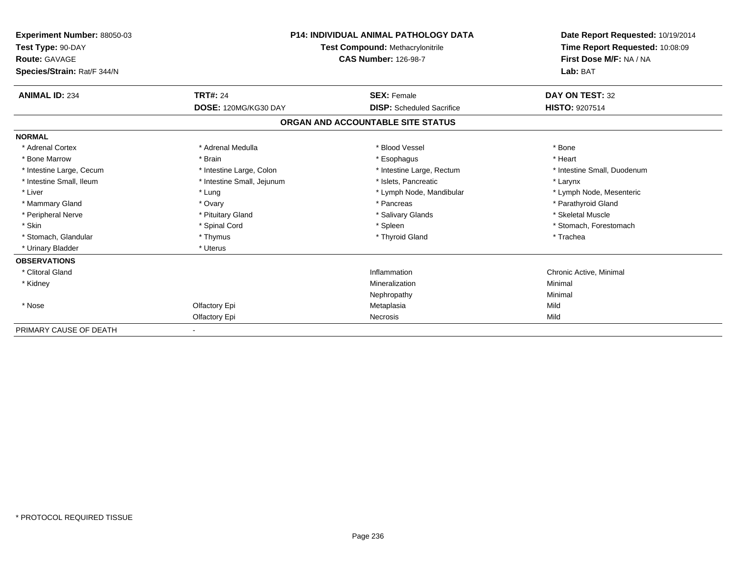| Experiment Number: 88050-03<br>Test Type: 90-DAY<br>Route: GAVAGE<br>Species/Strain: Rat/F 344/N | <b>P14: INDIVIDUAL ANIMAL PATHOLOGY DATA</b><br>Test Compound: Methacrylonitrile<br><b>CAS Number: 126-98-7</b> |                                   | Date Report Requested: 10/19/2014<br>Time Report Requested: 10:08:09<br>First Dose M/F: NA / NA<br>Lab: BAT |
|--------------------------------------------------------------------------------------------------|-----------------------------------------------------------------------------------------------------------------|-----------------------------------|-------------------------------------------------------------------------------------------------------------|
| <b>ANIMAL ID: 234</b>                                                                            | <b>TRT#: 24</b>                                                                                                 | <b>SEX: Female</b>                | DAY ON TEST: 32                                                                                             |
|                                                                                                  | DOSE: 120MG/KG30 DAY                                                                                            | <b>DISP:</b> Scheduled Sacrifice  | HISTO: 9207514                                                                                              |
|                                                                                                  |                                                                                                                 | ORGAN AND ACCOUNTABLE SITE STATUS |                                                                                                             |
| <b>NORMAL</b>                                                                                    |                                                                                                                 |                                   |                                                                                                             |
| * Adrenal Cortex                                                                                 | * Adrenal Medulla                                                                                               | * Blood Vessel                    | * Bone                                                                                                      |
| * Bone Marrow                                                                                    | * Brain                                                                                                         | * Esophagus                       | * Heart                                                                                                     |
| * Intestine Large, Cecum                                                                         | * Intestine Large, Colon                                                                                        | * Intestine Large, Rectum         | * Intestine Small, Duodenum                                                                                 |
| * Intestine Small, Ileum                                                                         | * Intestine Small, Jejunum                                                                                      | * Islets, Pancreatic              | * Larynx                                                                                                    |
| * Liver                                                                                          | * Lung                                                                                                          | * Lymph Node, Mandibular          | * Lymph Node, Mesenteric                                                                                    |
| * Mammary Gland                                                                                  | * Ovary                                                                                                         | * Pancreas                        | * Parathyroid Gland                                                                                         |
| * Peripheral Nerve                                                                               | * Pituitary Gland                                                                                               | * Salivary Glands                 | * Skeletal Muscle                                                                                           |
| * Skin                                                                                           | * Spinal Cord                                                                                                   | * Spleen                          | * Stomach, Forestomach                                                                                      |
| * Stomach, Glandular                                                                             | * Thymus                                                                                                        | * Thyroid Gland                   | * Trachea                                                                                                   |
| * Urinary Bladder                                                                                | * Uterus                                                                                                        |                                   |                                                                                                             |
| <b>OBSERVATIONS</b>                                                                              |                                                                                                                 |                                   |                                                                                                             |
| * Clitoral Gland                                                                                 |                                                                                                                 | Inflammation                      | Chronic Active, Minimal                                                                                     |
| * Kidney                                                                                         |                                                                                                                 | Mineralization                    | Minimal                                                                                                     |
|                                                                                                  |                                                                                                                 | Nephropathy                       | Minimal                                                                                                     |
| * Nose                                                                                           | Olfactory Epi                                                                                                   | Metaplasia                        | Mild                                                                                                        |
|                                                                                                  | Olfactory Epi                                                                                                   | Necrosis                          | Mild                                                                                                        |
| PRIMARY CAUSE OF DEATH                                                                           |                                                                                                                 |                                   |                                                                                                             |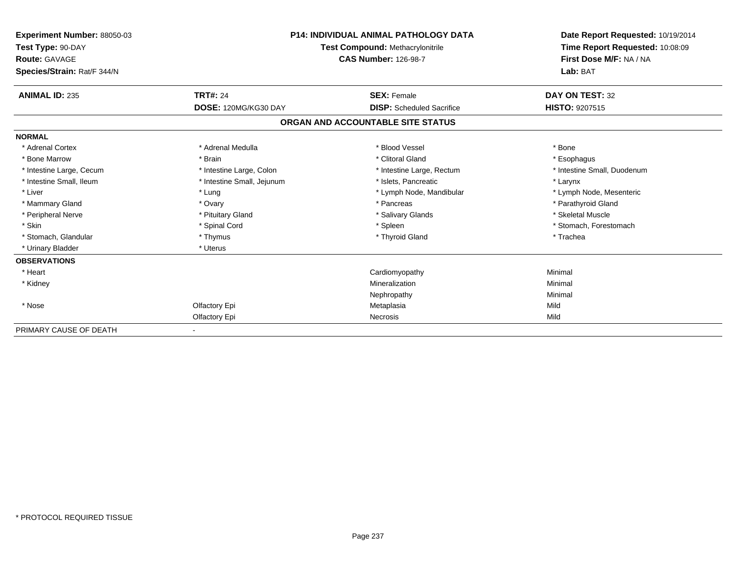| <b>Experiment Number: 88050-03</b><br>Test Type: 90-DAY<br>Route: GAVAGE<br>Species/Strain: Rat/F 344/N | <b>P14: INDIVIDUAL ANIMAL PATHOLOGY DATA</b><br>Test Compound: Methacrylonitrile<br><b>CAS Number: 126-98-7</b> |                                   | Date Report Requested: 10/19/2014<br>Time Report Requested: 10:08:09<br>First Dose M/F: NA / NA<br>Lab: BAT |
|---------------------------------------------------------------------------------------------------------|-----------------------------------------------------------------------------------------------------------------|-----------------------------------|-------------------------------------------------------------------------------------------------------------|
| <b>ANIMAL ID: 235</b>                                                                                   | <b>TRT#: 24</b>                                                                                                 | <b>SEX: Female</b>                | DAY ON TEST: 32                                                                                             |
|                                                                                                         | DOSE: 120MG/KG30 DAY                                                                                            | <b>DISP:</b> Scheduled Sacrifice  | HISTO: 9207515                                                                                              |
|                                                                                                         |                                                                                                                 | ORGAN AND ACCOUNTABLE SITE STATUS |                                                                                                             |
| <b>NORMAL</b>                                                                                           |                                                                                                                 |                                   |                                                                                                             |
| * Adrenal Cortex                                                                                        | * Adrenal Medulla                                                                                               | * Blood Vessel                    | * Bone                                                                                                      |
| * Bone Marrow                                                                                           | * Brain                                                                                                         | * Clitoral Gland                  | * Esophagus                                                                                                 |
| * Intestine Large, Cecum                                                                                | * Intestine Large, Colon                                                                                        | * Intestine Large, Rectum         | * Intestine Small, Duodenum                                                                                 |
| * Intestine Small, Ileum                                                                                | * Intestine Small, Jejunum                                                                                      | * Islets, Pancreatic              | * Larynx                                                                                                    |
| * Liver                                                                                                 | * Lung                                                                                                          | * Lymph Node, Mandibular          | * Lymph Node, Mesenteric                                                                                    |
| * Mammary Gland                                                                                         | * Ovary                                                                                                         | * Pancreas                        | * Parathyroid Gland                                                                                         |
| * Peripheral Nerve                                                                                      | * Pituitary Gland                                                                                               | * Salivary Glands                 | * Skeletal Muscle                                                                                           |
| * Skin                                                                                                  | * Spinal Cord                                                                                                   | * Spleen                          | * Stomach, Forestomach                                                                                      |
| * Stomach, Glandular                                                                                    | * Thymus                                                                                                        | * Thyroid Gland                   | * Trachea                                                                                                   |
| * Urinary Bladder                                                                                       | * Uterus                                                                                                        |                                   |                                                                                                             |
| <b>OBSERVATIONS</b>                                                                                     |                                                                                                                 |                                   |                                                                                                             |
| * Heart                                                                                                 |                                                                                                                 | Cardiomyopathy                    | Minimal                                                                                                     |
| * Kidney                                                                                                |                                                                                                                 | Mineralization                    | Minimal                                                                                                     |
|                                                                                                         |                                                                                                                 | Nephropathy                       | Minimal                                                                                                     |
| * Nose                                                                                                  | Olfactory Epi                                                                                                   | Metaplasia                        | Mild                                                                                                        |
|                                                                                                         | Olfactory Epi                                                                                                   | Necrosis                          | Mild                                                                                                        |
| PRIMARY CAUSE OF DEATH                                                                                  |                                                                                                                 |                                   |                                                                                                             |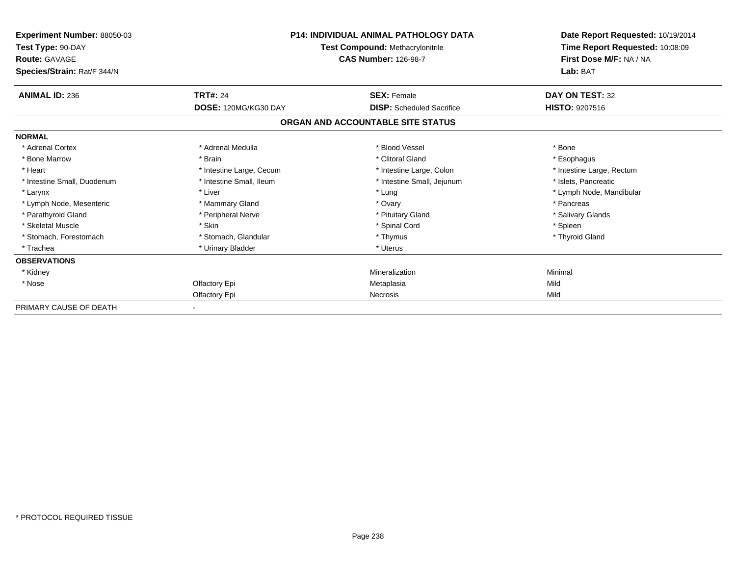| <b>Experiment Number: 88050-03</b><br>Test Type: 90-DAY<br>Route: GAVAGE | <b>P14: INDIVIDUAL ANIMAL PATHOLOGY DATA</b><br>Test Compound: Methacrylonitrile<br><b>CAS Number: 126-98-7</b> |                                   | Date Report Requested: 10/19/2014<br>Time Report Requested: 10:08:09<br>First Dose M/F: NA / NA |  |
|--------------------------------------------------------------------------|-----------------------------------------------------------------------------------------------------------------|-----------------------------------|-------------------------------------------------------------------------------------------------|--|
| Species/Strain: Rat/F 344/N                                              |                                                                                                                 |                                   | Lab: BAT                                                                                        |  |
| <b>ANIMAL ID: 236</b>                                                    | <b>TRT#: 24</b>                                                                                                 | <b>SEX: Female</b>                | DAY ON TEST: 32                                                                                 |  |
|                                                                          | DOSE: 120MG/KG30 DAY                                                                                            | <b>DISP:</b> Scheduled Sacrifice  | HISTO: 9207516                                                                                  |  |
|                                                                          |                                                                                                                 | ORGAN AND ACCOUNTABLE SITE STATUS |                                                                                                 |  |
| <b>NORMAL</b>                                                            |                                                                                                                 |                                   |                                                                                                 |  |
| * Adrenal Cortex                                                         | * Adrenal Medulla                                                                                               | * Blood Vessel                    | * Bone                                                                                          |  |
| * Bone Marrow                                                            | * Brain                                                                                                         | * Clitoral Gland                  | * Esophagus                                                                                     |  |
| * Heart                                                                  | * Intestine Large, Cecum                                                                                        | * Intestine Large, Colon          | * Intestine Large, Rectum                                                                       |  |
| * Intestine Small, Duodenum                                              | * Intestine Small, Ileum                                                                                        | * Intestine Small, Jejunum        | * Islets, Pancreatic                                                                            |  |
| * Larynx                                                                 | * Liver                                                                                                         | * Lung                            | * Lymph Node, Mandibular                                                                        |  |
| * Lymph Node, Mesenteric                                                 | * Mammary Gland                                                                                                 | * Ovary                           | * Pancreas                                                                                      |  |
| * Parathyroid Gland                                                      | * Peripheral Nerve                                                                                              | * Pituitary Gland                 | * Salivary Glands                                                                               |  |
| * Skeletal Muscle                                                        | * Skin                                                                                                          | * Spinal Cord                     | * Spleen                                                                                        |  |
| * Stomach, Forestomach                                                   | * Stomach, Glandular                                                                                            | * Thymus                          | * Thyroid Gland                                                                                 |  |
| * Trachea                                                                | * Urinary Bladder                                                                                               | * Uterus                          |                                                                                                 |  |
| <b>OBSERVATIONS</b>                                                      |                                                                                                                 |                                   |                                                                                                 |  |
| * Kidney                                                                 |                                                                                                                 | Mineralization                    | Minimal                                                                                         |  |
| * Nose                                                                   | Olfactory Epi                                                                                                   | Metaplasia                        | Mild                                                                                            |  |
|                                                                          | Olfactory Epi                                                                                                   | Necrosis                          | Mild                                                                                            |  |
| PRIMARY CAUSE OF DEATH                                                   |                                                                                                                 |                                   |                                                                                                 |  |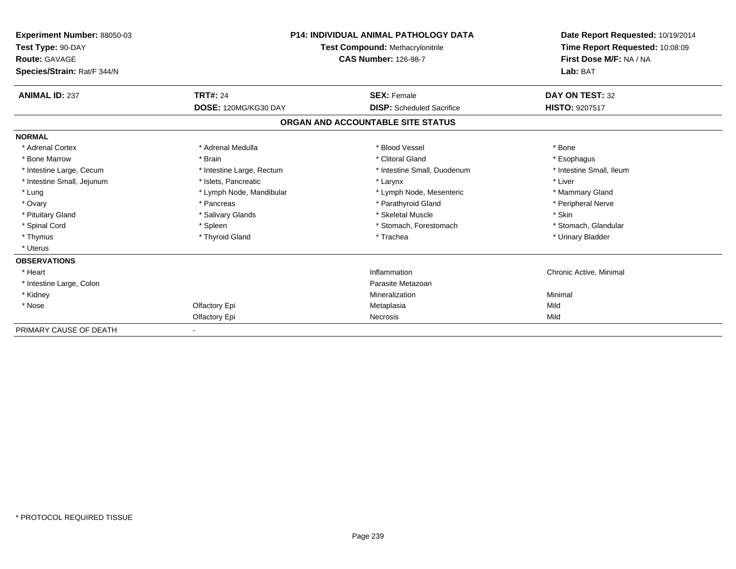| Experiment Number: 88050-03<br>Test Type: 90-DAY<br><b>Route: GAVAGE</b><br>Species/Strain: Rat/F 344/N | <b>P14: INDIVIDUAL ANIMAL PATHOLOGY DATA</b><br><b>Test Compound: Methacrylonitrile</b><br><b>CAS Number: 126-98-7</b> |                                   | Date Report Requested: 10/19/2014<br>Time Report Requested: 10:08:09<br>First Dose M/F: NA / NA<br>Lab: BAT |
|---------------------------------------------------------------------------------------------------------|------------------------------------------------------------------------------------------------------------------------|-----------------------------------|-------------------------------------------------------------------------------------------------------------|
| <b>ANIMAL ID: 237</b>                                                                                   | <b>TRT#: 24</b>                                                                                                        | <b>SEX: Female</b>                | DAY ON TEST: 32                                                                                             |
|                                                                                                         | DOSE: 120MG/KG30 DAY                                                                                                   | <b>DISP:</b> Scheduled Sacrifice  | HISTO: 9207517                                                                                              |
|                                                                                                         |                                                                                                                        | ORGAN AND ACCOUNTABLE SITE STATUS |                                                                                                             |
| <b>NORMAL</b>                                                                                           |                                                                                                                        |                                   |                                                                                                             |
| * Adrenal Cortex                                                                                        | * Adrenal Medulla                                                                                                      | * Blood Vessel                    | * Bone                                                                                                      |
| * Bone Marrow                                                                                           | * Brain                                                                                                                | * Clitoral Gland                  | * Esophagus                                                                                                 |
| * Intestine Large, Cecum                                                                                | * Intestine Large, Rectum                                                                                              | * Intestine Small, Duodenum       | * Intestine Small, Ileum                                                                                    |
| * Intestine Small, Jejunum                                                                              | * Islets, Pancreatic                                                                                                   | * Larynx                          | * Liver                                                                                                     |
| * Lung                                                                                                  | * Lymph Node, Mandibular                                                                                               | * Lymph Node, Mesenteric          | * Mammary Gland                                                                                             |
| * Ovary                                                                                                 | * Pancreas                                                                                                             | * Parathyroid Gland               | * Peripheral Nerve                                                                                          |
| * Pituitary Gland                                                                                       | * Salivary Glands                                                                                                      | * Skeletal Muscle                 | * Skin                                                                                                      |
| * Spinal Cord                                                                                           | * Spleen                                                                                                               | * Stomach, Forestomach            | * Stomach, Glandular                                                                                        |
| * Thymus                                                                                                | * Thyroid Gland                                                                                                        | * Trachea                         | * Urinary Bladder                                                                                           |
| * Uterus                                                                                                |                                                                                                                        |                                   |                                                                                                             |
| <b>OBSERVATIONS</b>                                                                                     |                                                                                                                        |                                   |                                                                                                             |
| * Heart                                                                                                 |                                                                                                                        | Inflammation                      | Chronic Active, Minimal                                                                                     |
| * Intestine Large, Colon                                                                                |                                                                                                                        | Parasite Metazoan                 |                                                                                                             |
| * Kidney                                                                                                |                                                                                                                        | Mineralization                    | Minimal                                                                                                     |
| * Nose                                                                                                  | Olfactory Epi                                                                                                          | Metaplasia                        | Mild                                                                                                        |
|                                                                                                         | Olfactory Epi                                                                                                          | Necrosis                          | Mild                                                                                                        |
| PRIMARY CAUSE OF DEATH                                                                                  |                                                                                                                        |                                   |                                                                                                             |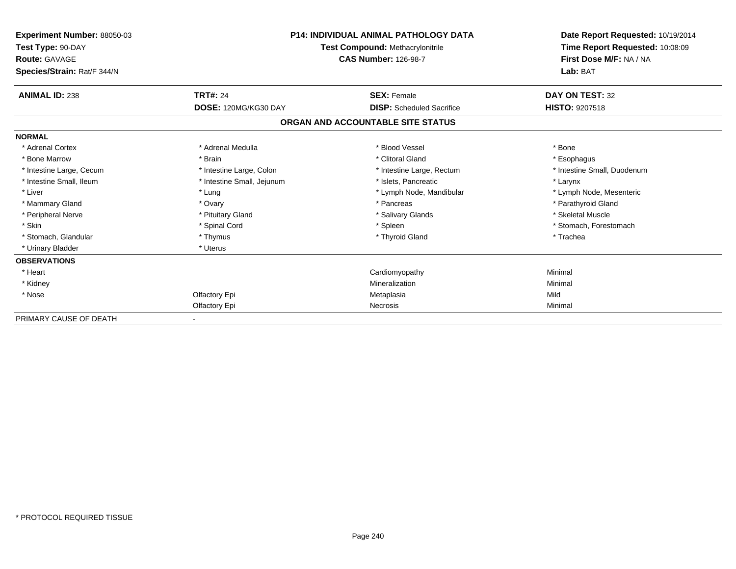| <b>Experiment Number: 88050-03</b><br>Test Type: 90-DAY<br><b>Route: GAVAGE</b> |                            | <b>P14: INDIVIDUAL ANIMAL PATHOLOGY DATA</b><br><b>Test Compound: Methacrylonitrile</b><br><b>CAS Number: 126-98-7</b> | Date Report Requested: 10/19/2014<br>Time Report Requested: 10:08:09<br>First Dose M/F: NA / NA |  |
|---------------------------------------------------------------------------------|----------------------------|------------------------------------------------------------------------------------------------------------------------|-------------------------------------------------------------------------------------------------|--|
| Species/Strain: Rat/F 344/N                                                     |                            |                                                                                                                        | Lab: BAT                                                                                        |  |
| <b>ANIMAL ID: 238</b>                                                           | <b>TRT#: 24</b>            | <b>SEX: Female</b>                                                                                                     | DAY ON TEST: 32                                                                                 |  |
|                                                                                 | DOSE: 120MG/KG30 DAY       | <b>DISP:</b> Scheduled Sacrifice                                                                                       | <b>HISTO: 9207518</b>                                                                           |  |
|                                                                                 |                            | ORGAN AND ACCOUNTABLE SITE STATUS                                                                                      |                                                                                                 |  |
| <b>NORMAL</b>                                                                   |                            |                                                                                                                        |                                                                                                 |  |
| * Adrenal Cortex                                                                | * Adrenal Medulla          | * Blood Vessel                                                                                                         | * Bone                                                                                          |  |
| * Bone Marrow                                                                   | * Brain                    | * Clitoral Gland                                                                                                       | * Esophagus                                                                                     |  |
| * Intestine Large, Cecum                                                        | * Intestine Large, Colon   | * Intestine Large, Rectum                                                                                              | * Intestine Small, Duodenum                                                                     |  |
| * Intestine Small, Ileum                                                        | * Intestine Small, Jejunum | * Islets, Pancreatic                                                                                                   | * Larynx                                                                                        |  |
| * Liver                                                                         | * Lung                     | * Lymph Node, Mandibular                                                                                               | * Lymph Node, Mesenteric                                                                        |  |
| * Mammary Gland                                                                 | * Ovary                    | * Pancreas                                                                                                             | * Parathyroid Gland                                                                             |  |
| * Peripheral Nerve                                                              | * Pituitary Gland          | * Salivary Glands                                                                                                      | * Skeletal Muscle                                                                               |  |
| * Skin                                                                          | * Spinal Cord              | * Spleen                                                                                                               | * Stomach, Forestomach                                                                          |  |
| * Stomach, Glandular                                                            | * Thymus                   | * Thyroid Gland                                                                                                        | * Trachea                                                                                       |  |
| * Urinary Bladder                                                               | * Uterus                   |                                                                                                                        |                                                                                                 |  |
| <b>OBSERVATIONS</b>                                                             |                            |                                                                                                                        |                                                                                                 |  |
| * Heart                                                                         |                            | Cardiomyopathy                                                                                                         | Minimal                                                                                         |  |
| * Kidney                                                                        |                            | Mineralization                                                                                                         | Minimal                                                                                         |  |
| * Nose                                                                          | Olfactory Epi              | Metaplasia                                                                                                             | Mild                                                                                            |  |
|                                                                                 | Olfactory Epi              | Necrosis                                                                                                               | Minimal                                                                                         |  |
| PRIMARY CAUSE OF DEATH                                                          |                            |                                                                                                                        |                                                                                                 |  |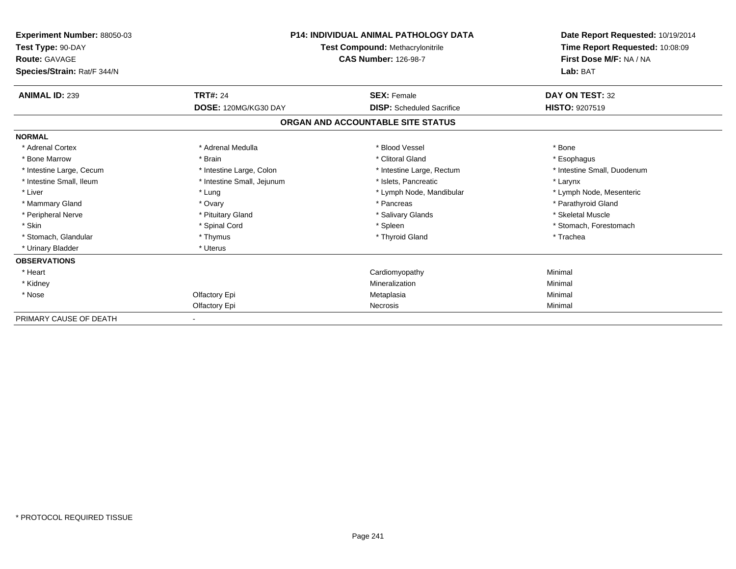| <b>Experiment Number: 88050-03</b><br>Test Type: 90-DAY<br><b>Route: GAVAGE</b> | <b>P14: INDIVIDUAL ANIMAL PATHOLOGY DATA</b><br><b>Test Compound: Methacrylonitrile</b><br><b>CAS Number: 126-98-7</b> |                                   | Date Report Requested: 10/19/2014<br>Time Report Requested: 10:08:09<br>First Dose M/F: NA / NA<br>Lab: BAT |
|---------------------------------------------------------------------------------|------------------------------------------------------------------------------------------------------------------------|-----------------------------------|-------------------------------------------------------------------------------------------------------------|
| Species/Strain: Rat/F 344/N                                                     |                                                                                                                        |                                   |                                                                                                             |
| <b>ANIMAL ID: 239</b>                                                           | <b>TRT#: 24</b>                                                                                                        | <b>SEX: Female</b>                | DAY ON TEST: 32                                                                                             |
|                                                                                 | DOSE: 120MG/KG30 DAY                                                                                                   | <b>DISP:</b> Scheduled Sacrifice  | <b>HISTO: 9207519</b>                                                                                       |
|                                                                                 |                                                                                                                        | ORGAN AND ACCOUNTABLE SITE STATUS |                                                                                                             |
| <b>NORMAL</b>                                                                   |                                                                                                                        |                                   |                                                                                                             |
| * Adrenal Cortex                                                                | * Adrenal Medulla                                                                                                      | * Blood Vessel                    | * Bone                                                                                                      |
| * Bone Marrow                                                                   | * Brain                                                                                                                | * Clitoral Gland                  | * Esophagus                                                                                                 |
| * Intestine Large, Cecum                                                        | * Intestine Large, Colon                                                                                               | * Intestine Large, Rectum         | * Intestine Small, Duodenum                                                                                 |
| * Intestine Small, Ileum                                                        | * Intestine Small, Jejunum                                                                                             | * Islets, Pancreatic              | * Larynx                                                                                                    |
| * Liver                                                                         | * Lung                                                                                                                 | * Lymph Node, Mandibular          | * Lymph Node, Mesenteric                                                                                    |
| * Mammary Gland                                                                 | * Ovary                                                                                                                | * Pancreas                        | * Parathyroid Gland                                                                                         |
| * Peripheral Nerve                                                              | * Pituitary Gland                                                                                                      | * Salivary Glands                 | * Skeletal Muscle                                                                                           |
| * Skin                                                                          | * Spinal Cord                                                                                                          | * Spleen                          | * Stomach, Forestomach                                                                                      |
| * Stomach, Glandular                                                            | * Thymus                                                                                                               | * Thyroid Gland                   | * Trachea                                                                                                   |
| * Urinary Bladder                                                               | * Uterus                                                                                                               |                                   |                                                                                                             |
| <b>OBSERVATIONS</b>                                                             |                                                                                                                        |                                   |                                                                                                             |
| * Heart                                                                         |                                                                                                                        | Cardiomyopathy                    | Minimal                                                                                                     |
| * Kidney                                                                        |                                                                                                                        | Mineralization                    | Minimal                                                                                                     |
| * Nose                                                                          | Olfactory Epi                                                                                                          | Metaplasia                        | Minimal                                                                                                     |
|                                                                                 | Olfactory Epi                                                                                                          | Necrosis                          | Minimal                                                                                                     |
| PRIMARY CAUSE OF DEATH                                                          |                                                                                                                        |                                   |                                                                                                             |